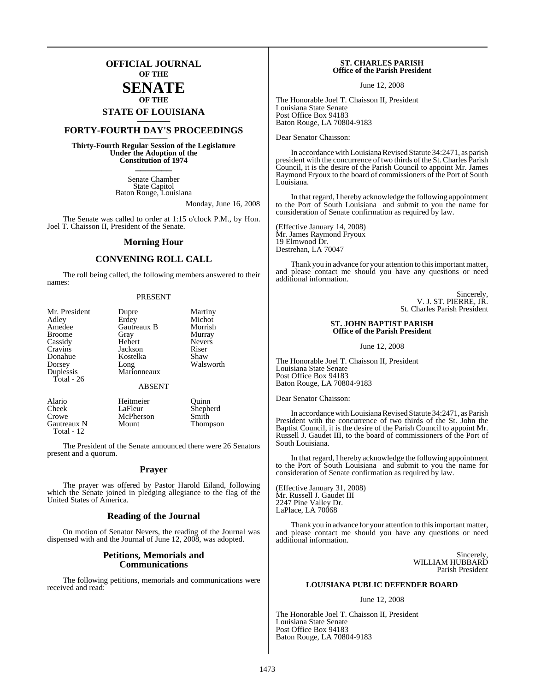## **OFFICIAL JOURNAL OF THE**

## **SENATE OF THE**

# **STATE OF LOUISIANA \_\_\_\_\_\_\_**

## **FORTY-FOURTH DAY'S PROCEEDINGS \_\_\_\_\_\_\_**

**Thirty-Fourth Regular Session of the Legislature Under the Adoption of the Constitution of 1974 \_\_\_\_\_\_\_**

> Senate Chamber State Capitol Baton Rouge, Louisiana

> > Monday, June 16, 2008

The Senate was called to order at 1:15 o'clock P.M., by Hon. Joel T. Chaisson II, President of the Senate.

#### **Morning Hour**

### **CONVENING ROLL CALL**

The roll being called, the following members answered to their names:

#### PRESENT

| Mr. President | Dupre         | Martiny       |
|---------------|---------------|---------------|
| Adley         | Erdey         | Michot        |
| Amedee        | Gautreaux B   | Morrish       |
| <b>Broome</b> | Gray          | Murray        |
| Cassidy       | Hebert        | <b>Nevers</b> |
| Cravins       | Jackson       | Riser         |
| Donahue       | Kostelka      | Shaw          |
| Dorsey        | Long          | Walsworth     |
| Duplessis     | Marionneaux   |               |
| Total - 26    |               |               |
|               | <b>ABSENT</b> |               |
| Alario        | Heitmeier     | Quinn         |
| Cheek         | LaFleur       | Shepherd      |

Crowe McPherson Smith<br>
Gautreaux N Mount Thompson

Gautreaux N Total - 12

The President of the Senate announced there were 26 Senators present and a quorum.

#### **Prayer**

The prayer was offered by Pastor Harold Eiland, following which the Senate joined in pledging allegiance to the flag of the United States of America.

#### **Reading of the Journal**

On motion of Senator Nevers, the reading of the Journal was dispensed with and the Journal of June 12, 2008, was adopted.

#### **Petitions, Memorials and Communications**

The following petitions, memorials and communications were received and read:

#### **ST. CHARLES PARISH Office of the Parish President**

June 12, 2008

The Honorable Joel T. Chaisson II, President Louisiana State Senate Post Office Box 94183 Baton Rouge, LA 70804-9183

Dear Senator Chaisson:

In accordance with Louisiana Revised Statute 34:2471, as parish president with the concurrence of two thirds of the St. Charles Parish Council, it is the desire of the Parish Council to appoint Mr. James Raymond Fryoux to the board of commissioners of the Port of South Louisiana.

In that regard, I hereby acknowledge the following appointment to the Port of South Louisiana and submit to you the name for consideration of Senate confirmation as required by law.

(Effective January 14, 2008) Mr. James Raymond Fryoux 19 Elmwood Dr. Destrehan, LA 70047

Thank you in advance for your attention to this important matter, and please contact me should you have any questions or need additional information.

> Sincerely, V. J. ST. PIERRE, JR. St. Charles Parish President

#### **ST. JOHN BAPTIST PARISH Office of the Parish President**

June 12, 2008

The Honorable Joel T. Chaisson II, President Louisiana State Senate Post Office Box 94183 Baton Rouge, LA 70804-9183

Dear Senator Chaisson:

In accordance with Louisiana Revised Statute 34:2471, as Parish President with the concurrence of two thirds of the St. John the Baptist Council, it is the desire of the Parish Council to appoint Mr. Russell J. Gaudet III, to the board of commissioners of the Port of South Louisiana.

In that regard, I hereby acknowledge the following appointment to the Port of South Louisiana and submit to you the name for consideration of Senate confirmation as required by law.

(Effective January 31, 2008) Mr. Russell J. Gaudet III 2247 Pine Valley Dr. LaPlace, LA 70068

Thank you in advance for your attention to this important matter, and please contact me should you have any questions or need additional information.

> Sincerely, WILLIAM HUBBARD Parish President

#### **LOUISIANA PUBLIC DEFENDER BOARD**

June 12, 2008

The Honorable Joel T. Chaisson II, President Louisiana State Senate Post Office Box 94183 Baton Rouge, LA 70804-9183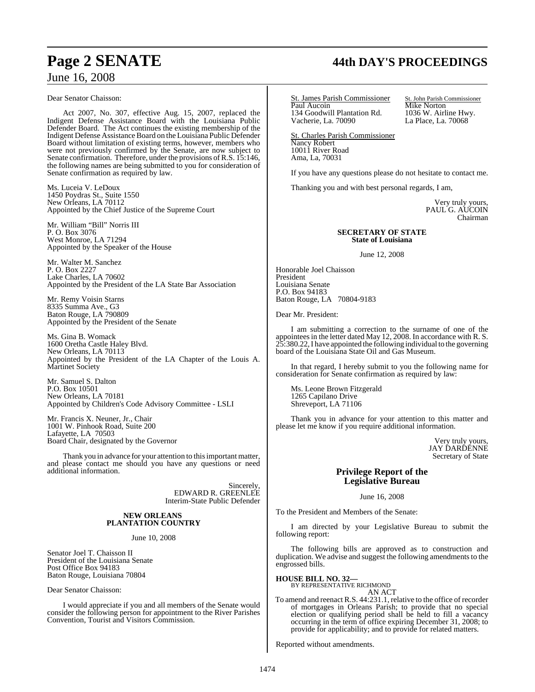# June 16, 2008

Dear Senator Chaisson:

Act 2007, No. 307, effective Aug. 15, 2007, replaced the Indigent Defense Assistance Board with the Louisiana Public Defender Board. The Act continues the existing membership of the Indigent Defense Assistance Board on the Louisiana Public Defender Board without limitation of existing terms, however, members who were not previously confirmed by the Senate, are now subject to Senate confirmation. Therefore, under the provisions of R.S. 15:146, the following names are being submitted to you for consideration of Senate confirmation as required by law.

Ms. Luceia V. LeDoux 1450 Poydras St., Suite 1550 New Orleans, LA 70112 Appointed by the Chief Justice of the Supreme Court

Mr. William "Bill" Norris III P. O. Box 3076 West Monroe, LA 71294 Appointed by the Speaker of the House

Mr. Walter M. Sanchez P. O. Box 2227 Lake Charles, LA 70602 Appointed by the President of the LA State Bar Association

Mr. Remy Voisin Starns 8335 Summa Ave., G3 Baton Rouge, LA 790809 Appointed by the President of the Senate

Ms. Gina B. Womack 1600 Oretha Castle Haley Blvd. New Orleans, LA 70113 Appointed by the President of the LA Chapter of the Louis A. Martinet Society

Mr. Samuel S. Dalton P.O. Box 10501 New Orleans, LA 70181 Appointed by Children's Code Advisory Committee - LSLI

Mr. Francis X. Neuner, Jr., Chair 1001 W. Pinhook Road, Suite 200 Lafayette, LA 70503 Board Chair, designated by the Governor

Thank you in advance for your attention to this important matter, and please contact me should you have any questions or need additional information.

> Sincerely, EDWARD R. GREENLEE Interim-State Public Defender

#### **NEW ORLEANS PLANTATION COUNTRY**

June 10, 2008

Senator Joel T. Chaisson II President of the Louisiana Senate Post Office Box 94183 Baton Rouge, Louisiana 70804

Dear Senator Chaisson:

I would appreciate if you and all members of the Senate would consider the following person for appointment to the River Parishes Convention, Tourist and Visitors Commission.

# **Page 2 SENATE 44th DAY'S PROCEEDINGS**

St. James Parish Commissioner St. John Parish Commissioner Paul Aucoin Mike Norton 134 Goodwill Plantation Rd. 1036 W. Airline Hwy.<br>Vacherie, La. 70090 La Place, La. 70068 Vacherie, La. 70090

St. Charles Parish Commissioner Nancy Robert 10011 River Road Ama, La, 70031

If you have any questions please do not hesitate to contact me.

Thanking you and with best personal regards, I am,

Very truly yours, PAUL G. AUCOIN Chairman

#### **SECRETARY OF STATE State of Louisiana**

June 12, 2008

Honorable Joel Chaisson President Louisiana Senate P.O. Box 94183 Baton Rouge, LA 70804-9183

Dear Mr. President:

I am submitting a correction to the surname of one of the appointees in the letter dated May 12, 2008. In accordance with R. S. 25:380.22, I have appointed the following individual to the governing board of the Louisiana State Oil and Gas Museum.

In that regard, I hereby submit to you the following name for consideration for Senate confirmation as required by law:

Ms. Leone Brown Fitzgerald 1265 Capilano Drive Shreveport, LA 71106

Thank you in advance for your attention to this matter and please let me know if you require additional information.

> Very truly yours, JAY DARDENNE Secretary of State

### **Privilege Report of the Legislative Bureau**

June 16, 2008

To the President and Members of the Senate:

I am directed by your Legislative Bureau to submit the following report:

The following bills are approved as to construction and duplication. We advise and suggest the following amendments to the engrossed bills.

**HOUSE BILL NO. 32—**

BY REPRESENTATIVE RICHMOND AN ACT

To amend and reenact R.S. 44:231.1, relative to the office of recorder of mortgages in Orleans Parish; to provide that no special election or qualifying period shall be held to fill a vacancy occurring in the term of office expiring December 31, 2008; to provide for applicability; and to provide for related matters.

Reported without amendments.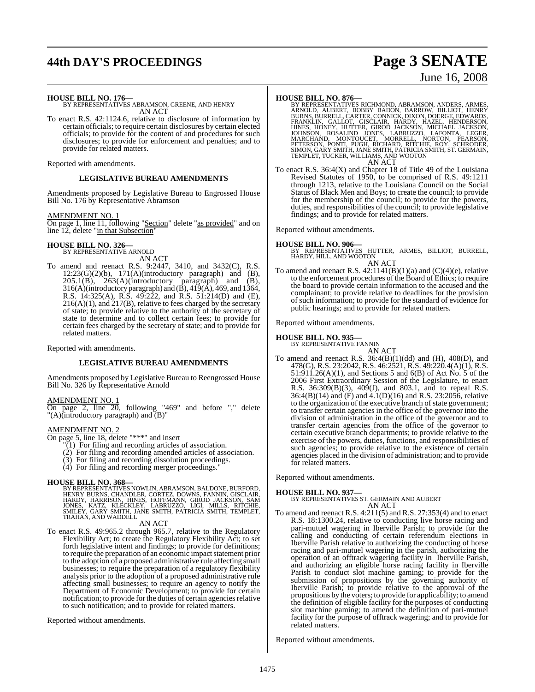# **44th DAY'S PROCEEDINGS Page 3 SENATE**

# June 16, 2008

**HOUSE BILL NO. 176—** BY REPRESENTATIVES ABRAMSON, GREENE, AND HENRY AN ACT

To enact R.S. 42:1124.6, relative to disclosure of information by certain officials; to require certain disclosures by certain elected officials; to provide for the content of and procedures for such disclosures; to provide for enforcement and penalties; and to provide for related matters.

Reported with amendments.

### **LEGISLATIVE BUREAU AMENDMENTS**

Amendments proposed by Legislative Bureau to Engrossed House Bill No. 176 by Representative Abramson

#### AMENDMENT NO. 1

On page 1, line 11, following "Section" delete "as provided" and on line 12, delete "in that Subsection"

## **HOUSE BILL NO. 326—** BY REPRESENTATIVE ARNOLD

AN ACT

To amend and reenact R.S. 9:2447, 3410, and 3432(C), R.S.  $12:23(G)(2)(b)$ ,  $171(A)(introductory paragraph)$  and  $(B)$ ,  $205.1(B)$ ,  $263(A)$ (introductory paragraph) and (B), 316(A)(introductory paragraph) and  $(\vec{B})$ , 419(A), 469, and 1364, R.S. 14:325(A), R.S. 49:222, and R.S. 51:214(D) and (E), 216(A)(1), and 217(B), relative to fees charged by the secretary of state; to provide relative to the authority of the secretary of state to determine and to collect certain fees; to provide for certain fees charged by the secretary of state; and to provide for related matters.

Reported with amendments.

### **LEGISLATIVE BUREAU AMENDMENTS**

Amendments proposed by Legislative Bureau to Reengrossed House Bill No. 326 by Representative Arnold

#### AMENDMENT NO. 1

On page 2, line 20, following "469" and before "," delete "(A)(introductory paragraph) and (B)"

#### AMENDMENT NO. 2

On page 5, line 18, delete "\*\*\*" and insert

"(1) For filing and recording articles of association.

- (2) For filing and recording amended articles of association.
- (3) For filing and recording dissolution proceedings.
- (4) For filing and recording merger proceedings."

#### **HOUSE BILL NO. 368—**

BY REPRESENTATIVES NOWLIN, ABRAMSON, BALDONE, BURFORD,<br>HENRY BURNS, CHANDLER, CORTEZ, DOWNS, FANNIN, GISCLAIR,<br>HARDY, HARRISON, HINES, HOFFMANN, GIROD JACKSON, SAM<br>JONES, KATZ, KLECKLEY, LABRUZZO, LIGI, MILLS, RITCHIE,<br>SMI

#### AN ACT

To enact R.S. 49:965.2 through 965.7, relative to the Regulatory Flexibility Act; to create the Regulatory Flexibility Act; to set forth legislative intent and findings; to provide for definitions; to require the preparation of an economic impact statement prior to the adoption of a proposed administrative rule affecting small businesses; to require the preparation of a regulatory flexibility analysis prior to the adoption of a proposed administrative rule affecting small businesses; to require an agency to notify the Department of Economic Development; to provide for certain notification; to provide for the duties of certain agencies relative to such notification; and to provide for related matters.

Reported without amendments.

**HOUSE BILL NO. 876—**<br>BY REPRESENTATIVES RICHMOND, ABRAMSON, ANDERS, ARMES, ARNOLD, AUBERT, BOBBY BADON, BARROW, BILLIOT, HENRY<br>BURNS, BURRELL, CARTER, CONNICK, DIXON, DOERGE, EDWARDS,<br>FRANKLIN, GALLOT, GISCLAIR, HARDY, HA TEMPLET, TUCKER, WILLIAMS, AND WOOTON AN ACT

To enact R.S. 36:4(X) and Chapter 18 of Title 49 of the Louisiana Revised Statutes of 1950, to be comprised of R.S. 49:1211 through 1213, relative to the Louisiana Council on the Social Status of Black Men and Boys; to create the council; to provide for the membership of the council; to provide for the powers, duties, and responsibilities of the council; to provide legislative findings; and to provide for related matters.

Reported without amendments.

**HOUSE BILL NO. 906—** BY REPRESENTATIVES HUTTER, ARMES, BILLIOT, BURRELL, HARDY, HILL, AND WOOTON

#### AN ACT

To amend and reenact R.S.  $42:1141(B)(1)(a)$  and  $(C)(4)(e)$ , relative to the enforcement procedures of the Board of Ethics; to require the board to provide certain information to the accused and the complainant; to provide relative to deadlines for the provision of such information; to provide for the standard of evidence for public hearings; and to provide for related matters.

Reported without amendments.

## **HOUSE BILL NO. 935—** BY REPRESENTATIVE FANNIN

- AN ACT
- To amend and reenact R.S.  $36:4(B)(1)(dd)$  and (H),  $408(D)$ , and 478(G), R.S. 23:2042, R.S. 46:2521, R.S. 49:220.4(A)(1), R.S.  $51:911.26(A)(1)$ , and Sections 5 and  $6(B)$  of Act No. 5 of the 2006 First Extraordinary Session of the Legislature, to enact R.S. 36:309(B)(3), 409(J), and 803.1, and to repeal R.S. 36:4(B)(14) and (F) and 4.1(D)(16) and R.S. 23:2056, relative to the organization of the executive branch of state government; to transfer certain agencies in the office of the governor into the division of administration in the office of the governor and to transfer certain agencies from the office of the governor to certain executive branch departments; to provide relative to the exercise of the powers, duties, functions, and responsibilities of such agencies; to provide relative to the existence of certain agencies placed in the division of administration; and to provide for related matters.

Reported without amendments.

**HOUSE BILL NO. 937—** BY REPRESENTATIVES ST. GERMAIN AND AUBERT AN ACT

To amend and reenact R.S. 4:211(5) and R.S. 27:353(4) and to enact R.S. 18:1300.24, relative to conducting live horse racing and pari-mutuel wagering in Iberville Parish; to provide for the calling and conducting of certain referendum elections in Iberville Parish relative to authorizing the conducting of horse racing and pari-mutuel wagering in the parish, authorizing the operation of an offtrack wagering facility in Iberville Parish, and authorizing an eligible horse racing facility in Iberville Parish to conduct slot machine gaming; to provide for the submission of propositions by the governing authority of Iberville Parish; to provide relative to the approval of the propositions by the voters; to provide for applicability; to amend the definition of eligible facility for the purposes of conducting slot machine gaming; to amend the definition of pari-mutuel facility for the purpose of offtrack wagering; and to provide for related matters.

Reported without amendments.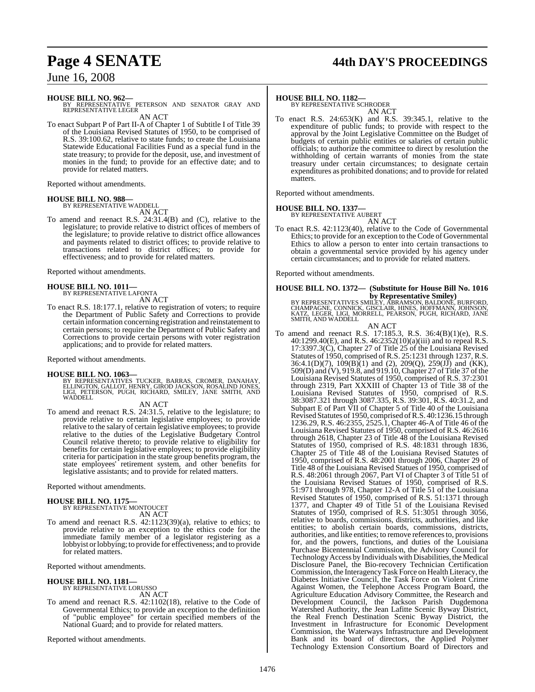## **Page 4 SENATE 44th DAY'S PROCEEDINGS**

## June 16, 2008

**HOUSE BILL NO. 962—** BY REPRESENTATIVE PETERSON AND SENATOR GRAY AND REPRESENTATIVE LEGER AN ACT

To enact Subpart P of Part II-A of Chapter 1 of Subtitle I of Title 39 of the Louisiana Revised Statutes of 1950, to be comprised of R.S. 39:100.62, relative to state funds; to create the Louisiana Statewide Educational Facilities Fund as a special fund in the state treasury; to provide for the deposit, use, and investment of monies in the fund; to provide for an effective date; and to provide for related matters.

Reported without amendments.

#### **HOUSE BILL NO. 988—**

BY REPRESENTATIVE WADDELL AN ACT

To amend and reenact R.S. 24:31.4(B) and (C), relative to the legislature; to provide relative to district offices of members of the legislature; to provide relative to district office allowances and payments related to district offices; to provide relative to transactions related to district offices; to provide for effectiveness; and to provide for related matters.

Reported without amendments.

**HOUSE BILL NO. 1011—** BY REPRESENTATIVE LAFONTA

AN ACT

To enact R.S. 18:177.1, relative to registration of voters; to require the Department of Public Safety and Corrections to provide certain information concerning registration and reinstatement to certain persons; to require the Department of Public Safety and Corrections to provide certain persons with voter registration applications; and to provide for related matters.

Reported without amendments.

#### **HOUSE BILL NO. 1063—**

BY REPRESENTATIVES TUCKER, BARRAS, CROMER, DANAHAY,<br>ELLINGTON, GALLOT, HENRY, GIROD JACKSON, ROSALIND JONES,<br>LIGI, PETERSON, PUGH, RICHARD, SMILEY, JANE SMITH, AND **WADDELL** 

AN ACT

To amend and reenact R.S. 24:31.5, relative to the legislature; to provide relative to certain legislative employees; to provide relative to the salary of certain legislative employees; to provide relative to the duties of the Legislative Budgetary Control Council relative thereto; to provide relative to eligibility for benefits for certain legislative employees; to provide eligibility criteria for participation in the state group benefits program, the state employees' retirement system, and other benefits for legislative assistants; and to provide for related matters.

Reported without amendments.

## **HOUSE BILL NO. 1175—** BY REPRESENTATIVE MONTOUCET

AN ACT

To amend and reenact R.S. 42:1123(39)(a), relative to ethics; to provide relative to an exception to the ethics code for the immediate family member of a legislator registering as a lobbyist or lobbying; to provide for effectiveness; and to provide for related matters.

Reported without amendments.

## **HOUSE BILL NO. 1181—** BY REPRESENTATIVE LORUSSO

AN ACT

To amend and reenact R.S. 42:1102(18), relative to the Code of Governmental Ethics; to provide an exception to the definition of "public employee" for certain specified members of the National Guard; and to provide for related matters.

Reported without amendments.

#### **HOUSE BILL NO. 1182—**

BY REPRESENTATIVE SCHRODER AN ACT

To enact R.S. 24:653(K) and R.S. 39:345.1, relative to the expenditure of public funds; to provide with respect to the approval by the Joint Legislative Committee on the Budget of budgets of certain public entities or salaries of certain public officials; to authorize the committee to direct by resolution the withholding of certain warrants of monies from the state treasury under certain circumstances; to designate certain expenditures as prohibited donations; and to provide for related matters.

Reported without amendments.

#### **HOUSE BILL NO. 1337—**

BY REPRESENTATIVE AUBERT AN ACT

To enact R.S. 42:1123(40), relative to the Code of Governmental Ethics; to provide for an exception to the Code of Governmental Ethics to allow a person to enter into certain transactions to obtain a governmental service provided by his agency under certain circumstances; and to provide for related matters.

Reported without amendments.

# **HOUSE BILL NO. 1372— (Substitute for House Bill No. 1016**

**by Representative Smiley)**<br>BY REPRESENTATIVES SMILEY, ABRAMSON, BALDONE, BURFORD,<br>CHAMPAGNE, CONNICK, GISCLAIR, HINES, HOFFMANN, JOHNSON,<br>KATZ, LEGER, LIGI, MORRELL, PEARSON, PUGH, RICHARD, JANE<br>SMITH, AND WADDELL

AN ACT

To amend and reenact R.S. 17:185.3, R.S. 36:4(B)(1)(e), R.S. 40:1299.40(E), and R.S. 46:2352(10)(a)(iii) and to repeal R.S. 17:3397.3(C), Chapter 27 of Title 25 of the Louisiana Revised Statutes of 1950, comprised ofR.S. 25:1231 through 1237, R.S. 36:4.1(D)(7), 109(B)(1) and (2), 209(Q), 259(JJ) and (KK), 509(D) and (V), 919.8, and 919.10, Chapter 27 of Title 37 of the Louisiana Revised Statutes of 1950, comprised of R.S. 37:2301 through 2319, Part XXXIII of Chapter 13 of Title 38 of the Louisiana Revised Statutes of 1950, comprised of R.S. 38:3087.321 through 3087.335, R.S. 39:301, R.S. 40:31.2, and Subpart E of Part VII of Chapter 5 of Title 40 of the Louisiana Revised Statutes of 1950, comprised of R.S. 40:1236.15 through 1236.29, R.S. 46:2355, 2525.1, Chapter 46-A of Title 46 of the Louisiana Revised Statutes of 1950, comprised of R.S. 46:2616 through 2618, Chapter 23 of Title 48 of the Louisiana Revised Statutes of 1950, comprised of R.S. 48:1831 through 1836, Chapter 25 of Title 48 of the Louisiana Revised Statutes of 1950, comprised of R.S. 48:2001 through 2006, Chapter 29 of Title 48 of the Louisiana Revised Statues of 1950, comprised of R.S. 48:2061 through 2067, Part VI of Chapter 3 of Title 51 of the Louisiana Revised Statues of 1950, comprised of R.S. 51:971 through 978, Chapter 12-A of Title 51 of the Louisiana Revised Statutes of 1950, comprised of R.S. 51:1371 through 1377, and Chapter 49 of Title 51 of the Louisiana Revised Statutes of 1950, comprised of R.S. 51:3051 through 3056, relative to boards, commissions, districts, authorities, and like entities; to abolish certain boards, commissions, districts, authorities, and like entities; to remove referencesto, provisions for, and the powers, functions, and duties of the Louisiana Purchase Bicentennial Commission, the Advisory Council for Technology Access by Individuals with Disabilities, the Medical Disclosure Panel, the Bio-recovery Technician Certification Commission, the InteragencyTask Force on HealthLiteracy, the Diabetes Initiative Council, the Task Force on Violent Crime Against Women, the Telephone Access Program Board, the Agriculture Education Advisory Committee, the Research and Development Council, the Jackson Parish Dugdemona Watershed Authority, the Jean Lafitte Scenic Byway District, the Real French Destination Scenic Byway District, the Investment in Infrastructure for Economic Development Commission, the Waterways Infrastructure and Development Bank and its board of directors, the Applied Polymer Technology Extension Consortium Board of Directors and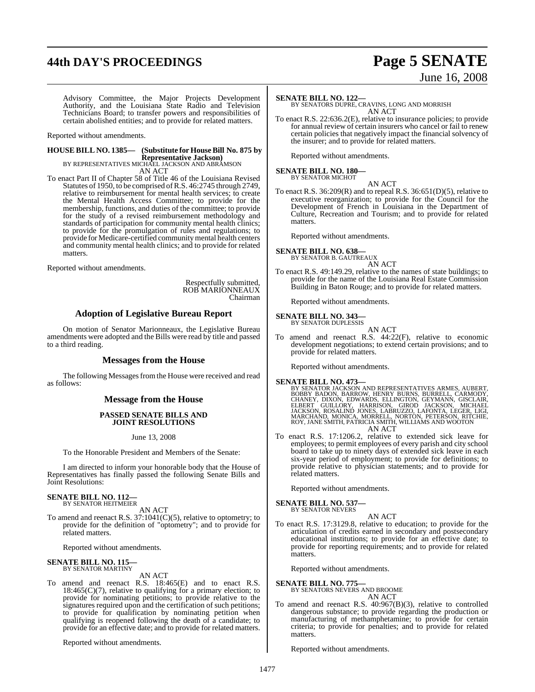## **44th DAY'S PROCEEDINGS Page 5 SENATE**

# June 16, 2008

Advisory Committee, the Major Projects Development Authority, and the Louisiana State Radio and Television Technicians Board; to transfer powers and responsibilities of certain abolished entities; and to provide for related matters.

Reported without amendments.

## **HOUSE BILL NO. 1385— (Substitute for HouseBill No. 875 by Representative Jackson)** BY REPRESENTATIVES MICHAEL JACKSON AND ABRAMSON

AN ACT

To enact Part II of Chapter 58 of Title 46 of the Louisiana Revised Statutes of 1950, to be comprised ofR.S. 46:2745 through 2749, relative to reimbursement for mental health services; to create the Mental Health Access Committee; to provide for the membership, functions, and duties of the committee; to provide for the study of a revised reimbursement methodology and standards of participation for community mental health clinics; to provide for the promulgation of rules and regulations; to provide forMedicare-certified communitymental health centers and community mental health clinics; and to provide for related matters.

Reported without amendments.

Respectfully submitted, ROB MARIONNEAUX Chairman

### **Adoption of Legislative Bureau Report**

On motion of Senator Marionneaux, the Legislative Bureau amendments were adopted and the Bills were read by title and passed to a third reading.

#### **Messages from the House**

The following Messages from the House were received and read as follows:

### **Message from the House**

#### **PASSED SENATE BILLS AND JOINT RESOLUTIONS**

June 13, 2008

To the Honorable President and Members of the Senate:

I am directed to inform your honorable body that the House of Representatives has finally passed the following Senate Bills and Joint Resolutions:

#### **SENATE BILL NO. 112—** BY SENATOR HEITMEIER

AN ACT

To amend and reenact R.S. 37:1041(C)(5), relative to optometry; to provide for the definition of "optometry"; and to provide for related matters.

Reported without amendments.

#### **SENATE BILL NO. 115** BY SENATOR MARTINY

AN ACT

To amend and reenact R.S. 18:465(E) and to enact R.S.  $18:465(C)(7)$ , relative to qualifying for a primary election; to provide for nominating petitions; to provide relative to the signatures required upon and the certification of such petitions; to provide for qualification by nominating petition when qualifying is reopened following the death of a candidate; to provide for an effective date; and to provide for related matters.

Reported without amendments.

#### **SENATE BILL NO. 122—**

BY SENATORS DUPRE, CRAVINS, LONG AND MORRISH AN ACT

To enact R.S. 22:636.2(E), relative to insurance policies; to provide for annual review of certain insurers who cancel or fail to renew certain policies that negatively impact the financial solvency of the insurer; and to provide for related matters.

Reported without amendments.

## **SENATE BILL NO. 180—** BY SENATOR MICHOT

AN ACT

To enact R.S. 36:209(R) and to repeal R.S. 36:651(D)(5), relative to executive reorganization; to provide for the Council for the Development of French in Louisiana in the Department of Culture, Recreation and Tourism; and to provide for related matters.

Reported without amendments.

#### **SENATE BILL NO. 638** BY SENATOR B. GAUTREAUX

AN ACT

To enact R.S. 49:149.29, relative to the names of state buildings; to provide for the name of the Louisiana Real Estate Commission Building in Baton Rouge; and to provide for related matters.

Reported without amendments.

#### **SENATE BILL NO. 343—** BY SENATOR DUPLESSIS

AN ACT

To amend and reenact R.S. 44:22(F), relative to economic development negotiations; to extend certain provisions; and to provide for related matters.

Reported without amendments.

**SENATE BILL NO. 473—**<br>BY SENATOR JACKSON AND REPRESENTATIVES ARMES, AUBERT,<br>BOBBY BADON, BARROW, HENRY BURNS, BURRELL, CARMODY,<br>CHANEY, DIXON, BEWARDS, ELLINGTON, GEYMANN, GISCLAIR,<br>ELBERT GUILLORY, HARRISON, GIROD JACKSO AN ACT

To enact R.S. 17:1206.2, relative to extended sick leave for employees; to permit employees of every parish and city school board to take up to ninety days of extended sick leave in each six-year period of employment; to provide for definitions; to provide relative to physician statements; and to provide for related matters.

Reported without amendments.

# **SENATE BILL NO. 537—** BY SENATOR NEVERS

AN ACT

To enact R.S. 17:3129.8, relative to education; to provide for the articulation of credits earned in secondary and postsecondary educational institutions; to provide for an effective date; to provide for reporting requirements; and to provide for related matters.

Reported without amendments.

#### **SENATE BILL NO. 775—**

BY SENATORS NEVERS AND BROOME AN ACT

To amend and reenact R.S. 40:967(B)(3), relative to controlled dangerous substance; to provide regarding the production or manufacturing of methamphetamine; to provide for certain criteria; to provide for penalties; and to provide for related matters.

Reported without amendments.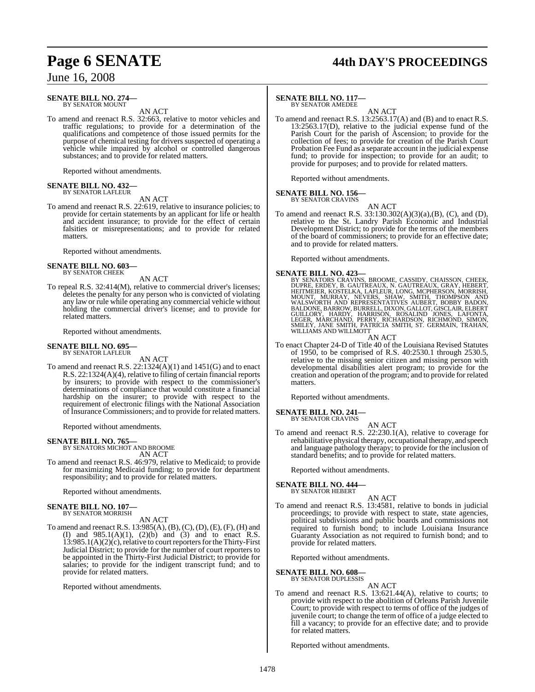## **Page 6 SENATE 44th DAY'S PROCEEDINGS**

June 16, 2008

#### **SENATE BILL NO. 274—** BY SENATOR MOUNT

AN ACT

To amend and reenact R.S. 32:663, relative to motor vehicles and traffic regulations; to provide for a determination of the qualifications and competence of those issued permits for the purpose of chemical testing for drivers suspected of operating a vehicle while impaired by alcohol or controlled dangerous substances; and to provide for related matters.

Reported without amendments.

#### **SENATE BILL NO. 432—** BY SENATOR LAFLEUR

AN ACT

To amend and reenact R.S. 22:619, relative to insurance policies; to provide for certain statements by an applicant for life or health and accident insurance; to provide for the effect of certain falsities or misrepresentations; and to provide for related matters.

Reported without amendments.

## **SENATE BILL NO. 603—** BY SENATOR CHEEK

AN ACT

To repeal R.S. 32:414(M), relative to commercial driver's licenses; deletes the penalty for any person who is convicted of violating any law or rule while operating any commercial vehicle without holding the commercial driver's license; and to provide for related matters.

Reported without amendments.

#### **SENATE BILL NO. 695—** BY SENATOR LAFLEUR

AN ACT

To amend and reenact R.S.  $22:1324(A)(1)$  and  $1451(G)$  and to enact R.S. 22:1324(A)(4), relative to filing of certain financial reports by insurers; to provide with respect to the commissioner's determinations of compliance that would constitute a financial hardship on the insurer; to provide with respect to the requirement of electronic filings with the National Association of Insurance Commissioners; and to provide for related matters.

Reported without amendments.

#### **SENATE BILL NO. 765—** BY SENATORS MICHOT AND BROOME

AN ACT

To amend and reenact R.S. 46:979, relative to Medicaid; to provide for maximizing Medicaid funding; to provide for department responsibility; and to provide for related matters.

Reported without amendments.

#### **SENATE BILL NO. 107—** BY SENATOR MORRISH

AN ACT

To amend and reenact R.S. 13:985(A), (B), (C), (D), (E), (F), (H) and (I) and  $985.1(A)(1)$ ,  $(2)(b)$  and  $(3)$  and to enact R.S. 13:985.1(A)(2)(c), relative to court reporters for the Thirty-First Judicial District; to provide for the number of court reporters to be appointed in the Thirty-First Judicial District; to provide for salaries; to provide for the indigent transcript fund; and to provide for related matters.

Reported without amendments.

### **SENATE BILL NO. 117—**

BY SENATOR AMEDEE AN ACT

To amend and reenact R.S. 13:2563.17(A) and (B) and to enact R.S. 13:2563.17(D), relative to the judicial expense fund of the Parish Court for the parish of Ascension; to provide for the collection of fees; to provide for creation of the Parish Court Probation Fee Fund as a separate account in the judicial expense fund; to provide for inspection; to provide for an audit; to provide for purposes; and to provide for related matters.

Reported without amendments.

#### **SENATE BILL NO. 156—** BY SENATOR CRAVINS

AN ACT

To amend and reenact R.S. 33:130.302(A)(3)(a),(B), (C), and (D), relative to the St. Landry Parish Economic and Industrial Development District; to provide for the terms of the members of the board of commissioners; to provide for an effective date; and to provide for related matters.

Reported without amendments.

#### **SENATE BILL NO. 423—**

BY SENATORS CRAVINS, BROOME, CASSIDY, CHAISSON, CHEEK, DUPRE, ERDEY, B. GAUTREAUX, N. GAUTREAUX, GRAY, HEBERT,<br>DUPRE, ERDEY, B. GAUTREAUX, N. GAUTREAUX, GRAY, HEBERT,<br>MOUNT, MURRAY, NEVERS, SHAW, SMITH, THOMPSON AND<br>WALSWO

AN ACT

To enact Chapter 24-D of Title 40 of the Louisiana Revised Statutes of 1950, to be comprised of R.S. 40:2530.1 through 2530.5, relative to the missing senior citizen and missing person with developmental disabilities alert program; to provide for the creation and operation of the program; and to provide for related matters.

Reported without amendments.

#### **SENATE BILL NO. 241—**

BY SENATOR CRAVINS AN ACT

To amend and reenact R.S. 22:230.1(A), relative to coverage for rehabilitative physical therapy, occupational therapy, and speech and language pathology therapy; to provide for the inclusion of standard benefits; and to provide for related matters.

Reported without amendments.

#### **SENATE BILL NO. 444—** BY SENATOR HEBERT

AN ACT

To amend and reenact R.S. 13:4581, relative to bonds in judicial proceedings; to provide with respect to state, state agencies, political subdivisions and public boards and commissions not required to furnish bond; to include Louisiana Insurance Guaranty Association as not required to furnish bond; and to provide for related matters.

Reported without amendments.

## **SENATE BILL NO. 608—** BY SENATOR DUPLESSIS

AN ACT

To amend and reenact R.S. 13:621.44(A), relative to courts; to provide with respect to the abolition of Orleans Parish Juvenile Court; to provide with respect to terms of office of the judges of juvenile court; to change the term of office of a judge elected to fill a vacancy; to provide for an effective date; and to provide for related matters.

Reported without amendments.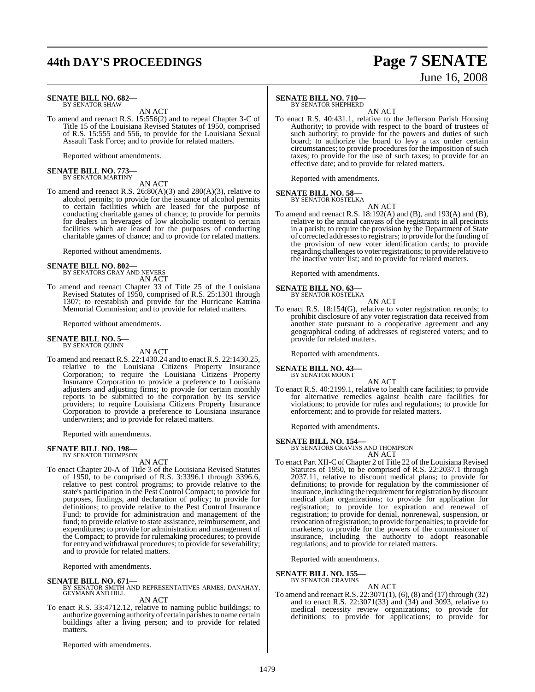## **44th DAY'S PROCEEDINGS Page 7 SENATE**

# June 16, 2008

#### **SENATE BILL NO. 682—** BY SENATOR SHAW

AN ACT

To amend and reenact R.S. 15:556(2) and to repeal Chapter 3-C of Title 15 of the Louisiana Revised Statutes of 1950, comprised of R.S. 15:555 and 556, to provide for the Louisiana Sexual Assault Task Force; and to provide for related matters.

Reported without amendments.

## **SENATE BILL NO. 773—** BY SENATOR MARTINY

AN ACT

To amend and reenact R.S. 26:80(A)(3) and 280(A)(3), relative to alcohol permits; to provide for the issuance of alcohol permits to certain facilities which are leased for the purpose of conducting charitable games of chance; to provide for permits for dealers in beverages of low alcoholic content to certain facilities which are leased for the purposes of conducting charitable games of chance; and to provide for related matters.

Reported without amendments.

## **SENATE BILL NO. 802—** BY SENATORS GRAY AND NEVERS

AN ACT

To amend and reenact Chapter 33 of Title 25 of the Louisiana Revised Statutes of 1950, comprised of R.S. 25:1301 through 1307; to reestablish and provide for the Hurricane Katrina Memorial Commission; and to provide for related matters.

Reported without amendments.

#### **SENATE BILL NO. 5—** BY SENATOR QUINN

AN ACT

To amend and reenact R.S. 22:1430.24 and to enact R.S. 22:1430.25, relative to the Louisiana Citizens Property Insurance Corporation; to require the Louisiana Citizens Property Insurance Corporation to provide a preference to Louisiana adjusters and adjusting firms; to provide for certain monthly reports to be submitted to the corporation by its service providers; to require Louisiana Citizens Property Insurance Corporation to provide a preference to Louisiana insurance underwriters; and to provide for related matters.

Reported with amendments.

# **SENATE BILL NO. 198—** BY SENATOR THOMPSON

AN ACT

To enact Chapter 20-A of Title 3 of the Louisiana Revised Statutes of 1950, to be comprised of R.S. 3:3396.1 through 3396.6, relative to pest control programs; to provide relative to the state's participation in the Pest Control Compact; to provide for purposes, findings, and declaration of policy; to provide for definitions; to provide relative to the Pest Control Insurance Fund; to provide for administration and management of the fund; to provide relative to state assistance, reimbursement, and expenditures; to provide for administration and management of the Compact; to provide for rulemaking procedures; to provide for entry and withdrawal procedures; to provide for severability; and to provide for related matters.

Reported with amendments.

**SENATE BILL NO. 671—**<br>BY SENATOR SMITH AND REPRESENTATIVES ARMES, DANAHAY,<br>GEYMANN AND HILL AN ACT

To enact R.S. 33:4712.12, relative to naming public buildings; to authorize governing authority of certain parishes to name certain buildings after a living person; and to provide for related matters.

Reported with amendments.

### **SENATE BILL NO. 710—**

BY SENATOR SHEPHERD

AN ACT To enact R.S. 40:431.1, relative to the Jefferson Parish Housing Authority; to provide with respect to the board of trustees of such authority; to provide for the powers and duties of such board; to authorize the board to levy a tax under certain circumstances; to provide procedures for the imposition of such taxes; to provide for the use of such taxes; to provide for an effective date; and to provide for related matters.

Reported with amendments.

#### **SENATE BILL NO. 58—** BY SENATOR KOSTELKA

AN ACT

To amend and reenact R.S. 18:192(A) and (B), and 193(A) and (B), relative to the annual canvass of the registrants in all precincts in a parish; to require the provision by the Department of State of corrected addressesto registrars; to provide for the funding of the provision of new voter identification cards; to provide regarding challengesto voter registrations; to provide relative to the inactive voter list; and to provide for related matters.

Reported with amendments.

## **SENATE BILL NO. 63—** BY SENATOR KOSTELKA

AN ACT

To enact R.S. 18:154(G), relative to voter registration records; to prohibit disclosure of any voter registration data received from another state pursuant to a cooperative agreement and any geographical coding of addresses of registered voters; and to provide for related matters.

Reported with amendments.

#### **SENATE BILL NO. 43—** BY SENATOR MOUNT

AN ACT

To enact R.S. 40:2199.1, relative to health care facilities; to provide for alternative remedies against health care facilities for violations; to provide for rules and regulations; to provide for enforcement; and to provide for related matters.

Reported with amendments.

**SENATE BILL NO. 154—** BY SENATORS CRAVINS AND THOMPSON AN ACT

To enact Part XII-C of Chapter 2 of Title 22 of the Louisiana Revised Statutes of 1950, to be comprised of R.S. 22:2037.1 through 2037.11, relative to discount medical plans; to provide for definitions; to provide for regulation by the commissioner of insurance, including the requirement for registration by discount medical plan organizations; to provide for application for registration; to provide for expiration and renewal of registration; to provide for denial, nonrenewal, suspension, or revocation ofregistration; to provide for penalties; to provide for marketers; to provide for the powers of the commissioner of insurance, including the authority to adopt reasonable regulations; and to provide for related matters.

Reported with amendments.

#### **SENATE BILL NO. 155—**

BY SENATOR CRAVINS

AN ACT To amend and reenact R.S. 22:3071(1), (6), (8) and (17) through (32) and to enact R.S. 22:3071(33) and (34) and 3093, relative to medical necessity review organizations; to provide for definitions; to provide for applications; to provide for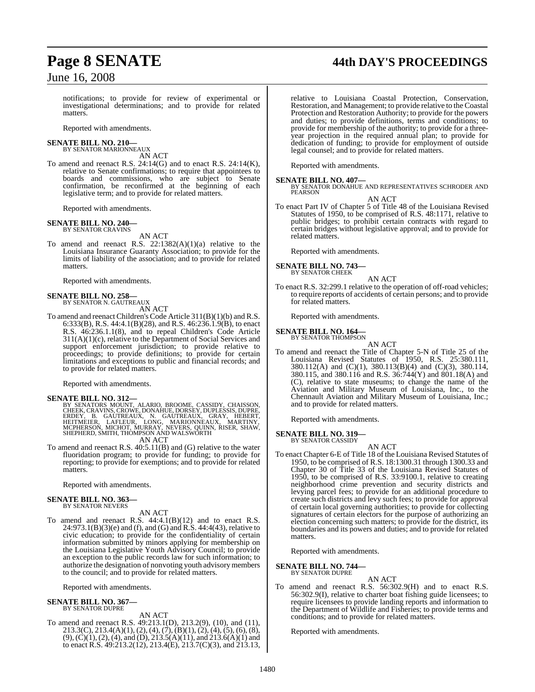## **Page 8 SENATE 44th DAY'S PROCEEDINGS**

June 16, 2008

notifications; to provide for review of experimental or investigational determinations; and to provide for related matters.

Reported with amendments.

#### **SENATE BILL NO. 210—** BY SENATOR MARIONNEAUX

AN ACT

To amend and reenact R.S. 24:14(G) and to enact R.S. 24:14(K), relative to Senate confirmations; to require that appointees to boards and commissions, who are subject to Senate confirmation, be reconfirmed at the beginning of each legislative term; and to provide for related matters.

Reported with amendments.

#### **SENATE BILL NO. 240—** BY SENATOR CRAVINS

AN ACT

To amend and reenact R.S.  $22:1382(A)(1)(a)$  relative to the Louisiana Insurance Guaranty Association; to provide for the limits of liability of the association; and to provide for related matters.

Reported with amendments.

## **SENATE BILL NO. 258—** BY SENATOR N. GAUTREAUX

AN ACT

To amend and reenact Children's Code Article 311(B)(1)(b) and R.S. 6:333(B), R.S. 44:4.1(B)(28), and R.S. 46:236.1.9(B), to enact R.S. 46:236.1.1(8), and to repeal Children's Code Article 311(A)(1)(c), relative to the Department of Social Services and support enforcement jurisdiction; to provide relative to proceedings; to provide definitions; to provide for certain limitations and exceptions to public and financial records; and to provide for related matters.

Reported with amendments.

#### **SENATE BILL NO. 312—**

BY SENATORS MOUNT, ALARIO, BROOME, CASSIDY, CHAISSON,<br>CHEEK, CRAVINS, CROWE, DONAHUE, DORSEY, DUPLESSIS, DUPRE,<br>ERDEY, B. GAUTREAUX, N. GAUTREAUX, GRAY, HEBERT,<br>HEITMEIER, LAFLEUR, LONG, MARIONNEAUX, MARTINY,<br>MCPHERSON, MI AN ACT

To amend and reenact R.S. 40:5.11(B) and (G) relative to the water fluoridation program; to provide for funding; to provide for reporting; to provide for exemptions; and to provide for related matters.

Reported with amendments.

#### **SENATE BILL NO. 363—** BY SENATOR NEVERS

AN ACT

To amend and reenact R.S. 44:4.1(B)(12) and to enact R.S. 24:973.1(B)(3)(e) and (f), and (G) and R.S. 44:4(43), relative to civic education; to provide for the confidentiality of certain information submitted by minors applying for membership on the Louisiana Legislative Youth Advisory Council; to provide an exception to the public records law for such information; to authorize the designation of nonvoting youth advisorymembers to the council; and to provide for related matters.

Reported with amendments.

#### **SENATE BILL NO. 367—** BY SENATOR DUPRE

AN ACT To amend and reenact R.S. 49:213.1(D), 213.2(9), (10), and (11), 213.3(C), 213.4(A)(1), (2), (4), (7), (B)(1), (2), (4), (5), (6), (8), (9), (C)(1), (2), (4), and (D), 213.5(A)(11), and 213.6(A)(1) and to enact R.S. 49:213.2(12), 213.4(E), 213.7(C)(3), and 213.13,

relative to Louisiana Coastal Protection, Conservation, Restoration, and Management; to provide relative to the Coastal Protection and Restoration Authority; to provide for the powers and duties; to provide definitions, terms and conditions; to provide for membership of the authority; to provide for a threeyear projection in the required annual plan; to provide for dedication of funding; to provide for employment of outside legal counsel; and to provide for related matters.

Reported with amendments.

**SENATE BILL NO. 407—** BY SENATOR DONAHUE AND REPRESENTATIVES SCHRODER AND PEARSON AN ACT

To enact Part IV of Chapter 5 of Title 48 of the Louisiana Revised Statutes of 1950, to be comprised of R.S. 48:1171, relative to public bridges; to prohibit certain contracts with regard to certain bridges without legislative approval; and to provide for related matters.

Reported with amendments.

## **SENATE BILL NO. 743—** BY SENATOR CHEEK

AN ACT

To enact R.S. 32:299.1 relative to the operation of off-road vehicles; to require reports of accidents of certain persons; and to provide for related matters.

Reported with amendments.

#### **SENATE BILL NO. 164—** BY SENATOR THOMPSON

AN ACT

To amend and reenact the Title of Chapter 5-N of Title 25 of the Louisiana Revised Statutes of 1950, R.S. 25:380.111, 380.112(A) and (C)(1), 380.113(B)(4) and (C)(3), 380.114, 380.115, and 380.116 and R.S. 36:744(Y) and 801.18(A) and (C), relative to state museums; to change the name of the Aviation and Military Museum of Louisiana, Inc., to the Chennault Aviation and Military Museum of Louisiana, Inc.; and to provide for related matters.

Reported with amendments.

**SENATE BILL NO. 319—** BY SENATOR CASSIDY

AN ACT

To enact Chapter 6-E of Title 18 of the Louisiana Revised Statutes of 1950, to be comprised of R.S. 18:1300.31 through 1300.33 and Chapter 30 of Title 33 of the Louisiana Revised Statutes of 1950, to be comprised of R.S. 33:9100.1, relative to creating neighborhood crime prevention and security districts and levying parcel fees; to provide for an additional procedure to create such districts and levy such fees; to provide for approval of certain local governing authorities; to provide for collecting signatures of certain electors for the purpose of authorizing an election concerning such matters; to provide for the district, its boundaries and its powers and duties; and to provide for related matters.

Reported with amendments.

**SENATE BILL NO. 744—** BY SENATOR DUPRE

#### AN ACT

To amend and reenact R.S. 56:302.9(H) and to enact R.S. 56:302.9(I), relative to charter boat fishing guide licensees; to require licensees to provide landing reports and information to the Department of Wildlife and Fisheries; to provide terms and conditions; and to provide for related matters.

Reported with amendments.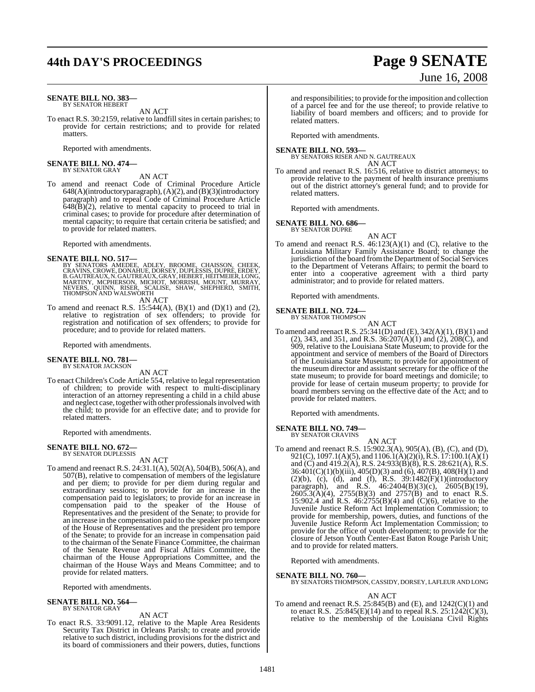## **44th DAY'S PROCEEDINGS Page 9 SENATE**

#### **SENATE BILL NO. 383—** BY SENATOR HEBERT

AN ACT

To enact R.S. 30:2159, relative to landfill sites in certain parishes; to provide for certain restrictions; and to provide for related matters.

Reported with amendments.

#### **SENATE BILL NO. 474—** BY SENATOR GRAY

#### AN ACT

To amend and reenact Code of Criminal Procedure Article 648(A)(introductory paragraph), (A)(2), and (B)(3)(introductory paragraph) and to repeal Code of Criminal Procedure Article  $648(B)(2)$ , relative to mental capacity to proceed to trial in criminal cases; to provide for procedure after determination of mental capacity; to require that certain criteria be satisfied; and to provide for related matters.

Reported with amendments.

#### **SENATE BILL NO. 517—**

BY SENATORS AMEDEE, ADLEY, BROOME, CHAISSON, CHEEK,<br>CRAVINS,CROWE,DONAHUE,DORSEY,DUPLESSIS,DUPRÉ,ERDEY,<br>B.GAUTREAUX,N.GAUTREAUX,GRAY,HEBERT,HEITMEIER,LONG,<br>MARTINY, MCPHERSON, MICHOT, MORRISH, MOUNT, MURRAY,<br>NEVERS, QUINN,

AN ACT

To amend and reenact R.S.  $15:544(A)$ , (B)(1) and (D)(1) and (2), relative to registration of sex offenders; to provide for registration and notification of sex offenders; to provide for procedure; and to provide for related matters.

Reported with amendments.

#### **SENATE BILL NO. 781—** BY SENATOR JACKSON

AN ACT

To enact Children's Code Article 554, relative to legal representation of children; to provide with respect to multi-disciplinary interaction of an attorney representing a child in a child abuse and neglect case, together with other professionals involved with the child; to provide for an effective date; and to provide for related matters.

Reported with amendments.

#### **SENATE BILL NO. 672—** BY SENATOR DUPLESSIS

AN ACT

To amend and reenact R.S. 24:31.1(A), 502(A), 504(B), 506(A), and 507(B), relative to compensation of members of the legislature and per diem; to provide for per diem during regular and extraordinary sessions; to provide for an increase in the compensation paid to legislators; to provide for an increase in compensation paid to the speaker of the House of Representatives and the president of the Senate; to provide for an increase in the compensation paid to the speaker pro tempore of the House of Representatives and the president pro tempore of the Senate; to provide for an increase in compensation paid to the chairman of the Senate Finance Committee, the chairman of the Senate Revenue and Fiscal Affairs Committee, the chairman of the House Appropriations Committee, and the chairman of the House Ways and Means Committee; and to provide for related matters.

Reported with amendments.

#### **SENATE BILL NO. 564—** BY SENATOR GRAY

#### AN ACT

To enact R.S. 33:9091.12, relative to the Maple Area Residents Security Tax District in Orleans Parish; to create and provide relative to such district, including provisions for the district and its board of commissioners and their powers, duties, functions

# and responsibilities; to provide forthe imposition and collection

June 16, 2008

of a parcel fee and for the use thereof; to provide relative to liability of board members and officers; and to provide for related matters.

Reported with amendments.

#### **SENATE BILL NO. 593—**

BY SENATORS RISER AND N. GAUTREAUX AN ACT

To amend and reenact R.S. 16:516, relative to district attorneys; to provide relative to the payment of health insurance premiums out of the district attorney's general fund; and to provide for related matters.

Reported with amendments.

#### **SENATE BILL NO. 686—** BY SENATOR DUPRE

AN ACT

To amend and reenact R.S. 46:123(A)(1) and (C), relative to the Louisiana Military Family Assistance Board; to change the jurisdiction of the board fromthe Department of Social Services to the Department of Veterans Affairs; to permit the board to enter into a cooperative agreement with a third party administrator; and to provide for related matters.

Reported with amendments.

#### **SENATE BILL NO. 724—** BY SENATOR THOMPSON

AN ACT

To amend and reenact R.S. 25:341(D) and (E), 342(A)(1), (B)(1) and (2), 343, and 351, and R.S. 36:207(A)(1) and (2), 208(C), and 909, relative to the Louisiana State Museum; to provide for the appointment and service of members of the Board of Directors of the Louisiana State Museum; to provide for appointment of the museum director and assistant secretary for the office of the state museum; to provide for board meetings and domicile; to provide for lease of certain museum property; to provide for board members serving on the effective date of the Act; and to provide for related matters.

Reported with amendments.

#### **SENATE BILL NO. 749—** BY SENATOR CRAVINS

AN ACT To amend and reenact R.S. 15:902.3(A), 905(A), (B), (C), and (D), 921(C), 1097.1(A)(5), and 1106.1(A)(2)(i), R.S. 17:100.1(A)(1) and (C) and 419.2(A), R.S. 24:933(B)(8), R.S. 28:621(A), R.S. 36:401(C)(1)(b)(iii), 405(D)(3) and (6), 407(B), 408(H)(1) and  $(2)(b)$ ,  $(c)$ ,  $(d)$ , and  $(f)$ , R.S. 39:1482 $(F)(1)(introducing$ paragraph), and R.S. 46:2404(B)(3)(c), 2605(B)(19),  $2605.3(\text{A})(4)$ ,  $2755(\text{B})(3)$  and  $2757(\text{B})$  and to enact R.S. 15:902.4 and R.S. 46:2755(B)(4) and (C)(6), relative to the Juvenile Justice Reform Act Implementation Commission; to provide for membership, powers, duties, and functions of the Juvenile Justice Reform Act Implementation Commission; to provide for the office of youth development; to provide for the closure of Jetson Youth Center-East Baton Rouge Parish Unit; and to provide for related matters.

Reported with amendments.

**SENATE BILL NO. 760—** BY SENATORS THOMPSON, CASSIDY, DORSEY, LAFLEUR AND LONG

#### AN ACT

To amend and reenact R.S.  $25:845(B)$  and  $(E)$ , and  $1242(C)(1)$  and to enact R.S. 25:845(E)(14) and to repeal R.S. 25:1242(C)(3), relative to the membership of the Louisiana Civil Rights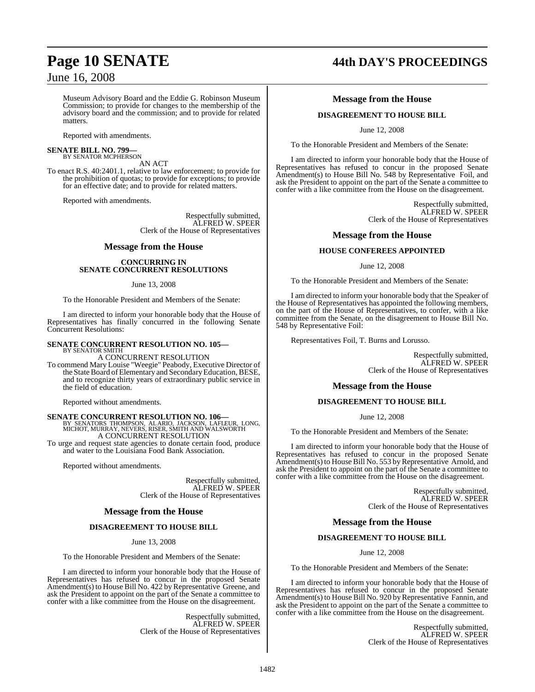## June 16, 2008

Museum Advisory Board and the Eddie G. Robinson Museum Commission; to provide for changes to the membership of the advisory board and the commission; and to provide for related matters.

Reported with amendments.

#### **SENATE BILL NO. 799—** BY SENATOR MCPHERSON

AN ACT

To enact R.S. 40:2401.1, relative to law enforcement; to provide for the prohibition of quotas; to provide for exceptions; to provide for an effective date; and to provide for related matters.

Reported with amendments.

Respectfully submitted, ALFRED W. SPEER Clerk of the House of Representatives

#### **Message from the House**

#### **CONCURRING IN SENATE CONCURRENT RESOLUTIONS**

#### June 13, 2008

To the Honorable President and Members of the Senate:

I am directed to inform your honorable body that the House of Representatives has finally concurred in the following Senate Concurrent Resolutions:

#### **SENATE CONCURRENT RESOLUTION NO. 105—** BY SENATOR SMITH

A CONCURRENT RESOLUTION

To commend Mary Louise "Weegie" Peabody, Executive Director of the State Board of Elementary and Secondary Education, BESE, and to recognize thirty years of extraordinary public service in the field of education.

Reported without amendments.

# **SENATE CONCURRENT RESOLUTION NO. 106—**<br>BY SENATORS THOMPSON, ALARIO, JACKSON, LAFLEUR, LONG, MICHOT, MURRAY, NEVERS, RISER, SMITH AND WALSWORTH AND MACHOT, A CONCURRENT RESOLUTION

To urge and request state agencies to donate certain food, produce and water to the Louisiana Food Bank Association.

Reported without amendments.

Respectfully submitted, ALFRED W. SPEER Clerk of the House of Representatives

### **Message from the House**

#### **DISAGREEMENT TO HOUSE BILL**

June 13, 2008

To the Honorable President and Members of the Senate:

I am directed to inform your honorable body that the House of Representatives has refused to concur in the proposed Senate Amendment(s) to House Bill No. 422 by Representative Greene, and ask the President to appoint on the part of the Senate a committee to confer with a like committee from the House on the disagreement.

> Respectfully submitted, ALFRED W. SPEER Clerk of the House of Representatives

# **Page 10 SENATE 44th DAY'S PROCEEDINGS**

### **Message from the House**

#### **DISAGREEMENT TO HOUSE BILL**

June 12, 2008

To the Honorable President and Members of the Senate:

I am directed to inform your honorable body that the House of Representatives has refused to concur in the proposed Senate Amendment(s) to House Bill No. 548 by Representative Foil, and ask the President to appoint on the part of the Senate a committee to confer with a like committee from the House on the disagreement.

> Respectfully submitted, ALFRED W. SPEER Clerk of the House of Representatives

#### **Message from the House**

#### **HOUSE CONFEREES APPOINTED**

June 12, 2008

To the Honorable President and Members of the Senate:

I am directed to inform your honorable body that the Speaker of the House of Representatives has appointed the following members, on the part of the House of Representatives, to confer, with a like committee from the Senate, on the disagreement to House Bill No. 548 by Representative Foil:

Representatives Foil, T. Burns and Lorusso.

Respectfully submitted, ALFRED W. SPEER Clerk of the House of Representatives

#### **Message from the House**

#### **DISAGREEMENT TO HOUSE BILL**

June 12, 2008

To the Honorable President and Members of the Senate:

I am directed to inform your honorable body that the House of Representatives has refused to concur in the proposed Senate Amendment(s) to House Bill No. 553 by Representative Arnold, and ask the President to appoint on the part of the Senate a committee to confer with a like committee from the House on the disagreement.

> Respectfully submitted, ALFRED W. SPEER Clerk of the House of Representatives

#### **Message from the House**

### **DISAGREEMENT TO HOUSE BILL**

June 12, 2008

To the Honorable President and Members of the Senate:

I am directed to inform your honorable body that the House of Representatives has refused to concur in the proposed Senate Amendment(s) to House Bill No. 920 by Representative Fannin, and ask the President to appoint on the part of the Senate a committee to confer with a like committee from the House on the disagreement.

> Respectfully submitted, ALFRED W. SPEER Clerk of the House of Representatives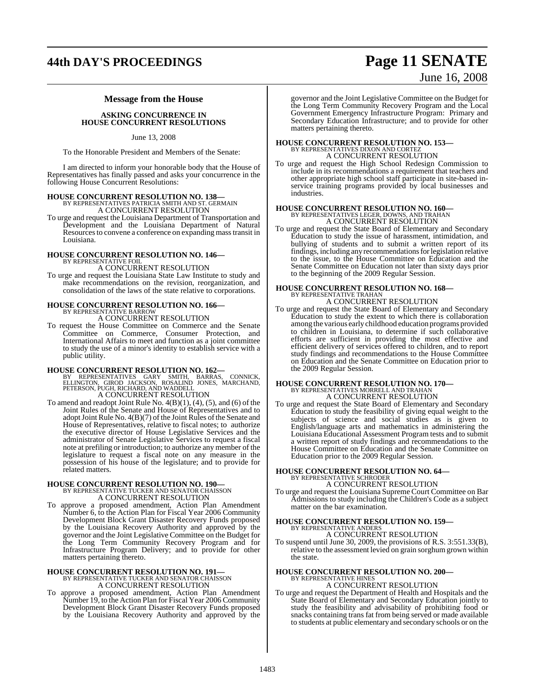## **44th DAY'S PROCEEDINGS Page 11 SENATE**

# June 16, 2008

## **Message from the House**

**ASKING CONCURRENCE IN HOUSE CONCURRENT RESOLUTIONS**

June 13, 2008

To the Honorable President and Members of the Senate:

I am directed to inform your honorable body that the House of Representatives has finally passed and asks your concurrence in the following House Concurrent Resolutions:

## **HOUSE CONCURRENT RESOLUTION NO. 138—** BY REPRESENTATIVES PATRICIA SMITH AND ST. GERMAIN

A CONCURRENT RESOLUTION To urge and request the Louisiana Department of Transportation and Development and the Louisiana Department of Natural Resources to convene a conference on expanding mass transit in Louisiana.

## **HOUSE CONCURRENT RESOLUTION NO. 146—** BY REPRESENTATIVE FOIL

A CONCURRENT RESOLUTION

To urge and request the Louisiana State Law Institute to study and make recommendations on the revision, reorganization, and consolidation of the laws of the state relative to corporations.

# **HOUSE CONCURRENT RESOLUTION NO. 166—** BY REPRESENTATIVE BARROW

A CONCURRENT RESOLUTION

To request the House Committee on Commerce and the Senate Committee on Commerce, Consumer Protection, and International Affairs to meet and function as a joint committee to study the use of a minor's identity to establish service with a public utility.

**HOUSE CONCURRENT RESOLUTION NO. 162—**<br>
BY REPRESENTATIVES GARY SMITH, BARRAS, CONNICK,<br>
ELLINGTON, GIROD JACKSON, ROSALIND JONES, MARCHAND,<br>
PETERSON, PUGH, RICHARD, AND WADDELL<br>
A CONCURRENT RESOLUTION

To amend and readopt Joint Rule No.  $4(B)(1)$ ,  $(4)$ ,  $(5)$ , and  $(6)$  of the Joint Rules of the Senate and House of Representatives and to adopt Joint Rule No. 4(B)(7) of the Joint Rules of the Senate and House of Representatives, relative to fiscal notes; to authorize the executive director of House Legislative Services and the administrator of Senate Legislative Services to request a fiscal note at prefiling or introduction; to authorize any member of the legislature to request a fiscal note on any measure in the possession of his house of the legislature; and to provide for related matters.

## **HOUSE CONCURRENT RESOLUTION NO. 190—** BY REPRESENTATIVE TUCKER AND SENATOR CHAISSON

A CONCURRENT RESOLUTION

To approve a proposed amendment, Action Plan Amendment Number 6, to the Action Plan for Fiscal Year 2006 Community Development Block Grant Disaster Recovery Funds proposed by the Louisiana Recovery Authority and approved by the governor and the Joint Legislative Committee on the Budget for the Long Term Community Recovery Program and for Infrastructure Program Delivery; and to provide for other matters pertaining thereto.

## **HOUSE CONCURRENT RESOLUTION NO. 191—** BY REPRESENTATIVE TUCKER AND SENATOR CHAISSON

A CONCURRENT RESOLUTION

To approve a proposed amendment, Action Plan Amendment Number 19, to the Action Plan for Fiscal Year 2006 Community Development Block Grant Disaster Recovery Funds proposed by the Louisiana Recovery Authority and approved by the

governor and the Joint Legislative Committee on the Budget for the Long Term Community Recovery Program and the Local Government Emergency Infrastructure Program: Primary and Secondary Education Infrastructure; and to provide for other matters pertaining thereto.

## **HOUSE CONCURRENT RESOLUTION NO. 153—** BY REPRESENTATIVES DIXON AND CORTEZ A CONCURRENT RESOLUTION

To urge and request the High School Redesign Commission to include in its recommendations a requirement that teachers and other appropriate high school staff participate in site-based inservice training programs provided by local businesses and industries.

# **HOUSE CONCURRENT RESOLUTION NO. 160—**

BY REPRESENTATIVES LEGER, DOWNS, AND TRAHAN A CONCURRENT RESOLUTION

To urge and request the State Board of Elementary and Secondary Education to study the issue of harassment, intimidation, and bullying of students and to submit a written report of its findings, including any recommendationsforlegislation relative to the issue, to the House Committee on Education and the Senate Committee on Education not later than sixty days prior to the beginning of the 2009 Regular Session.

# **HOUSE CONCURRENT RESOLUTION NO. 168—** BY REPRESENTATIVE TRAHAN

A CONCURRENT RESOLUTION

To urge and request the State Board of Elementary and Secondary Education to study the extent to which there is collaboration among the various early childhood education programs provided to children in Louisiana, to determine if such collaborative efforts are sufficient in providing the most effective and efficient delivery of services offered to children, and to report study findings and recommendations to the House Committee on Education and the Senate Committee on Education prior to the 2009 Regular Session.

# **HOUSE CONCURRENT RESOLUTION NO. 170—** BY REPRESENTATIVES MORRELL AND TRAHAN

A CONCURRENT RESOLUTION

To urge and request the State Board of Elementary and Secondary Education to study the feasibility of giving equal weight to the subjects of science and social studies as is given to English/language arts and mathematics in administering the Louisiana Educational Assessment Program tests and to submit a written report of study findings and recommendations to the House Committee on Education and the Senate Committee on Education prior to the 2009 Regular Session.

# **HOUSE CONCURRENT RESOLUTION NO. 64—** BY REPRESENTATIVE SCHRODER

A CONCURRENT RESOLUTION

To urge and request the Louisiana Supreme Court Committee on Bar Admissions to study including the Children's Code as a subject matter on the bar examination.

#### **HOUSE CONCURRENT RESOLUTION NO. 159—** BY REPRESENTATIVE ANDER

A CONCURRENT RESOLUTION

To suspend until June 30, 2009, the provisions of R.S. 3:551.33(B), relative to the assessment levied on grain sorghum grown within the state.

#### **HOUSE CONCURRENT RESOLUTION NO. 200—** BY REPRESENTATIVE HINES A CONCURRENT RESOLUTION

To urge and request the Department of Health and Hospitals and the State Board of Elementary and Secondary Education jointly to study the feasibility and advisability of prohibiting food or

snacks containing trans fat from being served or made available to students at public elementary and secondary schools or on the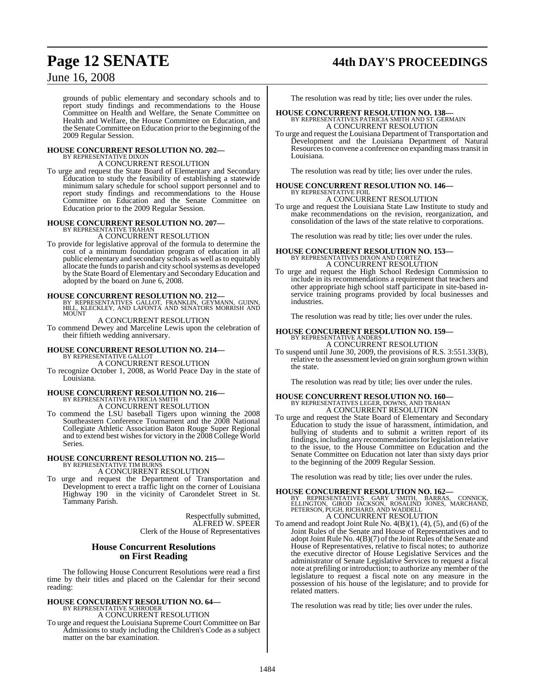## **Page 12 SENATE 44th DAY'S PROCEEDINGS**

## June 16, 2008

grounds of public elementary and secondary schools and to report study findings and recommendations to the House Committee on Health and Welfare, the Senate Committee on Health and Welfare, the House Committee on Education, and the Senate Committee on Education prior to the beginning of the 2009 Regular Session.

# **HOUSE CONCURRENT RESOLUTION NO. 202—** BY REPRESENTATIVE DIXON

A CONCURRENT RESOLUTION

To urge and request the State Board of Elementary and Secondary Education to study the feasibility of establishing a statewide minimum salary schedule for school support personnel and to report study findings and recommendations to the House Committee on Education and the Senate Committee on Education prior to the 2009 Regular Session.

## **HOUSE CONCURRENT RESOLUTION NO. 207—** BY REPRESENTATIVE TRAHAN

A CONCURRENT RESOLUTION

To provide for legislative approval of the formula to determine the cost of a minimum foundation program of education in all public elementary and secondary schools as well as to equitably allocate the funds to parish and city school systems as developed by the State Board of Elementary and Secondary Education and adopted by the board on June 6, 2008.

**HOUSE CONCURRENT RESOLUTION NO. 212—** BY REPRESENTATIVES GALLOT, FRANKLIN, GEYMANN, GUINN, HILL, KLECKLEY, AND LAFONTA AND SENATORS MORRISH AND MOUNT

#### A CONCURRENT RESOLUTION

To commend Dewey and Marceline Lewis upon the celebration of their fiftieth wedding anniversary.

#### **HOUSE CONCURRENT RESOLUTION NO. 214—** BY REPRESENTATIVE GALLOT A CONCURRENT RESOLUTION

To recognize October 1, 2008, as World Peace Day in the state of Louisiana.

# **HOUSE CONCURRENT RESOLUTION NO. 216—** BY REPRESENTATIVE PATRICIA SMITH A CONCURRENT RESOLUTION

To commend the LSU baseball Tigers upon winning the 2008 Southeastern Conference Tournament and the 2008 National Collegiate Athletic Association Baton Rouge Super Regional and to extend best wishes for victory in the 2008 College World Series.

#### **HOUSE CONCURRENT RESOLUTION NO. 215—** BY REPRESENTATIVE TIM BURNS

A CONCURRENT RESOLUTION

To urge and request the Department of Transportation and Development to erect a traffic light on the corner of Louisiana Highway 190 in the vicinity of Carondelet Street in St. Tammany Parish.

> Respectfully submitted, ALFRED W. SPEER Clerk of the House of Representatives

### **House Concurrent Resolutions on First Reading**

The following House Concurrent Resolutions were read a first time by their titles and placed on the Calendar for their second reading:

# **HOUSE CONCURRENT RESOLUTION NO. 64—** BY REPRESENTATIVE SCHRODER

A CONCURRENT RESOLUTION

To urge and request the Louisiana Supreme Court Committee on Bar Admissions to study including the Children's Code as a subject matter on the bar examination.

The resolution was read by title; lies over under the rules.

- **HOUSE CONCURRENT RESOLUTION NO. 138—** BY REPRESENTATIVES PATRICIA SMITH AND ST. GERMAIN A CONCURRENT RESOLUTION
- To urge and request the Louisiana Department of Transportation and Development and the Louisiana Department of Natural Resourcesto convene a conference on expanding masstransit in Louisiana.

The resolution was read by title; lies over under the rules.

#### **HOUSE CONCURRENT RESOLUTION NO. 146—** BY REPRESENTATIVE FOIL A CONCURRENT RESOLUTION

To urge and request the Louisiana State Law Institute to study and

make recommendations on the revision, reorganization, and consolidation of the laws of the state relative to corporations.

The resolution was read by title; lies over under the rules.

# **HOUSE CONCURRENT RESOLUTION NO. 153—** BY REPRESENTATIVES DIXON AND CORTEZ

A CONCURRENT RESOLUTION

To urge and request the High School Redesign Commission to include in its recommendations a requirement that teachers and other appropriate high school staff participate in site-based inservice training programs provided by local businesses and industries.

The resolution was read by title; lies over under the rules.

# **HOUSE CONCURRENT RESOLUTION NO. 159—**<br>BY REPRESENTATIVE ANDERS <br>A CONCURRENT RESOLUTION

To suspend until June 30, 2009, the provisions of R.S. 3:551.33(B), relative to the assessment levied on grain sorghum grown within the state.

The resolution was read by title; lies over under the rules.

## **HOUSE CONCURRENT RESOLUTION NO. 160—** BY REPRESENTATIVES LEGER, DOWNS, AND TRAHAN A CONCURRENT RESOLUTION

To urge and request the State Board of Elementary and Secondary Education to study the issue of harassment, intimidation, and bullying of students and to submit a written report of its findings, including any recommendationsforlegislation relative to the issue, to the House Committee on Education and the Senate Committee on Education not later than sixty days prior to the beginning of the 2009 Regular Session.

The resolution was read by title; lies over under the rules.

**HOUSE CONCURRENT RESOLUTION NO. 162—**<br>
BY REPRESENTATIVES GARY SMITH, BARRAS, CONNICK,<br>
ELLINGTON, GIROD JACKSON, ROSALIND JONES, MARCHAND,<br>
PETERSON, PUGH, RICHARD, AND WADDELL A CONCURRENT RESOLUTION

To amend and readopt Joint Rule No.  $4(B)(1)$ ,  $(4)$ ,  $(5)$ , and  $(6)$  of the Joint Rules of the Senate and House of Representatives and to adopt Joint Rule No. 4(B)(7) of the Joint Rules of the Senate and House of Representatives, relative to fiscal notes; to authorize the executive director of House Legislative Services and the administrator of Senate Legislative Services to request a fiscal note at prefiling or introduction; to authorize any member of the legislature to request a fiscal note on any measure in the possession of his house of the legislature; and to provide for related matters.

The resolution was read by title; lies over under the rules.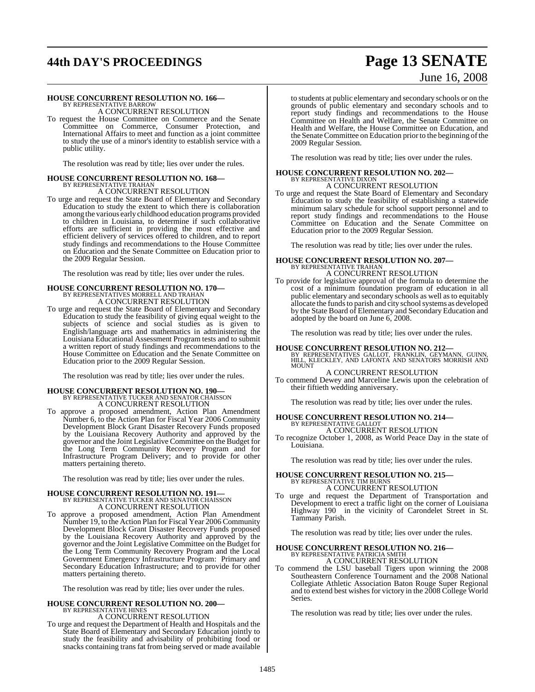# **44th DAY'S PROCEEDINGS Page 13 SENATE**

## **HOUSE CONCURRENT RESOLUTION NO. 166—** BY REPRESENTATIVE BARROW

A CONCURRENT RESOLUTION

To request the House Committee on Commerce and the Senate Committee on Commerce, Consumer Protection, and International Affairs to meet and function as a joint committee to study the use of a minor's identity to establish service with a public utility.

The resolution was read by title; lies over under the rules.

# **HOUSE CONCURRENT RESOLUTION NO. 168—** BY REPRESENTATIVE TRAHAN

A CONCURRENT RESOLUTION

To urge and request the State Board of Elementary and Secondary Education to study the extent to which there is collaboration among the various early childhood education programs provided to children in Louisiana, to determine if such collaborative efforts are sufficient in providing the most effective and efficient delivery of services offered to children, and to report study findings and recommendations to the House Committee on Education and the Senate Committee on Education prior to the 2009 Regular Session.

The resolution was read by title; lies over under the rules.

## **HOUSE CONCURRENT RESOLUTION NO. 170—** BY REPRESENTATIVES MORRELL AND TRAHAN A CONCURRENT RESOLUTION

To urge and request the State Board of Elementary and Secondary Education to study the feasibility of giving equal weight to the subjects of science and social studies as is given to English/language arts and mathematics in administering the Louisiana Educational Assessment Program tests and to submit a written report of study findings and recommendations to the House Committee on Education and the Senate Committee on Education prior to the 2009 Regular Session.

The resolution was read by title; lies over under the rules.

## **HOUSE CONCURRENT RESOLUTION NO. 190—** BY REPRESENTATIVE TUCKER AND SENATOR CHAISSON

A CONCURRENT RESOLUTION

To approve a proposed amendment, Action Plan Amendment Number 6, to the Action Plan for Fiscal Year 2006 Community Development Block Grant Disaster Recovery Funds proposed by the Louisiana Recovery Authority and approved by the governor and the Joint Legislative Committee on the Budget for the Long Term Community Recovery Program and for Infrastructure Program Delivery; and to provide for other matters pertaining thereto.

The resolution was read by title; lies over under the rules.

# **HOUSE CONCURRENT RESOLUTION NO. 191—** BY REPRESENTATIVE TUCKER AND SENATOR CHAISSON

A CONCURRENT RESOLUTION

To approve a proposed amendment, Action Plan Amendment Number 19, to the Action Plan for Fiscal Year 2006 Community Development Block Grant Disaster Recovery Funds proposed by the Louisiana Recovery Authority and approved by the governor and the Joint Legislative Committee on the Budget for the Long Term Community Recovery Program and the Local Government Emergency Infrastructure Program: Primary and Secondary Education Infrastructure; and to provide for other matters pertaining thereto.

The resolution was read by title; lies over under the rules.

# **HOUSE CONCURRENT RESOLUTION NO. 200—** BY REPRESENTATIVE HINES

A CONCURRENT RESOLUTION

To urge and request the Department of Health and Hospitals and the State Board of Elementary and Secondary Education jointly to study the feasibility and advisability of prohibiting food or snacks containing trans fat from being served or made available

# June 16, 2008

to students at public elementary and secondary schools or on the grounds of public elementary and secondary schools and to report study findings and recommendations to the House Committee on Health and Welfare, the Senate Committee on Health and Welfare, the House Committee on Education, and the Senate Committee on Education prior to the beginning of the 2009 Regular Session.

The resolution was read by title; lies over under the rules.

## **HOUSE CONCURRENT RESOLUTION NO. 202—** BY REPRESENTATIVE DIXON A CONCURRENT RESOLUTION

To urge and request the State Board of Elementary and Secondary Education to study the feasibility of establishing a statewide minimum salary schedule for school support personnel and to report study findings and recommendations to the House Committee on Education and the Senate Committee on Education prior to the 2009 Regular Session.

The resolution was read by title; lies over under the rules.

# **HOUSE CONCURRENT RESOLUTION NO. 207—** BY REPRESENTATIVE TRAHAN

A CONCURRENT RESOLUTION To provide for legislative approval of the formula to determine the cost of a minimum foundation program of education in all public elementary and secondary schools as well asto equitably allocate the funds to parish and city school systems as developed by the State Board of Elementary and Secondary Education and adopted by the board on June 6, 2008.

The resolution was read by title; lies over under the rules.

**HOUSE CONCURRENT RESOLUTION NO. 212—**<br>BY REPRESENTATIVES GALLOT, FRANKLIN, GEYMANN, GUINN,<br>HILL, KLECKLEY, AND LAFONTA AND SENATORS MORRISH AND<br>MOUNT

A CONCURRENT RESOLUTION

To commend Dewey and Marceline Lewis upon the celebration of their fiftieth wedding anniversary.

The resolution was read by title; lies over under the rules.

## **HOUSE CONCURRENT RESOLUTION NO. 214—** BY REPRESENTATIVE GALLOT A CONCURRENT RESOLUTION

To recognize October 1, 2008, as World Peace Day in the state of Louisiana.

The resolution was read by title; lies over under the rules.

#### **HOUSE CONCURRENT RESOLUTION NO. 215—** BY REPRESENTATIVE TIM BURNS A CONCURRENT RESOLUTION

To urge and request the Department of Transportation and Development to erect a traffic light on the corner of Louisiana Highway 190 in the vicinity of Carondelet Street in St. Tammany Parish.

The resolution was read by title; lies over under the rules.

## **HOUSE CONCURRENT RESOLUTION NO. 216—** BY REPRESENTATIVE PATRICIA SMITH A CONCURRENT RESOLUTION

To commend the LSU baseball Tigers upon winning the 2008 Southeastern Conference Tournament and the 2008 National Collegiate Athletic Association Baton Rouge Super Regional and to extend best wishes for victory in the 2008 College World Series.

The resolution was read by title; lies over under the rules.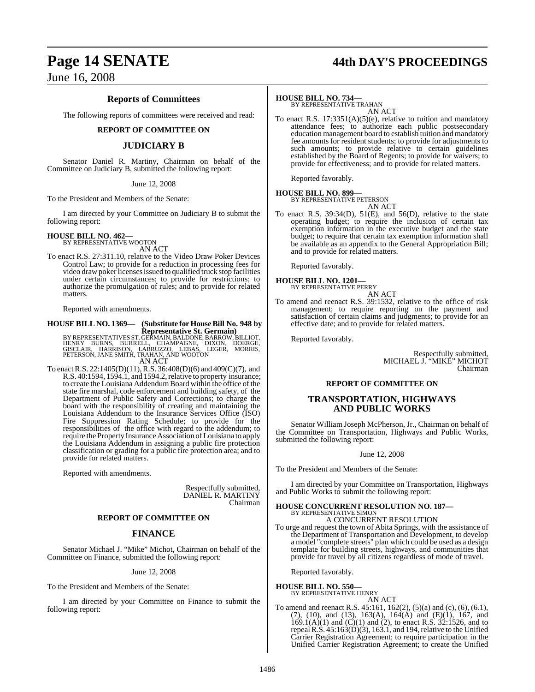## **Page 14 SENATE 44th DAY'S PROCEEDINGS**

## June 16, 2008

### **Reports of Committees**

The following reports of committees were received and read:

#### **REPORT OF COMMITTEE ON**

#### **JUDICIARY B**

Senator Daniel R. Martiny, Chairman on behalf of the Committee on Judiciary B, submitted the following report:

#### June 12, 2008

To the President and Members of the Senate:

I am directed by your Committee on Judiciary B to submit the following report:

## **HOUSE BILL NO. 462—** BY REPRESENTATIVE WOOTON

AN ACT

To enact R.S. 27:311.10, relative to the Video Draw Poker Devices Control Law; to provide for a reduction in processing fees for video draw poker licenses issued to qualified truck stop facilities under certain circumstances; to provide for restrictions; to authorize the promulgation of rules; and to provide for related matters.

Reported with amendments.

## **HOUSE BILL NO. 1369— (Substitute for HouseBill No. 948 by**

**Representative St. Germain)**<br>BY REPRESENTATIVES ST. GERMAIN, BALDONE, BARROW, BILLIOT,<br>GISCLAIR, HARRISON, LABRUZZO, LEBAS, LEGER, MORRIS,<br>PETERSON, JANE SMITH, TRAHAN, AND WOOTON<br>PETERSON, JANE SMITH, TRAHAN, AND WOOTON AN ACT

To enactR.S. 22:1405(D)(11),R.S. 36:408(D)(6) and 409(C)(7), and R.S. 40:1594, 1594.1, and 1594.2, relative to property insurance; to create the Louisiana Addendum Board within the office of the state fire marshal, code enforcement and building safety, of the Department of Public Safety and Corrections; to charge the board with the responsibility of creating and maintaining the Louisiana Addendum to the Insurance Services Office (ISO) Fire Suppression Rating Schedule; to provide for the responsibilities of the office with regard to the addendum; to require the Property Insurance Association of Louisiana to apply the Louisiana Addendum in assigning a public fire protection classification or grading for a public fire protection area; and to provide for related matters.

Reported with amendments.

Respectfully submitted, DANIEL R. MARTINY Chairman

#### **REPORT OF COMMITTEE ON**

#### **FINANCE**

Senator Michael J. "Mike" Michot, Chairman on behalf of the Committee on Finance, submitted the following report:

#### June 12, 2008

To the President and Members of the Senate:

I am directed by your Committee on Finance to submit the following report:

#### **HOUSE BILL NO. 734—**

BY REPRESENTATIVE TRAHAN AN ACT

To enact R.S.  $17:3351(A)(5)(e)$ , relative to tuition and mandatory attendance fees; to authorize each public postsecondary education management board to establish tuition and mandatory fee amounts for resident students; to provide for adjustments to such amounts; to provide relative to certain guidelines established by the Board of Regents; to provide for waivers; to provide for effectiveness; and to provide for related matters.

Reported favorably.

#### **HOUSE BILL NO. 899—** BY REPRESENTATIVE PETERSON

AN ACT

To enact R.S. 39:34(D), 51(E), and 56(D), relative to the state operating budget; to require the inclusion of certain tax exemption information in the executive budget and the state budget; to require that certain tax exemption information shall be available as an appendix to the General Appropriation Bill; and to provide for related matters.

Reported favorably.

#### **HOUSE BILL NO. 1201—**



To amend and reenact R.S. 39:1532, relative to the office of risk management; to require reporting on the payment and satisfaction of certain claims and judgments; to provide for an effective date; and to provide for related matters.

Reported favorably.

Respectfully submitted, MICHAEL J. "MIKE" MICHOT Chairman

#### **REPORT OF COMMITTEE ON**

#### **TRANSPORTATION, HIGHWAYS AND PUBLIC WORKS**

Senator William Joseph McPherson, Jr., Chairman on behalf of the Committee on Transportation, Highways and Public Works, submitted the following report:

June 12, 2008

To the President and Members of the Senate:

I am directed by your Committee on Transportation, Highways and Public Works to submit the following report:

## **HOUSE CONCURRENT RESOLUTION NO. 187—** BY REPRESENTATIVE SIMON

A CONCURRENT RESOLUTION

To urge and request the town of Abita Springs, with the assistance of the Department of Transportation and Development, to develop a model "complete streets" plan which could be used as a design template for building streets, highways, and communities that provide for travel by all citizens regardless of mode of travel.

Reported favorably.

#### **HOUSE BILL NO. 550—**

BY REPRESENTATIVE HENRY AN ACT

To amend and reenact R.S. 45:161, 162(2), (5)(a) and (c), (6), (6.1), (7), (10), and (13), 163(A), 164(A) and (E)(1), 167, and 169.1(A)(1) and (C)(1) and (2), to enact R.S. 32:1526, and to repeal R.S.  $45:163(D)(3)$ , 163.1, and 194, relative to the Unified Carrier Registration Agreement; to require participation in the Unified Carrier Registration Agreement; to create the Unified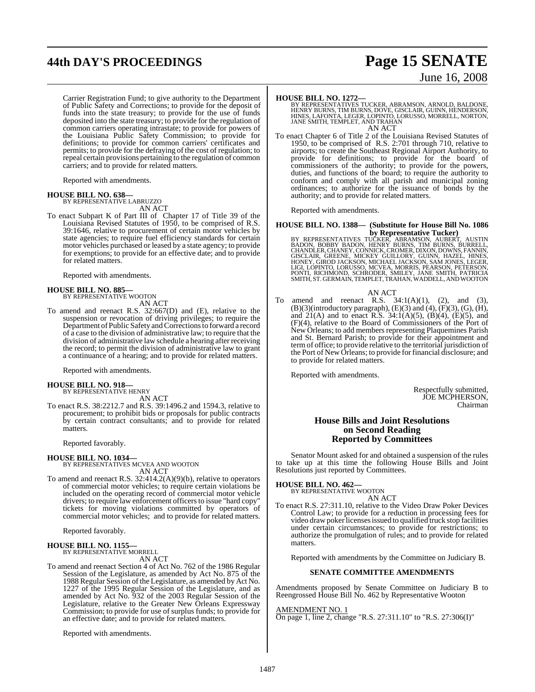## **44th DAY'S PROCEEDINGS Page 15 SENATE**

Carrier Registration Fund; to give authority to the Department of Public Safety and Corrections; to provide for the deposit of funds into the state treasury; to provide for the use of funds deposited into the state treasury; to provide for the regulation of common carriers operating intrastate; to provide for powers of the Louisiana Public Safety Commission; to provide for definitions; to provide for common carriers' certificates and permits; to provide for the defraying of the cost of regulation; to repeal certain provisions pertaining to the regulation of common carriers; and to provide for related matters.

Reported with amendments.

#### **HOUSE BILL NO. 638—**

BY REPRESENTATIVE LABRUZZO AN ACT

To enact Subpart K of Part III of Chapter 17 of Title 39 of the Louisiana Revised Statutes of 1950, to be comprised of R.S. 39:1646, relative to procurement of certain motor vehicles by state agencies; to require fuel efficiency standards for certain motor vehicles purchased or leased by a state agency; to provide for exemptions; to provide for an effective date; and to provide for related matters.

Reported with amendments.

#### **HOUSE BILL NO. 885—**

BY REPRESENTATIVE WOOTON AN ACT

To amend and reenact R.S. 32:667(D) and (E), relative to the suspension or revocation of driving privileges; to require the Department of Public Safety and Corrections to forward a record of a case to the division of administrative law; to require that the division of administrative law schedule a hearing after receiving the record; to permit the division of administrative law to grant a continuance of a hearing; and to provide for related matters.

Reported with amendments.

#### **HOUSE BILL NO. 918—**

BY REPRESENTATIVE HENRY AN ACT

To enact R.S. 38:2212.7 and R.S. 39:1496.2 and 1594.3, relative to procurement; to prohibit bids or proposals for public contracts by certain contract consultants; and to provide for related matters.

Reported favorably.

**HOUSE BILL NO. 1034—** BY REPRESENTATIVES MCVEA AND WOOTON AN ACT

To amend and reenact R.S. 32:414.2(A)(9)(b), relative to operators of commercial motor vehicles; to require certain violations be included on the operating record of commercial motor vehicle drivers; to require law enforcement officersto issue "hard copy" tickets for moving violations committed by operators of commercial motor vehicles; and to provide for related matters.

Reported favorably.

# **HOUSE BILL NO. 1155—** BY REPRESENTATIVE MORRELL

AN ACT

To amend and reenact Section 4 of Act No. 762 of the 1986 Regular Session of the Legislature, as amended by Act No. 875 of the 1988 Regular Session ofthe Legislature, as amended by Act No. 1227 of the 1995 Regular Session of the Legislature, and as amended by Act No. 932 of the 2003 Regular Session of the Legislature, relative to the Greater New Orleans Expressway Commission; to provide for use of surplus funds; to provide for an effective date; and to provide for related matters.

Reported with amendments.

# June 16, 2008

**HOUSE BILL NO. 1272—** BY REPRESENTATIVES TUCKER, ABRAMSON, ARNOLD, BALDONE, HENRY BURNS, TIM BURNS, DOVE, GISCLAIR, GUINN, HENDERSON, HINES, LAFONTA, LEGER, LOPINTO, LORUSSO, MORRELL, NORTON, JANE SMITH, TEMPLET, AND TRAHAN AN ACT

To enact Chapter 6 of Title 2 of the Louisiana Revised Statutes of 1950, to be comprised of R.S. 2:701 through 710, relative to airports; to create the Southeast Regional Airport Authority, to provide for definitions; to provide for the board of commissioners of the authority; to provide for the powers, duties, and functions of the board; to require the authority to conform and comply with all parish and municipal zoning ordinances; to authorize for the issuance of bonds by the authority; and to provide for related matters.

Reported with amendments.

**HOUSE BILL NO. 1388— (Substitute for House Bill No. 1086**

**by Representative Tucker)**<br>BADON, BOBBY BADON, HENRY BURAMSON, AUBERT, AUSTIN<br>BADON, BOBBY BADON, HENRY BURNS, TIM BURNS, BURRELL,<br>CHANDLER, CHANEY, CONNICK, CROMER, DIXON, DOWNS, FANNIN,<br>GISCLAIR, GREENE, MICHAEL JACKSON

#### AN ACT

To amend and reenact R.S.  $34:1(A)(1)$ ,  $(2)$ , and  $(3)$ ,  $(B)(3)$ (introductory paragraph),  $(E)(3)$  and  $(4)$ ,  $(F)(3)$ ,  $(G)$ ,  $(H)$ , and  $21(A)$  and to enact R.S.  $34:1(A)(5)$ ,  $(B)(4)$ ,  $(E)(5)$ , and (F)(4), relative to the Board of Commissioners of the Port of New Orleans; to add members representing Plaquemines Parish and St. Bernard Parish; to provide for their appointment and term of office; to provide relative to the territorial jurisdiction of the Port of New Orleans; to provide for financial disclosure; and to provide for related matters.

Reported with amendments.

Respectfully submitted, JOE MCPHERSON, Chairman

#### **House Bills and Joint Resolutions on Second Reading Reported by Committees**

Senator Mount asked for and obtained a suspension of the rules to take up at this time the following House Bills and Joint Resolutions just reported by Committees.

## **HOUSE BILL NO. 462—** BY REPRESENTATIVE WOOTON

AN ACT

To enact R.S. 27:311.10, relative to the Video Draw Poker Devices Control Law; to provide for a reduction in processing fees for video draw poker licenses issued to qualified truck stop facilities under certain circumstances; to provide for restrictions; to authorize the promulgation of rules; and to provide for related matters.

Reported with amendments by the Committee on Judiciary B.

#### **SENATE COMMITTEE AMENDMENTS**

Amendments proposed by Senate Committee on Judiciary B to Reengrossed House Bill No. 462 by Representative Wooton

AMENDMENT NO. 1 On page 1, line 2, change "R.S. 27:311.10" to "R.S. 27:306(I)"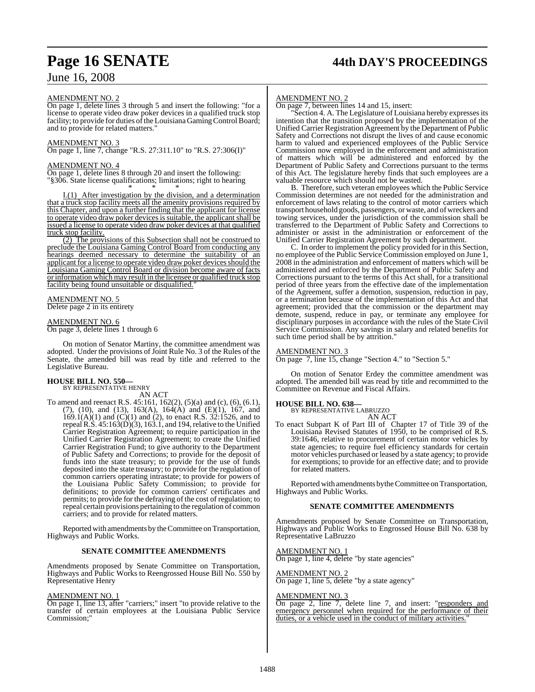# **Page 16 SENATE 44th DAY'S PROCEEDINGS**

## June 16, 2008

#### AMENDMENT NO. 2

On page 1, delete lines 3 through 5 and insert the following: "for a license to operate video draw poker devices in a qualified truck stop facility; to provide for duties of the Louisiana Gaming Control Board; and to provide for related matters.

#### AMENDMENT NO. 3

On page 1, line 7, change "R.S. 27:311.10" to "R.S. 27:306(I)"

#### AMENDMENT NO. 4

On page 1, delete lines 8 through 20 and insert the following: "§306. State license qualifications; limitations; right to hearing

\* \* \* I.(1) After investigation by the division, and a determination that a truck stop facility meets all the amenity provisions required by this Chapter, and upon a further finding that the applicant for license to operate video draw poker devices is suitable, the applicant shall be issued a license to operate video draw poker devices at that qualified truck stop facility.

(2) The provisions of this Subsection shall not be construed to preclude the Louisiana Gaming Control Board from conducting any hearings deemed necessary to determine the suitability of an applicant for a license to operate video draw poker devices should the Louisiana Gaming Control Board or division become aware of facts or information which may result in the licensee or qualified truck stop facility being found unsuitable or disqualified."

#### AMENDMENT NO. 5 Delete page 2 in its entirety

#### AMENDMENT NO. 6

On page 3, delete lines 1 through 6

On motion of Senator Martiny, the committee amendment was adopted. Under the provisions of Joint Rule No. 3 of the Rules of the Senate, the amended bill was read by title and referred to the Legislative Bureau.

## **HOUSE BILL NO. 550—** BY REPRESENTATIVE HENRY

AN ACT

To amend and reenact R.S. 45:161, 162(2), (5)(a) and (c), (6), (6.1), (7), (10), and (13), 163(A), 164(A) and (E)(1), 167, and  $169.1(A)(1)$  and  $(C)(1)$  and  $(2)$ , to enact R.S.  $32.1526$ , and to repeal R.S. 45:163(D)(3), 163.1, and 194,relative to the Unified Carrier Registration Agreement; to require participation in the Unified Carrier Registration Agreement; to create the Unified Carrier Registration Fund; to give authority to the Department of Public Safety and Corrections; to provide for the deposit of funds into the state treasury; to provide for the use of funds deposited into the state treasury; to provide for the regulation of common carriers operating intrastate; to provide for powers of the Louisiana Public Safety Commission; to provide for definitions; to provide for common carriers' certificates and permits; to provide for the defraying of the cost of regulation; to repeal certain provisions pertaining to the regulation of common carriers; and to provide for related matters.

Reported with amendments by the Committee on Transportation, Highways and Public Works.

#### **SENATE COMMITTEE AMENDMENTS**

Amendments proposed by Senate Committee on Transportation, Highways and Public Works to Reengrossed House Bill No. 550 by Representative Henry

#### AMENDMENT NO. 1

On page 1, line 13, after "carriers;" insert "to provide relative to the transfer of certain employees at the Louisiana Public Service Commission;"

#### AMENDMENT NO. 2

On page 7, between lines 14 and 15, insert:

"Section 4. A. The Legislature of Louisiana hereby expressesits intention that the transition proposed by the implementation of the Unified Carrier Registration Agreement by the Department of Public Safety and Corrections not disrupt the lives of and cause economic harm to valued and experienced employees of the Public Service Commission now employed in the enforcement and administration of matters which will be administered and enforced by the Department of Public Safety and Corrections pursuant to the terms of this Act. The legislature hereby finds that such employees are a valuable resource which should not be wasted.

B. Therefore, such veteran employees which the Public Service Commission determines are not needed for the administration and enforcement of laws relating to the control of motor carriers which transport household goods, passengers, or waste, and of wreckers and towing services, under the jurisdiction of the commission shall be transferred to the Department of Public Safety and Corrections to administer or assist in the administration or enforcement of the Unified Carrier Registration Agreement by such department.

C. In order to implement the policy provided for in this Section, no employee of the Public Service Commission employed on June 1, 2008 in the administration and enforcement of matters which will be administered and enforced by the Department of Public Safety and Corrections pursuant to the terms of this Act shall, for a transitional period of three years from the effective date of the implementation of the Agreement, suffer a demotion, suspension, reduction in pay, or a termination because of the implementation of this Act and that agreement; provided that the commission or the department may demote, suspend, reduce in pay, or terminate any employee for disciplinary purposes in accordance with the rules of the State Civil Service Commission. Any savings in salary and related benefits for such time period shall be by attrition."

#### AMENDMENT NO. 3

On page 7, line 15, change "Section 4." to "Section 5."

On motion of Senator Erdey the committee amendment was adopted. The amended bill was read by title and recommitted to the Committee on Revenue and Fiscal Affairs.

#### **HOUSE BILL NO. 638—**

BY REPRESENTATIVE LABRUZZO

AN ACT

To enact Subpart K of Part III of Chapter 17 of Title 39 of the Louisiana Revised Statutes of 1950, to be comprised of R.S. 39:1646, relative to procurement of certain motor vehicles by state agencies; to require fuel efficiency standards for certain motor vehicles purchased or leased by a state agency; to provide for exemptions; to provide for an effective date; and to provide for related matters.

Reported with amendments by the Committee on Transportation, Highways and Public Works.

#### **SENATE COMMITTEE AMENDMENTS**

Amendments proposed by Senate Committee on Transportation, Highways and Public Works to Engrossed House Bill No. 638 by Representative LaBruzzo

AMENDMENT NO. 1 On page 1, line 4, delete "by state agencies"

AMENDMENT NO. 2 On page 1, line 5, delete "by a state agency"

### AMENDMENT NO. 3

On page 2, line 7, delete line 7, and insert: "responders and emergency personnel when required for the performance of their duties, or a vehicle used in the conduct of military activities.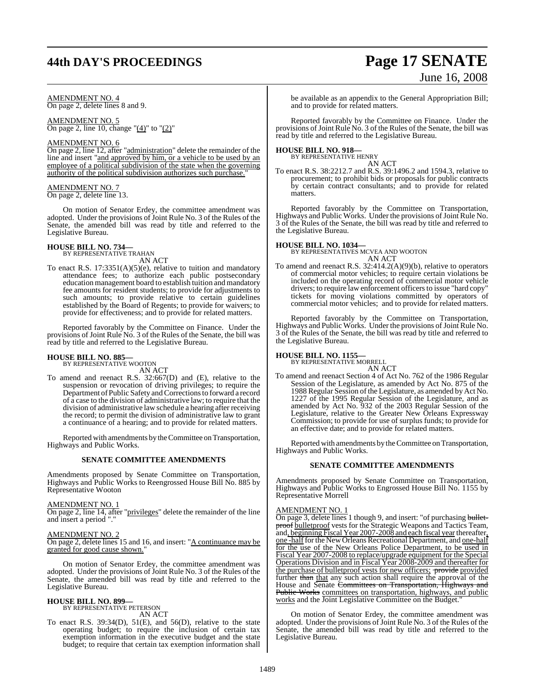## **44th DAY'S PROCEEDINGS Page 17 SENATE**

# June 16, 2008

AMENDMENT NO. 4 On page 2, delete lines 8 and 9.

AMENDMENT NO. 5 On page 2, line 10, change " $(4)$ " to " $(2)$ "

#### AMENDMENT NO. 6

On page 2, line 12, after "administration" delete the remainder of the line and insert "and approved by him, or a vehicle to be used by an employee of a political subdivision of the state when the governing authority of the political subdivision authorizes such purchase."

#### AMENDMENT NO. 7 On page 2, delete line 13.

On motion of Senator Erdey, the committee amendment was adopted. Under the provisions of Joint Rule No. 3 of the Rules of the Senate, the amended bill was read by title and referred to the Legislative Bureau.

## **HOUSE BILL NO. 734—** BY REPRESENTATIVE TRAHAN

AN ACT

To enact R.S. 17:3351(A)(5)(e), relative to tuition and mandatory attendance fees; to authorize each public postsecondary education management board to establish tuition and mandatory fee amounts for resident students; to provide for adjustments to such amounts; to provide relative to certain guidelines established by the Board of Regents; to provide for waivers; to provide for effectiveness; and to provide for related matters.

Reported favorably by the Committee on Finance. Under the provisions of Joint Rule No. 3 of the Rules of the Senate, the bill was read by title and referred to the Legislative Bureau.

#### **HOUSE BILL NO. 885—**

BY REPRESENTATIVE WOOTON AN ACT

To amend and reenact R.S. 32:667(D) and (E), relative to the suspension or revocation of driving privileges; to require the Department of Public Safety and Corrections to forward a record of a case to the division of administrative law; to require that the division of administrative law schedule a hearing after receiving the record; to permit the division of administrative law to grant a continuance of a hearing; and to provide for related matters.

Reported with amendments by the Committee on Transportation, Highways and Public Works.

#### **SENATE COMMITTEE AMENDMENTS**

Amendments proposed by Senate Committee on Transportation, Highways and Public Works to Reengrossed House Bill No. 885 by Representative Wooton

#### AMENDMENT NO. 1

On page 2, line 14, after "privileges" delete the remainder of the line and insert a period "."

#### AMENDMENT NO. 2

On page 2, delete lines 15 and 16, and insert: "A continuance may be granted for good cause shown."

On motion of Senator Erdey, the committee amendment was adopted. Under the provisions of Joint Rule No. 3 of the Rules of the Senate, the amended bill was read by title and referred to the Legislative Bureau.

#### **HOUSE BILL NO. 899—** BY REPRESENTATIVE PETERSON

AN ACT

To enact R.S.  $39:34(D)$ ,  $51(E)$ , and  $56(D)$ , relative to the state operating budget; to require the inclusion of certain tax exemption information in the executive budget and the state budget; to require that certain tax exemption information shall

be available as an appendix to the General Appropriation Bill; and to provide for related matters.

Reported favorably by the Committee on Finance. Under the provisions of Joint Rule No. 3 of the Rules of the Senate, the bill was read by title and referred to the Legislative Bureau.

#### **HOUSE BILL NO. 918—** BY REPRESENTATIVE HENRY

AN ACT

To enact R.S. 38:2212.7 and R.S. 39:1496.2 and 1594.3, relative to procurement; to prohibit bids or proposals for public contracts by certain contract consultants; and to provide for related matters.

Reported favorably by the Committee on Transportation, Highways and Public Works. Under the provisions of Joint Rule No. 3 of the Rules of the Senate, the bill was read by title and referred to the Legislative Bureau.

**HOUSE BILL NO. 1034—** BY REPRESENTATIVES MCVEA AND WOOTON

- AN ACT
- To amend and reenact R.S. 32:414.2(A)(9)(b), relative to operators of commercial motor vehicles; to require certain violations be included on the operating record of commercial motor vehicle drivers; to require law enforcement officers to issue "hard copy" tickets for moving violations committed by operators of commercial motor vehicles; and to provide for related matters.

Reported favorably by the Committee on Transportation, Highways and Public Works. Under the provisions of Joint Rule No. 3 of the Rules of the Senate, the bill was read by title and referred to the Legislative Bureau.

## **HOUSE BILL NO. 1155—** BY REPRESENTATIVE MORRELL

AN ACT

To amend and reenact Section 4 of Act No. 762 of the 1986 Regular Session of the Legislature, as amended by Act No. 875 of the 1988 Regular Session of the Legislature, as amended by Act No. 1227 of the 1995 Regular Session of the Legislature, and as amended by Act No. 932 of the 2003 Regular Session of the Legislature, relative to the Greater New Orleans Expressway Commission; to provide for use of surplus funds; to provide for an effective date; and to provide for related matters.

Reported with amendments by theCommittee on Transportation, Highways and Public Works.

#### **SENATE COMMITTEE AMENDMENTS**

Amendments proposed by Senate Committee on Transportation, Highways and Public Works to Engrossed House Bill No. 1155 by Representative Morrell

#### AMENDMENT NO. 1

On page 3, delete lines 1 though 9, and insert: "of purchasing bulletproof bulletproof vests for the Strategic Weapons and Tactics Team, and, beginning Fiscal Year 2007-2008 and each fiscal year thereafter, one -half for the New Orleans Recreational Department, and one-half for the use of the New Orleans Police Department, to be used in Fiscal Year 2007-2008 to replace/upgrade equipment for the Special Operations Division and in Fiscal Year 2008-2009 and thereafter for the purchase of bullet proof vests for new officers; provided further than that any such action shall require the approval of the House and Senate Committees on Transportation, Highways and Public Works committees on transportation, highways, and public works and the Joint Legislative Committee on the Budget.

On motion of Senator Erdey, the committee amendment was adopted. Under the provisions of Joint Rule No. 3 of the Rules of the Senate, the amended bill was read by title and referred to the Legislative Bureau.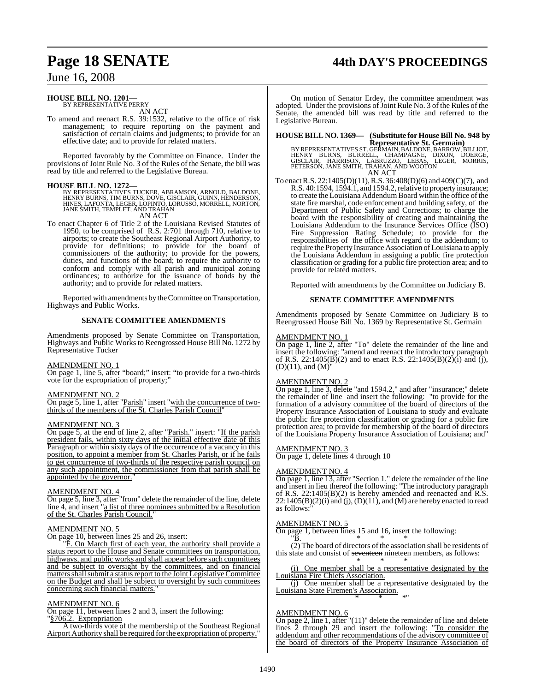## **Page 18 SENATE 44th DAY'S PROCEEDINGS**

## June 16, 2008

#### **HOUSE BILL NO. 1201—** BY REPRESENTATIVE PERRY

AN ACT

To amend and reenact R.S. 39:1532, relative to the office of risk management; to require reporting on the payment and satisfaction of certain claims and judgments; to provide for an effective date; and to provide for related matters.

Reported favorably by the Committee on Finance. Under the provisions ofJoint Rule No. 3 of the Rules of the Senate, the bill was read by title and referred to the Legislative Bureau.

#### **HOUSE BILL NO. 1272—**

BY REPRESENTATIVES TUCKER, ABRAMSON, ARNOLD, BALDONE,<br>HENRY BURNS, TIM BURNS, DOVE, GISCLAIR, GUINN, HENDERSON,<br>HINES, LAFONTA, LEGER, LOPINTO, LORUSSO, MORRELL, NORTON,<br>JANE SMITH, TEMPLET, AND TRAHAN

AN ACT

To enact Chapter 6 of Title 2 of the Louisiana Revised Statutes of 1950, to be comprised of R.S. 2:701 through 710, relative to airports; to create the Southeast Regional Airport Authority, to provide for definitions; to provide for the board of commissioners of the authority; to provide for the powers, duties, and functions of the board; to require the authority to conform and comply with all parish and municipal zoning ordinances; to authorize for the issuance of bonds by the authority; and to provide for related matters.

Reported with amendments by the Committee on Transportation, Highways and Public Works.

#### **SENATE COMMITTEE AMENDMENTS**

Amendments proposed by Senate Committee on Transportation, Highways and Public Works to Reengrossed House Bill No. 1272 by Representative Tucker

#### AMENDMENT NO. 1

On page 1, line 5, after "board;" insert: "to provide for a two-thirds vote for the expropriation of property;"

#### AMENDMENT NO. 2

On page 5, line 1, after "Parish" insert "with the concurrence of twothirds of the members of the St. Charles Parish Council

#### AMENDMENT NO. 3

On page 5, at the end of line 2, after "Parish." insert: "If the parish president fails, within sixty days of the initial effective date of this Paragraph or within sixty days of the occurrence of a vacancy in this position, to appoint a member from St. Charles Parish, or if he fails to get concurrence of two-thirds of the respective parish council on any such appointment, the commissioner from that parish shall be appointed by the governor.

#### AMENDMENT NO. 4

On page 5, line 3, after "from" delete the remainder of the line, delete line 4, and insert "a list of three nominees submitted by a Resolution of the St. Charles Parish Council."

#### AMENDMENT NO. 5

On page 10, between lines 25 and 26, insert:

"F. On March first of each year, the authority shall provide a status report to the House and Senate committees on transportation, highways, and public works and shall appear before such committees and be subject to oversight by the committees, and on financial matters shall submit a status report to the Joint Legislative Committee on the Budget and shall be subject to oversight by such committees concerning such financial matters."

#### AMENDMENT NO. 6

On page 11, between lines 2 and 3, insert the following: §706.2. Expropriation

A two-thirds vote of the membership of the Southeast Regional Airport Authority shall be required forthe expropriation of property."

On motion of Senator Erdey, the committee amendment was adopted. Under the provisions of Joint Rule No. 3 of the Rules of the Senate, the amended bill was read by title and referred to the Legislative Bureau.

### **HOUSE BILL NO. 1369— (Substitute for House Bill No. 948 by**

**Representative St. Germain)**<br>BY REPRESENTATIVES ST. GERMAIN, BALDONE, BARROW, BILLIOT,<br>GISCLAIR, HARRISON, LABRUZZO, LEBAS, LEGER, MORRIS,<br>PETERSON, JANE SMITH, TRAHAN, AND WOOTON<br>PETERSON, JANE SMITH, TRAHAN, AND WOOTON AN ACT

To enactR.S. 22:1405(D)(11), R.S. 36:408(D)(6) and 409(C)(7), and R.S. 40:1594, 1594.1, and 1594.2,relative to property insurance; to create the Louisiana Addendum Board within the office of the state fire marshal, code enforcement and building safety, of the Department of Public Safety and Corrections; to charge the board with the responsibility of creating and maintaining the Louisiana Addendum to the Insurance Services Office (ISO) Fire Suppression Rating Schedule; to provide for the responsibilities of the office with regard to the addendum; to require the Property Insurance Association of Louisiana to apply the Louisiana Addendum in assigning a public fire protection classification or grading for a public fire protection area; and to provide for related matters.

Reported with amendments by the Committee on Judiciary B.

#### **SENATE COMMITTEE AMENDMENTS**

Amendments proposed by Senate Committee on Judiciary B to Reengrossed House Bill No. 1369 by Representative St. Germain

#### AMENDMENT NO. 1

On page 1, line 2, after "To" delete the remainder of the line and insert the following: "amend and reenact the introductory paragraph of R.S. 22:1405( $\overline{B}(2)$  and to enact R.S. 22:1405( $\overline{B}(2)$ (i) and (j),  $(D)(11)$ , and  $(M)$ "

#### AMENDMENT NO. 2

On page 1, line 3, delete "and 1594.2," and after "insurance;" delete the remainder of line and insert the following: "to provide for the formation of a advisory committee of the board of directors of the Property Insurance Association of Louisiana to study and evaluate the public fire protection classification or grading for a public fire protection area; to provide for membership of the board of directors of the Louisiana Property Insurance Association of Louisiana; and"

#### AMENDMENT NO. 3

On page 1, delete lines 4 through 10

## AMENDMENT NO. 4

On page 1, line 13, after "Section 1." delete the remainder of the line and insert in lieu thereof the following: "The introductory paragraph of R.S. 22:1405(B)(2) is hereby amended and reenacted and R.S.  $22:1405(B)(2)(i)$  and  $(i)$ ,  $(D)(11)$ , and  $(M)$  are hereby enacted to read as follows:"

#### AMENDMENT NO. 5

On page 1, between lines 15 and 16, insert the following:<br> $\overset{\text{w}}{\text{B}}$ .

 $"B.$  \* \* \* (2) The board of directors of the association shall be residents of this state and consist of seventeen nineteen members, as follows: \* \* \*

(i) One member shall be a representative designated by the Louisiana Fire Chiefs Association.

(j) One member shall be a representative designated by the Louisiana State Firemen's Association. \* \* \*"

#### AMENDMENT NO. 6

On page 2, line 1, after "(11)" delete the remainder of line and delete lines 2 through 29 and insert the following: "To consider the addendum and other recommendations of the advisory committee of the board of directors of the Property Insurance Association of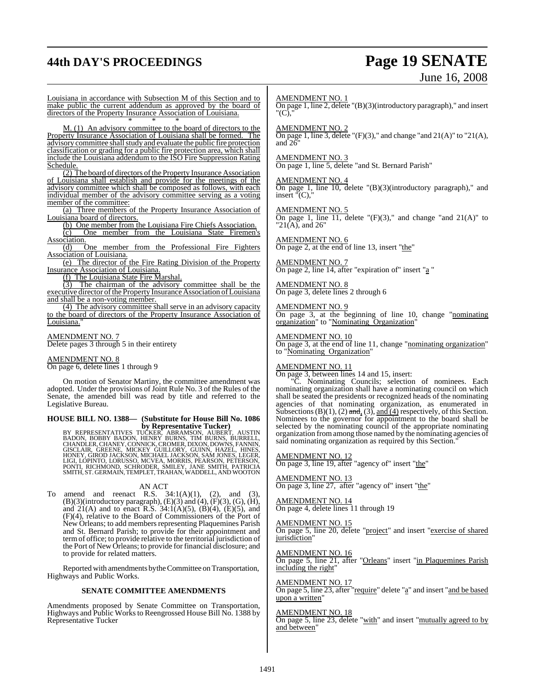# **44th DAY'S PROCEEDINGS Page 19 SENATE**

# June 16, 2008

Louisiana in accordance with Subsection M of this Section and to make public the current addendum as approved by the board of directors of the Property Insurance Association of Louisiana. \* \* \*

M. (1) An advisory committee to the board of directors to the Property Insurance Association of Louisiana shall be formed. The advisory committee shall study and evaluate the public fire protection classification or grading for a public fire protection area, which shall include the Louisiana addendum to the ISO Fire Suppression Rating Schedule.

(2) The board of directors of the Property Insurance Association of Louisiana shall establish and provide for the meetings of the advisory committee which shall be composed as follows, with each individual member of the advisory committee serving as a voting member of the committee:

(a) Three members of the Property Insurance Association of Louisiana board of directors.

(b) One member from the Louisiana Fire Chiefs Association.

(c) One member from the Louisiana State Firemen's Association.

(d) One member from the Professional Fire Fighters Association of Louisiana.

(e) The director of the Fire Rating Division of the Property Insurance Association of Louisiana.

(f) The Louisiana State Fire Marshal.

(3) The chairman of the advisory committee shall be the executive director of the Property Insurance Association of Louisiana and shall be a non-voting member.

(4) The advisory committee shall serve in an advisory capacity to the board of directors of the Property Insurance Association of Louisiana.

#### AMENDMENT NO. 7

Delete pages 3 through 5 in their entirety

#### AMENDMENT NO. 8

On page 6, delete lines 1 through 9

On motion of Senator Martiny, the committee amendment was adopted. Under the provisions of Joint Rule No. 3 of the Rules of the Senate, the amended bill was read by title and referred to the Legislative Bureau.

#### **HOUSE BILL NO. 1388— (Substitute for House Bill No. 1086 by Representative Tucker)**

BY REPRESENTATIVES TUČKER, ABRAMSON, AUBERT, AUSTIN,<br>BADON, BOBBY BADON, HENRY BURNS, TIM BURNS, BURRELL,<br>CHANDLER,CHANEY,CONNICK,CROMER,DIXON,DOWNS, FANNIN,<br>GISCLAIR, GREENE, MICKEY GUILLORY, GUINN, HAZEL, HINES,<br>HONEY, G

#### AN ACT

To amend and reenact R.S.  $34:1(A)(1)$ ,  $(2)$ , and  $(3)$ ,  $(B)(3)$ (introductory paragraph),  $(E)(3)$  and  $(4)$ ,  $(F)(3)$ ,  $(G)$ ,  $(H)$ , and  $21(A)$  and to enact R.S.  $34:1(A)(5)$ ,  $(B)(4)$ ,  $(E)(5)$ , and (F)(4), relative to the Board of Commissioners of the Port of New Orleans; to add members representing Plaquemines Parish and St. Bernard Parish; to provide for their appointment and termof office; to provide relative to the territorial jurisdiction of the Port of New Orleans; to provide for financial disclosure; and to provide for related matters.

Reported with amendments by the Committee on Transportation, Highways and Public Works.

#### **SENATE COMMITTEE AMENDMENTS**

Amendments proposed by Senate Committee on Transportation, Highways and Public Works to Reengrossed House Bill No. 1388 by Representative Tucker

#### AMENDMENT NO. 1

On page 1, line 2, delete "(B)(3)(introductory paragraph)," and insert "(C),"

### AMENDMENT NO. 2

On page 1, line 3, delete " $(F)(3)$ ," and change "and  $21(A)$ " to " $21(A)$ , and  $2\delta$ 

#### AMENDMENT NO. 3

On page 1, line 5, delete "and St. Bernard Parish"

#### AMENDMENT NO. 4

On page 1, line 10, delete "(B)(3)(introductory paragraph)," and  $insert$ " $(C)$ ,

#### AMENDMENT NO. 5

On page 1, line  $\overline{11}$ , delete "(F)(3)," and change "and  $21(A)$ " to "21(A), and 26"

#### AMENDMENT NO. 6 On page 2, at the end of line 13, insert "the"

AMENDMENT NO. 7 On page 2, line 14, after "expiration of" insert "a "

AMENDMENT NO. 8 On page 3, delete lines 2 through 6

#### AMENDMENT NO. 9

On page 3, at the beginning of line 10, change "nominating organization" to "Nominating Organization"

#### AMENDMENT NO. 10

On page 3, at the end of line 11, change "nominating organization" to "Nominating Organization"

#### AMENDMENT NO. 11

On page 3, between lines 14 and 15, insert:

"C. Nominating Councils; selection of nominees. Each nominating organization shall have a nominating council on which shall be seated the presidents or recognized heads of the nominating agencies of that nominating organization, as enumerated in Subsections (B)(1), (2) and, (3), and (4) respectively, of this Section. Nominees to the governor for appointment to the board shall be selected by the nominating council of the appropriate nominating organization fromamong those named by the nominating agencies of said nominating organization as required by this Section.

#### AMENDMENT NO. 12

On page 3, line 19, after "agency of" insert "the"

AMENDMENT NO. 13 On page 3, line 27, after "agency of" insert "the"

AMENDMENT NO. 14 On page 4, delete lines 11 through 19

#### AMENDMENT NO. 15 On page 5, line 20, delete "project" and insert "exercise of shared jurisdiction

AMENDMENT NO. 16 On page 5, line 21, after "Orleans" insert "in Plaquemines Parish including the right"

#### AMENDMENT NO. 17

On page 5, line 23, after "require" delete "a" and insert "and be based upon a written"

#### AMENDMENT NO. 18

On page 5, line 23, delete "with" and insert "mutually agreed to by and between"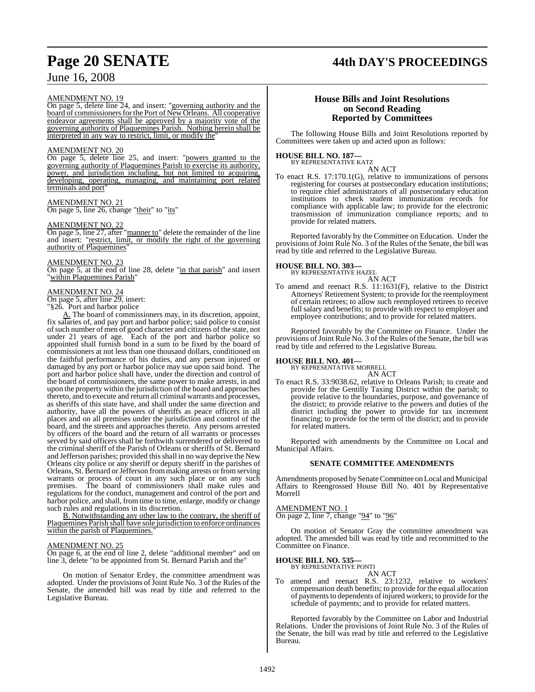# **Page 20 SENATE 44th DAY'S PROCEEDINGS**

## June 16, 2008

#### AMENDMENT NO. 19

On page 5, delete line 24, and insert: "governing authority and the board of commissioners for the Port of New Orleans. All cooperative endeavor agreements shall be approved by a majority vote of the governing authority of Plaquemines Parish. Nothing herein shall be interpreted in any way to restrict, limit, or modify the

#### AMENDMENT NO. 20

On page 5, delete line 25, and insert: "powers granted to the governing authority of Plaquemines Parish to exercise its authority, power, and jurisdiction including, but not limited to acquiring, developing, operating, managing, and maintaining port related terminals and port"

AMENDMENT NO. 21 On page 5, line 26, change "their" to "its"

#### AMENDMENT NO. 22

On page 5, line 27, after "manner to" delete the remainder of the line and insert: "restrict, limit, or modify the right of the governing authority of Plaquemines"

#### AMENDMENT NO. 23

On page 5, at the end of line 28, delete "in that parish" and insert within Plaquemines Parish'

#### AMENDMENT NO. 24

On page 5, after line 29, insert:

"§26. Port and harbor police

A. The board of commissioners may, in its discretion, appoint, fix salaries of, and pay port and harbor police; said police to consist of such number of men of good character and citizens of the state, not under 21 years of age. Each of the port and harbor police so appointed shall furnish bond in a sum to be fixed by the board of commissioners at not less than one thousand dollars, conditioned on the faithful performance of his duties, and any person injured or damaged by any port or harbor police may sue upon said bond. The port and harbor police shall have, under the direction and control of the board of commissioners, the same power to make arrests, in and upon the property within the jurisdiction of the board and approaches thereto, and to execute and return all criminal warrants and processes, as sheriffs of this state have, and shall under the same direction and authority, have all the powers of sheriffs as peace officers in all places and on all premises under the jurisdiction and control of the board, and the streets and approaches thereto. Any persons arrested by officers of the board and the return of all warrants or processes served by said officers shall be forthwith surrendered or delivered to the criminal sheriff of the Parish of Orleans or sheriffs of St. Bernard and Jefferson parishes; provided thisshall in no way deprive the New Orleans city police or any sheriff or deputy sheriff in the parishes of Orleans, St. Bernard orJefferson frommaking arrests or fromserving warrants or process of court in any such place or on any such premises. The board of commissioners shall make rules and regulations for the conduct, management and control of the port and harbor police, and shall, fromtime to time, enlarge, modify or change such rules and regulations in its discretion.

B. Notwithstanding any other law to the contrary, the sheriff of Plaquemines Parish shall have sole jurisdiction to enforce ordinances within the parish of Plaquemines."

#### AMENDMENT NO. 25

On page 6, at the end of line 2, delete "additional member" and on line 3, delete "to be appointed from St. Bernard Parish and the"

On motion of Senator Erdey, the committee amendment was adopted. Under the provisions of Joint Rule No. 3 of the Rules of the Senate, the amended bill was read by title and referred to the Legislative Bureau.

#### **House Bills and Joint Resolutions on Second Reading Reported by Committees**

The following House Bills and Joint Resolutions reported by Committees were taken up and acted upon as follows:

## **HOUSE BILL NO. 187—** BY REPRESENTATIVE KATZ

AN ACT

To enact R.S. 17:170.1(G), relative to immunizations of persons registering for courses at postsecondary education institutions; to require chief administrators of all postsecondary education institutions to check student immunization records for compliance with applicable law; to provide for the electronic transmission of immunization compliance reports; and to provide for related matters.

Reported favorably by the Committee on Education. Under the provisions of Joint Rule No. 3 of the Rules of the Senate, the bill was read by title and referred to the Legislative Bureau.

## **HOUSE BILL NO. 303—** BY REPRESENTATIVE HAZEL

AN ACT To amend and reenact R.S. 11:1631(F), relative to the District Attorneys' Retirement System; to provide for the reemployment of certain retirees; to allow such reemployed retirees to receive full salary and benefits; to provide with respect to employer and employee contributions; and to provide for related matters.

Reported favorably by the Committee on Finance. Under the provisions of Joint Rule No. 3 of the Rules of the Senate, the bill was read by title and referred to the Legislative Bureau.

## **HOUSE BILL NO. 401—** BY REPRESENTATIVE MORRELL

AN ACT

To enact R.S. 33:9038.62, relative to Orleans Parish; to create and provide for the Gentilly Taxing District within the parish; to provide relative to the boundaries, purpose, and governance of the district; to provide relative to the powers and duties of the district including the power to provide for tax increment financing; to provide for the term of the district; and to provide for related matters.

Reported with amendments by the Committee on Local and Municipal Affairs.

#### **SENATE COMMITTEE AMENDMENTS**

Amendments proposed bySenate Committee on Local and Municipal Affairs to Reengrossed House Bill No. 401 by Representative Morrell

#### AMENDMENT NO. 1

On page 2, line 7, change "94" to "96"

On motion of Senator Gray the committee amendment was adopted. The amended bill was read by title and recommitted to the Committee on Finance.

#### **HOUSE BILL NO. 535—**

BY REPRESENTATIVE PONTI

AN ACT To amend and reenact R.S. 23:1232, relative to workers' compensation death benefits; to provide for the equal allocation of payments to dependents of injured workers; to provide for the schedule of payments; and to provide for related matters.

Reported favorably by the Committee on Labor and Industrial Relations. Under the provisions of Joint Rule No. 3 of the Rules of the Senate, the bill was read by title and referred to the Legislative Bureau.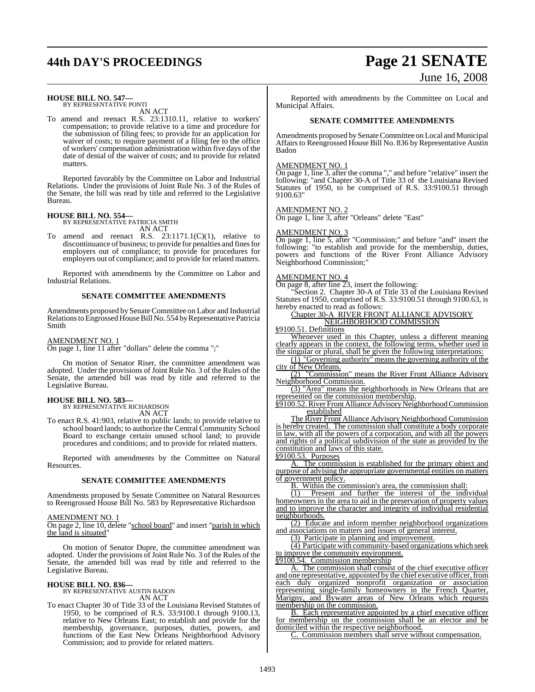## **44th DAY'S PROCEEDINGS Page 21 SENATE**

## **HOUSE BILL NO. 547—** BY REPRESENTATIVE PONTI

AN ACT

To amend and reenact R.S. 23:1310.11, relative to workers' compensation; to provide relative to a time and procedure for the submission of filing fees; to provide for an application for waiver of costs; to require payment of a filing fee to the office of workers' compensation administration within five days of the date of denial of the waiver of costs; and to provide for related matters.

Reported favorably by the Committee on Labor and Industrial Relations. Under the provisions of Joint Rule No. 3 of the Rules of the Senate, the bill was read by title and referred to the Legislative Bureau.

## **HOUSE BILL NO. 554—** BY REPRESENTATIVE PATRICIA SMITH

AN ACT

To amend and reenact R.S.  $23:1171.1(C)(1)$ , relative to discontinuance of business; to provide for penalties and fines for employers out of compliance; to provide for procedures for employers out of compliance; and to provide for related matters.

Reported with amendments by the Committee on Labor and Industrial Relations.

#### **SENATE COMMITTEE AMENDMENTS**

Amendments proposed by Senate Committee on Labor and Industrial Relations to Engrossed House Bill No. 554 by Representative Patricia Smith

#### AMENDMENT NO. 1

On page 1, line 11 after "dollars" delete the comma ","

On motion of Senator Riser, the committee amendment was adopted. Under the provisions of Joint Rule No. 3 of the Rules of the Senate, the amended bill was read by title and referred to the Legislative Bureau.

## **HOUSE BILL NO. 583—** BY REPRESENTATIVE RICHARDSON

AN ACT

To enact R.S. 41:903, relative to public lands; to provide relative to school board lands; to authorize the Central Community School Board to exchange certain unused school land; to provide procedures and conditions; and to provide for related matters.

Reported with amendments by the Committee on Natural Resources.

#### **SENATE COMMITTEE AMENDMENTS**

Amendments proposed by Senate Committee on Natural Resources to Reengrossed House Bill No. 583 by Representative Richardson

#### AMENDMENT NO. 1

On page 2, line 10, delete "school board" and insert "parish in which the land is situated"

On motion of Senator Dupre, the committee amendment was adopted. Under the provisions of Joint Rule No. 3 of the Rules of the Senate, the amended bill was read by title and referred to the Legislative Bureau.

## **HOUSE BILL NO. 836—** BY REPRESENTATIVE AUSTIN BADON

AN ACT

To enact Chapter 30 of Title 33 of the Louisiana Revised Statutes of 1950, to be comprised of R.S. 33:9100.1 through 9100.13, relative to New Orleans East; to establish and provide for the membership, governance, purposes, duties, powers, and functions of the East New Orleans Neighborhood Advisory Commission; and to provide for related matters.

# June 16, 2008

Reported with amendments by the Committee on Local and Municipal Affairs.

#### **SENATE COMMITTEE AMENDMENTS**

Amendments proposed by Senate Committee on Local and Municipal Affairs to Reengrossed House Bill No. 836 by Representative Austin Badon

#### AMENDMENT NO. 1

On page 1, line 3, after the comma "," and before "relative" insert the following: "and Chapter 30-A of Title 33 of the Louisiana Revised Statutes of 1950, to be comprised of R.S. 33:9100.51 through 9100.63"

#### AMENDMENT NO. 2

On page 1, line 3, after "Orleans" delete "East"

#### AMENDMENT NO. 3

On page 1, line 5, after "Commission;" and before "and" insert the following: "to establish and provide for the membership, duties, powers and functions of the River Front Alliance Advisory Neighborhood Commission;"

#### AMENDMENT NO. 4

On page 8, after line 23, insert the following:

"Section 2. Chapter 30-A of Title 33 of the Louisiana Revised Statutes of 1950, comprised of R.S. 33:9100.51 through 9100.63, is hereby enacted to read as follows:

#### Chapter 30-A RIVER FRONT ALLIANCE ADVISORY NEIGHBORHOOD COMMISSION

§9100.51. Definitions

Whenever used in this Chapter, unless a different meaning clearly appears in the context, the following terms, whether used in

the singular or plural, shall be given the following interpretations: (1) "Governing authority" means the governing authority of the city of New Orleans.

(2) "Commission" means the River Front Alliance Advisory Neighborhood Commission.

(3) "Area" means the neighborhoods in New Orleans that are represented on the commission membership.

§9100.52.River Front Alliance Advisory Neighborhood Commission established

The River Front Alliance Advisory Neighborhood Commission is hereby created. The commission shall constitute a body corporate in law, with all the powers of a corporation, and with all the powers and rights of a political subdivision of the state as provided by the constitution and laws of this state.

§9100.53. Purposes

A. The commission is established for the primary object and purpose of advising the appropriate governmental entities on matters of government policy.

B. Within the commission's area, the commission shall:

(1) Present and further the interest of the individual homeowners in the area to aid in the preservation of property values and to improve the character and integrity of individual residential neighborhoods.

(2) Educate and inform member neighborhood organizations and associations on matters and issues of general interest.

(3) Participate in planning and improvement.

(4) Participate with community-based organizations which seek to improve the community environment.

§9100.54. Commission membership

A. The commission shall consist of the chief executive officer and one representative, appointed by the chief executive officer, from each duly organized nonprofit organization or association representing single-family homeowners in the French Quarter, Marigny, and Bywater areas of New Orleans which requests membership on the commission.

B. Each representative appointed by a chief executive officer for membership on the commission shall be an elector and be domiciled within the respective neighborhood.

C. Commission members shall serve without compensation.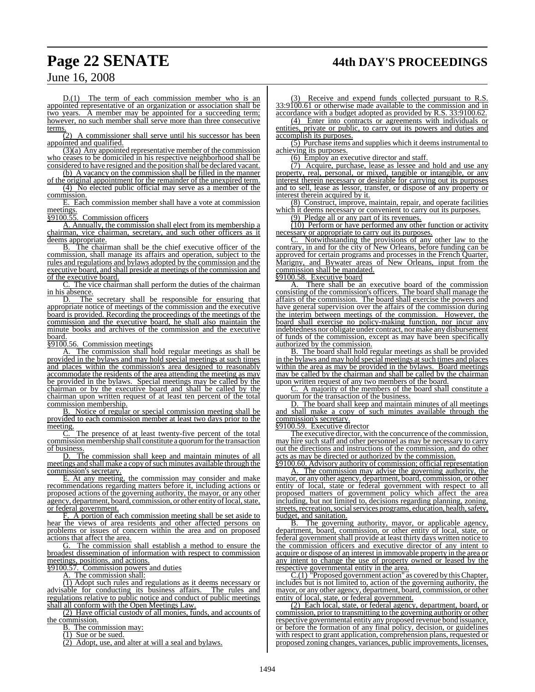## **Page 22 SENATE 44th DAY'S PROCEEDINGS**

June 16, 2008

 $D(1)$  The term of each commission member who is an appointed representative of an organization or association shall be two years. A member may be appointed for a succeeding term; however, no such member shall serve more than three consecutive terms.

A commissioner shall serve until his successor has been appointed and qualified.

(3)(a) Any appointed representative member of the commission who ceases to be domiciled in his respective neighborhood shall be considered to have resigned and the position shall be declared vacant.

(b) A vacancy on the commission shall be filled in the manner of the original appointment for the remainder of the unexpired term. (4) No elected public official may serve as a member of the commission.

E. Each commission member shall have a vote at commission meetings.

§9100.55. Commission officers

A. Annually, the commission shall elect from its membership a chairman, vice chairman, secretary, and such other officers as it deems appropriate.

B. The chairman shall be the chief executive officer of the commission, shall manage its affairs and operation, subject to the rules and regulations and bylaws adopted by the commission and the executive board, and shall preside at meetings of the commission and of the executive board.

The vice chairman shall perform the duties of the chairman  $\frac{\text{in his absence.}}{\text{D}}$ 

The secretary shall be responsible for ensuring that appropriate notice of meetings of the commission and the executive board is provided. Recording the proceedings of the meetings of the commission and the executive board, he shall also maintain the minute books and archives of the commission and the executive <u>board.</u><br>§9100.56.

Commission meetings

The commission shall hold regular meetings as shall be provided in the bylaws and may hold special meetings at such times and places within the commission's area designed to reasonably accommodate the residents of the area attending the meeting as may be provided in the bylaws. Special meetings may be called by the chairman or by the executive board and shall be called by the chairman upon written request of at least ten percent of the total commission membership.

B. Notice of regular or special commission meeting shall be provided to each commission member at least two days prior to the meeting.

C. The presence of at least twenty-five percent of the total commission membership shall constitute a quorumforthe transaction  $\frac{\overline{\text{of business}}}{\text{D}}$ 

The commission shall keep and maintain minutes of all meetings and shall make a copy of such minutes available through the commission's secretary.

E. At any meeting, the commission may consider and make recommendations regarding matters before it, including actions or proposed actions of the governing authority, the mayor, or any other agency, department, board, commission, or other entity of local, state, or federal government.

A portion of each commission meeting shall be set aside to hear the views of area residents and other affected persons on problems or issues of concern within the area and on proposed actions that affect the area.

G. The commission shall establish a method to ensure the broadest dissemination of information with respect to commission meetings, positions, and actions.

§9100.57. Commission powers and duties

A. The commission shall:

 $(1)$  Adopt such rules and regulations as it deems necessary or advisable for conducting its business affairs. The rules and regulations relative to public notice and conduct of public meetings shall all conform with the Open Meetings Law.

(2) Have official custody of all monies, funds, and accounts of the commission.

B. The commission may:

(1) Sue or be sued.

(2) Adopt, use, and alter at will a seal and bylaws.

Receive and expend funds collected pursuant to R.S. 33:9100.61 or otherwise made available to the commission and in accordance with a budget adopted as provided by R.S. 33:9100.62.

(4) Enter into contracts or agreements with individuals or entities, private or public, to carry out its powers and duties and accomplish its purposes.

(5) Purchase items and supplies which it deems instrumental to achieving its purposes.

(6) Employ an executive director and staff.

(7) Acquire, purchase, lease as lessee and hold and use any property, real, personal, or mixed, tangible or intangible, or any interest therein necessary or desirable for carrying out its purposes and to sell, lease as lessor, transfer, or dispose of any property or interest therein acquired by it.

(8) Construct, improve, maintain, repair, and operate facilities which it deems necessary or convenient to carry out its purposes.

(9) Pledge all or any part of its revenues.

(10) Perform or have performed any other function or activity necessary or appropriate to carry out its purposes.

C. Notwithstanding the provisions of any other law to the contrary, in and for the city of New Orleans, before funding can be approved for certain programs and processes in the French Quarter, Marigny, and Bywater areas of New Orleans, input from the commission shall be mandated.

#### §9100.58. Executive board

There shall be an executive board of the commission consisting of the commission's officers. The board shall manage the affairs of the commission. The board shall exercise the powers and have general supervision over the affairs of the commission during the interim between meetings of the commission. However, the board shall exercise no policy-making function, nor incur any indebtedness nor obligate under contract, normake any disbursement of funds of the commission, except as may have been specifically authorized by the commission.

B. The board shall hold regular meetings as shall be provided in the bylaws and may hold special meetings atsuch times and places within the area as may be provided in the bylaws. Board meetings may be called by the chairman and shall be called by the chairman upon written request of any two members of the board.

C. A majority of the members of the board shall constitute a quorum for the transaction of the business.

D. The board shall keep and maintain minutes of all meetings and shall make a copy of such minutes available through the commission's secretary.

§9100.59. Executive director

The executive director, with the concurrence of the commission, may hire such staff and other personnel as may be necessary to carry out the directions and instructions of the commission, and do other acts as may be directed or authorized by the commission.

§9100.60. Advisory authority of commission; official representation A. The commission may advise the governing authority, the mayor, or any other agency, department, board, commission, or other entity of local, state or federal government with respect to all proposed matters of government policy which affect the area including, but not limited to, decisions regarding planning, zoning, streets, recreation, social services programs, education, health, safety, budget, and sanitation.<br>B. The governing

The governing authority, mayor, or applicable agency, department, board, commission, or other entity of local, state, or federal government shall provide at least thirty days written notice to the commission officers and executive director of any intent to acquire or dispose of an interest in immovable property in the area or any intent to change the use of property owned or leased by the respective governmental entity in the area.

C.(1) "Proposed government action" as covered by this Chapter, includes but is not limited to, action of the governing authority, the mayor, or any other agency, department, board, commission, or other entity of local, state, or federal government.

(2) Each local, state, or federal agency, department, board, or commission, prior to transmitting to the governing authority or other respective governmental entity any proposed revenue bond issuance, or before the formation of any final policy, decision, or guidelines with respect to grant application, comprehension plans, requested or proposed zoning changes, variances, public improvements, licenses,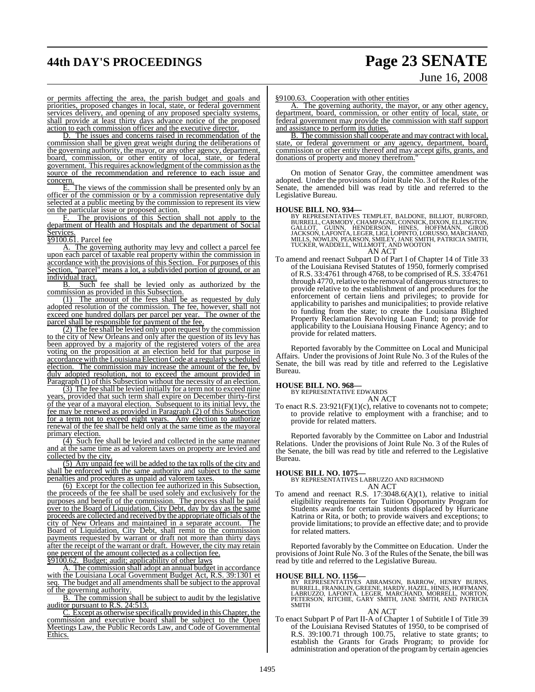# **44th DAY'S PROCEEDINGS Page 23 SENATE**

# June 16, 2008

or permits affecting the area, the parish budget and goals and priorities, proposed changes in local, state, or federal government services delivery, and opening of any proposed specialty systems, shall provide at least thirty days advance notice of the proposed action to each commission officer and the executive director.

D. The issues and concerns raised in recommendation of the commission shall be given great weight during the deliberations of the governing authority, the mayor, or any other agency, department, board, commission, or other entity of local, state, or federal government. This requires acknowledgment of the commission as the source of the recommendation and reference to each issue and concern.

E. The views of the commission shall be presented only by an officer of the commission or by a commission representative duly selected at a public meeting by the commission to represent its view on the particular issue or proposed action.

F. The provisions of this Section shall not apply to the department of Health and Hospitals and the department of Social Services.

§9100.61. Parcel fee

A. The governing authority may levy and collect a parcel fee upon each parcel of taxable real property within the commission in accordance with the provisions of this Section. For purposes of this Section, "parcel" means a lot, a subdivided portion of ground, or an individual tract.<br>B. Such

Such fee shall be levied only as authorized by the commission as provided in this Subsection.

(1) The amount of the fees shall be as requested by duly adopted resolution of the commission. The fee, however, shall not exceed one hundred dollars per parcel per year. The owner of the parcel shall be responsible for payment of the fee.

(2) The fee shall be levied only upon request by the commission to the city of New Orleans and only after the question of its levy has been approved by a majority of the registered voters of the area voting on the proposition at an election held for that purpose in accordance with the LouisianaElectionCode at a regularly scheduled election. The commission may increase the amount of the fee, by duly adopted resolution, not to exceed the amount provided in Paragraph (1) of this Subsection without the necessity of an election.

(3) The fee shall be levied initially for a term not to exceed nine years, provided that such term shall expire on December thirty-first of the year of a mayoral election. Subsequent to its initial levy, the fee may be renewed as provided in Paragraph (2) of this Subsection for a term not to exceed eight years. Any election to authorize renewal of the fee shall be held only at the same time as the mayoral primary election.

(4) Such fee shall be levied and collected in the same manner and at the same time as ad valorem taxes on property are levied and collected by the city.

(5) Any unpaid fee will be added to the tax rolls of the city and shall be enforced with the same authority and subject to the same penalties and procedures as unpaid ad valorem taxes.

(6) Except for the collection fee authorized in this Subsection, the proceeds of the fee shall be used solely and exclusively for the purposes and benefit of the commission. The process shall be paid over to the Board of Liquidation, City Debt, day by day as the same proceeds are collected and received by the appropriate officials of the city of New Orleans and maintained in a separate account. The city of New Orleans and maintained in a separate account. Board of Liquidation, City Debt, shall remit to the commission payments requested by warrant or draft not more than thirty days after the receipt of the warrant or draft. However, the city may retain one percent of the amount collected as a collection fee. §9100.62. Budget; audit; applicability of other laws

A. The commission shall adopt an annual budget in accordance with the Louisiana Local Government Budget Act, R.S. 39:1301 et seq. The budget and all amendments shall be subject to the approval of the governing authority.

B. The commission shall be subject to audit by the legislative auditor pursuant to R.S. 24:513.

C. Except as otherwise specifically provided in this Chapter, the commission and executive board shall be subject to the Open Meetings Law, the Public Records Law, and Code of Governmental Ethics.

#### §9100.63. Cooperation with other entities

A. The governing authority, the mayor, or any other agency, department, board, commission, or other entity of local, state, or federal government may provide the commission with staff support and assistance to perform its duties.

B. The commission shall cooperate and may contract with local, state, or federal government or any agency, department, board, commission or other entity thereof and may accept gifts, grants, and donations of property and money therefrom.

On motion of Senator Gray, the committee amendment was adopted. Under the provisions of Joint Rule No. 3 of the Rules of the Senate, the amended bill was read by title and referred to the Legislative Bureau.

HOUSE BILL NO. 934—<br>BY REPRESENTATIVES TEMPLET, BALDONE, BILLIOT, BURFORD,<br>BURRELL, CARMODY, CHAMPAGNE, CONNICK, DIXON, ELLINGTON,<br>GALLOT, GUINN, HENDERSON, HINES, HOFFMANN, GIROD<br>JACKSON, LAFONTA, LEGER, LIGI, LOPINTO, LO

To amend and reenact Subpart D of Part I of Chapter 14 of Title 33 of the Louisiana Revised Statutes of 1950, formerly comprised of R.S. 33:4761 through 4768, to be comprised of R.S. 33:4761 through 4770, relative to the removal of dangerous structures; to provide relative to the establishment of and procedures for the enforcement of certain liens and privileges; to provide for applicability to parishes and municipalities; to provide relative to funding from the state; to create the Louisiana Blighted Property Reclamation Revolving Loan Fund; to provide for applicability to the Louisiana Housing Finance Agency; and to provide for related matters.

Reported favorably by the Committee on Local and Municipal Affairs. Under the provisions of Joint Rule No. 3 of the Rules of the Senate, the bill was read by title and referred to the Legislative Bureau.

#### **HOUSE BILL NO. 968—**

BY REPRESENTATIVE EDWARDS AN ACT

To enact R.S. 23:921(F)(1)(c), relative to covenants not to compete; to provide relative to employment with a franchise; and to provide for related matters.

Reported favorably by the Committee on Labor and Industrial Relations. Under the provisions of Joint Rule No. 3 of the Rules of the Senate, the bill was read by title and referred to the Legislative Bureau.

**HOUSE BILL NO. 1075—** BY REPRESENTATIVES LABRUZZO AND RICHMOND AN ACT

To amend and reenact R.S. 17:3048.6(A)(1), relative to initial eligibility requirements for Tuition Opportunity Program for Students awards for certain students displaced by Hurricane Katrina or Rita, or both; to provide waivers and exceptions; to provide limitations; to provide an effective date; and to provide for related matters.

Reported favorably by the Committee on Education. Under the provisions of Joint Rule No. 3 of the Rules of the Senate, the bill was read by title and referred to the Legislative Bureau.

**HOUSE BILL NO. 1156—** BY REPRESENTATIVES ABRAMSON, BARROW, HENRY BURNS, BURRELL, FRANKLIN, GREENE, HARDY, HAZEL, HINES, HOFFMANN, LABRUZZO, LAFONTA, LEGER, MARCHAND, MORRELL, NORTON, PETERSON, RITCHIE, GARY SMITH, JANE SMITH, AND PATRICIA **SMITH** 

#### AN ACT

To enact Subpart P of Part II-A of Chapter 1 of Subtitle I of Title 39 of the Louisiana Revised Statutes of 1950, to be comprised of R.S. 39:100.71 through 100.75, relative to state grants; to establish the Grants for Grads Program; to provide for administration and operation of the program by certain agencies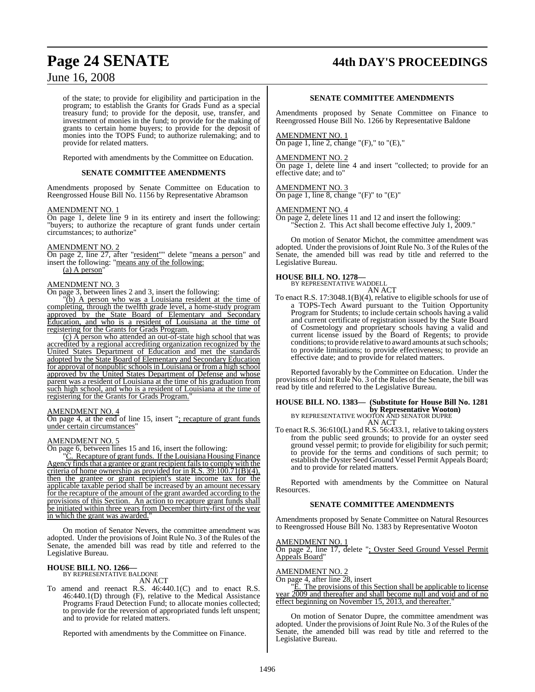## **Page 24 SENATE 44th DAY'S PROCEEDINGS**

## June 16, 2008

of the state; to provide for eligibility and participation in the program; to establish the Grants for Grads Fund as a special treasury fund; to provide for the deposit, use, transfer, and investment of monies in the fund; to provide for the making of grants to certain home buyers; to provide for the deposit of monies into the TOPS Fund; to authorize rulemaking; and to provide for related matters.

Reported with amendments by the Committee on Education.

#### **SENATE COMMITTEE AMENDMENTS**

Amendments proposed by Senate Committee on Education to Reengrossed House Bill No. 1156 by Representative Abramson

#### AMENDMENT NO. 1

On page 1, delete line 9 in its entirety and insert the following: "buyers; to authorize the recapture of grant funds under certain circumstances; to authorize"

#### AMENDMENT NO. 2

On page 2, line 27, after "resident"" delete "means a person" and insert the following: "means any of the following: (a) A person

## AMENDMENT NO. 3

On page 3, between lines 2 and 3, insert the following:

(b) A person who was a Louisiana resident at the time of completing, through the twelfth grade level, a home-study program approved by the State Board of Elementary and Secondary Education, and who is a resident of Louisiana at the time of registering for the Grants for Grads Program.

(c) A person who attended an out-of-state high school that was accredited by a regional accrediting organization recognized by the United States Department of Education and met the standards adopted by the State Board of Elementary and Secondary Education for approval of nonpublic schools in Louisiana or from a high school approved by the United States Department of Defense and whose parent was a resident of Louisiana at the time of his graduation from such high school, and who is a resident of Louisiana at the time of registering for the Grants for Grads Program."

#### AMENDMENT NO. 4

On page 4, at the end of line 15, insert "; recapture of grant funds under certain circumstances"

#### AMENDMENT NO. 5

On page 6, between lines 15 and 16, insert the following:

"C. Recapture of grant funds. If the Louisiana Housing Finance Agency finds that a grantee or grant recipient fails to comply with the criteria of home ownership as provided for in R.S. 39:100.71(B)(4), then the grantee or grant recipient's state income tax for the applicable taxable period shall be increased by an amount necessary for the recapture of the amount of the grant awarded according to the provisions of this Section. An action to recapture grant funds shall be initiated within three years from December thirty-first of the year in which the grant was awarded."

On motion of Senator Nevers, the committee amendment was adopted. Under the provisions of Joint Rule No. 3 of the Rules of the Senate, the amended bill was read by title and referred to the Legislative Bureau.

## **HOUSE BILL NO. 1266—** BY REPRESENTATIVE BALDONE

AN ACT

To amend and reenact R.S. 46:440.1(C) and to enact R.S. 46:440.1(D) through (F), relative to the Medical Assistance Programs Fraud Detection Fund; to allocate monies collected; to provide for the reversion of appropriated funds left unspent; and to provide for related matters.

Reported with amendments by the Committee on Finance.

#### **SENATE COMMITTEE AMENDMENTS**

Amendments proposed by Senate Committee on Finance to Reengrossed House Bill No. 1266 by Representative Baldone

#### AMENDMENT NO. 1

On page 1, line 2, change " $(F)$ ," to " $(E)$ ,"

#### AMENDMENT NO. 2

On page 1, delete line 4 and insert "collected; to provide for an effective date; and to"

## AMENDMENT NO. 3

On page 1, line 8, change " $(F)$ " to " $(E)$ "

#### AMENDMENT NO. 4

On page 2, delete lines 11 and 12 and insert the following: "Section 2. This Act shall become effective July 1, 2009."

On motion of Senator Michot, the committee amendment was adopted. Under the provisions of Joint Rule No. 3 of the Rules of the Senate, the amended bill was read by title and referred to the Legislative Bureau.

#### **HOUSE BILL NO. 1278—**

BY REPRESENTATIVE WADDELL AN ACT

To enact R.S. 17:3048.1(B)(4), relative to eligible schools for use of a TOPS-Tech Award pursuant to the Tuition Opportunity Program for Students; to include certain schools having a valid and current certificate of registration issued by the State Board of Cosmetology and proprietary schools having a valid and current license issued by the Board of Regents; to provide conditions; to provide relative to award amounts at such schools; to provide limitations; to provide effectiveness; to provide an effective date; and to provide for related matters.

Reported favorably by the Committee on Education. Under the provisions of Joint Rule No. 3 of the Rules of the Senate, the bill was read by title and referred to the Legislative Bureau.

## **HOUSE BILL NO. 1383— (Substitute for House Bill No. 1281 by Representative Wooton)** BY REPRESENTATIVE WOOTON AND SENATOR DUPRE

AN ACT

To enact R.S. 36:610(L) and R.S. 56:433.1, relative to taking oysters from the public seed grounds; to provide for an oyster seed ground vessel permit; to provide for eligibility for such permit; to provide for the terms and conditions of such permit; to establish the Oyster Seed Ground Vessel Permit Appeals Board; and to provide for related matters.

Reported with amendments by the Committee on Natural Resources.

#### **SENATE COMMITTEE AMENDMENTS**

Amendments proposed by Senate Committee on Natural Resources to Reengrossed House Bill No. 1383 by Representative Wooton

#### AMENDMENT NO. 1

On page 2, line 17, delete "; Oyster Seed Ground Vessel Permit Appeals Board'

#### AMENDMENT NO. 2

On page 4, after line 28, insert

"E. The provisions of this Section shall be applicable to license year 2009 and thereafter and shall become null and void and of no effect beginning on November 15, 2013, and thereafter."

On motion of Senator Dupre, the committee amendment was adopted. Under the provisions of Joint Rule No. 3 of the Rules of the Senate, the amended bill was read by title and referred to the Legislative Bureau.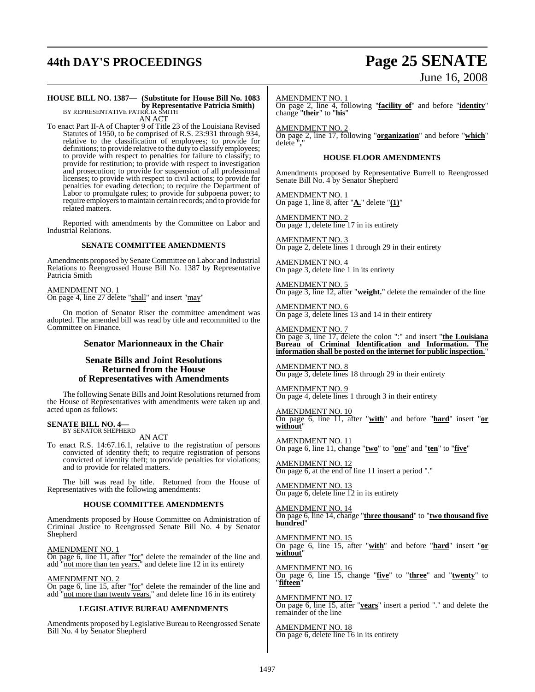## **44th DAY'S PROCEEDINGS Page 25 SENATE**

# June 16, 2008

## **HOUSE BILL NO. 1387— (Substitute for House Bill No. 1083 by Representative Patricia Smith)**<br>BY REPRESENTATIVE PATRICIA SMITH

AN ACT

To enact Part II-A of Chapter 9 of Title 23 of the Louisiana Revised Statutes of 1950, to be comprised of R.S. 23:931 through 934, relative to the classification of employees; to provide for definitions; to provide relative to the duty to classify employees; to provide with respect to penalties for failure to classify; to provide for restitution; to provide with respect to investigation and prosecution; to provide for suspension of all professional licenses; to provide with respect to civil actions; to provide for penalties for evading detection; to require the Department of Labor to promulgate rules; to provide for subpoena power; to require employers to maintain certain records; and to provide for related matters.

Reported with amendments by the Committee on Labor and Industrial Relations.

#### **SENATE COMMITTEE AMENDMENTS**

Amendments proposed by Senate Committee on Labor and Industrial Relations to Reengrossed House Bill No. 1387 by Representative Patricia Smith

AMENDMENT NO. 1 On page 4, line 27 delete "shall" and insert "may"

On motion of Senator Riser the committee amendment was adopted. The amended bill was read by title and recommitted to the Committee on Finance.

#### **Senator Marionneaux in the Chair**

#### **Senate Bills and Joint Resolutions Returned from the House of Representatives with Amendments**

The following Senate Bills and Joint Resolutions returned from the House of Representatives with amendments were taken up and acted upon as follows:

#### **SENATE BILL NO. 4—** BY SENATOR SHEPHERD

AN ACT

To enact R.S. 14:67.16.1, relative to the registration of persons convicted of identity theft; to require registration of persons convicted of identity theft; to provide penalties for violations; and to provide for related matters.

The bill was read by title. Returned from the House of Representatives with the following amendments:

#### **HOUSE COMMITTEE AMENDMENTS**

Amendments proposed by House Committee on Administration of Criminal Justice to Reengrossed Senate Bill No. 4 by Senator Shepherd

AMENDMENT NO. 1 On page 6, line 11, after "for" delete the remainder of the line and add "not more than ten years." and delete line 12 in its entirety

AMENDMENT NO. 2

On page 6, line 15, after "for" delete the remainder of the line and add "not more than twenty years." and delete line 16 in its entirety

#### **LEGISLATIVE BUREAU AMENDMENTS**

Amendments proposed by Legislative Bureau to Reengrossed Senate Bill No. 4 by Senator Shepherd

AMENDMENT NO. 1

On page 2, line 4, following "**facility of**" and before "**identity**" change "**their**" to "**his**"

AMENDMENT NO. 2 On page 2, line 17, following "**organization**" and before "**which**" delete "**,**"

#### **HOUSE FLOOR AMENDMENTS**

Amendments proposed by Representative Burrell to Reengrossed Senate Bill No. 4 by Senator Shepherd

AMENDMENT NO. 1 On page 1, line 8, after "**A.**" delete "**(1)**"

AMENDMENT NO. 2 On page 1, delete line 17 in its entirety

AMENDMENT NO. 3 On page 2, delete lines 1 through 29 in their entirety

AMENDMENT NO. 4 On page 3, delete line 1 in its entirety

AMENDMENT NO. 5 On page 3, line 12, after "**weight.**" delete the remainder of the line

AMENDMENT NO. 6 On page 3, delete lines 13 and 14 in their entirety

AMENDMENT NO. 7 On page 3, line 17, delete the colon ":" and insert "**the Louisiana Bureau of Criminal Identification and Information. The information shall be posted on the internet for public inspection.**"

AMENDMENT NO. 8 On page 3, delete lines 18 through 29 in their entirety

AMENDMENT NO. 9 On page 4, delete lines 1 through 3 in their entirety

A<u>MENDMENT NO. 10</u> On page 6, line 11, after "**with**" and before "**hard**" insert "**or without**"

AMENDMENT NO. 11 On page 6, line 11, change "**two**" to "**one**" and "**ten**" to "**five**"

AMENDMENT NO. 12 On page 6, at the end of line 11 insert a period "."

AMENDMENT NO. 13 On page 6, delete line 12 in its entirety

AMENDMENT NO. 14 On page 6, line 14, change "**three thousand**" to "**two thousand five hundred**"

AMENDMENT NO. 15 On page 6, line 15, after "**with**" and before "**hard**" insert "**or without**"

AMENDMENT NO. 16 On page 6, line 15, change "**five**" to "**three**" and "**twenty**" to "**fifteen**"

AMENDMENT NO. 17 On page 6, line 15, after "**years**" insert a period "." and delete the remainder of the line

AMENDMENT NO. 18 On page 6, delete line 16 in its entirety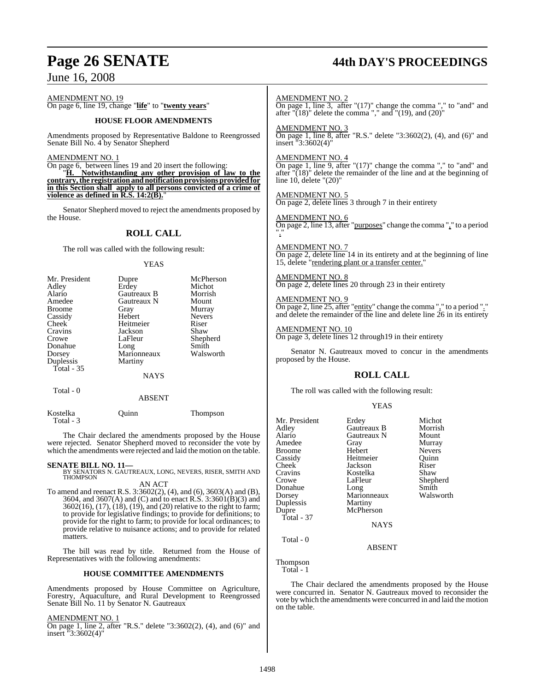# **Page 26 SENATE 44th DAY'S PROCEEDINGS**

June 16, 2008

AMENDMENT NO. 19 On page 6, line 19, change "**life**" to "**twenty years**"

#### **HOUSE FLOOR AMENDMENTS**

Amendments proposed by Representative Baldone to Reengrossed Senate Bill No. 4 by Senator Shepherd

#### AMENDMENT NO. 1

On page 6, between lines 19 and 20 insert the following: "**H. Notwithstanding any other provision of law to the contrary,the registrationandnotificationprovisions provided for**

**in this Section shall apply to all persons convicted of a crime of** violence as defined in R.S. 14:2(B).

Senator Shepherd moved to reject the amendments proposed by the House.

#### **ROLL CALL**

The roll was called with the following result:

#### YEAS

| Mr. President | Dupre       | McPherson     |
|---------------|-------------|---------------|
| Adley         | Erdey       | Michot        |
| Alario        | Gautreaux B | Morrish       |
| Amedee        | Gautreaux N | Mount         |
| <b>Broome</b> | Gray        | Murray        |
| Cassidy       | Hebert      | <b>Nevers</b> |
| Cheek         | Heitmeier   | Riser         |
| Cravins       | Jackson     | Shaw          |
| Crowe         | LaFleur     | Shepherd      |
| Donahue       | Long        | Smith         |
| Dorsey        | Marionneaux | Walsworth     |
| Duplessis     | Martiny     |               |
| Total - 35    |             |               |
|               | <b>NAYS</b> |               |
| Total - 0     | ABSENT      |               |

Kostelka Quinn Thompson Total - 3

The Chair declared the amendments proposed by the House were rejected. Senator Shepherd moved to reconsider the vote by which the amendments were rejected and laid the motion on the table.

#### **SENATE BILL NO. 11—**

BY SENATORS N. GAUTREAUX, LONG, NEVERS, RISER, SMITH AND THOMPSON AN ACT

To amend and reenact R.S. 3:3602(2), (4), and (6), 3603(A) and (B), 3604, and 3607(A) and (C) and to enact R.S. 3:3601(B)(3) and 3602(16), (17), (18), (19), and (20) relative to the right to farm; to provide for legislative findings; to provide for definitions; to provide for the right to farm; to provide for local ordinances; to provide relative to nuisance actions; and to provide for related matters.

The bill was read by title. Returned from the House of Representatives with the following amendments:

#### **HOUSE COMMITTEE AMENDMENTS**

Amendments proposed by House Committee on Agriculture, Forestry, Aquaculture, and Rural Development to Reengrossed Senate Bill No. 11 by Senator N. Gautreaux

AMENDMENT NO. 1

On page 1, line 2, after "R.S." delete "3:3602(2), (4), and (6)" and insert "3:3602(4)"

AMENDMENT NO. 2

On page 1, line 3, after "(17)" change the comma "," to "and" and after " $(18)$ " delete the comma "," and " $(19)$ , and  $(20)$ "

AMENDMENT NO. 3

On page 1, line 8, after "R.S." delete "3:3602(2), (4), and (6)" and insert "3:3602(4)"

#### AMENDMENT NO. 4

On page 1, line 9, after "(17)" change the comma "," to "and" and after " $(18)$ " delete the remainder of the line and at the beginning of line 10, delete "(20)"

AMENDMENT NO. 5 On page 2, delete lines 3 through 7 in their entirety

#### AMENDMENT NO. 6

On page 2, line 13, after "purposes" change the comma "," to a period "."

#### AMENDMENT NO. 7

On page 2, delete line 14 in its entirety and at the beginning of line 15, delete "rendering plant or a transfer center."

#### AMENDMENT NO. 8

On page 2, delete lines 20 through 23 in their entirety

#### AMENDMENT NO. 9

On page 2, line 25, after "entity" change the comma "," to a period "." and delete the remainder of the line and delete line 26 in its entirety

AMENDMENT NO. 10

On page 3, delete lines 12 through19 in their entirety

Senator N. Gautreaux moved to concur in the amendments proposed by the House.

#### **ROLL CALL**

The roll was called with the following result:

| Mr. President | Erdey       | Michot        |
|---------------|-------------|---------------|
| Adley         | Gautreaux B | Morrish       |
| Alario        | Gautreaux N | Mount         |
| Amedee        | Gray        | Murray        |
| <b>Broome</b> | Hebert      | <b>Nevers</b> |
| Cassidy       | Heitmeier   | Ouinn         |
| Cheek         | Jackson     | Riser         |
| Cravins       | Kostelka    | Shaw          |
| Crowe         | LaFleur     | Shepherd      |
| Donahue       | Long        | Smith         |
| Dorsey        | Marionneaux | Walsworth     |
| Duplessis     | Martiny     |               |
| Dupre         | McPherson   |               |
| Total - 37    |             |               |
|               | <b>NAYS</b> |               |
| Total - 0     |             |               |
|               | ABSENT      |               |

Thompson

Total - 1

The Chair declared the amendments proposed by the House were concurred in. Senator N. Gautreaux moved to reconsider the vote bywhich the amendments were concurred in and laid the motion on the table.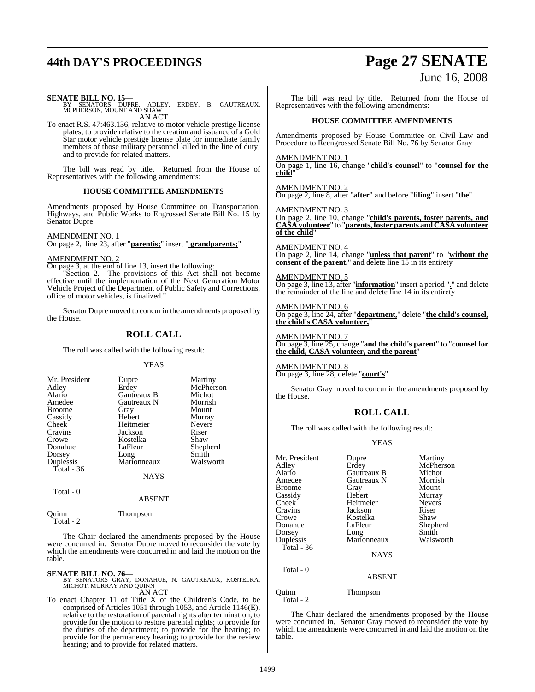## **44th DAY'S PROCEEDINGS Page 27 SENATE**

# June 16, 2008

**SENATE BILL NO. 15—**<br>BY SENATORS DUPRE, ADLEY, ERDEY, B. GAUTREAUX,<br>MCPHERSON, MOUNT AND SHAW AN ACT

To enact R.S. 47:463.136, relative to motor vehicle prestige license plates; to provide relative to the creation and issuance of a Gold Star motor vehicle prestige license plate for immediate family members of those military personnel killed in the line of duty; and to provide for related matters.

The bill was read by title. Returned from the House of Representatives with the following amendments:

#### **HOUSE COMMITTEE AMENDMENTS**

Amendments proposed by House Committee on Transportation, Highways, and Public Works to Engrossed Senate Bill No. 15 by Senator Dupre

#### AMENDMENT NO. 1

On page 2, line 23, after "**parentis;**" insert " **grandparents;**"

#### AMENDMENT NO. 2

On page 3, at the end of line 13, insert the following:

Section 2. The provisions of this Act shall not become effective until the implementation of the Next Generation Motor Vehicle Project of the Department of Public Safety and Corrections, office of motor vehicles, is finalized."

Senator Dupre moved to concur in the amendments proposed by the House.

#### **ROLL CALL**

The roll was called with the following result:

#### YEAS

| Mr. President | Dupre       | Martiny       |
|---------------|-------------|---------------|
| Adley         | Erdey       | McPherson     |
| Alario        | Gautreaux B | Michot        |
| Amedee        | Gautreaux N | Morrish       |
| <b>Broome</b> | Gray        | Mount         |
| Cassidy       | Hebert      | Murray        |
| Cheek         | Heitmeier   | <b>Nevers</b> |
| Cravins       | Jackson     | Riser         |
| Crowe         | Kostelka    | Shaw          |
| Donahue       | LaFleur     | Shepherd      |
| Dorsey        | Long        | Smith         |
| Duplessis     | Marionneaux | Walsworth     |
| Total - 36    |             |               |
|               | <b>NAYS</b> |               |
|               |             |               |

Total - 2

Quinn Thompson

The Chair declared the amendments proposed by the House were concurred in. Senator Dupre moved to reconsider the vote by which the amendments were concurred in and laid the motion on the table.

ABSENT

**SENATE BILL NO. 76—**<br>BY SENATORS GRAY, DONAHUE, N. GAUTREAUX, KOSTELKA,<br>MICHOT, MURRAY AND QUINN AN ACT

To enact Chapter 11 of Title X of the Children's Code, to be comprised of Articles 1051 through 1053, and Article 1146(E), relative to the restoration of parental rights after termination; to provide for the motion to restore parental rights; to provide for the duties of the department; to provide for the hearing; to provide for the permanency hearing; to provide for the review hearing; and to provide for related matters.

The bill was read by title. Returned from the House of Representatives with the following amendments:

#### **HOUSE COMMITTEE AMENDMENTS**

Amendments proposed by House Committee on Civil Law and Procedure to Reengrossed Senate Bill No. 76 by Senator Gray

AMENDMENT NO. 1 On page 1, line 16, change "**child's counsel**" to "**counsel for the child**"

AMENDMENT NO. 2 On page 2, line 8, after "**after**" and before "**filing**" insert "**the**"

AMENDMENT NO. 3 On page 2, line 10, change "**child's parents, foster parents, and CASA volunteer**" to "**parents,foster parents and CASA volunteer of the child**"

AMENDMENT NO. 4 On page 2, line 14, change "**unless that parent**" to "**without the consent of the parent.**" and delete line 15 in its entirety

#### AMENDMENT NO. 5

On page 3, line 13, after "**information**" insert a period "**.**" and delete the remainder of the line and delete line 14 in its entirety

#### AMENDMENT NO. 6 On page 3, line 24, after "**department,**" delete "**the child's counsel, the child's CASA volunteer,**"

#### AMENDMENT NO. 7

On page 3, line 25, change "**and the child's parent**" to "**counsel for the child, CASA volunteer, and the parent**"

AMENDMENT NO. 8 On page 3, line 28, delete "**court's**"

Senator Gray moved to concur in the amendments proposed by the House.

### **ROLL CALL**

The roll was called with the following result:

#### YEAS

| Mr. President<br>Adley<br>Alario<br>Amedee<br><b>Broome</b><br>Cassidy<br><b>Cheek</b><br>Cravins<br>Crowe<br>Donahue<br>Dorsey<br>Duplessis<br>Total - $36$ | Dupre<br>Erdey<br>Gautreaux B<br>Gautreaux N<br>Gray<br>Hebert<br>Heitmeier<br>Jackson<br>Kostelka<br>LaFleur<br>Long<br>Marionneaux<br><b>NAYS</b> | Martiny<br>McPherson<br>Michot<br>Morrish<br>Mount<br>Murray<br><b>Nevers</b><br>Riser<br>Shaw<br>Shepherd<br>Smith<br>Walsworth |
|--------------------------------------------------------------------------------------------------------------------------------------------------------------|-----------------------------------------------------------------------------------------------------------------------------------------------------|----------------------------------------------------------------------------------------------------------------------------------|
| Total - 0                                                                                                                                                    | <b>ABSENT</b>                                                                                                                                       |                                                                                                                                  |

Quinn Thompson  $Total - 2$ 

The Chair declared the amendments proposed by the House were concurred in. Senator Gray moved to reconsider the vote by which the amendments were concurred in and laid the motion on the table.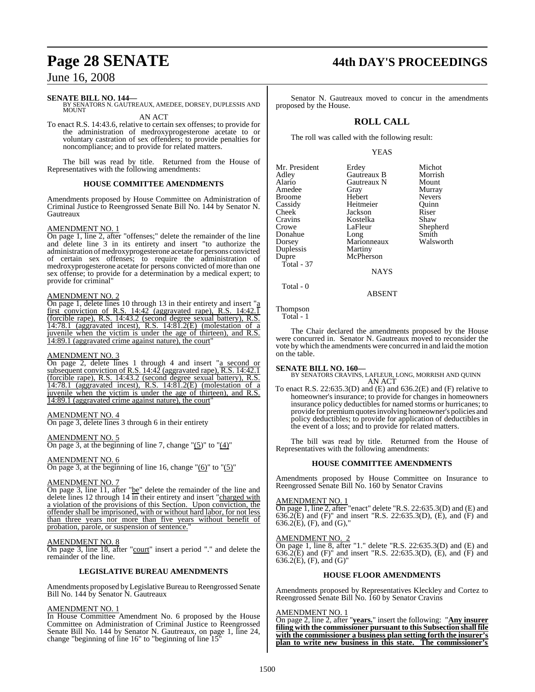## June 16, 2008

#### **SENATE BILL NO. 144—**

BY SENATORS N. GAUTREAUX, AMEDEE, DORSEY, DUPLESSIS AND **MOUNT** 

AN ACT

To enact R.S. 14:43.6, relative to certain sex offenses; to provide for the administration of medroxyprogesterone acetate to or voluntary castration of sex offenders; to provide penalties for noncompliance; and to provide for related matters.

The bill was read by title. Returned from the House of Representatives with the following amendments:

#### **HOUSE COMMITTEE AMENDMENTS**

Amendments proposed by House Committee on Administration of Criminal Justice to Reengrossed Senate Bill No. 144 by Senator N. Gautreaux

#### AMENDMENT NO. 1

On page 1, line 2, after "offenses;" delete the remainder of the line and delete line 3 in its entirety and insert "to authorize the administration of medroxyprogesterone acetate for persons convicted of certain sex offenses; to require the administration of medroxyprogesterone acetate for persons convicted of more than one sex offense; to provide for a determination by a medical expert; to provide for criminal"

#### AMENDMENT NO. 2

On page 1, delete lines 10 through 13 in their entirety and insert "a first conviction of R.S.  $14:42$  (aggravated rape), R.S.  $14:42.\overline{1}$ (forcible rape), R.S. 14:43.2 (second degree sexual battery), R.S. 14:78.1 (aggravated incest), R.S. 14:81.2(E) (molestation of a juvenile when the victim is under the age of thirteen), and R.S. 14:89.1 (aggravated crime against nature), the court"

#### AMENDMENT NO. 3

On page 2, delete lines 1 through 4 and insert "a second or subsequent conviction of R.S.  $14:42$  (aggravated rape), R.S. 14:42.1 (forcible rape), R.S. 14:43.2 (second degree sexual battery), R.S. 14:78.1 (aggravated incest), R.S. 14:81.2(E) (molestation of a juvenile when the victim is under the age of thirteen), and R.S. 14:89.1 (aggravated crime against nature), the court"

#### AMENDMENT NO. 4

On page 3, delete lines 3 through 6 in their entirety

AMENDMENT NO. 5

On page 3, at the beginning of line 7, change  $\degree(5)$ " to  $\degree(4)$ "

### AMENDMENT NO. 6

On page 3, at the beginning of line 16, change " $(6)$ " to " $(5)$ "

#### AMENDMENT NO. 7

On page 3, line 11, after "be" delete the remainder of the line and delete lines 12 through 14 in their entirety and insert "charged with a violation of the provisions of this Section. Upon conviction, the offender shall be imprisoned, with or without hard labor, for not less than three years nor more than five years without benefit of probation, parole, or suspension of sentence."

#### AMENDMENT NO. 8

On page 3, line 18, after "court" insert a period "." and delete the remainder of the line.

### **LEGISLATIVE BUREAU AMENDMENTS**

Amendments proposed by Legislative Bureau to Reengrossed Senate Bill No. 144 by Senator N. Gautreaux

#### AMENDMENT NO. 1

In House Committee Amendment No. 6 proposed by the House Committee on Administration of Criminal Justice to Reengrossed Senate Bill No. 144 by Senator N. Gautreaux, on page 1, line 24, change "beginning of line 16" to "beginning of line 15"

## **Page 28 SENATE 44th DAY'S PROCEEDINGS**

Senator N. Gautreaux moved to concur in the amendments proposed by the House.

## **ROLL CALL**

The roll was called with the following result:

Gautreaux N<br>Grav

Kostelka<br>LaFleur

Marionneaux Martiny McPherson

#### YEAS

| Mr. President |
|---------------|
| Adley         |
| Alario        |
| Amedee        |
| Broome        |
| Cassidy       |
| Cheek         |
| Cravins       |
| Crowe         |
| Donahue       |
| Dorsey        |
| Duplessis     |
| Dupre         |
| Total - 37    |
|               |
|               |

Erdey Michot<br>Gautreaux B Morrish Gautreaux B Morrish<br>Gautreaux N Mount Gray Murray<br>Hebert Nevers Nevers<br>Quinn Heitmeier Quinn<br>
Jackson Riser Jackson Riser<br>Kostelka Shaw Shepherd<br>Smith Long Smith<br>Marionneaux Walsworth

**NAYS** 

#### ABSENT

Thompson Total - 1

Total - 0

The Chair declared the amendments proposed by the House were concurred in. Senator N. Gautreaux moved to reconsider the vote by which the amendments were concurred in and laid the motion on the table.

#### **SENATE BILL NO. 160—**

BY SENATORS CRAVINS, LAFLEUR, LONG, MORRISH AND QUINN AN ACT

To enact R.S. 22:635.3(D) and (E) and 636.2(E) and (F) relative to homeowner's insurance; to provide for changes in homeowners insurance policy deductibles for named storms or hurricanes; to provide for premium quotes involving homeowner's policies and policy deductibles; to provide for application of deductibles in the event of a loss; and to provide for related matters.

The bill was read by title. Returned from the House of Representatives with the following amendments:

#### **HOUSE COMMITTEE AMENDMENTS**

Amendments proposed by House Committee on Insurance to Reengrossed Senate Bill No. 160 by Senator Cravins

#### AMENDMENT NO. 1

On page 1, line 2, after "enact" delete "R.S. 22:635.3(D) and (E) and 636.2(E) and (F)" and insert "R.S. 22:635.3(D), (E), and (F) and  $636.2(E)$ , (F), and (G),"

#### AMENDMENT NO. 2

On page 1, line 8, after "1." delete "R.S. 22:635.3(D) and (E) and 636.2(E) and (F)" and insert "R.S. 22:635.3(D), (E), and (F) and  $636.2(E)$ , (F), and (G)"

#### **HOUSE FLOOR AMENDMENTS**

Amendments proposed by Representatives Kleckley and Cortez to Reengrossed Senate Bill No. 160 by Senator Cravins

#### AMENDMENT NO. 1

On page 2, line 2, after "**years.**" insert the following: "**Any insurer filing with the commissioner pursuant to this Subsection shall file with the commissioner a business plan setting forth the insurer's plan to write new business in this state. The commissioner's**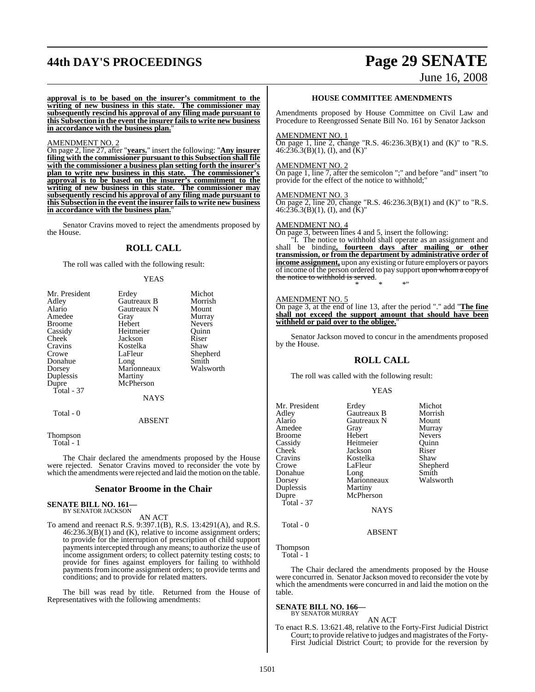## **44th DAY'S PROCEEDINGS Page 29 SENATE**

June 16, 2008

**approval is to be based on the insurer's commitment to the writing of new business in this state. The commissioner may subsequently rescind his approval of any filing made pursuant to this Subsection in the event the insurer failsto write new business in accordance with the business plan.**"

#### AMENDMENT NO. 2

On page 2, line 27, after "**years.**" insert the following: "**Any insurer filing with the commissioner pursuant to this Subsection shall file with the commissioner a business plan setting forth the insurer's plan to write new business in this state. The commissioner's approval is to be based on the insurer's commitment to the writing of new business in this state. The commissioner may subsequently rescind his approval of any filing made pursuant to this Subsection in the event the insurer failsto write new business in accordance with the business plan.**"

Senator Cravins moved to reject the amendments proposed by the House.

### **ROLL CALL**

The roll was called with the following result:

#### YEAS

| Mr. President | Erdey         | Michot        |
|---------------|---------------|---------------|
| Adley         | Gautreaux B   | Morrish       |
| Alario        | Gautreaux N   | Mount         |
| Amedee        | Gray          | Murray        |
| <b>Broome</b> | Hebert        | <b>Nevers</b> |
| Cassidy       | Heitmeier     | Ouinn         |
| Cheek         | Jackson       | Riser         |
| Cravins       | Kostelka      | Shaw          |
| Crowe         | LaFleur       | Shepherd      |
| Donahue       | Long          | Smith         |
| Dorsey        | Marionneaux   | Walsworth     |
| Duplessis     | Martiny       |               |
| Dupre         | McPherson     |               |
| Total $-37$   |               |               |
|               | <b>NAYS</b>   |               |
| Total - 0     |               |               |
|               | <b>ABSENT</b> |               |
|               |               |               |

Thompson Total - 1

The Chair declared the amendments proposed by the House were rejected. Senator Cravins moved to reconsider the vote by which the amendments were rejected and laid the motion on the table.

#### **Senator Broome in the Chair**

**SENATE BILL NO. 161—** BY SENATOR JACKSON

### AN ACT

To amend and reenact R.S. 9:397.1(B), R.S. 13:4291(A), and R.S. 46:236.3(B)(1) and (K), relative to income assignment orders; to provide for the interruption of prescription of child support payments intercepted through any means; to authorize the use of income assignment orders; to collect paternity testing costs; to provide for fines against employers for failing to withhold payments from income assignment orders; to provide terms and conditions; and to provide for related matters.

The bill was read by title. Returned from the House of Representatives with the following amendments:

#### **HOUSE COMMITTEE AMENDMENTS**

Amendments proposed by House Committee on Civil Law and Procedure to Reengrossed Senate Bill No. 161 by Senator Jackson

#### AMENDMENT NO. 1

On page 1, line 2, change "R.S.  $46:236.3(B)(1)$  and  $(K)$ " to "R.S.  $46:\overline{236}.3(B)(1), (I), and (K)''$ 

#### AMENDMENT NO. 2

On page 1, line 7, after the semicolon ";" and before "and" insert "to provide for the effect of the notice to withhold;"

#### AMENDMENT NO. 3

On page 2, line 20, change "R.S. 46:236.3(B)(1) and (K)" to "R.S.  $46:\overline{236}.3(B)(1), (I), and (K)''$ 

#### AMENDMENT NO. 4

On page 3, between lines 4 and 5, insert the following:

"I. The notice to withhold shall operate as an assignment and shall be binding**, fourteen days after mailing or other transmission, or from the department by administrative order of income assignment,** upon any existing or future employers or payors of income of the person ordered to pay support upon whom a copy of the notice to withhold is served. \* \* \*"

#### AMENDMENT NO. 5

On page 3, at the end of line 13, after the period "." add "**The fine shall not exceed the support amount that should have been withheld or paid over to the obligee.**"

Senator Jackson moved to concur in the amendments proposed by the House.

#### **ROLL CALL**

The roll was called with the following result:

#### YEAS

| Mr. President<br>Adley<br>Alario<br>Amedee<br><b>Broome</b><br>Cassidy<br>Cheek<br>Cravins<br>Crowe<br>Donahue<br>Dorsey<br>Duplessis<br>Dupre<br>Total - 37 | Erdey<br>Gautreaux B<br>Gautreaux N<br>Gray<br>Hebert<br>Heitmeier<br>Jackson<br>Kostelka<br>LaFleur<br>Long<br>Marionneaux<br>Martiny<br>McPherson<br><b>NAYS</b> | Michot<br>Morrish<br>Mount<br>Murray<br><b>Nevers</b><br>Ouinn<br>Riser<br>Shaw<br>Shepherd<br>Smith<br>Walsworth |
|--------------------------------------------------------------------------------------------------------------------------------------------------------------|--------------------------------------------------------------------------------------------------------------------------------------------------------------------|-------------------------------------------------------------------------------------------------------------------|
| Total - 0                                                                                                                                                    |                                                                                                                                                                    |                                                                                                                   |
|                                                                                                                                                              | $1 - 2 - 3 - 3 - 7 - 7$                                                                                                                                            |                                                                                                                   |

ABSENT

Thompson Total - 1

The Chair declared the amendments proposed by the House were concurred in. Senator Jackson moved to reconsider the vote by which the amendments were concurred in and laid the motion on the table.

**SENATE BILL NO. 166—** BY SENATOR MURRAY

#### AN ACT

To enact R.S. 13:621.48, relative to the Forty-First Judicial District Court; to provide relative to judges and magistrates of the Forty-First Judicial District Court; to provide for the reversion by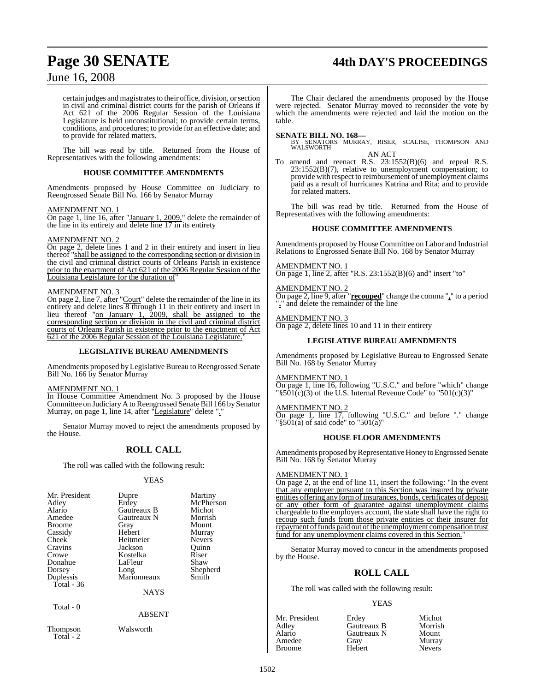# **Page 30 SENATE 44th DAY'S PROCEEDINGS**

## June 16, 2008

certain judges and magistrates to their office, division, or section in civil and criminal district courts for the parish of Orleans if Act 621 of the 2006 Regular Session of the Louisiana Legislature is held unconstitutional; to provide certain terms, conditions, and procedures; to provide for an effective date; and to provide for related matters.

The bill was read by title. Returned from the House of Representatives with the following amendments:

#### **HOUSE COMMITTEE AMENDMENTS**

Amendments proposed by House Committee on Judiciary to Reengrossed Senate Bill No. 166 by Senator Murray

#### AMENDMENT NO. 1

On page 1, line 16, after "January 1, 2009," delete the remainder of the line in its entirety and delete line 17 in its entirety

#### AMENDMENT NO. 2

On page 2, delete lines 1 and 2 in their entirety and insert in lieu thereof "shall be assigned to the corresponding section or division in the civil and criminal district courts of Orleans Parish in existence prior to the enactment of Act 621 of the 2006 Regular Session of the Louisiana Legislature for the duration of"

#### AMENDMENT NO. 3

On page 2, line 7, after "Court" delete the remainder of the line in its entirety and delete lines 8 through 11 in their entirety and insert in lieu thereof "on January 1, 2009, shall be assigned to the corresponding section or division in the civil and criminal district courts of Orleans Parish in existence prior to the enactment of Act 621 of the 2006 Regular Session of the Louisiana Legislature."

#### **LEGISLATIVE BUREAU AMENDMENTS**

Amendments proposed by Legislative Bureau to Reengrossed Senate Bill No. 166 by Senator Murray

#### AMENDMENT NO. 1

In House Committee Amendment No. 3 proposed by the House Committee on Judiciary A to Reengrossed Senate Bill 166 by Senator Murray, on page 1, line 14, after "Legislature" delete ".

Senator Murray moved to reject the amendments proposed by the House.

### **ROLL CALL**

The roll was called with the following result:

#### YEAS

| Mr. President<br>Adley<br>Alario<br>Amedee<br><b>Broome</b><br>Cassidy<br>Cheek<br>Cravins<br>Crowe<br>Donahue<br>Dorsey<br>Duplessis<br>Total - 36 | Dupre<br>Erdey<br>Gautreaux B<br>Gautreaux N<br>Gray<br>Hebert<br>Heitmeier<br>Jackson<br>Kostelka<br>LaFleur<br>Long<br>Marionneaux | Martiny<br>McPherson<br>Michot<br>Morrish<br>Mount<br>Murray<br><b>Nevers</b><br>Ouinn<br>Riser<br>Shaw<br>Shepherd<br>Smith |
|-----------------------------------------------------------------------------------------------------------------------------------------------------|--------------------------------------------------------------------------------------------------------------------------------------|------------------------------------------------------------------------------------------------------------------------------|
|                                                                                                                                                     | <b>NAYS</b>                                                                                                                          |                                                                                                                              |
| Total - 0                                                                                                                                           | ABSENT                                                                                                                               |                                                                                                                              |

Thompson Walsworth

Total - 2

The Chair declared the amendments proposed by the House were rejected. Senator Murray moved to reconsider the vote by which the amendments were rejected and laid the motion on the table.

#### **SENATE BILL NO. 168—**

BY SENATORS MURRAY, RISER, SCALISE, THOMPSON AND WALSWORTH

AN ACT

To amend and reenact R.S. 23:1552(B)(6) and repeal R.S. 23:1552(B)(7), relative to unemployment compensation; to provide with respect to reimbursement of unemployment claims paid as a result of hurricanes Katrina and Rita; and to provide for related matters.

The bill was read by title. Returned from the House of Representatives with the following amendments:

#### **HOUSE COMMITTEE AMENDMENTS**

Amendments proposed by House Committee on Labor and Industrial Relations to Engrossed Senate Bill No. 168 by Senator Murray

#### AMENDMENT NO. 1

On page 1, line 2, after "R.S. 23:1552(B)(6) and" insert "to"

AMENDMENT NO. 2

On page 2, line 9, after "**recouped**" change the comma "**,**" to a period "**.**" and delete the remainder of the line

AMENDMENT NO. 3

On page 2, delete lines 10 and 11 in their entirety

#### **LEGISLATIVE BUREAU AMENDMENTS**

Amendments proposed by Legislative Bureau to Engrossed Senate Bill No. 168 by Senator Murray

AMENDMENT NO. 1 On page 1, line 16, following "U.S.C." and before "which" change " $\frac{1}{2}$ (s)(3) of the U.S. Internal Revenue Code" to "501(c)(3)"

AMENDMENT NO. 2 On page 1, line 17, following "U.S.C." and before "." change "§501(a) of said code" to "501(a)"

#### **HOUSE FLOOR AMENDMENTS**

Amendments proposed by Representative Honey to Engrossed Senate Bill No. 168 by Senator Murray

#### AMENDMENT NO. 1

On page 2, at the end of line 11, insert the following: "In the event that any employer pursuant to this Section was insured by private entities offering any form of insurances, bonds, certificates of deposit or any other form of guarantee against unemployment claims chargeable to the employers account, the state shall have the right to recoup such funds from those private entities or their insurer for repayment of funds paid out of the unemployment compensation trust fund for any unemployment claims covered in this Section.

Senator Murray moved to concur in the amendments proposed by the House.

### **ROLL CALL**

The roll was called with the following result:

#### YEAS

| Mr. President<br>Adley | Erdey<br>Gautreaux B | Michot<br>Morrish |
|------------------------|----------------------|-------------------|
| Alario                 | Gautreaux N          | Mount             |
| Amedee                 | Gray                 | Murray            |
| <b>Broome</b>          | Hebert               | <b>Nevers</b>     |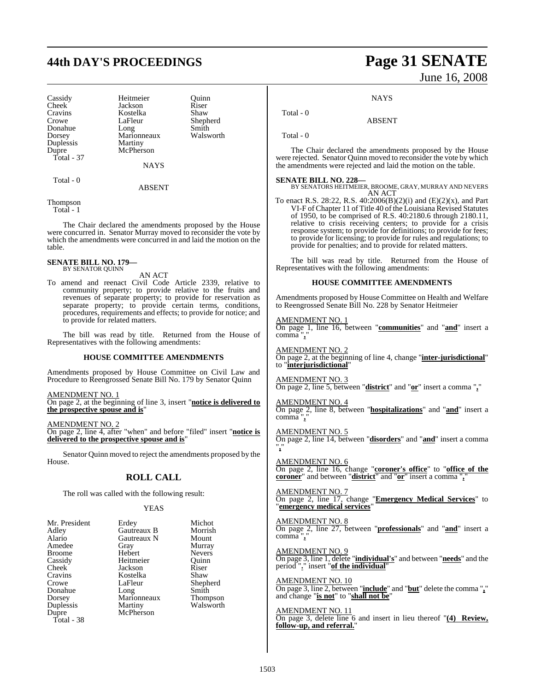## **44th DAY'S PROCEEDINGS Page 31 SENATE**

Cravins Kostelka<br>Crowe LaFleur Duplessis<br>Dupre Total - 37

Cassidy Heitmeier Quinn<br>
Cheek Jackson Riser Cheek Jackson Riser<br>Cravins Kostelka Shaw LaFleur Shepherd<br>Long Smith Donahue Long Smith Dorsey Marionneaux<br>
Duplessis Martiny McPherson

**NAYS** 

#### Total - 0

ABSENT

Thompson Total - 1

The Chair declared the amendments proposed by the House were concurred in. Senator Murray moved to reconsider the vote by which the amendments were concurred in and laid the motion on the table.

#### **SENATE BILL NO. 179—** BY SENATOR QUINN

AN ACT

To amend and reenact Civil Code Article 2339, relative to community property; to provide relative to the fruits and revenues of separate property; to provide for reservation as separate property; to provide certain terms, conditions, procedures, requirements and effects; to provide for notice; and to provide for related matters.

The bill was read by title. Returned from the House of Representatives with the following amendments:

#### **HOUSE COMMITTEE AMENDMENTS**

Amendments proposed by House Committee on Civil Law and Procedure to Reengrossed Senate Bill No. 179 by Senator Quinn

AMENDMENT NO. 1

On page 2, at the beginning of line 3, insert "**notice is delivered to the prospective spouse and is**"

AMENDMENT NO. 2

On page 2, line 4, after "when" and before "filed" insert "**notice is delivered to the prospective spouse and is**"

Senator Quinn moved to reject the amendments proposed by the House.

### **ROLL CALL**

The roll was called with the following result:

#### YEAS

| Mr. President | Erdey       | Michot        |
|---------------|-------------|---------------|
| Adley         | Gautreaux B | Morrish       |
| Alario        | Gautreaux N | Mount         |
| Amedee        | Gray        | Murray        |
| <b>Broome</b> | Hebert      | <b>Nevers</b> |
| Cassidy       | Heitmeier   | Ouinn         |
| Cheek         | Jackson     | Riser         |
| Cravins       | Kostelka    | Shaw          |
| Crowe         | LaFleur     | Shepherd      |
| Donahue       | Long        | Smith         |
| Dorsey        | Marionneaux | Thompson      |
| Duplessis     | Martiny     | Walsworth     |
| Dupre         | McPherson   |               |
| Total - 38    |             |               |

# June 16, 2008

#### **NAYS**

ABSENT

Total - 0

Total - 0

The Chair declared the amendments proposed by the House were rejected. Senator Quinn moved to reconsider the vote by which the amendments were rejected and laid the motion on the table.

**SENATE BILL NO. 228—** BY SENATORS HEITMEIER, BROOME, GRAY, MURRAY AND NEVERS AN ACT

To enact R.S. 28:22, R.S. 40:2006(B)(2)(i) and (E)(2)(x), and Part VI-F of Chapter 11 of Title 40 of the Louisiana Revised Statutes of 1950, to be comprised of R.S. 40:2180.6 through 2180.11, relative to crisis receiving centers; to provide for a crisis response system; to provide for definitions; to provide for fees; to provide for licensing; to provide for rules and regulations; to provide for penalties; and to provide for related matters.

The bill was read by title. Returned from the House of Representatives with the following amendments:

#### **HOUSE COMMITTEE AMENDMENTS**

Amendments proposed by House Committee on Health and Welfare to Reengrossed Senate Bill No. 228 by Senator Heitmeier

AMENDMENT NO. 1

On page 1, line 16, between "**communities**" and "**and**" insert a comma "**,**"

AMENDMENT NO. 2 On page 2, at the beginning of line 4, change "**inter-jurisdictional**" to "**interjurisdictional**"

#### AMENDMENT NO. 3

On page 2, line 5, between "**district**" and "**or**" insert a comma "**,**"

AMENDMENT NO. 4 On page 2, line 8, between "**hospitalizations**" and "**and**" insert a comma<sup>"</sup>,

AMENDMENT NO. 5 On page 2, line 14, between "**disorders**" and "**and**" insert a comma "**,**"

AMENDMENT NO. 6 On page 2, line 16, change "**coroner's office**" to "**office of the coroner**" and between "**district**" and "**or**" insert a comma "**,**"

AMENDMENT NO. 7 On page 2, line 17, change "**Emergency Medical Services**" to "**emergency medical services**"

AMENDMENT NO. 8 On page 2, line 27, between "**professionals**" and "**and**" insert a comma "**,**"

AMENDMENT NO. 9 On page 3, line 1, delete "**individual's**" and between "**needs**" and the period "**.**" insert "**of the individual**"

AMENDMENT NO. 10 On page 3, line 2, between "**include**" and "**but**" delete the comma "**,**" and change "**is not**" to "**shall not be**"

### AMENDMENT NO. 11

On page 3, delete line 6 and insert in lieu thereof "**(4) Review, follow-up, and referral.**"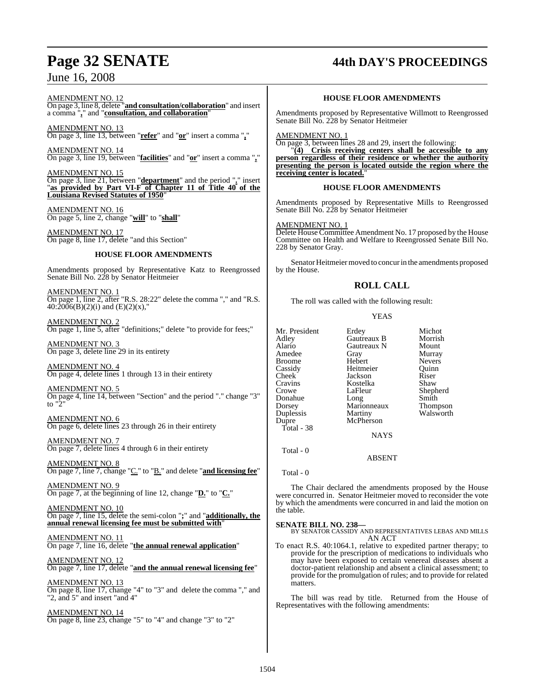## June 16, 2008

# **Page 32 SENATE 44th DAY'S PROCEEDINGS**

AMENDMENT NO. 12

On page 3, line 8, delete "**and consultation/collaboration**" and insert a comma "**,**" and "**consultation, and collaboration**"

AMENDMENT NO. 13 On page 3, line 13, between "**refer**" and "**or**" insert a comma "**,**"

AMENDMENT NO. 14 On page 3, line 19, between "**facilities**" and "**or**" insert a comma "**,**"

AMENDMENT NO. 15 On page 3, line 21, between "**department**" and the period "**.**" insert "**as provided by Part VI-F of Chapter 11 of Title 40 of the Louisiana Revised Statutes of 1950**"

AMENDMENT NO. 16 On page 5, line 2, change "**will**" to "**shall**"

AMENDMENT NO. 17 On page 8, line 17, delete "and this Section"

### **HOUSE FLOOR AMENDMENTS**

Amendments proposed by Representative Katz to Reengrossed Senate Bill No. 228 by Senator Heitmeier

AMENDMENT NO. 1 On page 1, line 2, after "R.S. 28:22" delete the comma "," and "R.S.  $40:\!2006(B)(2)(i)$  and  $(E)(2)(x)$ ,"

AMENDMENT NO. 2 On page 1, line 5, after "definitions;" delete "to provide for fees;"

AMENDMENT NO. 3 On page 3, delete line 29 in its entirety

AMENDMENT NO. 4 On page 4, delete lines 1 through 13 in their entirety

AMENDMENT NO. 5 On page 4, line 14, between "Section" and the period "." change "3" to  $\frac{1}{2}$ "

AMENDMENT NO. 6 On page 6, delete lines 23 through 26 in their entirety

AMENDMENT NO. 7 On page 7, delete lines 4 through 6 in their entirety

AMENDMENT NO. 8 On page 7, line 7, change "C." to "B." and delete "**and licensing fee**"

AMENDMENT NO. 9 On page 7, at the beginning of line 12, change "**D.**" to "**C.**"

AMENDMENT NO. 10 On page 7, line 15, delete the semi-colon "**;**" and "**additionally, the annual renewal licensing fee must be submitted with**"

AMENDMENT NO. 11 On page 7, line 16, delete "**the annual renewal application**"

AMENDMENT NO. 12 On page 7, line 17, delete "**and the annual renewal licensing fee**"

AMENDMENT NO. 13 On page 8, line 17, change "4" to "3" and delete the comma "," and "2, and 5" and insert "and 4"

AMENDMENT NO. 14 On page 8, line 23, change "5" to "4" and change "3" to "2"

#### **HOUSE FLOOR AMENDMENTS**

Amendments proposed by Representative Willmott to Reengrossed Senate Bill No. 228 by Senator Heitmeier

AMENDMENT NO. 1

On page 3, between lines 28 and 29, insert the following:

"**(4) Crisis receiving centers shall be accessible to any person regardless of their residence or whether the authority presenting the person is located outside the region where the receiving center is located.**"

#### **HOUSE FLOOR AMENDMENTS**

Amendments proposed by Representative Mills to Reengrossed Senate Bill No. 228 by Senator Heitmeier

AMENDMENT NO. 1 Delete House Committee Amendment No. 17 proposed by the House Committee on Health and Welfare to Reengrossed Senate Bill No. 228 by Senator Gray.

Senator Heitmeier moved to concur in the amendments proposed by the House.

## **ROLL CALL**

The roll was called with the following result:

YEAS

| Mr. President<br>Adley<br>Alario<br>Amedee<br><b>Broome</b><br>Cassidy<br>Cheek<br>Cravins<br>Crowe<br>Donahue<br>Dorsey<br>Duplessis<br>Dupre<br>Total - 38 | Erdey<br>Gautreaux B<br>Gautreaux N<br>Gray<br>Hebert<br>Heitmeier<br>Jackson<br>Kostelka<br>LaFleur<br>Long<br>Marionneaux<br>Martiny<br>McPherson<br><b>NAYS</b> | Michot<br>Morrish<br>Mount<br>Murray<br><b>Nevers</b><br>Ouinn<br>Riser<br>Shaw<br>Shepherd<br>Smith<br>Thompson<br>Walsworth |
|--------------------------------------------------------------------------------------------------------------------------------------------------------------|--------------------------------------------------------------------------------------------------------------------------------------------------------------------|-------------------------------------------------------------------------------------------------------------------------------|
| Total - 0                                                                                                                                                    |                                                                                                                                                                    |                                                                                                                               |

ABSENT

Total - 0

The Chair declared the amendments proposed by the House were concurred in. Senator Heitmeier moved to reconsider the vote by which the amendments were concurred in and laid the motion on the table.

**SENATE BILL NO. 238—** BY SENATOR CASSIDY AND REPRESENTATIVES LEBAS AND MILLS AN ACT

To enact R.S. 40:1064.1, relative to expedited partner therapy; to provide for the prescription of medications to individuals who may have been exposed to certain venereal diseases absent a doctor-patient relationship and absent a clinical assessment; to provide for the promulgation of rules; and to provide for related matters.

The bill was read by title. Returned from the House of Representatives with the following amendments: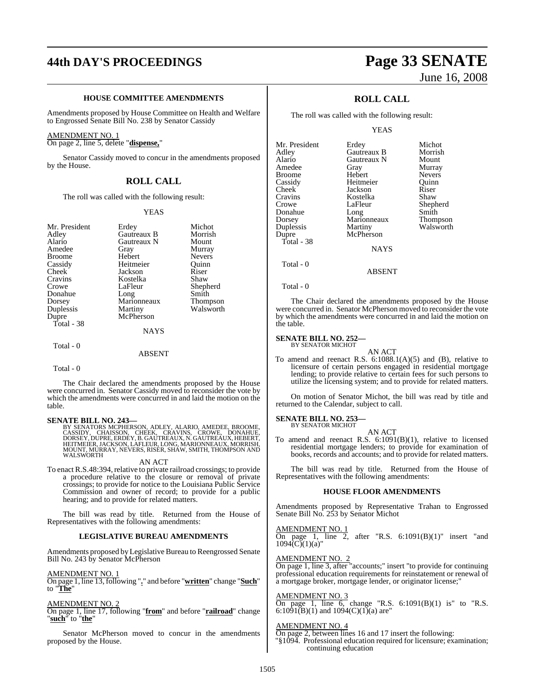## **44th DAY'S PROCEEDINGS Page 33 SENATE**

#### **HOUSE COMMITTEE AMENDMENTS**

Amendments proposed by House Committee on Health and Welfare to Engrossed Senate Bill No. 238 by Senator Cassidy

#### AMENDMENT NO. 1

On page 2, line 5, delete "**dispense,**"

Senator Cassidy moved to concur in the amendments proposed by the House.

### **ROLL CALL**

The roll was called with the following result:

#### YEAS

| Mr. President | Erdey         | Michot        |
|---------------|---------------|---------------|
| Adley         | Gautreaux B   | Morrish       |
| Alario        | Gautreaux N   | Mount         |
| Amedee        | Gray          | Murray        |
| <b>Broome</b> | Hebert        | <b>Nevers</b> |
| Cassidy       | Heitmeier     | Ouinn         |
| Cheek         | Jackson       | Riser         |
| Cravins       | Kostelka      | Shaw          |
| Crowe         | LaFleur       | Shepherd      |
| Donahue       | Long          | Smith         |
| Dorsey        | Marionneaux   | Thompson      |
| Duplessis     | Martiny       | Walsworth     |
| Dupre         | McPherson     |               |
| Total - 38    |               |               |
|               | <b>NAYS</b>   |               |
| Total - 0     |               |               |
|               | <b>ABSENT</b> |               |

Total - 0

The Chair declared the amendments proposed by the House were concurred in. Senator Cassidy moved to reconsider the vote by which the amendments were concurred in and laid the motion on the table.

#### **SENATE BILL NO. 243—**

BY SENATORS MCPHERSON, ADLEY, ALARIO, AMEDEE, BROOME,<br>CASSIDY, CHAISSON, CHEEK, CRAVINS, CROWE, DONAHUE,<br>DORSEY,DUPRE,ERDEY,B.GAUTREAUX,N.GAUTREAUX,HEBERT,<br>HEITMEIER,JACKSON,LAFLEUR,LONG,MARIONNEAUX,MORRISH,<br>MOUNT,MURRAY,N WALSWORTH

AN ACT

To enact R.S.48:394, relative to private railroad crossings; to provide a procedure relative to the closure or removal of private crossings; to provide for notice to the Louisiana Public Service Commission and owner of record; to provide for a public hearing; and to provide for related matters.

The bill was read by title. Returned from the House of Representatives with the following amendments:

#### **LEGISLATIVE BUREAU AMENDMENTS**

Amendments proposed by Legislative Bureau to Reengrossed Senate Bill No. 243 by Senator McPherson

#### AMENDMENT NO. 1

On page 1, line 13, following "**.**" and before "**written**" change "**Such**" to "**The**"

#### AMENDMENT NO. 2

On page 1, line 17, following "**from**" and before "**railroad**" change "**such**" to "**the**"

Senator McPherson moved to concur in the amendments proposed by the House.

# June 16, 2008

## **ROLL CALL**

The roll was called with the following result:

#### YEAS

| Mr. President | Erdey       | Michot        |
|---------------|-------------|---------------|
| Adlev         | Gautreaux B | Morrish       |
| Alario        | Gautreaux N | Mount         |
| Amedee        | Gray        | Murray        |
| Broome        | Hebert      | <b>Nevers</b> |
| Cassidy       | Heitmeier   | Ouinn         |
| Cheek         | Jackson     | Riser         |
| Cravins       | Kostelka    | Shaw          |
| Crowe         | LaFleur     | Shepherd      |
| Donahue       | Long        | Smith         |
| Dorsey        | Marionneaux | Thompson      |
| Duplessis     | Martiny     | Walsworth     |
| Dupre         | McPherson   |               |
| Total - 38    |             |               |
|               | <b>NAYS</b> |               |
| Total - 0     |             |               |

```
 Total - 0
```
The Chair declared the amendments proposed by the House were concurred in. Senator McPherson moved to reconsider the vote by which the amendments were concurred in and laid the motion on the table.

ABSENT

#### **SENATE BILL NO. 252—** BY SENATOR MICHOT

AN ACT

To amend and reenact R.S. 6:1088.1(A)(5) and (B), relative to licensure of certain persons engaged in residential mortgage lending; to provide relative to certain fees for such persons to utilize the licensing system; and to provide for related matters.

On motion of Senator Michot, the bill was read by title and returned to the Calendar, subject to call.

## **SENATE BILL NO. 253—** BY SENATOR MICHOT

AN ACT To amend and reenact R.S. 6:1091(B)(1), relative to licensed residential mortgage lenders; to provide for examination of books, records and accounts; and to provide for related matters.

The bill was read by title. Returned from the House of Representatives with the following amendments:

#### **HOUSE FLOOR AMENDMENTS**

Amendments proposed by Representative Trahan to Engrossed Senate Bill No. 253 by Senator Michot

### AMENDMENT NO. 1

On page 1, line 2, after "R.S.  $6:1091(B)(1)$ " insert "and  $1094\tilde{C}$ (1)(a)"

#### AMENDMENT NO. 2

On page 1, line 3, after "accounts;" insert "to provide for continuing professional education requirements for reinstatement or renewal of a mortgage broker, mortgage lender, or originator license;"

#### AMENDMENT NO. 3

On page 1, line  $6$ , change "R.S.  $6:1091(B)(1)$  is" to "R.S. 6:109 $\overline{1(B)}(1)$  and  $1094(C)(1)(a)$  are"

#### AMENDMENT NO. 4

On page 2, between lines 16 and 17 insert the following:

"§1094. Professional education required for licensure; examination; continuing education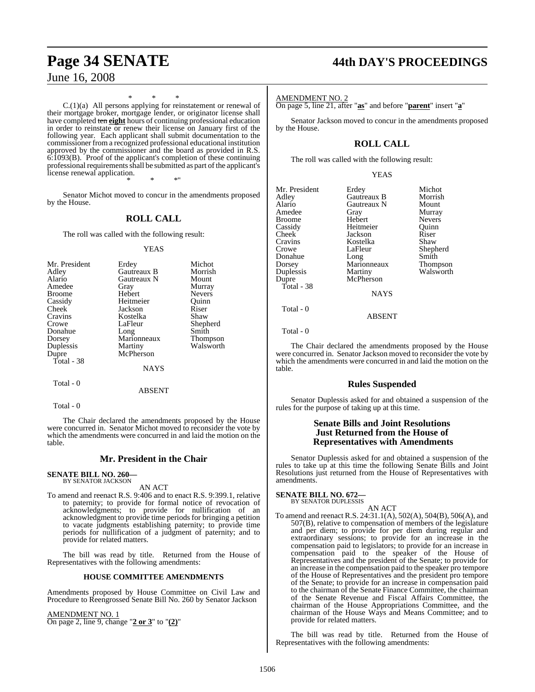June 16, 2008

## **Page 34 SENATE 44th DAY'S PROCEEDINGS**

AMENDMENT NO. 2

On page 5, line 21, after "**as**" and before "**parent**" insert "**a**"

Senator Jackson moved to concur in the amendments proposed by the House.

## **ROLL CALL**

The roll was called with the following result:

|--|--|--|

| Mr. President | Erdey       | Michot        |
|---------------|-------------|---------------|
| Adley         | Gautreaux B | Morrish       |
| Alario        | Gautreaux N | Mount         |
| Amedee        | Gray        | Murray        |
| <b>Broome</b> | Hebert      | <b>Nevers</b> |
| Cassidy       | Heitmeier   | Ouinn         |
| Cheek         | Jackson     | Riser         |
| Cravins       | Kostelka    | Shaw          |
| Crowe         | LaFleur     | Shepherd      |
| Donahue       | Long        | Smith         |
| Dorsey        | Marionneaux | Thompson      |
| Duplessis     | Martiny     | Walsworth     |
| Dupre         | McPherson   |               |
| Total - 38    |             |               |
|               | <b>NAYS</b> |               |
| Total - 0     |             |               |

Total - 0

The Chair declared the amendments proposed by the House were concurred in. Senator Jackson moved to reconsider the vote by which the amendments were concurred in and laid the motion on the table.

ABSENT

### **Rules Suspended**

Senator Duplessis asked for and obtained a suspension of the rules for the purpose of taking up at this time.

#### **Senate Bills and Joint Resolutions Just Returned from the House of Representatives with Amendments**

Senator Duplessis asked for and obtained a suspension of the rules to take up at this time the following Senate Bills and Joint Resolutions just returned from the House of Representatives with amendments.

**SENATE BILL NO. 672—** BY SENATOR DUPLESSIS

- AN ACT
- To amend and reenact R.S. 24:31.1(A), 502(A), 504(B), 506(A), and 507(B), relative to compensation of members of the legislature and per diem; to provide for per diem during regular and extraordinary sessions; to provide for an increase in the compensation paid to legislators; to provide for an increase in compensation paid to the speaker of the House of Representatives and the president of the Senate; to provide for an increase in the compensation paid to the speaker pro tempore of the House of Representatives and the president pro tempore of the Senate; to provide for an increase in compensation paid to the chairman of the Senate Finance Committee, the chairman of the Senate Revenue and Fiscal Affairs Committee, the chairman of the House Appropriations Committee, and the chairman of the House Ways and Means Committee; and to provide for related matters.

The bill was read by title. Returned from the House of Representatives with the following amendments:

C.(1)(a) All persons applying for reinstatement or renewal of their mortgage broker, mortgage lender, or originator license shall have completed ten **eight** hours of continuing professional education in order to reinstate or renew their license on January first of the following year. Each applicant shall submit documentation to the commissioner from a recognized professional educational institution approved by the commissioner and the board as provided in R.S. 6:1093(B). Proof of the applicant's completion of these continuing professional requirements shall be submitted as part of the applicant's license renewal application.

\* \* \*

\* \* \*"

Senator Michot moved to concur in the amendments proposed by the House.

## **ROLL CALL**

The roll was called with the following result:

#### YEAS

| Mr. President | Erdey       | Michot        |
|---------------|-------------|---------------|
| Adley         | Gautreaux B | Morrish       |
| Alario        | Gautreaux N | Mount         |
| Amedee        | Gray        | Murray        |
| <b>Broome</b> | Hebert      | <b>Nevers</b> |
| Cassidy       | Heitmeier   | Ouinn         |
| Cheek         | Jackson     | Riser         |
| Cravins       | Kostelka    | Shaw          |
| Crowe         | LaFleur     | Shepherd      |
| Donahue       | Long        | Smith         |
| Dorsey        | Marionneaux | Thompson      |
| Duplessis     | Martiny     | Walsworth     |
| Dupre         | McPherson   |               |
| Total - 38    |             |               |
|               | NAYS        |               |

Total - 0

### ABSENT

Total - 0

The Chair declared the amendments proposed by the House were concurred in. Senator Michot moved to reconsider the vote by which the amendments were concurred in and laid the motion on the table.

## **Mr. President in the Chair**

#### **SENATE BILL NO. 260—** BY SENATOR JACKSON

AN ACT

To amend and reenact R.S. 9:406 and to enact R.S. 9:399.1, relative to paternity; to provide for formal notice of revocation of acknowledgments; to provide for nullification of an acknowledgment to provide time periods for bringing a petition to vacate judgments establishing paternity; to provide time periods for nullification of a judgment of paternity; and to provide for related matters.

The bill was read by title. Returned from the House of Representatives with the following amendments:

## **HOUSE COMMITTEE AMENDMENTS**

Amendments proposed by House Committee on Civil Law and Procedure to Reengrossed Senate Bill No. 260 by Senator Jackson

AMENDMENT NO. 1

On page 2, line 9, change "**2 or 3**" to "**(2)**"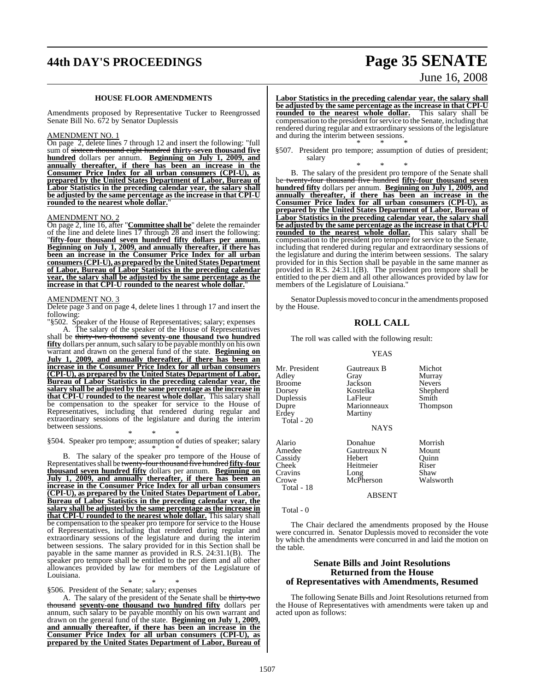## **44th DAY'S PROCEEDINGS Page 35 SENATE**

#### **HOUSE FLOOR AMENDMENTS**

Amendments proposed by Representative Tucker to Reengrossed Senate Bill No. 672 by Senator Duplessis

#### AMENDMENT NO. 1

On page 2, delete lines 7 through 12 and insert the following: "full sum of sixteen thousand eight hundred **thirty-seven thousand five hundred** dollars per annum. **Beginning on July 1, 2009, and annually thereafter, if there has been an increase in the Consumer Price Index for all urban consumers (CPI-U), as prepared by the United States Department of Labor, Bureau of Labor Statistics in the preceding calendar year, the salary shall be adjusted by the same percentage as the increase in that CPI-U rounded to the nearest whole dollar.**"

#### AMENDMENT NO. 2

On page 2, line 16, after "**Committee shall be**" delete the remainder of the line and delete lines 17 through 28 and insert the following: "**fifty-four thousand seven hundred fifty dollars per annum. Beginning on July 1, 2009, and annually thereafter, if there has been an increase in the Consumer Price Index for all urban consumers(CPI-U), as prepared by the United States Department of Labor, Bureau of Labor Statistics in the preceding calendar year, the salary shall be adjusted by the same percentage as the** increase in that CPI-U rounded to the nearest whole dollar.

#### AMENDMENT NO. 3

Delete page 3 and on page 4, delete lines 1 through 17 and insert the following:

"§502. Speaker of the House of Representatives; salary; expenses

A. The salary of the speaker of the House of Representatives shall be thirty-two thousand **seventy-one thousand two hundred fifty** dollars per annum, such salary to be payable monthly on his own warrant and drawn on the general fund of the state. **Beginning on July 1, 2009, and annually thereafter, if there has been an increase in the Consumer Price Index for all urban consumers (CPI-U), as prepared by the United States Department of Labor, Bureau of Labor Statistics in the preceding calendar year, the salary shall be adjusted by the same percentage as the increase in that CPI-U rounded to the nearest whole dollar.** This salary shall be compensation to the speaker for service to the House of Representatives, including that rendered during regular and extraordinary sessions of the legislature and during the interim between sessions.

\* \* \*

§504. Speaker pro tempore; assumption of duties of speaker; salary \* \* \*

B. The salary of the speaker pro tempore of the House of Representatives shall be twenty-fourthousand five hundred **fifty-four thousand seven hundred fifty** dollars per annum. **Beginning on July 1, 2009, and annually thereafter, if there has been an increase in the Consumer Price Index for all urban consumers (CPI-U), as prepared by the United States Department of Labor, Bureau of Labor Statistics in the preceding calendar year, the salary shall be adjusted by the same percentage as the increase in that CPI-U rounded to the nearest whole dollar.** This salary shall be compensation to the speaker pro tempore for service to the House of Representatives, including that rendered during regular and extraordinary sessions of the legislature and during the interim between sessions. The salary provided for in this Section shall be payable in the same manner as provided in R.S. 24:31.1(B). The speaker pro tempore shall be entitled to the per diem and all other allowances provided by law for members of the Legislature of Louisiana.

\* \* \* §506. President of the Senate; salary; expenses

A. The salary of the president of the Senate shall be thirty-two thousand **seventy-one thousand two hundred fifty** dollars per annum, such salary to be payable monthly on his own warrant and drawn on the general fund of the state. **Beginning on July 1, 2009, and annually thereafter, if there has been an increase in the Consumer Price Index for all urban consumers (CPI-U), as prepared by the United States Department of Labor, Bureau of** 

# June 16, 2008

**Labor Statistics in the preceding calendar year, the salary shall be adjusted by the same percentage as the increase in that CPI-U rounded to the nearest whole dollar.** This salary shall be compensation to the president for service to the Senate, including that rendered during regular and extraordinary sessions of the legislature and during the interim between sessions. \* \* \*

§507. President pro tempore; assumption of duties of president; salary

\* \* \* B. The salary of the president pro tempore of the Senate shall be twenty-four thousand five hundred **fifty-four thousand seven hundred fifty** dollars per annum. **Beginning on July 1, 2009, and annually thereafter, if there has been an increase in the Consumer Price Index for all urban consumers (CPI-U), as prepared by the United States Department of Labor, Bureau of Labor Statistics in the preceding calendar year, the salary shall be adjusted by the same percentage as the increase in that CPI-U rounded to the nearest whole dollar.** This salary shall be compensation to the president pro tempore for service to the Senate, including that rendered during regular and extraordinary sessions of the legislature and during the interim between sessions. The salary provided for in this Section shall be payable in the same manner as provided in R.S. 24:31.1(B). The president pro tempore shall be entitled to the per diem and all other allowances provided by law for members of the Legislature of Louisiana."

Senator Duplessis moved to concur in the amendments proposed by the House.

#### **ROLL CALL**

The roll was called with the following result:

#### YEAS

| Mr. President<br>Adley<br>Broome<br>Dorsey<br>Duplessis<br>Dupre<br>Erdey<br><b>Total</b> - 20 | Gautreaux B<br>Gray<br>Jackson<br>Kostelka<br>LaFleur<br>Marionneaux<br>Martiny<br><b>NAYS</b> | Michot<br>Murray<br><b>Nevers</b><br>Shepherd<br>Smith<br><b>Thompson</b> |
|------------------------------------------------------------------------------------------------|------------------------------------------------------------------------------------------------|---------------------------------------------------------------------------|
| Alario<br>Amedee<br>Cassidy<br>Cheek<br>Cravins<br>Crowe<br>Total - 18                         | Donahue<br>Gautreaux N<br>Hebert<br>Heitmeier<br>Long<br>McPherson                             | Morrish<br>Mount<br>Ouinn<br>Riser<br>Shaw<br>Walsworth                   |

ABSENT

Total - 0

The Chair declared the amendments proposed by the House were concurred in. Senator Duplessis moved to reconsider the vote by which the amendments were concurred in and laid the motion on the table.

### **Senate Bills and Joint Resolutions Returned from the House of Representatives with Amendments, Resumed**

The following Senate Bills and Joint Resolutions returned from the House of Representatives with amendments were taken up and acted upon as follows:

1507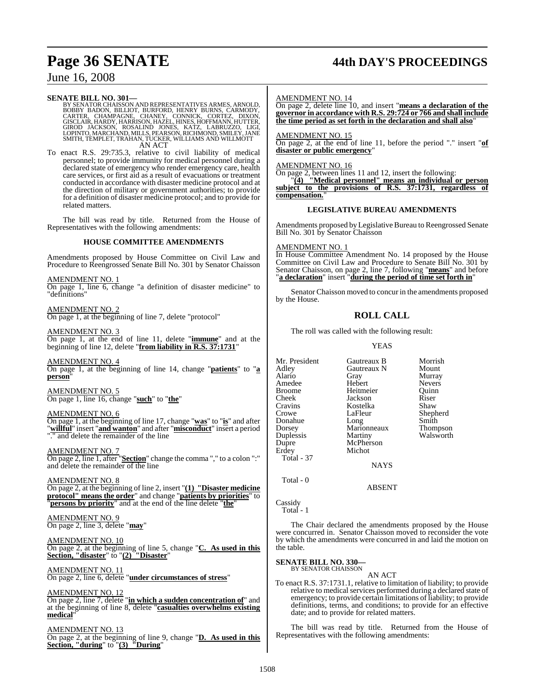## **Page 36 SENATE 44th DAY'S PROCEEDINGS**

## June 16, 2008

**SENATE BILL NO. 301—**<br>BY SENATOR CHAISSON AND REPRESENTATIVES ARMES, ARNOLD, BOBBY BADON, BILLIOT, BURFORD, HENRY BURNS, CARMODY, CARTER, CHAMPAGNE, CHANEY, CONNICK, CORTEZ, DIXON, GISCLAIR, HARDY, HARRISON, HAZEL, HINES, AN ACT

To enact R.S. 29:735.3, relative to civil liability of medical personnel; to provide immunity for medical personnel during a declared state of emergency who render emergency care, health care services, or first aid as a result of evacuations or treatment conducted in accordance with disaster medicine protocol and at the direction of military or government authorities; to provide for a definition of disaster medicine protocol; and to provide for related matters.

The bill was read by title. Returned from the House of Representatives with the following amendments:

#### **HOUSE COMMITTEE AMENDMENTS**

Amendments proposed by House Committee on Civil Law and Procedure to Reengrossed Senate Bill No. 301 by Senator Chaisson

#### AMENDMENT NO. 1

On page 1, line 6, change "a definition of disaster medicine" to "definitions"

#### AMENDMENT NO. 2

On page 1, at the beginning of line 7, delete "protocol"

#### AMENDMENT NO. 3

On page 1, at the end of line 11, delete "**immune**" and at the beginning of line 12, delete "**from liability in R.S. 37:1731**"

#### AMENDMENT NO. 4

On page 1, at the beginning of line 14, change "**patients**" to "**a person**"

AMENDMENT NO. 5 On page 1, line 16, change "**such**" to "**the**"

#### AMENDMENT NO. 6

On page 1, at the beginning of line 17, change "**was**" to "**is**" and after "**willful**" insert "**and wanton**" and after "**misconduct**" insert a period "." and delete the remainder of the line

#### AMENDMENT NO. 7

On page 2, line 1, after "**Section**" change the comma "," to a colon ":" and delete the remainder of the line

AMENDMENT NO. 8 On page 2, at the beginning of line 2, insert "**(1) "Disaster medicine protocol" means the order**" and change "**patients by priorities**" to "**persons by priority**" and at the end of the line delete "**the**"

AMENDMENT NO. 9 On page 2, line 3, delete "**may**"

AMENDMENT NO. 10 On page 2, at the beginning of line 5, change "**C. As used in this Section, "disaster**" to "**(2) "Disaster**"

AMENDMENT NO. 11 On page 2, line 6, delete "**under circumstances of stress**"

AMENDMENT NO. 12 On page 2, line 7, delete "**in which a sudden concentration of**" and at the beginning of line 8, delete "**casualties overwhelms existing medical**"

#### AMENDMENT NO. 13 On page 2, at the beginning of line 9, change "**D. As used in this Section, "during**" to "**(3) "During**"

#### AMENDMENT NO. 14

On page 2, delete line 10, and insert "**means a declaration of the governor in accordance with R.S. 29:724 or 766 and shall include the time period as set forth in the declaration and shall also**"

AMENDMENT NO. 15

On page 2, at the end of line 11, before the period "." insert "**of disaster or public emergency**"

#### AMENDMENT NO. 16

On page 2, between lines 11 and 12, insert the following:

"**(4) "Medical personnel" means an individual or person subject to the provisions of R.S. 37:1731, regardless of compensation.**"

#### **LEGISLATIVE BUREAU AMENDMENTS**

Amendments proposed by Legislative Bureau to Reengrossed Senate Bill No. 301 by Senator Chaisson

## AMENDMENT NO. 1

In House Committee Amendment No. 14 proposed by the House Committee on Civil Law and Procedure to Senate Bill No. 301 by Senator Chaisson, on page 2, line 7, following "**means**" and before "**a declaration**" insert "**during the period of time set forth in**"

Senator Chaisson moved to concur in the amendments proposed by the House.

## **ROLL CALL**

The roll was called with the following result:

#### YEAS

Shepherd<br>Smith

Mr. President Gautreaux B Morrish<br>Adley Gautreaux N Mount Adley Gautreaux N<br>Alario Gray Gray Murray<br>Hebert Nevers Amedee<br>Broome Broome Heitmeier Quinn<br>
Cheek Jackson Riser Cheek Jackson Riser<br>Cravins Kostelka Shaw Cravins Kostelka<br>Crowe LaFleur Donahue Long Smith<br>Dorsey Marionneaux Thompson Dorsey Marionneaux<br>
Duplessis Martiny Duplessis Martiny Walsworth<br>
Dupre McPherson McPherson Erdey Michot Total - 37

Total - 0

**Cassidy** Total - 1

The Chair declared the amendments proposed by the House were concurred in. Senator Chaisson moved to reconsider the vote by which the amendments were concurred in and laid the motion on the table.

**NAYS** 

ABSENT

#### **SENATE BILL NO. 330—** BY SENATOR CHAISSON

AN ACT

To enact R.S. 37:1731.1, relative to limitation of liability; to provide relative to medical services performed during a declared state of emergency; to provide certain limitations of liability; to provide definitions, terms, and conditions; to provide for an effective date; and to provide for related matters.

The bill was read by title. Returned from the House of Representatives with the following amendments: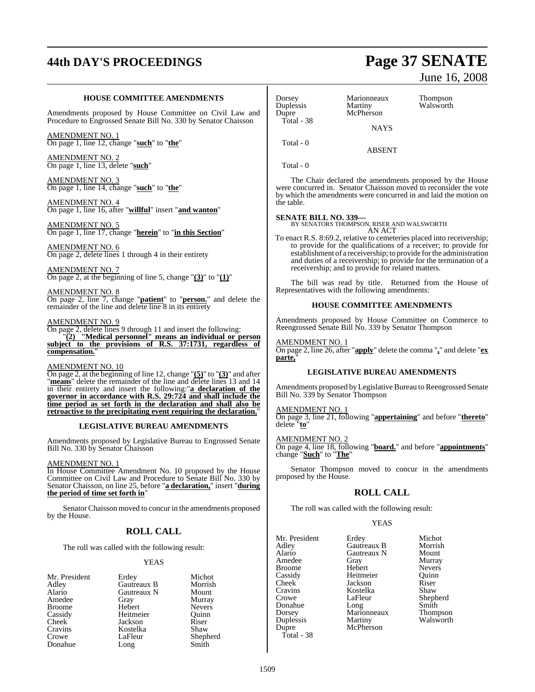# **44th DAY'S PROCEEDINGS Page 37 SENATE**

#### **HOUSE COMMITTEE AMENDMENTS**

Amendments proposed by House Committee on Civil Law and Procedure to Engrossed Senate Bill No. 330 by Senator Chaisson

AMENDMENT NO. 1 On page 1, line 12, change "**such**" to "**the**"

AMENDMENT NO. 2 On page 1, line 13, delete "**such**"

AMENDMENT NO. 3 On page 1, line 14, change "**such**" to "**the**"

AMENDMENT NO. 4 On page 1, line 16, after "**willful**" insert "**and wanton**"

AMENDMENT NO. 5 On page 1, line 17, change "**herein**" to "**in this Section**"

AMENDMENT NO. 6 On page 2, delete lines 1 through 4 in their entirety

AMENDMENT NO. 7 On page 2, at the beginning of line 5, change "**(3)**" to "**(1)**"

AMENDMENT NO. 8

On page 2, line 7, change "**patient**" to "**person.**" and delete the remainder of the line and delete line 8 in its entirety

#### AMENDMENT NO. 9

On page 2, delete lines 9 through 11 and insert the following: "**(2) "Medical personnel" means an individual or person subject to the provisions of R.S. 37:1731, regardless of** compensation.

#### AMENDMENT NO. 10

On page 2, at the beginning of line 12, change "**(5)**" to "**(3)**" and after "**means**" delete the remainder of the line and delete lines 13 and 14 in their entirety and insert the following:"**a declaration of the governor in accordance with R.S. 29:724 and shall include the time period as set forth in the declaration and shall also be retroactive to the precipitating event requiring the declaration.**"

#### **LEGISLATIVE BUREAU AMENDMENTS**

Amendments proposed by Legislative Bureau to Engrossed Senate Bill No. 330 by Senator Chaisson

#### AMENDMENT NO. 1

In House Committee Amendment No. 10 proposed by the House Committee on Civil Law and Procedure to Senate Bill No. 330 by Senator Chaisson, on line 25, before "**a declaration,**" insert "**during the period of time set forth in**"

SenatorChaisson moved to concur in the amendments proposed by the House.

#### **ROLL CALL**

The roll was called with the following result:

#### YEAS

- Adley Gautreaux B Morrish en Amedee Gray Grame Murray<br>Broome Hebert Nevers Broome Hebert Nevers<br>
Cassidy Heitmeier Quinn Cassidy Heitmeier Quinn Cheek Jackson Riser<br>Cravins Kostelka Shaw Cravins Kostelka<br>Crowe LaFleur Donahue Long
- Mr. President Erdey Michot<br>Adlev Gautreaux B Morrish Gautreaux N Mount<br>Gray Murray

Shepherd<br>Smith

# June 16, 2008

Dorsey Marionneaux Thompson<br>
Duplessis Martiny Walsworth Duplessis<br>Dupre McPherson Total - 38 **NAYS** Total - 0

Total - 0

The Chair declared the amendments proposed by the House were concurred in. Senator Chaisson moved to reconsider the vote by which the amendments were concurred in and laid the motion on the table.

ABSENT

**SENATE BILL NO. 339—** BY SENATORS THOMPSON, RISER AND WALSWORTH AN ACT

To enact R.S. 8:69.2, relative to cemeteries placed into receivership; to provide for the qualifications of a receiver; to provide for establishment of a receivership; to provide for the administration and duties of a receivership; to provide for the termination of a receivership; and to provide for related matters.

The bill was read by title. Returned from the House of Representatives with the following amendments:

#### **HOUSE COMMITTEE AMENDMENTS**

Amendments proposed by House Committee on Commerce to Reengrossed Senate Bill No. 339 by Senator Thompson

#### AMENDMENT NO. 1

On page 2, line 26, after "**apply**" delete the comma "**,**" and delete "**ex parte,**"

#### **LEGISLATIVE BUREAU AMENDMENTS**

Amendments proposed byLegislative Bureau to Reengrossed Senate Bill No. 339 by Senator Thompson

#### AMENDMENT NO. 1

On page 3, line 21, following "**appertaining**" and before "**thereto**" delete "**to**"

AMENDMENT NO. 2

On page 4, line 18, following "**board.**" and before "**appointments**" change "**Such**" to "**The**"

Senator Thompson moved to concur in the amendments proposed by the House.

#### **ROLL CALL**

The roll was called with the following result:

McPherson

#### YEAS

Mr. President Erdey Michot<br>Adley Gautreaux B Morrish Adley Gautreaux B Morrish Alario Gautreaux N<br>Amedee Gray Broome Hebert Nevers<br>
Cassidy Heitmeier Quinn Cassidy Heitmeier Quinn<br>
Cheek Jackson Riser Cheek Jackson Riser Cravins Kostelka<br>Crowe LaFleur Donahue Long Smith<br>Dorsey Marionneaux Thompson Dorsey Marionneaux<br>
Duplessis Martiny Duplessis Martiny Walsworth<br>Dupre McPherson Total - 38

Gray Murray<br>Hebert Nevers Shepherd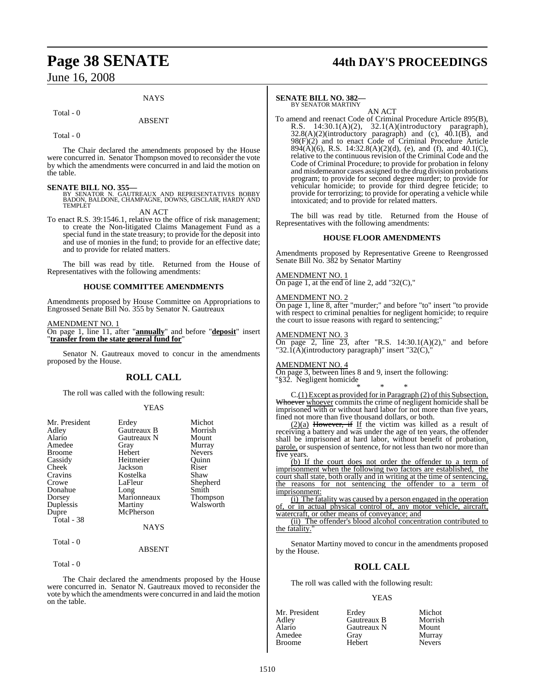#### **NAYS**

#### Total - 0

#### ABSENT

Total - 0

The Chair declared the amendments proposed by the House were concurred in. Senator Thompson moved to reconsider the vote by which the amendments were concurred in and laid the motion on the table.

**SENATE BILL NO. 355—**<br>BY SENATOR N. GAUTREAUX AND REPRESENTATIVES BOBBY<br>BADON, BALDONE, CHAMPAGNE, DOWNS, GISCLAIR, HARDY AND **TEMPLET** 

AN ACT

To enact R.S. 39:1546.1, relative to the office of risk management; to create the Non-litigated Claims Management Fund as a special fund in the state treasury; to provide for the deposit into and use of monies in the fund; to provide for an effective date; and to provide for related matters.

The bill was read by title. Returned from the House of Representatives with the following amendments:

#### **HOUSE COMMITTEE AMENDMENTS**

Amendments proposed by House Committee on Appropriations to Engrossed Senate Bill No. 355 by Senator N. Gautreaux

AMENDMENT NO. 1

On page 1, line 11, after "**annually**" and before "**deposit**" insert "**transfer from the state general fund for**"

Senator N. Gautreaux moved to concur in the amendments proposed by the House.

#### **ROLL CALL**

The roll was called with the following result:

#### YEAS

| Mr. President      | Erdey       | Michot        |
|--------------------|-------------|---------------|
|                    |             |               |
| Adley              | Gautreaux B | Morrish       |
| Alario             | Gautreaux N | Mount         |
| Amedee             | Gray        | Murray        |
| <b>Broome</b>      | Hebert      | <b>Nevers</b> |
| Cassidy            | Heitmeier   | Ouinn         |
| Cheek <sup>1</sup> | Jackson     | Riser         |
| Cravins            | Kostelka    | Shaw          |
| Crowe              | LaFleur     | Shepherd      |
| Donahue            | Long        | Smith         |
| Dorsey             | Marionneaux | Thompson      |
| Duplessis          | Martiny     | Walsworth     |
| Dupre              | McPherson   |               |
| Total - 38         |             |               |
|                    | <b>NAYS</b> |               |
| Total - 0          |             |               |
|                    | ABSENT      |               |

Total - 0

The Chair declared the amendments proposed by the House were concurred in. Senator N. Gautreaux moved to reconsider the vote by which the amendments were concurred in and laid the motion on the table.

# **Page 38 SENATE 44th DAY'S PROCEEDINGS**

#### **SENATE BILL NO. 382—** BY SENATOR MARTINY

AN ACT

To amend and reenact Code of Criminal Procedure Article 895(B), R.S. 14:30.1(A)(2), 32.1(A)(introductory paragraph),  $32.8(A)(2)$ (introductory paragraph) and (c),  $40.1(B)$ , and 98(F)(2) and to enact Code of Criminal Procedure Article  $894(\hat{A})(6)$ , R.S. 14:32.8(A)(2)(d), (e), and (f), and 40.1(C), relative to the continuous revision of the Criminal Code and the Code of Criminal Procedure; to provide for probation in felony and misdemeanor cases assigned to the drug division probations program; to provide for second degree murder; to provide for vehicular homicide; to provide for third degree feticide; to provide for terrorizing; to provide for operating a vehicle while intoxicated; and to provide for related matters.

The bill was read by title. Returned from the House of Representatives with the following amendments:

#### **HOUSE FLOOR AMENDMENTS**

Amendments proposed by Representative Greene to Reengrossed Senate Bill No. 382 by Senator Martiny

#### AMENDMENT NO. 1

On page 1, at the end of line 2, add "32 $(C)$ ,"

#### AMENDMENT NO. 2

On page 1, line 8, after "murder;" and before "to" insert "to provide with respect to criminal penalties for negligent homicide; to require the court to issue reasons with regard to sentencing;"

#### AMENDMENT NO. 3

On page 2, line  $23$ , after "R.S. 14:30.1(A)(2)," and before "32.1( $\vec{A}$ )(introductory paragraph)" insert "32( $\vec{C}$ ),

#### AMENDMENT NO. 4

On page 3, between lines 8 and 9, insert the following: "§32. Negligent homicide

\* \* \* C.(1) Except as provided for in Paragraph (2) of this Subsection, Whoever whoever commits the crime of negligent homicide shall be imprisoned with or without hard labor for not more than five years, fined not more than five thousand dollars, or both.

 $(2)(a)$  However, if If the victim was killed as a result of receiving a battery and was under the age of ten years, the offender shall be imprisoned at hard labor, without benefit of probation, parole, or suspension of sentence, for not less than two nor more than five years.

(b) If the court does not order the offender to a term of imprisonment when the following two factors are established, the court shall state, both orally and in writing at the time of sentencing, the reasons for not sentencing the offender to a term imprisonment:

(i) The fatality was caused by a person engaged in the operation of, or in actual physical control of, any motor vehicle, aircraft, watercraft, or other means of conveyance; and

(ii) The offender's blood alcohol concentration contributed to the fatality.

Senator Martiny moved to concur in the amendments proposed by the House.

#### **ROLL CALL**

The roll was called with the following result:

#### YEAS

| Mr. President | Erdey       | Michot        |
|---------------|-------------|---------------|
| Adley         | Gautreaux B | Morrish       |
| Alario        | Gautreaux N | Mount         |
| Amedee        | Grav        | Murray        |
| <b>Broome</b> | Hebert      | <b>Nevers</b> |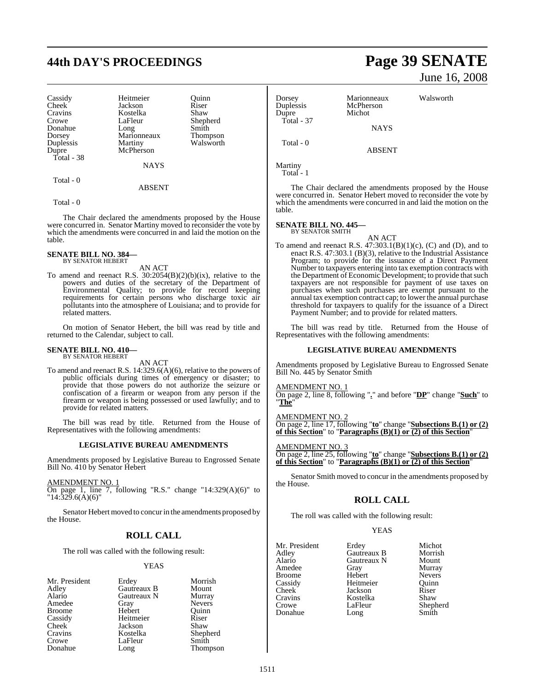# **44th DAY'S PROCEEDINGS Page 39 SENATE**

Cassidy Heitmeier Quinn<br>
Cheek Jackson Riser Cravins Kostelka<br>Crowe LaFleur Total - 38

Cheek Jackson Riser<br>Cravins Kostelka Shaw LaFleur Shepherd<br>Long Smith Donahue Long Smith<br>Dorsey Marionneaux Thompson Dorsey Marionneaux<br>
Duplessis Martiny Duplessis Martiny Walsworth<br>Duppe McPherson McPherson

**NAYS** 

ABSENT

Total - 0

Total - 0

The Chair declared the amendments proposed by the House were concurred in. Senator Martiny moved to reconsider the vote by which the amendments were concurred in and laid the motion on the table.

#### **SENATE BILL NO. 384—** BY SENATOR HEBERT

AN ACT

To amend and reenact R.S.  $30:2054(B)(2)(b)(ix)$ , relative to the powers and duties of the secretary of the Department of Environmental Quality; to provide for record keeping requirements for certain persons who discharge toxic air pollutants into the atmosphere of Louisiana; and to provide for related matters.

On motion of Senator Hebert, the bill was read by title and returned to the Calendar, subject to call.

#### **SENATE BILL NO. 410—** BY SENATOR HEBERT

AN ACT

To amend and reenact R.S. 14:329.6(A)(6), relative to the powers of public officials during times of emergency or disaster; to provide that those powers do not authorize the seizure or confiscation of a firearm or weapon from any person if the firearm or weapon is being possessed or used lawfully; and to provide for related matters.

The bill was read by title. Returned from the House of Representatives with the following amendments:

#### **LEGISLATIVE BUREAU AMENDMENTS**

Amendments proposed by Legislative Bureau to Engrossed Senate Bill No. 410 by Senator Hebert

#### AMENDMENT NO. 1

On page 1, line 7, following "R.S." change "14:329(A)(6)" to "14:329.6(A)(6)"

Senator Hebert moved to concurin the amendments proposed by the House.

#### **ROLL CALL**

The roll was called with the following result:

#### **YEAS**

Morrish Mount Murray Nevers Quinn<br>Riser

Shepherd

Thompson

| Mr. President | Erdey       | Morri |
|---------------|-------------|-------|
| Adley         | Gautreaux B | Moun  |
| Alario        | Gautreaux N | Murra |
| Amedee        | Gray        | Never |
| <b>Broome</b> | Hebert      | Quinn |
| Cassidy       | Heitmeier   | Riser |
| Cheek         | Jackson     | Shaw  |
| Cravins       | Kostelka    | Sheph |
| Crowe         | LaFleur     | Smith |
| Donahue       | Long        | Thom  |

June 16, 2008

| Dorsey<br>Duplessis<br>Dupre | Marionneaux<br>McPherson<br>Michot | Walsworth |
|------------------------------|------------------------------------|-----------|
| Total - 37                   | <b>NAYS</b>                        |           |
| Total - 0                    | ABSENT                             |           |

Martiny

Total - 1

The Chair declared the amendments proposed by the House were concurred in. Senator Hebert moved to reconsider the vote by which the amendments were concurred in and laid the motion on the table.

#### **SENATE BILL NO. 445—** BY SENATOR SMITH

AN ACT

To amend and reenact R.S.  $47:303.1(B)(1)(c)$ , (C) and (D), and to enact R.S. 47:303.1 (B)(3), relative to the Industrial Assistance Program; to provide for the issuance of a Direct Payment Number to taxpayers entering into tax exemption contracts with the Department of Economic Development; to provide that such taxpayers are not responsible for payment of use taxes on purchases when such purchases are exempt pursuant to the annual tax exemption contract cap; to lower the annual purchase threshold for taxpayers to qualify for the issuance of a Direct Payment Number; and to provide for related matters.

The bill was read by title. Returned from the House of Representatives with the following amendments:

#### **LEGISLATIVE BUREAU AMENDMENTS**

Amendments proposed by Legislative Bureau to Engrossed Senate Bill No. 445 by Senator Smith

AMENDMENT NO. 1

On page 2, line 8, following "**.**" and before "**DP**" change "**Such**" to "**The**"

AMENDMENT NO. 2 On page 2, line 17, following "**to**" change "**Subsections B.(1) or (2) of this Section**" to "**Paragraphs (B)(1) or (2) of this Section**"

#### AMENDMENT NO. 3

On page 2, line 25, following "**to**" change "**Subsections B.(1) or (2) of this Section**" to "**Paragraphs (B)(1) or (2) of this Section**"

Senator Smith moved to concur in the amendments proposed by the House.

#### **ROLL CALL**

The roll was called with the following result:

#### YEAS

| Mr. President | Erdey       | Michot        |
|---------------|-------------|---------------|
| Adley         | Gautreaux B | Morrish       |
| Alario        | Gautreaux N | Mount         |
| Amedee        | Gray        | Murray        |
| <b>Broome</b> | Hebert      | <b>Nevers</b> |
| Cassidy       | Heitmeier   | Ouinn         |
| Cheek         | Jackson     | Riser         |
| Cravins       | Kostelka    | Shaw          |
| Crowe         | LaFleur     | Shepherd      |
| Donahue       | Long        | Smith         |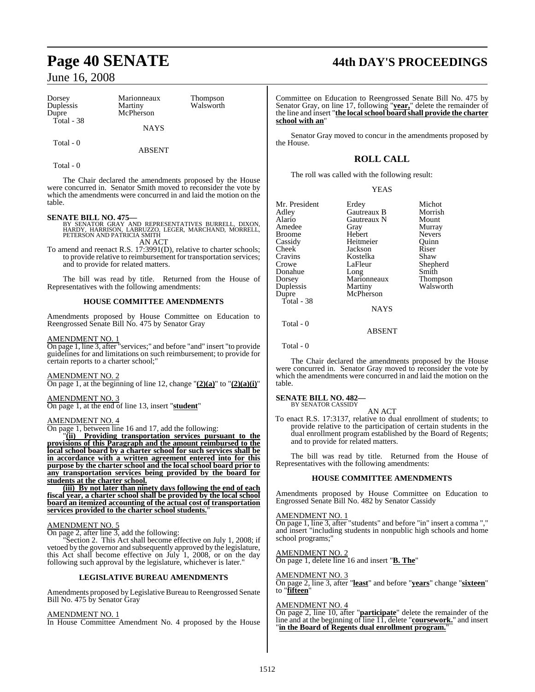| Dorsey     | Marionneaux | Thompson  |  |
|------------|-------------|-----------|--|
| Duplessis  | Martiny     | Walsworth |  |
| Dupre      | McPherson   |           |  |
| Total - 38 |             |           |  |
|            | <b>NAYS</b> |           |  |
|            |             |           |  |
| Total - 0  |             |           |  |

ABSENT

Total - 0

The Chair declared the amendments proposed by the House were concurred in. Senator Smith moved to reconsider the vote by which the amendments were concurred in and laid the motion on the table.

- **SENATE BILL NO. 475—**<br>BY SENATOR GRAY AND REPRESENTATIVES BURRELL, DIXON,<br>HARDY, HARRISON, LABRUZZO, LEGER, MARCHAND, MORRELL,<br>PETERSON AND PATRICIA SMITH AN ACT
- To amend and reenact R.S. 17:3991(D), relative to charter schools; to provide relative to reimbursement for transportation services; and to provide for related matters.

The bill was read by title. Returned from the House of Representatives with the following amendments:

#### **HOUSE COMMITTEE AMENDMENTS**

Amendments proposed by House Committee on Education to Reengrossed Senate Bill No. 475 by Senator Gray

#### AMENDMENT NO. 1

On page 1, line 3, after "services;" and before "and" insert "to provide guidelines for and limitations on such reimbursement; to provide for certain reports to a charter school;"

#### AMENDMENT NO. 2

On page 1, at the beginning of line 12, change  $"(\underline{2})(a)"$  to  $"(\underline{2})(a)(i)"$ 

### AMENDMENT NO. 3

On page 1, at the end of line 13, insert "**student**"

#### AMENDMENT NO. 4

On page 1, between line 16 and 17, add the following:

"**(ii) Providing transportation services pursuant to the provisions of this Paragraph and the amount reimbursed to the local school board by a charter school for such services shall be in accordance with a written agreement entered into for this purpose by the charter school and the local school board prior to any transportation services being provided by the board for students at the charter school.**

**(iii) By not later than ninety days following the end of each fiscal year, a charter school shall be provided by the local school board an itemized accounting of the actual cost of transportation services provided to the charter school students.**"

#### AMENDMENT NO. 5

On page 2, after line 3, add the following:

Section 2. This Act shall become effective on July 1, 2008; if vetoed by the governor and subsequently approved by the legislature, this Act shall become effective on July 1, 2008, or on the day following such approval by the legislature, whichever is later."

#### **LEGISLATIVE BUREAU AMENDMENTS**

Amendments proposed by Legislative Bureau to Reengrossed Senate Bill No. 475 by Senator Gray

#### AMENDMENT NO. 1

In House Committee Amendment No. 4 proposed by the House

# **Page 40 SENATE 44th DAY'S PROCEEDINGS**

Committee on Education to Reengrossed Senate Bill No. 475 by Senator Gray, on line 17, following "**year,**" delete the remainder of the line and insert "**the localschool board shall provide the charter school with an**"

Senator Gray moved to concur in the amendments proposed by the House.

## **ROLL CALL**

The roll was called with the following result:

| Mr. President | Erdey       | Michot        |
|---------------|-------------|---------------|
| Adley         | Gautreaux B | Morrish       |
| Alario        | Gautreaux N | Mount         |
| Amedee        | Gray        | Murray        |
| Broome        | Hebert      | <b>Nevers</b> |
| Cassidy       | Heitmeier   | Ouinn         |
| Cheek         | Jackson     | Riser         |
| Cravins       | Kostelka    | Shaw          |
| Crowe         | LaFleur     | Shepherd      |
| Donahue       | Long        | Smith         |
| Dorsey        | Marionneaux | Thompson      |
| Duplessis     | Martiny     | Walsworth     |
| Dupre         | McPherson   |               |
| Total - 38    |             |               |
|               | <b>NAYS</b> |               |
|               |             |               |

Total - 0

Total - 0

The Chair declared the amendments proposed by the House were concurred in. Senator Gray moved to reconsider the vote by which the amendments were concurred in and laid the motion on the table.

ABSENT

#### **SENATE BILL NO. 482—** BY SENATOR CASSIDY

AN ACT

To enact R.S. 17:3137, relative to dual enrollment of students; to provide relative to the participation of certain students in the dual enrollment program established by the Board of Regents; and to provide for related matters.

The bill was read by title. Returned from the House of Representatives with the following amendments:

#### **HOUSE COMMITTEE AMENDMENTS**

Amendments proposed by House Committee on Education to Engrossed Senate Bill No. 482 by Senator Cassidy

AMENDMENT NO. 1

On page 1, line 3, after "students" and before "in" insert a comma "," and insert "including students in nonpublic high schools and home school programs;"

AMENDMENT NO. 2 On page 1, delete line 16 and insert "**B. The**"

#### AMENDMENT NO. 3

On page 2, line 3, after "**least**" and before "**years**" change "**sixteen**" to "**fifteen**"

#### AMENDMENT NO. 4

On page 2, line 10, after "**participate**" delete the remainder of the line and at the beginning of line 11, delete "**coursework.**" and insert "**in the Board of Regents dual enrollment program.**"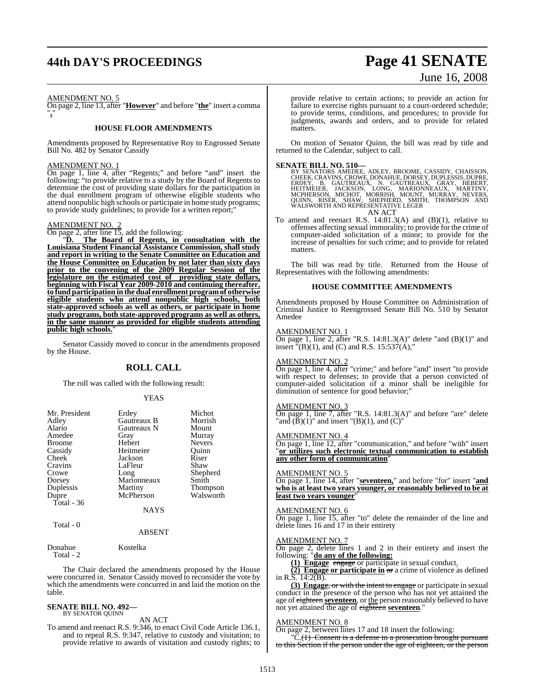# **44th DAY'S PROCEEDINGS Page 41 SENATE**

# June 16, 2008

#### AMENDMENT NO. 5

On page 2, line 13, after "**However**" and before "**the**" insert a comma "**,**"

#### **HOUSE FLOOR AMENDMENTS**

Amendments proposed by Representative Roy to Engrossed Senate Bill No. 482 by Senator Cassidy

#### AMENDMENT NO. 1

On page 1, line 4, after "Regents;" and before "and" insert the following: "to provide relative to a study by the Board of Regents to determine the cost of providing state dollars for the participation in the dual enrollment program of otherwise eligible students who attend nonpublic high schools or participate in home study programs; to provide study guidelines; to provide for a written report;"

#### AMENDMENT NO. 2

On page 2, after line 15, add the following:

"**D. The Board of Regents, in consultation with the Louisiana Student Financial Assistance Commission, shall study and report in writing to the Senate Committee on Education and the House Committee on Education by not later than sixty days prior to the convening of the 2009 Regular Session of the legislature on the estimated cost of providing state dollars, beginning with Fiscal Year 2009-2010 and continuing thereafter, to fund participation in the dual enrollment program of otherwise eligible students who attend nonpublic high schools, both state-approved schools as well as others, or participate in home study programs, both state-approved programs as well as others, in the same manner as provided for eligible students attending public high schools.**"

Senator Cassidy moved to concur in the amendments proposed by the House.

#### **ROLL CALL**

The roll was called with the following result:

#### YEAS

| Mr. President | Erdey       | Michot          |
|---------------|-------------|-----------------|
| Adley         | Gautreaux B | Morrish         |
| Alario        | Gautreaux N | Mount           |
| Amedee        | Gray        | Murray          |
| <b>Broome</b> | Hebert      | <b>Nevers</b>   |
| Cassidy       | Heitmeier   | Quinn           |
| Cheek         | Jackson     | Riser           |
| Cravins       | LaFleur     | Shaw            |
| Crowe         | Long        | Shepherd        |
| Dorsey        | Marionneaux | Smith           |
| Duplessis     | Martiny     | <b>Thompson</b> |
| Dupre         | McPherson   | Walsworth       |
| Total - 36    |             |                 |
|               | <b>NAYS</b> |                 |
| $Total - 0$   |             |                 |

#### ABSENT

Donahue Kostelka

Total - 2

The Chair declared the amendments proposed by the House were concurred in. Senator Cassidy moved to reconsider the vote by which the amendments were concurred in and laid the motion on the table.

#### **SENATE BILL NO. 492—** BY SENATOR QUINN

#### AN ACT

To amend and reenact R.S. 9:346, to enact Civil Code Article 136.1, and to repeal R.S. 9:347, relative to custody and visitation; to provide relative to awards of visitation and custody rights; to

provide relative to certain actions; to provide an action for failure to exercise rights pursuant to a court-ordered schedule; to provide terms, conditions, and procedures; to provide for judgments, awards and orders, and to provide for related **matters** 

On motion of Senator Quinn, the bill was read by title and returned to the Calendar, subject to call.

#### **SENATE BILL NO. 510—**

BY SENATORS AMEDEE, ADLEY, BROOME, CASSIDY, CHAISSON,<br>CHEEK, CRAVINS, CROWE, DONAHUE, DORSEY, DUPLESSIS, DUPRE,<br>ERDEY, B. GAUTREAUX, N. GAUTREAUX, GRAY, HEBERT,<br>HEITMEIER, JACKSON, LONG, MARIONNEAUX, MARTINY,<br>MCPHERSON, MI AN ACT

To amend and reenact R.S.  $14:81.3(A)$  and  $(B)(1)$ , relative to offenses affecting sexual immorality; to provide for the crime of computer-aided solicitation of a minor; to provide for the increase of penalties for such crime; and to provide for related matters.

The bill was read by title. Returned from the House of Representatives with the following amendments:

#### **HOUSE COMMITTEE AMENDMENTS**

Amendments proposed by House Committee on Administration of Criminal Justice to Reengrossed Senate Bill No. 510 by Senator Amedee

#### AMENDMENT NO. 1

On page 1, line 2, after "R.S. 14:81.3(A)" delete "and (B)(1)" and insert  $\sqrt[m]{B(1)}$ , and (C) and R.S. 15:537(A),"

#### AMENDMENT NO. 2

On page 1, line 4, after "crime;" and before "and" insert "to provide with respect to defenses; to provide that a person convicted of computer-aided solicitation of a minor shall be ineligible for diminution of sentence for good behavior;

#### AMENDMENT NO. 3

On page 1, line 7, after "R.S. 14:81.3(A)" and before "are" delete "and  $(\bar{B})(1)$ " and insert " $(B)(1)$ , and  $(C)$ "

#### AMENDMENT NO. 4

On page 1, line 12, after "communication," and before "with" insert "**or utilizes such electronic textual communication to establish any other form of communication**"

#### AMENDMENT NO. 5

On page 1, line 14, after "**seventeen,**" and before "for" insert "**and who is at least two years younger, or reasonably believed to be at least two years younger**"

#### AMENDMENT NO. 6

On page 1, line 15, after "to" delete the remainder of the line and delete lines 16 and 17 in their entirety

## AMENDMENT NO. 7

On page 2, delete lines 1 and 2 in their entirety and insert the following: "**do any of the following:**

**(1) Engage** engage or participate in sexual conduct.

**(2) Engage or participate in**  $\sigma$  a crime of violence as defined in R.S. 14:2(B).

**(3) Engage**, or with the intent to engage or participate in sexual conduct in the presence of the person who has not yet attained the age of eighteen **seventeen**, or the person reasonably believed to have not yet attained the age of eighteen **seventeen**."

#### AMENDMENT NO. 8

On page 2, between lines 17 and 18 insert the following:

 $\overline{C}(1)$  Consent is a defense to a prosecution brought pursuant to this Section if the person under the age of eighteen, or the person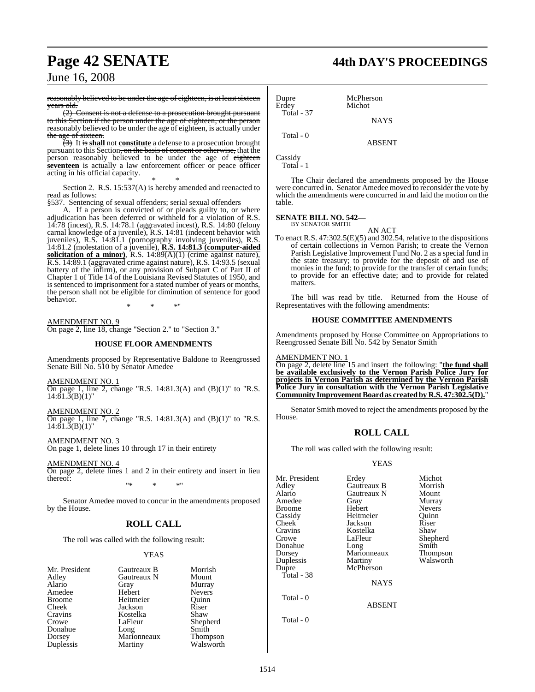reasonably believed to be under the age of eighteen, is at least sixteen years old.

(2) Consent is not a defense to a prosecution brought pursuant to this Section if the person under the age of eighteen, or the person reasonably believed to be under the age of eighteen, is actually under the age of sixteen.

(3) It is **shall** not **constitute** a defense to a prosecution brought pursuant to this Section, on the basis of consent or otherwise, that the person reasonably believed to be under the age of eighteen **seventeen** is actually a law enforcement officer or peace officer acting in his official capacity.

\* \* \* Section 2. R.S. 15:537(A) is hereby amended and reenacted to read as follows:

§537. Sentencing of sexual offenders; serial sexual offenders

A. If a person is convicted of or pleads guilty to, or where adjudication has been deferred or withheld for a violation of R.S. 14:78 (incest), R.S. 14:78.1 (aggravated incest), R.S. 14:80 (felony carnal knowledge of a juvenile), R.S. 14:81 (indecent behavior with juveniles), R.S. 14:81.1 (pornography involving juveniles), R.S. 14:81.2 (molestation of a juvenile), **R.S. 14:81.3 (computer-aided solicitation of a minor)**, R.S. 14:89(A)(1) (crime against nature), R.S. 14:89.1 (aggravated crime against nature), R.S. 14:93.5 (sexual battery of the infirm), or any provision of Subpart C of Part II of Chapter 1 of Title 14 of the Louisiana Revised Statutes of 1950, and is sentenced to imprisonment for a stated number of years or months, the person shall not be eligible for diminution of sentence for good behavior.

\* \* \*"

AMENDMENT NO. 9 On page 2, line 18, change "Section 2." to "Section 3."

#### **HOUSE FLOOR AMENDMENTS**

Amendments proposed by Representative Baldone to Reengrossed Senate Bill No. 510 by Senator Amedee

AMENDMENT NO. 1

On page 1, line 2, change "R.S. 14:81.3(A) and (B)(1)" to "R.S.  $14:81.\overline{3}(B)(1)$ "

AMENDMENT NO. 2 On page 1, line 7, change "R.S. 14:81.3(A) and (B)(1)" to "R.S.  $14:81.\overline{3}$ (B)(1)"

AMENDMENT NO. 3 On page 1, delete lines 10 through 17 in their entirety

AMENDMENT NO. 4 On page 2, delete lines 1 and 2 in their entirety and insert in lieu thereof:

"\* \* \*"

Senator Amedee moved to concur in the amendments proposed by the House.

## **ROLL CALL**

The roll was called with the following result:

#### YEAS

| Mr. President | Gautreaux B | Morrish               |
|---------------|-------------|-----------------------|
| Adley         | Gautreaux N | Mount                 |
| Alario        | Gray        | Murray                |
| Amedee        | Hebert      | <b>Nevers</b>         |
| <b>Broome</b> | Heitmeier   | Ouinn                 |
| Cheek         | Jackson     | Riser                 |
| Cravins       | Kostelka    | Shaw                  |
| Crowe         | LaFleur     | Shepherd              |
| Donahue       | Long        | Smith                 |
| Dorsey        | Marionneaux |                       |
| Duplessis     | Martiny     | Thompson<br>Walsworth |
|               |             |                       |

# **Page 42 SENATE 44th DAY'S PROCEEDINGS**

Dupre McPherson<br>Erdey Michot Michot Total - 37 **NAYS**  Total - 0 ABSENT

Cassidy Total - 1

The Chair declared the amendments proposed by the House were concurred in. Senator Amedee moved to reconsider the vote by which the amendments were concurred in and laid the motion on the table.

## **SENATE BILL NO. 542—** BY SENATOR SMITH

AN ACT

To enact R.S. 47:302.5(E)(5) and 302.54, relative to the dispositions of certain collections in Vernon Parish; to create the Vernon Parish Legislative Improvement Fund No. 2 as a special fund in the state treasury; to provide for the deposit of and use of monies in the fund; to provide for the transfer of certain funds; to provide for an effective date; and to provide for related matters.

The bill was read by title. Returned from the House of Representatives with the following amendments:

#### **HOUSE COMMITTEE AMENDMENTS**

Amendments proposed by House Committee on Appropriations to Reengrossed Senate Bill No. 542 by Senator Smith

AMENDMENT NO. 1 On page 2, delete line 15 and insert the following: "**the fund shall be available exclusively to the Vernon Parish Police Jury for**

**projects in Vernon Parish as determined by the Vernon Parish Police Jury in consultation with the Vernon Parish Legislative Community ImprovementBoardas created by R.S. 47:302.5(D).**"

Senator Smith moved to reject the amendments proposed by the House.

#### **ROLL CALL**

The roll was called with the following result:

#### YEAS

| Mr. President<br>Adley<br>Alario<br>Amedee<br>Broome<br>Cassidy<br>Cheek <sup>-</sup><br>Cravins<br>Crowe<br>Donahue<br>Dorsey<br>Duplessis<br>Dupre<br>Total - 38 | Erdey<br>Gautreaux B<br>Gautreaux N<br>Gray<br>Hebert<br>Heitmeier<br>Jackson<br>Kostelka<br>LaFleur<br>Long<br>Marionneaux<br>Martiny<br>McPherson<br><b>NAYS</b> | Michot<br>Morrish<br>Mount<br>Murray<br><b>Nevers</b><br>Ouinn<br>Riser<br>Shaw<br>Shepherd<br>Smith<br>Thompson<br>Walsworth |
|--------------------------------------------------------------------------------------------------------------------------------------------------------------------|--------------------------------------------------------------------------------------------------------------------------------------------------------------------|-------------------------------------------------------------------------------------------------------------------------------|
| Total - 0                                                                                                                                                          | <b>ABSENT</b>                                                                                                                                                      |                                                                                                                               |

Total - 0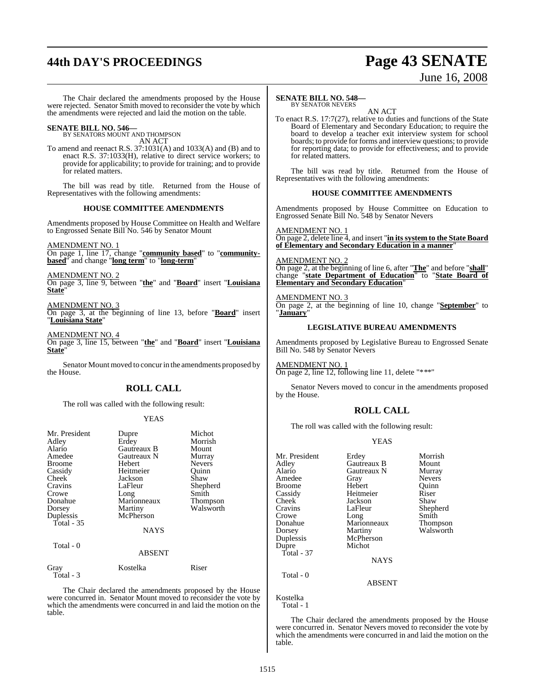# **44th DAY'S PROCEEDINGS Page 43 SENATE**

# June 16, 2008

The Chair declared the amendments proposed by the House were rejected. Senator Smith moved to reconsider the vote by which the amendments were rejected and laid the motion on the table.

**SENATE BILL NO. 546—** BY SENATORS MOUNT AND THOMPSON

AN ACT

To amend and reenact R.S. 37:1031(A) and 1033(A) and (B) and to enact R.S. 37:1033(H), relative to direct service workers; to provide for applicability; to provide for training; and to provide for related matters.

The bill was read by title. Returned from the House of Representatives with the following amendments:

#### **HOUSE COMMITTEE AMENDMENTS**

Amendments proposed by House Committee on Health and Welfare to Engrossed Senate Bill No. 546 by Senator Mount

AMENDMENT NO. 1 On page 1, line 17, change "**community based**" to "**community-**

**based**" and change "**long term**" to "**long-term**"

AMENDMENT NO. 2 On page 3, line 9, between "**the**" and "**Board**" insert "**Louisiana State**"

AMENDMENT NO. 3

On page 3, at the beginning of line 13, before "**Board**" insert "**Louisiana State**"

AMENDMENT NO. 4

On page 3, line 15, between "**the**" and "**Board**" insert "**Louisiana State**"

Senator Mount moved to concurin the amendments proposed by the House.

## **ROLL CALL**

The roll was called with the following result:

#### YEAS

| Mr. President<br>Adley<br>Alario<br>Amedee<br>Broome<br>Cassidy<br>Cheek<br>Cravins<br>Crowe<br>Donahue<br>Dorsey<br>Duplessis<br>Total $-35$ | Dupre<br>Erdey<br>Gautreaux B<br>Gautreaux N<br>Hebert<br>Heitmeier<br>Jackson<br>LaFleur<br>Long<br>Marionneaux<br>Martiny<br>McPherson<br><b>NAYS</b> | Michot<br>Morrish<br>Mount<br>Murray<br><b>Nevers</b><br>Ouinn<br>Shaw<br>Shepherd<br>Smith<br>Thompson<br>Walsworth |
|-----------------------------------------------------------------------------------------------------------------------------------------------|---------------------------------------------------------------------------------------------------------------------------------------------------------|----------------------------------------------------------------------------------------------------------------------|
| Total - 0                                                                                                                                     | <b>ABSENT</b>                                                                                                                                           |                                                                                                                      |
| Gray<br>Total - 3                                                                                                                             | Kostelka                                                                                                                                                | Riser                                                                                                                |

The Chair declared the amendments proposed by the House were concurred in. Senator Mount moved to reconsider the vote by which the amendments were concurred in and laid the motion on the table.

#### **SENATE BILL NO. 548—**

BY SENATOR NEVERS AN ACT

To enact R.S. 17:7(27), relative to duties and functions of the State Board of Elementary and Secondary Education; to require the board to develop a teacher exit interview system for school boards; to provide for forms and interview questions; to provide for reporting data; to provide for effectiveness; and to provide for related matters.

The bill was read by title. Returned from the House of Representatives with the following amendments:

#### **HOUSE COMMITTEE AMENDMENTS**

Amendments proposed by House Committee on Education to Engrossed Senate Bill No. 548 by Senator Nevers

### AMENDMENT NO. 1

On page 2, delete line 4, and insert "**in its system to the State Board of Elementary and Secondary Education in a manner**"

#### AMENDMENT NO. 2

On page 2, at the beginning of line 6, after "**The**" and before "**shall**" change "**state Department of Education**" to "**State Board of Elementary and Secondary Education**"

#### AMENDMENT NO. 3

On page 2, at the beginning of line 10, change "**September**" to "**January**"

#### **LEGISLATIVE BUREAU AMENDMENTS**

Amendments proposed by Legislative Bureau to Engrossed Senate Bill No. 548 by Senator Nevers

AMENDMENT NO. 1 On page 2, line 12, following line 11, delete "\*\*\*"

Senator Nevers moved to concur in the amendments proposed by the House.

#### **ROLL CALL**

The roll was called with the following result:

#### YEAS

| Mr. President<br>Adley<br>Alario<br>Amedee<br><b>Broome</b><br>Cassidy<br>Cheek<br>Cravins<br>Crowe<br>Donahue<br>Dorsey<br>Duplessis<br>Dupre<br>Total - $37$ | Erdey<br>Gautreaux B<br>Gautreaux N<br>Gray<br>Hebert<br>Heitmeier<br>Jackson<br>LaFleur<br>Long<br>Marionneaux<br>Martiny<br>McPherson<br>Michot<br><b>NAYS</b> | Morrish<br>Mount<br>Murray<br><b>Nevers</b><br>Ouinn<br>Riser<br>Shaw<br>Shepherd<br>Smith<br>Thompson<br>Walsworth |
|----------------------------------------------------------------------------------------------------------------------------------------------------------------|------------------------------------------------------------------------------------------------------------------------------------------------------------------|---------------------------------------------------------------------------------------------------------------------|
| Total - 0                                                                                                                                                      | <b>ABSENT</b>                                                                                                                                                    |                                                                                                                     |
| $V_{\text{out}}$ $11_{\text{tot}}$                                                                                                                             |                                                                                                                                                                  |                                                                                                                     |

Kostelka Total - 1

The Chair declared the amendments proposed by the House were concurred in. Senator Nevers moved to reconsider the vote by which the amendments were concurred in and laid the motion on the table.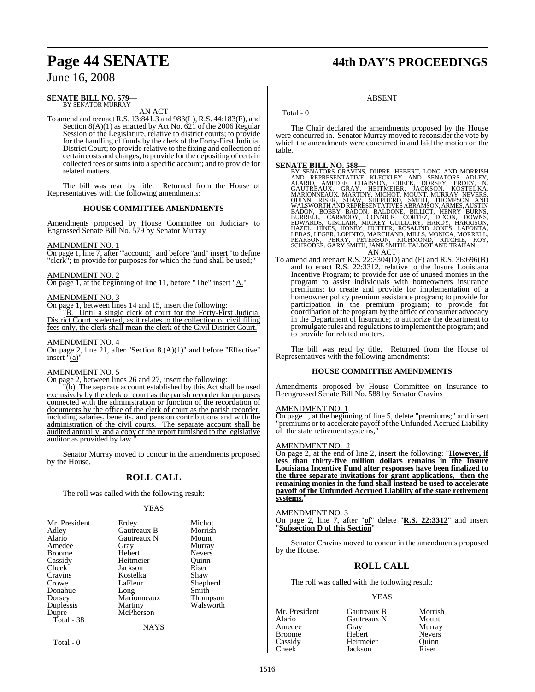# **Page 44 SENATE 44th DAY'S PROCEEDINGS**

## June 16, 2008

#### **SENATE BILL NO. 579—** BY SENATOR MURRAY

AN ACT

To amend and reenact R.S. 13:841.3 and 983(L), R.S. 44:183(F), and Section 8(A)(1) as enacted by Act No. 621 of the 2006 Regular Session of the Legislature, relative to district courts; to provide for the handling of funds by the clerk of the Forty-First Judicial District Court; to provide relative to the fixing and collection of certain costs and charges; to provide forthe depositing of certain collected fees or sums into a specific account; and to provide for related matters.

The bill was read by title. Returned from the House of Representatives with the following amendments:

#### **HOUSE COMMITTEE AMENDMENTS**

Amendments proposed by House Committee on Judiciary to Engrossed Senate Bill No. 579 by Senator Murray

#### AMENDMENT NO. 1

On page 1, line 7, after "'account;" and before "and" insert "to define "clerk"; to provide for purposes for which the fund shall be used;"

#### AMENDMENT NO. 2

On page 1, at the beginning of line 11, before "The" insert "A."

#### AMENDMENT NO. 3

On page 1, between lines 14 and 15, insert the following:

"B. Until a single clerk of court for the Forty-First Judicial District Court is elected, as it relates to the collection of civil filing fees only, the clerk shall mean the clerk of the Civil District Court."

#### AMENDMENT NO. 4

On page 2, line 21, after "Section 8.(A)(1)" and before "Effective" insert "(a)"

#### AMENDMENT NO. 5

On page 2, between lines 26 and 27, insert the following:

"(b) The separate account established by this Act shall be used exclusively by the clerk of court as the parish recorder for purposes connected with the administration or function of the recordation of documents by the office of the clerk of court as the parish recorder, including salaries, benefits, and pension contributions and with the administration of the civil courts. The separate account shall be audited annually, and a copy of the report furnished to the legislative auditor as provided by law.

Senator Murray moved to concur in the amendments proposed by the House.

## **ROLL CALL**

The roll was called with the following result:

#### YEAS

| Mr. President | Erdey       | Michot          |
|---------------|-------------|-----------------|
| Adley         | Gautreaux B | Morrish         |
| Alario        | Gautreaux N | Mount           |
| Amedee        | Gray        | Murray          |
| <b>Broome</b> | Hebert      | <b>Nevers</b>   |
| Cassidy       | Heitmeier   | Ouinn           |
| Cheek         | Jackson     | Riser           |
| Cravins       | Kostelka    | Shaw            |
| Crowe         | LaFleur     | Shepherd        |
| Donahue       | Long        | Smith           |
| Dorsey        | Marionneaux | <b>Thompson</b> |
| Duplessis     | Martiny     | Walsworth       |
| Dupre         | McPherson   |                 |
| Total - 38    |             |                 |
|               | <b>NAYS</b> |                 |

Total - 0

## Total - 0

The Chair declared the amendments proposed by the House were concurred in. Senator Murray moved to reconsider the vote by which the amendments were concurred in and laid the motion on the table.

ABSENT

#### **SENATE BILL NO. 588—**

- BY SENATORS CRAVINS, DUPRE, HEBERT, LONG AND MORRISH AND REPRESENTATIVE KLECKLEY AND SENATORS ADLEY, NALARIO, AMEDER, CHAISSON, CHEEK, DORSEY, ERDEY, NAARIONNEAUX, ORAY, HEITMEIER, JACKSON, KOSTELKA, MARIONNEAUX, MARTINY,
- To amend and reenact R.S. 22:3304(D) and (F) and R.S. 36:696(B) and to enact R.S. 22:3312, relative to the Insure Louisiana Incentive Program; to provide for use of unused monies in the program to assist individuals with homeowners insurance premiums; to create and provide for implementation of a homeowner policy premium assistance program; to provide for participation in the premium program; to provide for coordination of the program by the office of consumer advocacy in the Department of Insurance; to authorize the department to promulgate rules and regulationsto implement the program; and to provide for related matters.

The bill was read by title. Returned from the House of Representatives with the following amendments:

#### **HOUSE COMMITTEE AMENDMENTS**

Amendments proposed by House Committee on Insurance to Reengrossed Senate Bill No. 588 by Senator Cravins

#### AMENDMENT NO. 1

On page 1, at the beginning of line 5, delete "premiums;" and insert "premiums or to accelerate payoff of the Unfunded Accrued Liability of the state retirement systems;"

#### AMENDMENT NO.

On page 2, at the end of line 2, insert the following: "**However, if less than thirty-five million dollars remains in the Insure Louisiana Incentive Fund after responses have been finalized to the three separate invitations for grant applications, then the remaining monies in the fund shall instead be used to accelerate payoff of the Unfunded Accrued Liability of the state retirement systems.**"

#### AMENDMENT NO. 3

On page 2, line 7, after "**of**" delete "**R.S. 22:3312**" and insert "**Subsection D of this Section**"

Senator Cravins moved to concur in the amendments proposed by the House.

#### **ROLL CALL**

The roll was called with the following result:

#### YEAS

| Gautreaux B | Morrish       |
|-------------|---------------|
| Gautreaux N | Mount         |
| Gray        | Murray        |
| Hebert      | <b>Nevers</b> |
| Heitmeier   | Quinn         |
| Jackson     | Riser         |
|             |               |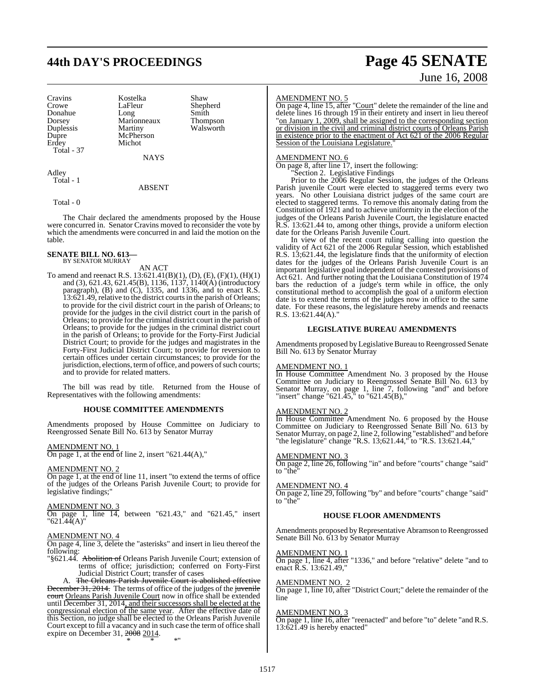# **44th DAY'S PROCEEDINGS Page 45 SENATE**

Duplessis Dupre McPherson<br>Erdey Michot Total - 37

Cravins Kostelka Shaw LaFleur Shepherd<br>Long Smith Donahue Long Smith<br>Dorsey Marionneaux Thompson Marionneaux Thompson<br>Martiny Walsworth Michot

NAYS

Adley Total - 1

#### ABSENT

Total - 0

The Chair declared the amendments proposed by the House were concurred in. Senator Cravins moved to reconsider the vote by which the amendments were concurred in and laid the motion on the table.

#### **SENATE BILL NO. 613—** BY SENATOR MURRAY

AN ACT

To amend and reenact R.S. 13:621.41(B)(1), (D), (E), (F)(1), (H)(1) and (3), 621.43, 621.45(B), 1136, 1137, 1140(A) (introductory paragraph),  $(B)$  and  $(C)$ , 1335, and 1336, and to enact R.S. 13:621.49, relative to the district courtsin the parish of Orleans; to provide for the civil district court in the parish of Orleans; to provide for the judges in the civil district court in the parish of Orleans; to provide for the criminal district court in the parish of Orleans; to provide for the judges in the criminal district court in the parish of Orleans; to provide for the Forty-First Judicial District Court; to provide for the judges and magistrates in the Forty-First Judicial District Court; to provide for reversion to certain offices under certain circumstances; to provide for the jurisdiction, elections, term of office, and powers of such courts; and to provide for related matters.

The bill was read by title. Returned from the House of Representatives with the following amendments:

#### **HOUSE COMMITTEE AMENDMENTS**

Amendments proposed by House Committee on Judiciary to Reengrossed Senate Bill No. 613 by Senator Murray

#### AMENDMENT NO. 1

On page 1, at the end of line 2, insert " $621.44(A)$ ,"

#### AMENDMENT NO. 2

On page 1, at the end of line 11, insert "to extend the terms of office of the judges of the Orleans Parish Juvenile Court; to provide for legislative findings;"

#### AMENDMENT NO. 3

On page 1, line 14, between "621.43," and "621.45," insert  $"621.44(A)"$ 

#### AMENDMENT NO. 4

On page 4, line 3, delete the "asterisks" and insert in lieu thereof the following:

"§621.44. Abolition of Orleans Parish Juvenile Court; extension of terms of office; jurisdiction; conferred on Forty-First Judicial District Court; transfer of cases

A. The Orleans Parish Juvenile Court is abolished effective December 31, 2014. The terms of office of the judges of the juvenile court Orleans Parish Juvenile Court now in office shall be extended until December 31, 2014, and their successors shall be elected at the congressional election of the same year. After the effective date of this Section, no judge shall be elected to the Orleans Parish Juvenile Court except to fill a vacancy and in such case the term of office shall expire on December 31, 2008 2014. \* \* \*"

#### AMENDMENT NO. 5

On page 4, line 15, after "Court" delete the remainder of the line and delete lines 16 through 19 in their entirety and insert in lieu thereof "on January 1, 2009, shall be assigned to the corresponding section or division in the civil and criminal district courts of Orleans Parish in existence prior to the enactment of Act 621 of the 2006 Regular Session of the Louisiana Legislature.

#### AMENDMENT NO. 6

On page 8, after line 17, insert the following: "Section 2. Legislative Findings

Prior to the 2006 Regular Session, the judges of the Orleans Parish juvenile Court were elected to staggered terms every two years. No other Louisiana district judges of the same court are elected to staggered terms. To remove this anomaly dating from the Constitution of 1921 and to achieve uniformity in the election of the judges of the Orleans Parish Juvenile Court, the legislature enacted R.S. 13:621.44 to, among other things, provide a uniform election date for the Orleans Parish Juvenile Court.

In view of the recent court ruling calling into question the validity of Act 621 of the 2006 Regular Session, which established R.S. 13;621.44, the legislature finds that the uniformity of election dates for the judges of the Orleans Parish Juvenile Court is an important legislative goal independent of the contested provisions of Act 621. And further noting that the Louisiana Constitution of 1974 bars the reduction of a judge's term while in office, the only constitutional method to accomplish the goal of a uniform election date is to extend the terms of the judges now in office to the same date. For these reasons, the legislature hereby amends and reenacts R.S. 13:621.44(A)."

#### **LEGISLATIVE BUREAU AMENDMENTS**

Amendments proposed by Legislative Bureau to Reengrossed Senate Bill No. 613 by Senator Murray

#### AMENDMENT NO. 1

In House Committee Amendment No. 3 proposed by the House Committee on Judiciary to Reengrossed Senate Bill No. 613 by Senator Murray, on page 1, line 7, following "and" and before "insert" change "621.45," to "621.45(B),"

#### AMENDMENT NO. 2

In House Committee Amendment No. 6 proposed by the House Committee on Judiciary to Reengrossed Senate Bill No. 613 by Senator Murray, on page 2, line 2, following "established" and before "the legislature" change "R.S. 13;621.44," to "R.S. 13:621.44,"

#### AMENDMENT NO. 3

On page 2, line 26, following "in" and before "courts" change "said" to "the"

#### AMENDMENT NO. 4

On page 2, line 29, following "by" and before "courts" change "said" to "the"

#### **HOUSE FLOOR AMENDMENTS**

Amendments proposed by Representative Abramson to Reengrossed Senate Bill No. 613 by Senator Murray

#### AMENDMENT NO. 1

On page 1, line 4, after "1336," and before "relative" delete "and to enact R.S. 13:621.49,"

#### AMENDMENT NO. 2

On page 1, line 10, after "District Court;" delete the remainder of the line

#### AMENDMENT NO. 3

On page 1, line 16, after "reenacted" and before "to" delete "and R.S. 13:621.49 is hereby enacted"

# June 16, 2008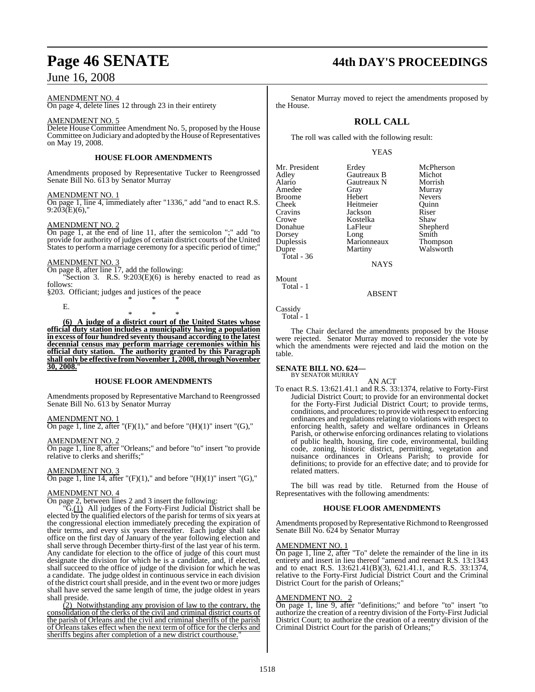#### AMENDMENT NO. 4

On page 4, delete lines 12 through 23 in their entirety

#### AMENDMENT NO. 5

Delete House Committee Amendment No. 5, proposed by the House Committee on Judiciary and adopted by the House of Representatives on May 19, 2008.

#### **HOUSE FLOOR AMENDMENTS**

Amendments proposed by Representative Tucker to Reengrossed Senate Bill No. 613 by Senator Murray

#### AMENDMENT NO. 1

On page 1, line 4, immediately after "1336," add "and to enact R.S.  $9:203(E)(6)$ ,"

#### AMENDMENT NO. 2

On page 1, at the end of line 11, after the semicolon ";" add "to provide for authority of judges of certain district courts of the United States to perform a marriage ceremony for a specific period of time;"

#### AMENDMENT NO. 3

E.

On page 8, after line 17, add the following:

Section 3. R.S.  $9:203(E)(6)$  is hereby enacted to read as follows:

§203. Officiant; judges and justices of the peace \* \* \*

\* \* \* **(6) A judge of a district court of the United States whose official duty station includes a municipality having a population in excess of four hundred seventy thousand according to the latest decennial census may perform marriage ceremonies within his official duty station. The authority granted by this Paragraph shall only be effective fromNovember 1, 2008,through November 30, 2008.**"

#### **HOUSE FLOOR AMENDMENTS**

Amendments proposed by Representative Marchand to Reengrossed Senate Bill No. 613 by Senator Murray

#### AMENDMENT NO. 1

On page 1, line 2, after " $(F)(1)$ ," and before " $(H)(1)$ " insert " $(G)$ ,"

#### AMENDMENT NO. 2

On page 1, line 8, after "Orleans;" and before "to" insert "to provide relative to clerks and sheriffs;"

#### AMENDMENT NO. 3

On page 1, line 14, after " $(F)(1)$ ," and before " $(H)(1)$ " insert " $(G)$ ,"

#### AMENDMENT NO. 4

On page 2, between lines 2 and 3 insert the following:

"G.(1) All judges of the Forty-First Judicial District shall be elected by the qualified electors of the parish for terms of six years at the congressional election immediately preceding the expiration of their terms, and every six years thereafter. Each judge shall take office on the first day of January of the year following election and shall serve through December thirty-first of the last year of his term. Any candidate for election to the office of judge of this court must designate the division for which he is a candidate, and, if elected, shall succeed to the office of judge of the division for which he was a candidate. The judge oldest in continuous service in each division of the district courtshall preside, and in the event two or more judges shall have served the same length of time, the judge oldest in years shall preside.

 $(2)$  Notwithstanding any provision of law to the contrary, the consolidation of the clerks of the civil and criminal district courts of the parish of Orleans and the civil and criminal sheriffs of the parish of Orleans takes effect when the next term of office for the clerks and sheriffs begins after completion of a new district courthouse.

# **Page 46 SENATE 44th DAY'S PROCEEDINGS**

Senator Murray moved to reject the amendments proposed by the House.

### **ROLL CALL**

The roll was called with the following result:

#### YEAS

| Mr. President | Erdey         | McPherso        |
|---------------|---------------|-----------------|
|               |               |                 |
| Adley         | Gautreaux B   | Michot          |
| Alario        | Gautreaux N   | Morrish         |
| Amedee        | Gray          | Murray          |
| <b>Broome</b> | Hebert        | <b>Nevers</b>   |
| Cheek         | Heitmeier     | Ouinn           |
| Cravins       | Jackson       | Riser           |
| Crowe         | Kostelka      | Shaw            |
| Donahue       | LaFleur       | Shepherd        |
| Dorsey        | Long          | Smith           |
| Duplessis     | Marionneaux   | <b>Thompson</b> |
| Dupre         | Martiny       | Walswort        |
| Total - 36    |               |                 |
|               | <b>NTANZO</b> |                 |

Erdey McPherson<br>Gautreaux B Michot Heitmeier Quinn<br>Jackson Riser Jackson Riser<br>Kostelka Shaw Long Smith<br>Marionneaux Thompson Walsworth

Mount Total - 1

ABSENT

NAYS

**Cassidy** Total - 1

The Chair declared the amendments proposed by the House were rejected. Senator Murray moved to reconsider the vote by which the amendments were rejected and laid the motion on the table.

#### **SENATE BILL NO. 624—** BY SENATOR MURRAY

AN ACT

To enact R.S. 13:621.41.1 and R.S. 33:1374, relative to Forty-First Judicial District Court; to provide for an environmental docket for the Forty-First Judicial District Court; to provide terms, conditions, and procedures; to provide with respect to enforcing ordinances and regulations relating to violations with respect to enforcing health, safety and welfare ordinances in Orleans Parish, or otherwise enforcing ordinances relating to violations of public health, housing, fire code, environmental, building code, zoning, historic district, permitting, vegetation and nuisance ordinances in Orleans Parish; to provide for definitions; to provide for an effective date; and to provide for related matters.

The bill was read by title. Returned from the House of Representatives with the following amendments:

#### **HOUSE FLOOR AMENDMENTS**

Amendments proposed by Representative Richmond to Reengrossed Senate Bill No. 624 by Senator Murray

#### AMENDMENT NO. 1

On page 1, line 2, after "To" delete the remainder of the line in its entirety and insert in lieu thereof "amend and reenact R.S. 13:1343 and to enact R.S. 13:621.41(B)(3), 621.41.1, and R.S. 33:1374, relative to the Forty-First Judicial District Court and the Criminal District Court for the parish of Orleans;"

#### AMENDMENT NO. 2

On page 1, line 9, after "definitions;" and before "to" insert "to authorize the creation of a reentry division of the Forty-First Judicial District Court; to authorize the creation of a reentry division of the Criminal District Court for the parish of Orleans;"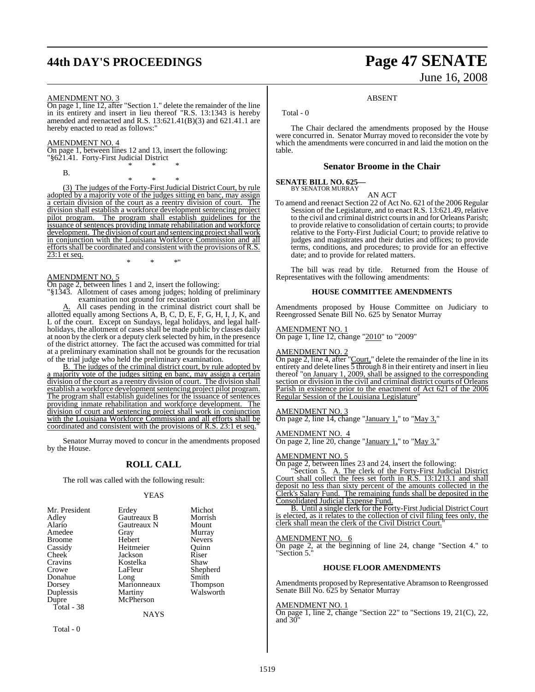# **44th DAY'S PROCEEDINGS Page 47 SENATE**

# June 16, 2008

#### AMENDMENT NO. 3

On page 1, line 12, after "Section 1." delete the remainder of the line in its entirety and insert in lieu thereof "R.S. 13:1343 is hereby amended and reenacted and R.S.  $13:621.41(B)(3)$  and  $621.41.1$  are hereby enacted to read as follows:"

#### AMENDMENT NO. 4

On page 1, between lines 12 and 13, insert the following: "§621.41. Forty-First Judicial District \* \* \*

B.

\* \* \*

(3) The judges of the Forty-First Judicial District Court, by rule adopted by a majority vote of the judges sitting en banc, may assign<br>a certain division of the court as a reentry division of court. The a certain division of the court as a reentry division of court. division shall establish a workforce development sentencing project pilot program. The program shall establish guidelines for the issuance of sentences providing inmate rehabilitation and workforce development. The division of court and sentencing project shall work in conjunction with the Louisiana Workforce Commission and all efforts shall be coordinated and consistent with the provisions of R.S. 23:1 et seq.

#### AMENDMENT NO. 5

On page 2, between lines 1 and 2, insert the following:

"§1343. Allotment of cases among judges; holding of preliminary examination not ground for recusation

\* \* \*"

A. All cases pending in the criminal district court shall be allotted equally among Sections A, B, C, D, E, F, G, H, I, J, K, and L of the court. Except on Sundays, legal holidays, and legal halfholidays, the allotment of cases shall be made public by classes daily at noon by the clerk or a deputy clerk selected by him, in the presence of the district attorney. The fact the accused was committed for trial at a preliminary examination shall not be grounds for the recusation of the trial judge who held the preliminary examination.

B. The judges of the criminal district court, by rule adopted by a majority vote of the judges sitting en banc, may assign a certain division of the court as a reentry division of court. The division shall establish a workforce development sentencing project pilot program. The program shall establish guidelines for the issuance of sentences providing inmate rehabilitation and workforce development. The division of court and sentencing project shall work in conjunction with the Louisiana Workforce Commission and all efforts shall be coordinated and consistent with the provisions of R.S. 23:1 et seq."

Senator Murray moved to concur in the amendments proposed by the House.

#### **ROLL CALL**

The roll was called with the following result:

#### YEAS

| Mr. President | Erdey       | Michot          |
|---------------|-------------|-----------------|
| Adley         | Gautreaux B | Morrish         |
| Alario        | Gautreaux N | Mount           |
| Amedee        | Gray        | Murray          |
| <b>Broome</b> | Hebert      | <b>Nevers</b>   |
| Cassidy       | Heitmeier   | Ouinn           |
| Cheek         | Jackson     | Riser           |
| Cravins       | Kostelka    | Shaw            |
| Crowe         | LaFleur     | Shepherd        |
| Donahue       | Long        | Smith           |
| Dorsey        | Marionneaux | <b>Thompson</b> |
| Duplessis     | Martiny     | Walsworth       |
| Dupre         | McPherson   |                 |
| Total - 38    |             |                 |
|               | NAYS        |                 |

Total - 0

## Total - 0

The Chair declared the amendments proposed by the House were concurred in. Senator Murray moved to reconsider the vote by which the amendments were concurred in and laid the motion on the table.

ABSENT

#### **Senator Broome in the Chair**

#### **SENATE BILL NO. 625—**

BY SENATOR MURRAY

AN ACT To amend and reenact Section 22 of Act No. 621 of the 2006 Regular Session of the Legislature, and to enact R.S. 13:621.49, relative to the civil and criminal district courtsin and for Orleans Parish; to provide relative to consolidation of certain courts; to provide relative to the Forty-First Judicial Court; to provide relative to judges and magistrates and their duties and offices; to provide terms, conditions, and procedures; to provide for an effective date; and to provide for related matters.

The bill was read by title. Returned from the House of Representatives with the following amendments:

#### **HOUSE COMMITTEE AMENDMENTS**

Amendments proposed by House Committee on Judiciary to Reengrossed Senate Bill No. 625 by Senator Murray

#### AMENDMENT NO. 1

On page 1, line 12, change "2010" to "2009"

#### AMENDMENT NO. 2

On page 2, line 4, after "Court," delete the remainder of the line in its entirety and delete lines  $\overline{5}$  through 8 in their entirety and insert in lieu thereof "on January 1, 2009, shall be assigned to the corresponding section or division in the civil and criminal district courts of Orleans Parish in existence prior to the enactment of Act 621 of the 2006 Regular Session of the Louisiana Legislature

#### AMENDMENT NO. 3

On page 2, line 14, change "January 1," to "May 3,"

#### AMENDMENT NO. 4

On page 2, line 20, change "January 1," to "May 3,"

#### AMENDMENT NO. 5

On page 2, between lines 23 and 24, insert the following:

"Section 5. A. The clerk of the Forty-First Judicial District Court shall collect the fees set forth in R.S. 13:1213.1 and shall deposit no less than sixty percent of the amounts collected in the Clerk's Salary Fund. The remaining funds shall be deposited in the Consolidated Judicial Expense Fund.

B. Until a single clerk for the Forty-First Judicial District Court is elected, as it relates to the collection of civil filing fees only, the clerk shall mean the clerk of the Civil District Court.

#### AMENDMENT NO. 6

On page 2, at the beginning of line 24, change "Section 4." to "Section 5."

#### **HOUSE FLOOR AMENDMENTS**

Amendments proposed by Representative Abramson to Reengrossed Senate Bill No. 625 by Senator Murray

#### AMENDMENT NO. 1

On page 1, line 2, change "Section 22" to "Sections 19, 21(C), 22, and  $30$ <sup>"</sup>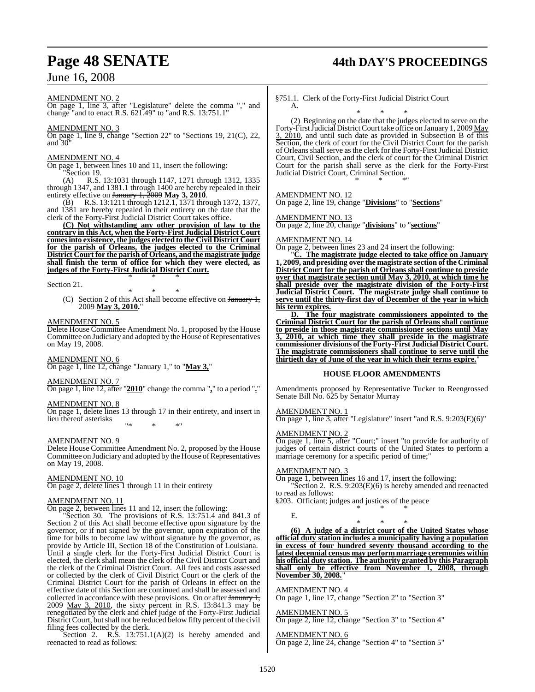#### AMENDMENT NO. 2

On page 1, line 3, after "Legislature" delete the comma "," and change "and to enact R.S. 621.49" to "and R.S. 13:751.1"

#### AMENDMENT NO. 3

On page 1, line 9, change "Section 22" to "Sections 19, 21(C), 22, and  $30'$ 

#### AMENDMENT NO. 4

On page 1, between lines 10 and 11, insert the following: "Section 19.

(A) R.S. 13:1031 through 1147, 1271 through 1312, 1335 through 1347, and 1381.1 through 1400 are hereby repealed in their entirety effective on January 1, 2009 **May 3, 2010**.

(B) R.S. 13:1211 through 1212.1, 1371 through 1372, 1377, and 1381 are hereby repealed in their entirety on the date that the clerk of the Forty-First Judicial District Court takes office.

**(C) Not withstanding any other provision of law to the contrary in this Act, when the Forty-First Judicial District Court comesinto existence, the judges elected to the Civil District Court for the parish of Orleans, the judges elected to the Criminal District Court for the parish of Orleans, and the magistrate judge shall finish the term of office for which they were elected, as judges of the Forty-First Judicial District Court.**

\* \* \*

Section 21.

\* \* \* (C) Section 2 of this Act shall become effective on January 1, 2009 **May 3, 2010.**"

#### AMENDMENT NO. 5

Delete House Committee Amendment No. 1, proposed by the House Committee on Judiciary and adopted by the House of Representatives on May 19, 2008.

#### AMENDMENT NO. 6

On page 1, line 12, change "January 1," to "**May 3,**"

#### AMENDMENT NO. 7

On page 1, line 12, after "**2010**" change the comma "**,**" to a period "**.**"

#### AMENDMENT NO. 8

On page 1, delete lines 13 through 17 in their entirety, and insert in lieu thereof asterisks

"\* \* \*"

#### AMENDMENT NO. 9

Delete House Committee Amendment No. 2, proposed by the House Committee on Judiciary and adopted by the House of Representatives on May 19, 2008.

#### AMENDMENT NO. 10

On page 2, delete lines 1 through 11 in their entirety

#### AMENDMENT NO. 11

On page 2, between lines 11 and 12, insert the following:

"Section 30. The provisions of R.S. 13:751.4 and 841.3 of Section 2 of this Act shall become effective upon signature by the governor, or if not signed by the governor, upon expiration of the time for bills to become law without signature by the governor, as provide by Article III, Section 18 of the Constitution of Louisiana. Until a single clerk for the Forty-First Judicial District Court is elected, the clerk shall mean the clerk of the Civil District Court and the clerk of the Criminal District Court. All fees and costs assessed or collected by the clerk of Civil District Court or the clerk of the Criminal District Court for the parish of Orleans in effect on the effective date of this Section are continued and shall be assessed and collected in accordance with these provisions. On or after January 1, 2009 May 3, 2010, the sixty percent in R.S. 13:841.3 may be renegotiated by the clerk and chief judge of the Forty-First Judicial District Court, but shall not be reduced below fifty percent of the civil filing fees collected by the clerk.

Section 2. R.S.  $13:751.1(A)(2)$  is hereby amended and reenacted to read as follows:

# **Page 48 SENATE 44th DAY'S PROCEEDINGS**

§751.1. Clerk of the Forty-First Judicial District Court A.

\* \* \* (2) Beginning on the date that the judges elected to serve on the Forty-First Judicial District Court take office on <del>January 1, 2009</del> May 3, 2010, and until such date as provided in Subsection B of this Section, the clerk of court for the Civil District Court for the parish of Orleans shall serve as the clerk for the Forty-First Judicial District Court, Civil Section, and the clerk of court for the Criminal District Court for the parish shall serve as the clerk for the Forty-First Judicial District Court, Criminal Section. \* \* \*"

#### AMENDMENT NO. 12

On page 2, line 19, change "**Divisions**" to "**Sections**"

AMENDMENT NO. 13 On page 2, line 20, change "**divisions**" to "**sections**"

#### AMENDMENT NO. 14

On page 2, between lines 23 and 24 insert the following:

"**C. The magistrate judge elected to take office on January 1, 2009, and presiding over the magistrate section of the Criminal District Court for the parish of Orleans shall continue to preside over that magistrate section until May 3, 2010, at which time he shall preside over the magistrate division of the Forty-First Judicial District Court. The magistrate judge shall continue to serve until the thirty-first day of December of the year in which his term expires.**

**D. The four magistrate commissioners appointed to the Criminal District Court for the parish of Orleans shall continue to preside in those magistrate commissioner sections until May 3, 2010, at which time they shall preside in the magistrate commissioner divisions of the Forty-First Judicial District Court. The magistrate commissioners shall continue to serve until the thirtieth day of June of the year in which their terms expire.**"

#### **HOUSE FLOOR AMENDMENTS**

Amendments proposed by Representative Tucker to Reengrossed Senate Bill No. 625 by Senator Murray

#### <u>AMENDMENT NO. 1</u>

 $\frac{\text{AMENDMEN INOL 1}}{\text{On page 1}}$ , line 3, after "Legislature" insert "and R.S. 9:203(E)(6)"

#### AMENDMENT NO. 2

On page 1, line 5, after "Court;" insert "to provide for authority of judges of certain district courts of the United States to perform a marriage ceremony for a specific period of time;"

#### AMENDMENT NO. 3

On page 1, between lines 16 and 17, insert the following: "Section 2. R.S. 9:203(E)(6) is hereby amended and reenacted to read as follows: §203. Officiant; judges and justices of the peace

\* \* \*

E.

\* \* \* **(6) A judge of a district court of the United States whose official duty station includes a municipality having a population in excess of four hundred seventy thousand according to the latest decennial census may perform marriage ceremonies within his official duty station. The authority granted by this Paragraph shall only be effective from November 1, 2008, through November 30, 2008.**"

#### AMENDMENT NO. 4

On page 1, line 17, change "Section 2" to "Section 3"

#### AMENDMENT NO. 5

On page 2, line 12, change "Section 3" to "Section 4"

AMENDMENT NO. 6 On page 2, line 24, change "Section 4" to "Section 5"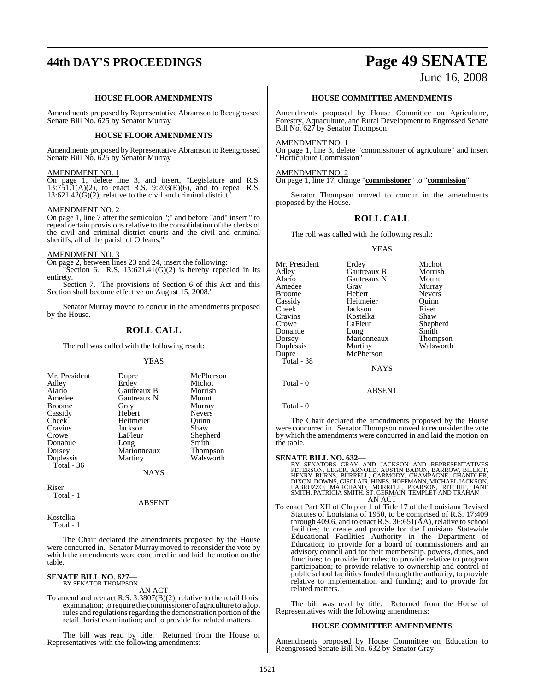# **44th DAY'S PROCEEDINGS Page 49 SENATE**

June 16, 2008

#### **HOUSE FLOOR AMENDMENTS**

Amendments proposed by Representative Abramson to Reengrossed Senate Bill No. 625 by Senator Murray

#### **HOUSE FLOOR AMENDMENTS**

Amendments proposed by Representative Abramson to Reengrossed Senate Bill No. 625 by Senator Murray

#### AMENDMENT NO. 1

On page 1, delete line 3, and insert, "Legislature and R.S. 13:751.1(A)(2), to enact R.S. 9:203(E)(6), and to repeal R.S.  $13:621.42(G)(2)$ , relative to the civil and criminal district<sup>®</sup>

#### AMENDMENT NO. 2

On page 1, line 7 after the semicolon ";" and before "and" insert " to repeal certain provisions relative to the consolidation of the clerks of the civil and criminal district courts and the civil and criminal sheriffs, all of the parish of Orleans;"

#### AMENDMENT NO. 3

On page 2, between lines 23 and 24, insert the following:

"Section 6. R.S.  $13:621.41(\dot{G})(2)$  is hereby repealed in its entirety.

Section 7. The provisions of Section 6 of this Act and this Section shall become effective on August 15, 2008."

Senator Murray moved to concur in the amendments proposed by the House.

### **ROLL CALL**

The roll was called with the following result:

#### **YEAS**

| Mr. President | Dupre       | McPherson       |
|---------------|-------------|-----------------|
| Adley         | Erdey       | Michot          |
|               |             |                 |
| Alario        | Gautreaux B | Morrish         |
| Amedee        | Gautreaux N | Mount           |
| Broome        | Gray        | Murray          |
| Cassidy       | Hebert      | <b>Nevers</b>   |
| Cheek         | Heitmeier   | Ouinn           |
| Cravins       | Jackson     | Shaw            |
| Crowe         | LaFleur     | Shepherd        |
| Donahue       | Long        | Smith           |
| Dorsey        | Marionneaux | <b>Thompson</b> |
| Duplessis     | Martiny     | Walsworth       |
| Total - 36    |             |                 |
|               | <b>NAYS</b> |                 |

Riser Total - 1

#### ABSENT

Kostelka Total - 1

The Chair declared the amendments proposed by the House were concurred in. Senator Murray moved to reconsider the vote by which the amendments were concurred in and laid the motion on the table.

## **SENATE BILL NO. 627—**<br>BY SENATOR THOMPSON

AN ACT

To amend and reenact R.S. 3:3807(B)(2), relative to the retail florist examination; to require the commissioner of agriculture to adopt rules and regulations regarding the demonstration portion of the retail florist examination; and to provide for related matters.

The bill was read by title. Returned from the House of Representatives with the following amendments:

#### **HOUSE COMMITTEE AMENDMENTS**

Amendments proposed by House Committee on Agriculture, Forestry, Aquaculture, and Rural Development to Engrossed Senate Bill No. 627 by Senator Thompson

#### AMENDMENT NO. 1

On page 1, line 3, delete "commissioner of agriculture" and insert "Horticulture Commission"

AMENDMENT NO. 2

On page 1, line 17, change "**commissioner**" to "**commission**"

Senator Thompson moved to concur in the amendments proposed by the House.

#### **ROLL CALL**

The roll was called with the following result:

#### YEAS

Mr. President Erdey Michot<br>Adley Gautreaux B Morrish Adley Gautreaux B Morrish Alario Gautreaux N<br>Amedee Gray **American Cray Murray Murray**<br> **American Mexers** Broome Hebert Nevers<br>
Cassidy Heitmeier Quinn Cassidy Heitmeier Quinn Cheek Jackson Riser<br>Cravins Kostelka Shaw Cravins Kostelka<br>Crowe LaFleur LaFleur Shepherd<br>Long Smith Donahue Long Smith<br>Dorsey Marionneaux Thompson Dorsey Marionneaux<br>
Duplessis Martiny Walsworth Dupre McPherson Total - 38 NAYS

Total - 0

#### Total - 0

The Chair declared the amendments proposed by the House were concurred in. Senator Thompson moved to reconsider the vote by which the amendments were concurred in and laid the motion on the table.

ABSENT

SENATE BILL NO. 632—<br>BY SENATORS GRAY AND JACKSON AND REPRESENTATIVES<br>PETERSON, LEGER, ARNOLD, AUSTIN BADON, BARROW, BILLIOT,<br>HENRY BURNS, BURRELL, CARMODY, CHAMPAGNE, CHANDLER,<br>DIXON, DOWNS, GISCLAIR, HINES, HOFFMANN, MIC AN ACT

To enact Part XII of Chapter 1 of Title 17 of the Louisiana Revised Statutes of Louisiana of 1950, to be comprised of R.S. 17:409 through 409.6, and to enact R.S. 36:651(AA), relative to school facilities; to create and provide for the Louisiana Statewide Educational Facilities Authority in the Department of Education; to provide for a board of commissioners and an advisory council and for their membership, powers, duties, and functions; to provide for rules; to provide relative to program participation; to provide relative to ownership and control of public school facilities funded through the authority; to provide relative to implementation and funding; and to provide for related matters.

The bill was read by title. Returned from the House of Representatives with the following amendments:

#### **HOUSE COMMITTEE AMENDMENTS**

Amendments proposed by House Committee on Education to Reengrossed Senate Bill No. 632 by Senator Gray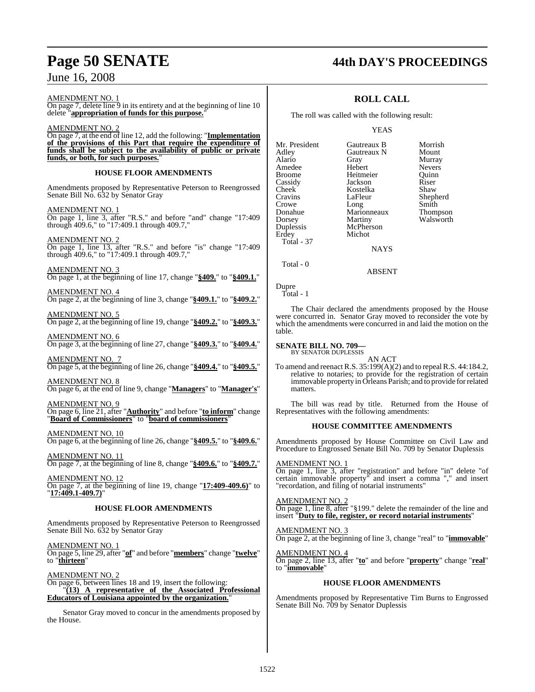## **Page 50 SENATE 44th DAY'S PROCEEDINGS**

Shepherd<br>Smith

AMENDMENT NO. 1

 $\frac{1}{2}$ On page 7, delete line 9 in its entirety and at the beginning of line 10 delete "**appropriation of funds for this purpose.**"

AMENDMENT NO. 2 On page 7, at the end of line 12, add the following: "**Implementation of the provisions of this Part that require the expenditure of funds shall be subject to the availability of public or private** funds, or both, for such purposes.

#### **HOUSE FLOOR AMENDMENTS**

Amendments proposed by Representative Peterson to Reengrossed Senate Bill No. 632 by Senator Gray

AMENDMENT NO. 1 On page 1, line 3, after "R.S." and before "and" change "17:409 through 409.6," to "17:409.1 through 409.7,"

AMENDMENT NO. 2 On page 1, line 13, after "R.S." and before "is" change "17:409 through 409.6," to "17:409.1 through 409.7,"

AMENDMENT NO. 3 On page 1, at the beginning of line 17, change "**§409.**" to "**§409.1.**"

AMENDMENT NO. 4 On page 2, at the beginning of line 3, change "**§409.1.**" to "**§409.2.**"

AMENDMENT NO. 5 On page 2, at the beginning of line 19, change "**§409.2.**" to "**§409.3.**"

AMENDMENT NO. 6 On page 3, at the beginning of line 27, change "**§409.3.**" to "**§409.4.**"

AMENDMENT NO. 7 On page 5, at the beginning of line 26, change "**§409.4.**" to "**§409.5.**"

AMENDMENT NO. 8 On page 6, at the end of line 9, change "**Managers**" to "**Manager's**"

AMENDMENT NO. 9 On page 6, line 21, after "**Authority**" and before "**to inform**" change "**Board of Commissioners**" to "**board of commissioners**"

AMENDMENT NO. 10 On page 6, at the beginning of line 26, change "**§409.5.**" to "**§409.6.**"

AMENDMENT NO. 11 On page 7, at the beginning of line 8, change "**§409.6.**" to "**§409.7.**"

AMENDMENT NO. 12 On page 7, at the beginning of line 19, change "**17:409-409.6)**" to "**17:409.1-409.7)**"

#### **HOUSE FLOOR AMENDMENTS**

Amendments proposed by Representative Peterson to Reengrossed Senate Bill No. 632 by Senator Gray

AMENDMENT NO. 1 On page 5, line 29, after "**of**" and before "**members**" change "**twelve**" to "**thirteen**"

AMENDMENT NO. 2 On page 6, between lines 18 and 19, insert the following: "**(13) A representative of the Associated Professional Educators of Louisiana appointed by the organization.**"

Senator Gray moved to concur in the amendments proposed by the House.

## **ROLL CALL**

The roll was called with the following result:

#### YEAS

Mr. President Gautreaux B Morrish<br>Adley Gautreaux N Mount Gautreaux N Alario Gray Murray Amedee Hebert Nevers<br>Broome Heitmeier Ouinn Broome Heitmeier Quinn<br>
Cassidy Jackson Riser Cassidy Jackson Riser Cheek Kostelka<br>Cravins LaFleur Crowe Long Smith<br>
Donahue Marionneaux Thompson Donahue Marionneaux<br>Dorsey Martiny Martiny Walsworth<br>
McPherson Duplessis<br>Erdey Michot Total - 37

**NAYS** 

ABSENT

Total - 0

Dupre Total - 1

table.

The Chair declared the amendments proposed by the House were concurred in. Senator Gray moved to reconsider the vote by which the amendments were concurred in and laid the motion on the

#### **SENATE BILL NO. 709—**

BY SENATOR DUPLESSIS AN ACT

To amend and reenact R.S. 35:199(A)(2) and to repeal R.S. 44:184.2, relative to notaries; to provide for the registration of certain immovable property in Orleans Parish; and to provide forrelated matters.

The bill was read by title. Returned from the House of Representatives with the following amendments:

#### **HOUSE COMMITTEE AMENDMENTS**

Amendments proposed by House Committee on Civil Law and Procedure to Engrossed Senate Bill No. 709 by Senator Duplessis

#### AMENDMENT NO. 1

On page 1, line 3, after "registration" and before "in" delete "of certain immovable property" and insert a comma "," and insert "recordation, and filing of notarial instruments"

AMENDMENT NO. 2 On page 1, line 8, after "§199." delete the remainder of the line and insert "**Duty to file, register, or record notarial instruments**"

AMENDMENT NO. 3 On page 2, at the beginning of line 3, change "real" to "**immovable**"

AMENDMENT NO. 4 On page 2, line 13, after "**to**" and before "**property**" change "**real**" to "**immovable**"

#### **HOUSE FLOOR AMENDMENTS**

Amendments proposed by Representative Tim Burns to Engrossed Senate Bill No. 709 by Senator Duplessis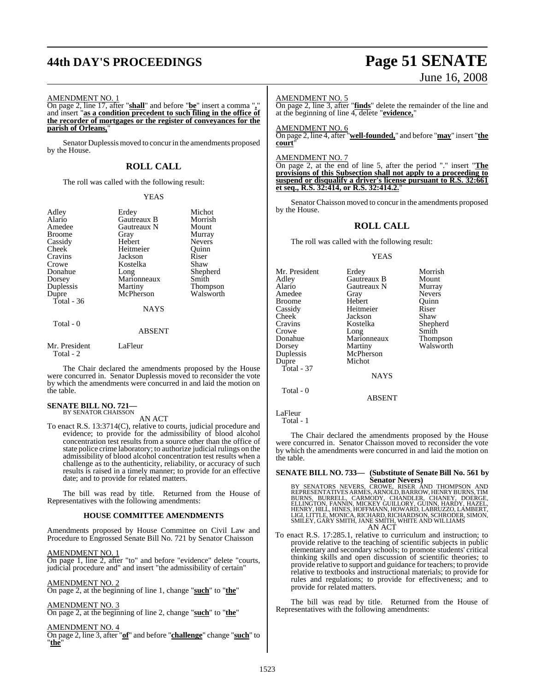# **44th DAY'S PROCEEDINGS Page 51 SENATE**

#### AMENDMENT NO. 1

On page 2, line 17, after "**shall**" and before "**be**" insert a comma "**,**" and insert "**as a condition precedent to such filing in the office of the recorder of mortgages or the register of conveyances for the parish of Orleans,**"

Senator Duplessis moved to concur in the amendments proposed by the House.

#### **ROLL CALL**

The roll was called with the following result:

#### YEAS

| Adley                      | Erdey         | Michot          |
|----------------------------|---------------|-----------------|
| Alario                     | Gautreaux B   | Morrish         |
| Amedee                     | Gautreaux N   | Mount           |
| <b>Broome</b>              | Gray          | Murray          |
| Cassidy                    | Hebert        | <b>Nevers</b>   |
| Cheek                      | Heitmeier     | Ouinn           |
| Cravins                    | Jackson       | Riser           |
| Crowe                      | Kostelka      | Shaw            |
| Donahue                    | Long          | Shepherd        |
| Dorsey                     | Marionneaux   | Smith           |
| Duplessis                  | Martiny       | <b>Thompson</b> |
| Dupre                      | McPherson     | Walsworth       |
| Total $-36$                |               |                 |
|                            | <b>NAYS</b>   |                 |
| Total - 0                  |               |                 |
|                            | <b>ABSENT</b> |                 |
| Mr. President<br>Total - 2 | LaFleur       |                 |

The Chair declared the amendments proposed by the House were concurred in. Senator Duplessis moved to reconsider the vote by which the amendments were concurred in and laid the motion on the table.

#### **SENATE BILL NO. 721—** BY SENATOR CHAISSON

AN ACT

To enact R.S. 13:3714(C), relative to courts, judicial procedure and evidence; to provide for the admissibility of blood alcohol concentration test results from a source other than the office of state police crime laboratory; to authorize judicial rulings on the admissibility of blood alcohol concentration test results when a challenge as to the authenticity, reliability, or accuracy of such results is raised in a timely manner; to provide for an effective date; and to provide for related matters.

The bill was read by title. Returned from the House of Representatives with the following amendments:

#### **HOUSE COMMITTEE AMENDMENTS**

Amendments proposed by House Committee on Civil Law and Procedure to Engrossed Senate Bill No. 721 by Senator Chaisson

AMENDMENT NO. 1

On page 1, line 2, after "to" and before "evidence" delete "courts, judicial procedure and" and insert "the admissibility of certain"

#### AMENDMENT NO. 2

On page 2, at the beginning of line 1, change "**such**" to "**the**"

AMENDMENT NO. 3 On page 2, at the beginning of line 2, change "**such**" to "**the**"

#### AMENDMENT NO. 4

On page 2, line 3, after "**of**" and before "**challenge**" change "**such**" to "**the**"

# June 16, 2008

#### AMENDMENT NO. 5

On page 2, line 3, after "**finds**" delete the remainder of the line and at the beginning of line 4, delete "**evidence,**"

AMENDMENT NO. 6

On page 2, line 4, after "**well-founded,**" and before "**may**" insert "**the court**"

#### AMENDMENT NO. 7

On page 2, at the end of line 5, after the period "." insert "**The provisions of this Subsection shall not apply to a proceeding to suspend or disqualify a driver's license pursuant to R.S. 32:661 et seq., R.S. 32:414, or R.S. 32:414.2.**"

Senator Chaisson moved to concur in the amendments proposed by the House.

#### **ROLL CALL**

The roll was called with the following result:

#### YEAS

Mr. President Erdey Morrish<br>Adley Gautreaux B Mount Adley Gautreaux B Mount Gautreaux N Murray<br>Gray Nevers Amedee Gray Nevers<br>
Broome Hebert Quinn Broome Hebert Quinr<br>
Cassidy Heitmeier Riser Cassidy Heitmeier Riser<br>Cheek Jackson Shaw Cheek Jackson<br>Cravins Kostelka Kostelka Shepherd<br>Long Smith Crowe Long Smith<br>Donahue Marionneaux Thompson Donahue Marionneaux<br>Dorsey Martiny Martiny Walsworth<br>
McPherson Duplessis McPher<br>Dupre Michot Dupre Total - 37 **NAYS** 

ABSENT

LaFleur Total - 1

Total - 0

The Chair declared the amendments proposed by the House were concurred in. Senator Chaisson moved to reconsider the vote by which the amendments were concurred in and laid the motion on the table.

## **SENATE BILL NO. 733— (Substitute of Senate Bill No. 561 by**

- Senator Nevers)<br>BY SENATORS NEVERS, CROWE, RISER AND THOMPSON AND<br>REPRESENTATIVES ARMES, ARNOLD, BARROW, HENRY BURNS, TIM<br>BURNS, BURRELL, CARMODY, CHANDLER, CHANEY, DOERGE,<br>ELLINGTON, FANNIN, MICKEY GUILLORY, GUINN, HARDY, AN ACT
- To enact R.S. 17:285.1, relative to curriculum and instruction; to provide relative to the teaching of scientific subjects in public elementary and secondary schools; to promote students' critical thinking skills and open discussion of scientific theories; to provide relative to support and guidance for teachers; to provide relative to textbooks and instructional materials; to provide for rules and regulations; to provide for effectiveness; and to provide for related matters.

The bill was read by title. Returned from the House of Representatives with the following amendments: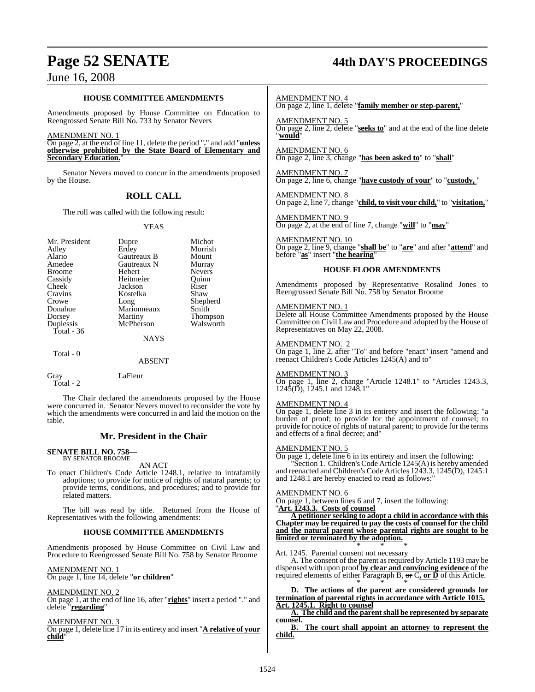# **Page 52 SENATE 44th DAY'S PROCEEDINGS**

## June 16, 2008

#### **HOUSE COMMITTEE AMENDMENTS**

Amendments proposed by House Committee on Education to Reengrossed Senate Bill No. 733 by Senator Nevers

#### AMENDMENT NO. 1

On page 2, at the end of line 11, delete the period "**.**" and add "**unless otherwise prohibited by the State Board of Elementary and <u>Secondary Education.</u>** 

Senator Nevers moved to concur in the amendments proposed by the House.

#### **ROLL CALL**

The roll was called with the following result:

#### YEAS

| Mr. President<br>Adley<br>Alario<br>Amedee<br><b>Broome</b><br>Cassidy<br>Cheek<br>Cravins<br>Crowe<br>Donahue<br>Dorsey<br>Duplessis<br>Total $-36$ | Dupre<br>Erdey<br>Gautreaux B<br>Gautreaux N<br>Hebert<br>Heitmeier<br>Jackson<br>Kostelka<br>Long<br>Marionneaux<br>Martiny<br>McPherson | Michot<br>Morrish<br>Mount<br>Murray<br><b>Nevers</b><br>Ouinn<br>Riser<br>Shaw<br>Shepherd<br>Smith<br><b>Thompson</b><br>Walsworth |
|------------------------------------------------------------------------------------------------------------------------------------------------------|-------------------------------------------------------------------------------------------------------------------------------------------|--------------------------------------------------------------------------------------------------------------------------------------|
|                                                                                                                                                      | <b>NAYS</b>                                                                                                                               |                                                                                                                                      |
| Total - 0                                                                                                                                            | <b>ABSENT</b>                                                                                                                             |                                                                                                                                      |

Gray LaFleur Total - 2

The Chair declared the amendments proposed by the House were concurred in. Senator Nevers moved to reconsider the vote by which the amendments were concurred in and laid the motion on the table.

#### **Mr. President in the Chair**

#### **SENATE BILL NO. 758—** BY SENATOR BROOME

AN ACT

To enact Children's Code Article 1248.1, relative to intrafamily adoptions; to provide for notice of rights of natural parents; to provide terms, conditions, and procedures; and to provide for related matters.

The bill was read by title. Returned from the House of Representatives with the following amendments:

#### **HOUSE COMMITTEE AMENDMENTS**

Amendments proposed by House Committee on Civil Law and Procedure to Reengrossed Senate Bill No. 758 by Senator Broome

AMENDMENT NO. 1 On page 1, line 14, delete "**or children**"

#### AMENDMENT NO. 2

On page 1, at the end of line 16, after "**rights**" insert a period "." and delete "**regarding**"

AMENDMENT NO. 3

On page 1, delete line 17 in its entirety and insert "**A relative of your child**"

AMENDMENT NO. 4

On page 2, line 1, delete "**family member or step-parent,**"

AMENDMENT NO. 5 On page 2, line 2, delete "**seeks to**" and at the end of the line delete "**would**"

AMENDMENT NO. 6 On page 2, line 3, change "**has been asked to**" to "**shall**"

AMENDMENT NO. 7 On page 2, line 6, change "**have custody of your**" to "**custody,** "

AMENDMENT NO. 8 On page 2, line 7, change "**child, to visit your child,**" to "**visitation,**"

AMENDMENT NO. 9 On page 2, at the end of line 7, change "**will**" to "**may**"

AMENDMENT NO. 10 On page 2, line 9, change "**shall be**" to "**are**" and after "**attend**" and before "**as**" insert "**the hearing**"

#### **HOUSE FLOOR AMENDMENTS**

Amendments proposed by Representative Rosalind Jones to Reengrossed Senate Bill No. 758 by Senator Broome

#### AMENDMENT NO. 1

Delete all House Committee Amendments proposed by the House Committee on Civil Law and Procedure and adopted by the House of Representatives on May 22, 2008.

AMENDMENT NO. 2

On page 1, line 2, after "To" and before "enact" insert "amend and reenact Children's Code Articles 1245(A) and to"

#### AMENDMENT NO. 3

On page 1, line 2, change "Article 1248.1" to "Articles 1243.3, 1245(D), 1245.1 and 1248.1"

#### AMENDMENT NO. 4

On page 1, delete line 3 in its entirety and insert the following: "a burden of proof; to provide for the appointment of counsel; to provide for notice of rights of natural parent; to provide for the terms and effects of a final decree; and"

#### AMENDMENT NO. 5

On page 1, delete line 6 in its entirety and insert the following:

'Section 1. Children's Code Article 1245(A) is hereby amended and reenacted and Children's Code Articles 1243.3, 1245(D), 1245.1 and 1248.1 are hereby enacted to read as follows:

#### AMENDMENT NO. 6

On page 1, between lines 6 and 7, insert the following:

"**Art. 1243.3. Costs of counsel A petitioner seeking to adopt a child in accordance with this Chapter may be required to pay the costs of counsel for the child**

**and the natural parent whose parental rights are sought to be limited or terminated by the adoption.** \* \* \*

Art. 1245. Parental consent not necessary

A. The consent of the parent as required by Article 1193 may be dispensed with upon proof **by clear and convincing evidence** of the required elements of either Paragraph B, or C**, or D** of this Article.

\* \* \* **D. The actions of the parent are considered grounds for termination of parental rights in accordance with Article 1015. Art. 1245.1. Right to counsel**

**A. The child and the parent shall be represented by separate counsel.**

The court shall appoint an attorney to represent the **child.**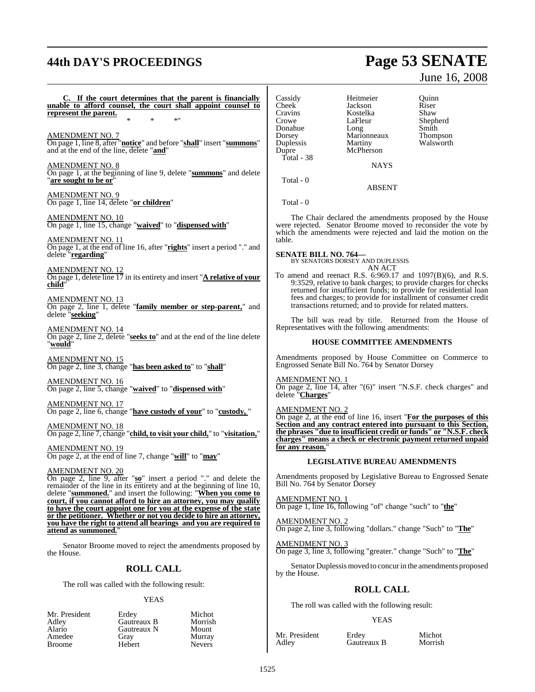# **44th DAY'S PROCEEDINGS Page 53 SENATE**

# June 16, 2008

If the court determines that the parent is financially **unable to afford counsel, the court shall appoint counsel to represent the parent.** \* \* \*" AMENDMENT NO. 7 On page 1, line 8, after "**notice**" and before "**shall**" insert "**summons**" and at the end of the line, delete "**and**" AMENDMENT NO. 8 On page 1, at the beginning of line 9, delete "**summons**" and delete "**are sought to be or**" AMENDMENT NO. 9 On page 1, line 14, delete "**or children**" AMENDMENT NO. 10 On page 1, line 15, change "**waived**" to "**dispensed with**" AMENDMENT NO. 11 On page 1, at the end of line 16, after "**rights**" insert a period "." and delete "**regarding**" AMENDMENT NO. 12 On page 1, delete line 17 in its entirety and insert "**A relative of your child**" AMENDMENT NO. 13 On page 2, line 1, delete "**family member or step-parent,**" and delete "**seeking**" AMENDMENT NO. 14 On page 2, line 2, delete "**seeks to**" and at the end of the line delete "**would**" AMENDMENT NO. 15 On page 2, line 3, change "**has been asked to**" to "**shall**" AMENDMENT NO. 16 On page 2, line 5, change "**waived**" to "**dispensed with**" AMENDMENT NO. 17 On page 2, line 6, change "**have custody of your**" to "**custody,** " AMENDMENT NO. 18 On page 2, line 7, change "**child, to visit your child,**" to "**visitation,**" AMENDMENT NO. 19 On page 2, at the end of line 7, change "**will**" to "**may**" AMENDMENT NO. 20 On page 2, line 9, after "**so**" insert a period "." and delete the remainder of the line in its entirety and at the beginning of line 10, delete "**summoned.**" and insert the following: "**When you come to court, if you cannot afford to hire an attorney, you may qualify to have the court appoint one for you at the expense of the state or the petitioner. Whether or not you decide to hire an attorney,** Total - 0 table.

Senator Broome moved to reject the amendments proposed by the House.

**you have the right to attend all hearings and you are required to**

## **ROLL CALL**

The roll was called with the following result:

#### YEAS

Michot Morrish Mount

| Mr. President | Erdev       | Michot        |
|---------------|-------------|---------------|
| Adlev         | Gautreaux B | Morrish       |
| Alario        | Gautreaux N | Mount         |
| Amedee        | Grav        | Murray        |
| Broome        | Hebert      | <b>Nevers</b> |
|               |             |               |

**attend as summoned.**"

Cassidy Heitmeier Quinn Cheek Jackson Riser<br>Cravins Kostelka Shaw Cravins Kostelka<br>Crowe LaFleur Donahue Long Smith<br>
Dorsey Marionneaux Thompson Dorsey Marionneaux<br>
Duplessis Martiny Duplessis Martiny Walsworth<br>Dupre McPherson Total - 38

LaFleur Shepherd<br>Long Smith McPherson

**NAYS** 

ABSENT

Total - 0

The Chair declared the amendments proposed by the House were rejected. Senator Broome moved to reconsider the vote by which the amendments were rejected and laid the motion on the

**SENATE BILL NO. 764—** BY SENATORS DORSEY AND DUPLESSIS AN ACT

To amend and reenact R.S. 6:969.17 and 1097(B)(6), and R.S. 9:3529, relative to bank charges; to provide charges for checks returned for insufficient funds; to provide for residential loan fees and charges; to provide for installment of consumer credit transactions returned; and to provide for related matters.

The bill was read by title. Returned from the House of Representatives with the following amendments:

#### **HOUSE COMMITTEE AMENDMENTS**

Amendments proposed by House Committee on Commerce to Engrossed Senate Bill No. 764 by Senator Dorsey

AMENDMENT NO. 1

On page 2, line 14, after "(6)" insert "N.S.F. check charges" and delete "**Charges**"

AMENDMENT NO. 2

On page 2, at the end of line 16, insert "**For the purposes of this Section and any contract entered into pursuant to this Section, the phrases "due to insufficient credit or funds" or "N.S.F. check charges" means a check or electronic payment returned unpaid** for any reason."

#### **LEGISLATIVE BUREAU AMENDMENTS**

Amendments proposed by Legislative Bureau to Engrossed Senate Bill No. 764 by Senator Dorsey

AMENDMENT NO. 1 On page 1, line 16, following "of" change "such" to "**the**"

AMENDMENT NO. 2 On page 2, line 3, following "dollars." change "Such" to "**The**"

AMENDMENT NO. 3 On page 3, line 3, following "greater." change "Such" to "**The**"

Senator Duplessis moved to concur in the amendments proposed by the House.

## **ROLL CALL**

The roll was called with the following result:

#### YEAS

Mr. President Erdey Michot<br>Adley Gautreaux B Morrish

Gautreaux B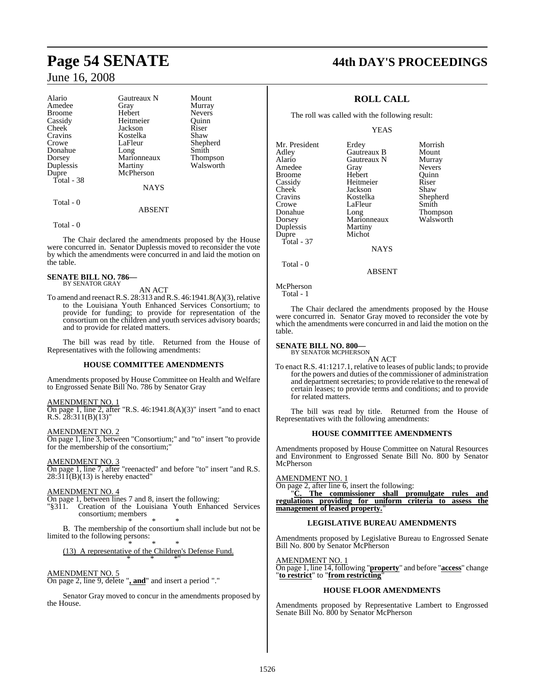| Alario        | Gautreaux N | Mount         |
|---------------|-------------|---------------|
| Amedee        | Gray        | Murray        |
| <b>Broome</b> | Hebert      | <b>Nevers</b> |
| Cassidy       | Heitmeier   | Ouinn         |
| Cheek         | Jackson     | Riser         |
| Cravins       | Kostelka    | Shaw          |
| Crowe         | LaFleur     | Shepherd      |
| Donahue       | Long        | Smith         |
| Dorsey        | Marionneaux | Thompson      |
| Duplessis     | Martiny     | Walsworth     |
| Dupre         | McPherson   |               |
| Total - 38    |             |               |
|               | <b>NAYS</b> |               |
| $Total - 0$   |             |               |

### ABSENT

Total - 0

The Chair declared the amendments proposed by the House were concurred in. Senator Duplessis moved to reconsider the vote by which the amendments were concurred in and laid the motion on the table.

**SENATE BILL NO. 786—** BY SENATOR GRAY

AN ACT

To amend and reenact R.S.  $28:313$  and R.S.  $46:1941.8(A)(3)$ , relative to the Louisiana Youth Enhanced Services Consortium; to provide for funding; to provide for representation of the consortium on the children and youth services advisory boards; and to provide for related matters.

The bill was read by title. Returned from the House of Representatives with the following amendments:

#### **HOUSE COMMITTEE AMENDMENTS**

Amendments proposed by House Committee on Health and Welfare to Engrossed Senate Bill No. 786 by Senator Gray

#### AMENDMENT NO. 1

On page 1, line 2, after "R.S. 46:1941.8(A)(3)" insert "and to enact R.S.  $28:311(B)(13)$ "

AMENDMENT NO. 2 On page 1, line 3, between "Consortium;" and "to" insert "to provide for the membership of the consortium;

AMENDMENT NO. 3

On page 1, line 7, after "reenacted" and before "to" insert "and R.S.  $28:31\bar{1}(B)(13)$  is hereby enacted"

#### AMENDMENT NO. 4

On page 1, between lines 7 and 8, insert the following:

"§311. Creation of the Louisiana Youth Enhanced Services consortium; members \* \* \*

B. The membership of the consortium shall include but not be limited to the following persons: \* \* \*

(13) A representative of the Children's Defense Fund. \* \* \*"

#### AMENDMENT NO. 5

On page 2, line 9, delete "**, and**" and insert a period "."

Senator Gray moved to concur in the amendments proposed by the House.

# **Page 54 SENATE 44th DAY'S PROCEEDINGS**

### **ROLL CALL**

The roll was called with the following result:

YEAS

| Mr. President<br>Adley<br>Alario<br>Amedee<br><b>Broome</b><br>Cassidy<br>Cheek | Erdey<br>Gautreaux B<br>Gautreaux N<br>Gray<br>Hebert<br>Heitmeier<br>Jackson | Morrish<br>Mount<br>Murray<br><b>Nevers</b><br>Ouinn<br>Riser<br>Shaw |
|---------------------------------------------------------------------------------|-------------------------------------------------------------------------------|-----------------------------------------------------------------------|
| Cravins                                                                         | Kostelka                                                                      | Shepherd                                                              |
| Crowe                                                                           | LaFleur                                                                       | Smith                                                                 |
| Donahue                                                                         | Long                                                                          | <b>Thompson</b>                                                       |
| Dorsey                                                                          | Marionneaux                                                                   | Walsworth                                                             |
| Duplessis                                                                       | Martiny                                                                       |                                                                       |
| Dupre                                                                           | Michot                                                                        |                                                                       |
| Total - 37                                                                      |                                                                               |                                                                       |
|                                                                                 | <b>NAYS</b>                                                                   |                                                                       |

Total - 0

McPherson

Total - 1

The Chair declared the amendments proposed by the House were concurred in. Senator Gray moved to reconsider the vote by which the amendments were concurred in and laid the motion on the table.

ABSENT

#### **SENATE BILL NO. 800—**

BY SENATOR MCPHERSON AN ACT

To enact R.S. 41:1217.1, relative to leases of public lands; to provide for the powers and duties of the commissioner of administration and department secretaries; to provide relative to the renewal of certain leases; to provide terms and conditions; and to provide for related matters.

The bill was read by title. Returned from the House of Representatives with the following amendments:

#### **HOUSE COMMITTEE AMENDMENTS**

Amendments proposed by House Committee on Natural Resources and Environment to Engrossed Senate Bill No. 800 by Senator McPherson

#### AMENDMENT NO. 1

On page 2, after line 6, insert the following:

"**C. The commissioner shall promulgate rules and regulations providing for uniform criteria to assess the** management of leased property.

#### **LEGISLATIVE BUREAU AMENDMENTS**

Amendments proposed by Legislative Bureau to Engrossed Senate Bill No. 800 by Senator McPherson

AMENDMENT NO. 1

On page 1, line 14, following "**property**" and before "**access**" change "**to restrict**" to "**from restricting**"

#### **HOUSE FLOOR AMENDMENTS**

Amendments proposed by Representative Lambert to Engrossed Senate Bill No. 800 by Senator McPherson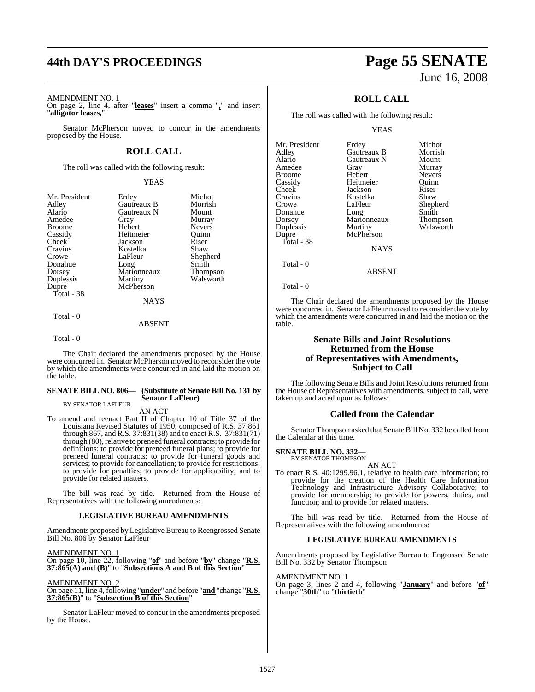# **44th DAY'S PROCEEDINGS Page 55 SENATE**

AMENDMENT NO. 1

On page 2, line 4, after "**leases**" insert a comma "**,**" and insert "**alligator leases,**"

Senator McPherson moved to concur in the amendments proposed by the House.

#### **ROLL CALL**

The roll was called with the following result:

#### YEAS

| Mr. President | Erdey       | Michot          |
|---------------|-------------|-----------------|
| Adley         | Gautreaux B | Morrish         |
| Alario        | Gautreaux N | Mount           |
| Amedee        | Gray        | Murray          |
| <b>Broome</b> | Hebert      | <b>Nevers</b>   |
| Cassidy       | Heitmeier   | Ouinn           |
| Cheek         | Jackson     | Riser           |
| Cravins       | Kostelka    | Shaw            |
| Crowe         | LaFleur     | Shepherd        |
| Donahue       | Long        | Smith           |
| Dorsey        | Marionneaux | <b>Thompson</b> |
| Duplessis     | Martiny     | Walsworth       |
| Dupre         | McPherson   |                 |
| Total - 38    |             |                 |
|               | NAYS        |                 |

Total - 0

#### ABSENT

Total - 0

The Chair declared the amendments proposed by the House were concurred in. Senator McPherson moved to reconsider the vote by which the amendments were concurred in and laid the motion on the table.

#### **SENATE BILL NO. 806— (Substitute of Senate Bill No. 131 by Senator LaFleur)** BY SENATOR LAFLEUR

AN ACT

To amend and reenact Part II of Chapter 10 of Title 37 of the Louisiana Revised Statutes of 1950, composed of R.S. 37:861 through 867, and R.S. 37:831(38) and to enact R.S. 37:831(71) through (80), relative to preneed funeral contracts; to provide for definitions; to provide for preneed funeral plans; to provide for preneed funeral contracts; to provide for funeral goods and services; to provide for cancellation; to provide for restrictions; to provide for penalties; to provide for applicability; and to provide for related matters.

The bill was read by title. Returned from the House of Representatives with the following amendments:

#### **LEGISLATIVE BUREAU AMENDMENTS**

Amendments proposed by Legislative Bureau to Reengrossed Senate Bill No. 806 by Senator LaFleur

AMENDMENT NO. 1

On page 10, line 22, following "**of**" and before "**by**" change "**R.S. 37:865(A) and (B)**" to "**Subsections A and B of this Section**"

#### AMENDMENT NO. 2

On page 11, line 4, following "**under**" and before "**and** "change "**R.S. 37:865(B)**" to "**Subsection B of this Section**"

Senator LaFleur moved to concur in the amendments proposed by the House.

# June 16, 2008

### **ROLL CALL**

The roll was called with the following result:

#### YEAS

| Mr. President | Erdey       | Michot        |
|---------------|-------------|---------------|
| Adley         | Gautreaux B | Morrish       |
| Alario        | Gautreaux N | Mount         |
| Amedee        | Gray        | Murray        |
| <b>Broome</b> | Hebert      | <b>Nevers</b> |
| Cassidy       | Heitmeier   | Ouinn         |
| Cheek         | Jackson     | Riser         |
| Cravins       | Kostelka    | Shaw          |
| Crowe         | LaFleur     | Shepherd      |
| Donahue       | Long        | Smith         |
| Dorsey        | Marionneaux | Thompson      |
| Duplessis     | Martiny     | Walsworth     |
| Dupre         | McPherson   |               |
| Total - 38    |             |               |
|               | <b>NAYS</b> |               |
| Total - 0     |             |               |

```
 Total - 0
```
The Chair declared the amendments proposed by the House were concurred in. Senator LaFleur moved to reconsider the vote by which the amendments were concurred in and laid the motion on the table.

ABSENT

#### **Senate Bills and Joint Resolutions Returned from the House of Representatives with Amendments, Subject to Call**

The following Senate Bills and Joint Resolutions returned from the House of Representatives with amendments, subject to call, were taken up and acted upon as follows:

#### **Called from the Calendar**

Senator Thompson asked that Senate Bill No. 332 be called from the Calendar at this time.

#### **SENATE BILL NO. 332—** BY SENATOR THOMPSON

AN ACT

To enact R.S. 40:1299.96.1, relative to health care information; to provide for the creation of the Health Care Information Technology and Infrastructure Advisory Collaborative; to provide for membership; to provide for powers, duties, and function; and to provide for related matters.

The bill was read by title. Returned from the House of Representatives with the following amendments:

#### **LEGISLATIVE BUREAU AMENDMENTS**

Amendments proposed by Legislative Bureau to Engrossed Senate Bill No. 332 by Senator Thompson

#### AMENDMENT NO. 1

On page 3, lines 2 and 4, following "**January**" and before "**of**" change "**30th**" to "**thirtieth**"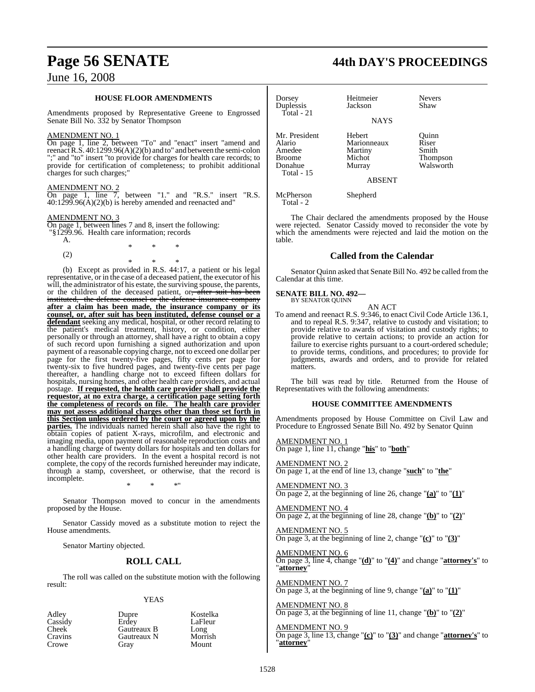#### **HOUSE FLOOR AMENDMENTS**

Amendments proposed by Representative Greene to Engrossed Senate Bill No. 332 by Senator Thompson

#### AMENDMENT NO. 1

On page 1, line 2, between "To" and "enact" insert "amend and reenact R.S.  $40:1299.96(A)(2)(b)$  and to" and between the semi-colon ";" and "to" insert "to provide for charges for health care records; to provide for certification of completeness; to prohibit additional charges for such charges;"

#### AMENDMENT NO. 2

On page 1, line 7, between "1." and "R.S." insert "R.S.  $40:1299.96(A)(2)(b)$  is hereby amended and reenacted and"

\* \* \*

#### AMENDMENT NO. 3

On page 1, between lines 7 and 8, insert the following: "§1299.96. Health care information; records

A.

(2)

\* \* \* (b) Except as provided in R.S. 44:17, a patient or his legal representative, or in the case of a deceased patient, the executor of his will, the administrator of his estate, the surviving spouse, the parents, or the children of the deceased patient, or, after suit has been instituted, the defense counsel or the defense insurance company **after a claim has been made, the insurance company or its counsel, or, after suit has been instituted, defense counsel or a defendant** seeking any medical, hospital, or other record relating to the patient's medical treatment, history, or condition, either personally or through an attorney, shall have a right to obtain a copy of such record upon furnishing a signed authorization and upon payment of a reasonable copying charge, not to exceed one dollar per page for the first twenty-five pages, fifty cents per page for twenty-six to five hundred pages, and twenty-five cents per page thereafter, a handling charge not to exceed fifteen dollars for hospitals, nursing homes, and other health care providers, and actual postage. **If requested, the health care provider shall provide the requestor, at no extra charge, a certification page setting forth the completeness of records on file. The health care provider may not assess additional charges other than those set forth in this Section unless ordered by the court or agreed upon by the parties.** The individuals named herein shall also have the right to obtain copies of patient X-rays, microfilm, and electronic and imaging media, upon payment of reasonable reproduction costs and a handling charge of twenty dollars for hospitals and ten dollars for other health care providers. In the event a hospital record is not complete, the copy of the records furnished hereunder may indicate, through a stamp, coversheet, or otherwise, that the record is incomplete.

Senator Thompson moved to concur in the amendments proposed by the House.

\* \* \*"

Senator Cassidy moved as a substitute motion to reject the House amendments.

Senator Martiny objected.

#### **ROLL CALL**

The roll was called on the substitute motion with the following result:

#### YEAS

| Adley        | Dupre       | Kostelka |
|--------------|-------------|----------|
| Cassidy      | Erdev       | LaFleur  |
| <b>Cheek</b> | Gautreaux B | Long     |
| Cravins      | Gautreaux N | Morrish  |
| Crowe        | Grav        | Mount    |

## **Page 56 SENATE 44th DAY'S PROCEEDINGS**

| Dorsey<br>Duplessis<br>$Total - 21$                                                | Heitmeier<br>Jackson                                                  | <b>Nevers</b><br>Shaw                            |
|------------------------------------------------------------------------------------|-----------------------------------------------------------------------|--------------------------------------------------|
|                                                                                    | <b>NAYS</b>                                                           |                                                  |
| Mr. President<br>Alario<br>Amedee<br><b>Broome</b><br>Donahue<br><b>Total - 15</b> | Hebert<br>Marionneaux<br>Martiny<br>Michot<br>Murray<br><b>ABSENT</b> | Ouinn<br>Riser<br>Smith<br>Thompson<br>Walsworth |
| McPherson<br>Total - 2                                                             | Shepherd                                                              |                                                  |

The Chair declared the amendments proposed by the House were rejected. Senator Cassidy moved to reconsider the vote by which the amendments were rejected and laid the motion on the table.

#### **Called from the Calendar**

Senator Quinn asked that Senate Bill No. 492 be called from the Calendar at this time.

#### **SENATE BILL NO. 492—** BY SENATOR QUINN

AN ACT To amend and reenact R.S. 9:346, to enact Civil Code Article 136.1, and to repeal R.S. 9:347, relative to custody and visitation; to provide relative to awards of visitation and custody rights; to provide relative to certain actions; to provide an action for failure to exercise rights pursuant to a court-ordered schedule; to provide terms, conditions, and procedures; to provide for judgments, awards and orders, and to provide for related matters.

The bill was read by title. Returned from the House of Representatives with the following amendments:

#### **HOUSE COMMITTEE AMENDMENTS**

Amendments proposed by House Committee on Civil Law and Procedure to Engrossed Senate Bill No. 492 by Senator Quinn

AMENDMENT NO. 1 On page 1, line 11, change "**his**" to "**both**"

AMENDMENT NO. 2 On page 1, at the end of line 13, change "**such**" to "**the**"

AMENDMENT NO. 3 On page 2, at the beginning of line 26, change "**(a)**" to "**(1)**"

AMENDMENT NO. 4 On page 2, at the beginning of line 28, change "**(b)**" to "**(2)**"

AMENDMENT NO. 5 On page 3, at the beginning of line 2, change "**(c)**" to "**(3)**"

AMENDMENT NO. 6 On page 3, line 4, change "**(d)**" to "**(4)**" and change "**attorney's**" to "**attorney**"

AMENDMENT NO. 7 On page 3, at the beginning of line 9, change "**(a)**" to "**(1)**"

AMENDMENT NO. 8 On page 3, at the beginning of line 11, change "**(b)**" to "**(2)**"

#### AMENDMENT NO. 9

On page 3, line 13, change "**(c)**" to "**(3)**" and change "**attorney's**" to "**attorney**"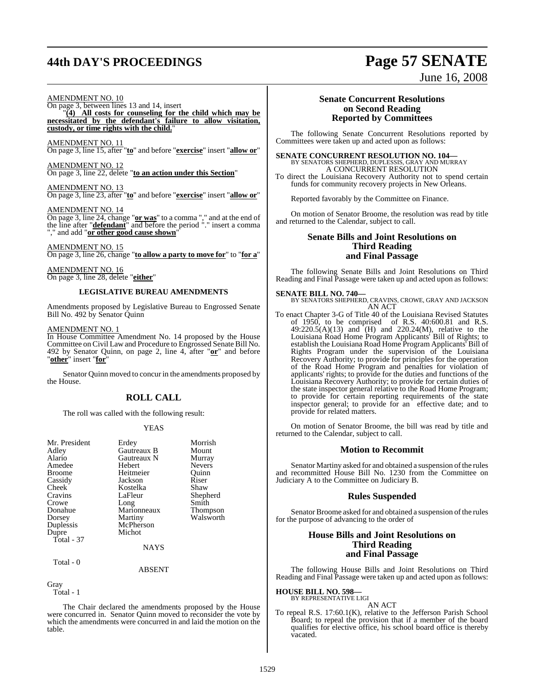# **44th DAY'S PROCEEDINGS Page 57 SENATE**

## AMENDMENT NO. 10

On page 3, between lines 13 and 14, insert "**(4) All costs for counseling for the child which may be necessitated by the defendant's failure to allow visitation, custody, or time rights with the child.**"

#### AMENDMENT NO. 11

On page 3, line 15, after "**to**" and before "**exercise**" insert "**allow or**"

AMENDMENT NO. 12 On page 3, line 22, delete "**to an action under this Section**"

### AMENDMENT NO. 13

On page 3, line 23, after "**to**" and before "**exercise**" insert "**allow or**"

#### AMENDMENT NO. 14

On page 3, line 24, change "**or was**" to a comma "," and at the end of the line after "**defendant**" and before the period "." insert a comma "," and add "**or other good cause shown**"

#### AMENDMENT NO. 15

On page 3, line 26, change "**to allow a party to move for**" to "**for a**"

AMENDMENT NO. 16 On page 3, line 28, delete "**either**"

#### **LEGISLATIVE BUREAU AMENDMENTS**

Amendments proposed by Legislative Bureau to Engrossed Senate Bill No. 492 by Senator Quinn

#### AMENDMENT NO. 1

In House Committee Amendment No. 14 proposed by the House Committee on Civil Law and Procedure to Engrossed Senate Bill No. 492 by Senator Quinn, on page 2, line 4, after "**or**" and before "**other**" insert "**for**"

Senator Quinn moved to concur in the amendments proposed by the House.

#### **ROLL CALL**

The roll was called with the following result:

#### YEAS

| Mr. President<br>Adley<br>Alario<br>Amedee<br><b>Broome</b><br>Cassidy<br>Cheek<br>Cravins<br>Crowe | Erdey<br>Gautreaux B<br>Gautreaux N<br>Hebert<br>Heitmeier<br>Jackson<br>Kostelka<br>LaFleur<br>Long | Morrish<br>Mount<br>Murray<br><b>Nevers</b><br>Ouinn<br>Riser<br>Shaw<br>Shepherd<br>Smith |
|-----------------------------------------------------------------------------------------------------|------------------------------------------------------------------------------------------------------|--------------------------------------------------------------------------------------------|
| Donahue                                                                                             | Marionneaux                                                                                          | <b>Thompson</b>                                                                            |
| Dorsey                                                                                              | Martiny                                                                                              | Walsworth                                                                                  |
| Duplessis                                                                                           | McPherson                                                                                            |                                                                                            |
| Dupre                                                                                               | Michot                                                                                               |                                                                                            |
| Total - 37                                                                                          |                                                                                                      |                                                                                            |
|                                                                                                     | NAYS                                                                                                 |                                                                                            |

Total - 0

#### ABSENT

Gray

Total - 1

The Chair declared the amendments proposed by the House were concurred in. Senator Quinn moved to reconsider the vote by which the amendments were concurred in and laid the motion on the table.

#### **Senate Concurrent Resolutions on Second Reading Reported by Committees**

June 16, 2008

The following Senate Concurrent Resolutions reported by Committees were taken up and acted upon as follows:

# **SENATE CONCURRENT RESOLUTION NO. 104—**<br>BY SENATORS SHEPHERD, DUPLESSIS, GRAY AND MURRAY A CONCURRENT RESOLUTION

To direct the Louisiana Recovery Authority not to spend certain funds for community recovery projects in New Orleans.

Reported favorably by the Committee on Finance.

On motion of Senator Broome, the resolution was read by title and returned to the Calendar, subject to call.

#### **Senate Bills and Joint Resolutions on Third Reading and Final Passage**

The following Senate Bills and Joint Resolutions on Third Reading and Final Passage were taken up and acted upon as follows:

**SENATE BILL NO. 740—** BY SENATORS SHEPHERD, CRAVINS, CROWE, GRAY AND JACKSON AN ACT

To enact Chapter 3-G of Title 40 of the Louisiana Revised Statutes of 1950, to be comprised of R.S. 40:600.81 and R.S. 49:220.5(A)(13) and  $(H)$  and 220.24(M), relative to the Louisiana Road Home Program Applicants' Bill of Rights; to establish the Louisiana Road Home Program Applicants' Bill of Rights Program under the supervision of the Louisiana Recovery Authority; to provide for principles for the operation of the Road Home Program and penalties for violation of applicants' rights; to provide for the duties and functions of the Louisiana Recovery Authority; to provide for certain duties of the state inspector general relative to the Road Home Program; to provide for certain reporting requirements of the state inspector general; to provide for an effective date; and to provide for related matters.

On motion of Senator Broome, the bill was read by title and returned to the Calendar, subject to call.

#### **Motion to Recommit**

Senator Martiny asked for and obtained a suspension of the rules and recommitted House Bill No. 1230 from the Committee on Judiciary A to the Committee on Judiciary B.

#### **Rules Suspended**

Senator Broome asked for and obtained a suspension of the rules for the purpose of advancing to the order of

#### **House Bills and Joint Resolutions on Third Reading and Final Passage**

The following House Bills and Joint Resolutions on Third Reading and Final Passage were taken up and acted upon as follows:

#### **HOUSE BILL NO. 598—** BY REPRESENTATIVE LIGI

AN ACT

To repeal R.S. 17:60.1(K), relative to the Jefferson Parish School Board; to repeal the provision that if a member of the board qualifies for elective office, his school board office is thereby vacated.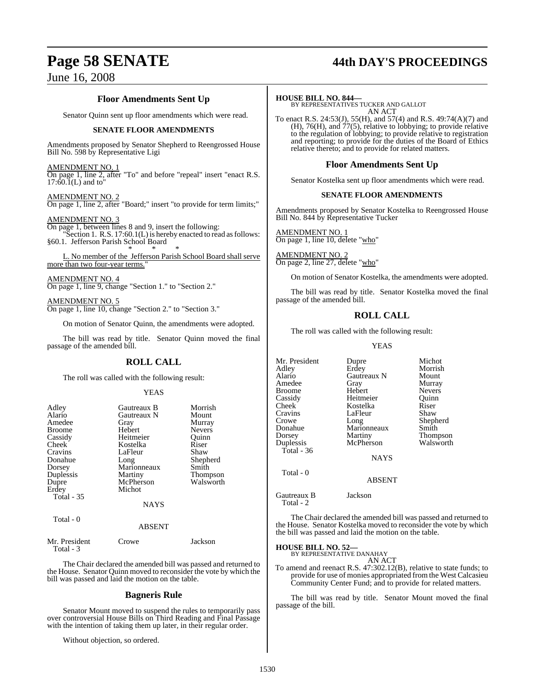# **Page 58 SENATE 44th DAY'S PROCEEDINGS**

### **Floor Amendments Sent Up**

Senator Quinn sent up floor amendments which were read.

#### **SENATE FLOOR AMENDMENTS**

Amendments proposed by Senator Shepherd to Reengrossed House Bill No. 598 by Representative Ligi

#### AMENDMENT NO. 1

On page 1, line 2, after "To" and before "repeal" insert "enact R.S.  $17:60.\mathrm{I(L)}$  and to

AMENDMENT NO. 2 On page 1, line 2, after "Board;" insert "to provide for term limits;"

#### AMENDMENT NO. 3

On page 1, between lines 8 and 9, insert the following: "Section 1. R.S. 17:60.1(L) is hereby enacted to read as follows:

§60.1. Jefferson Parish School Board \* \* \*

L. No member of the Jefferson Parish School Board shall serve more than two four-year terms."

AMENDMENT NO. 4 On page 1, line 9, change "Section 1." to "Section 2."

AMENDMENT NO. 5 On page 1, line 10, change "Section 2." to "Section 3."

On motion of Senator Quinn, the amendments were adopted.

The bill was read by title. Senator Quinn moved the final passage of the amended bill.

#### **ROLL CALL**

The roll was called with the following result:

#### YEAS

| Adley<br>Alario<br>Amedee<br><b>Broome</b><br>Cassidy<br>Cheek<br>Cravins<br>Donahue<br>Dorsey<br>Duplessis<br>Dupre<br>Erdey | Gautreaux B<br>Gautreaux N<br>Gray<br>Hebert<br>Heitmeier<br>Kostelka<br>LaFleur<br>Long<br>Marionneaux<br>Martiny<br>McPherson<br>Michot | Morrish<br>Mount<br>Murray<br><b>Nevers</b><br>Quinn<br>Riser<br>Shaw<br>Shepherd<br>Smith<br><b>Thompson</b><br>Walsworth |
|-------------------------------------------------------------------------------------------------------------------------------|-------------------------------------------------------------------------------------------------------------------------------------------|----------------------------------------------------------------------------------------------------------------------------|
| <b>Total - 35</b><br>Total - 0                                                                                                | NAYS<br><b>ABSENT</b>                                                                                                                     |                                                                                                                            |
| Mr. President                                                                                                                 | rowe:                                                                                                                                     | Jackson                                                                                                                    |

The Chair declared the amended bill was passed and returned to the House. Senator Quinn moved to reconsider the vote by which the bill was passed and laid the motion on the table.

#### **Bagneris Rule**

Senator Mount moved to suspend the rules to temporarily pass over controversial House Bills on Third Reading and Final Passage with the intention of taking them up later, in their regular order.

Without objection, so ordered.

Total - 3

#### **HOUSE BILL NO. 844—**

BY REPRESENTATIVES TUCKER AND GALLOT AN ACT

To enact R.S. 24:53(J), 55(H), and 57(4) and R.S. 49:74(A)(7) and  $(H)$ , 76(H), and 77(5), relative to lobbying; to provide relative to the regulation of lobbying; to provide relative to registration and reporting; to provide for the duties of the Board of Ethics relative thereto; and to provide for related matters.

#### **Floor Amendments Sent Up**

Senator Kostelka sent up floor amendments which were read.

#### **SENATE FLOOR AMENDMENTS**

Amendments proposed by Senator Kostelka to Reengrossed House Bill No. 844 by Representative Tucker

AMENDMENT NO. 1 On page 1, line 10, delete "who"

AMENDMENT NO. 2 On page 2, line 27, delete "who"

On motion of Senator Kostelka, the amendments were adopted.

The bill was read by title. Senator Kostelka moved the final passage of the amended bill.

### **ROLL CALL**

The roll was called with the following result:

LaFleur

McPherson

YEAS

**Alaricaux N** Mount<br> **Gray** Murray

Mr. President Dupre Michot<br>Adley Erdey Morrish Adley Erdey Morrish Amedee Gray<br>Broome Hebert Broome Hebert Nevers<br>
Cassidy Heitmeier Quinn Cassidy Heitmeier Quinn Cheek Kostelka Riser<br>Cravins LaFleur Shaw Crowe Long Shepherd<br>
Donahue Marionneaux Smith Donahue Marionneaux<br>Dorsey Martiny Dorsey Martiny Thompson<br>
Duplessis McPherson Walsworth Total - 36 Total - 0

Gautreaux B Jackson Total - 2

The Chair declared the amended bill was passed and returned to the House. Senator Kostelka moved to reconsider the vote by which the bill was passed and laid the motion on the table.

**NAYS** 

ABSENT

#### **HOUSE BILL NO. 52—**

BY REPRESENTATIVE DANAHAY AN ACT

To amend and reenact R.S. 47:302.12(B), relative to state funds; to provide for use of monies appropriated from the West Calcasieu Community Center Fund; and to provide for related matters.

The bill was read by title. Senator Mount moved the final passage of the bill.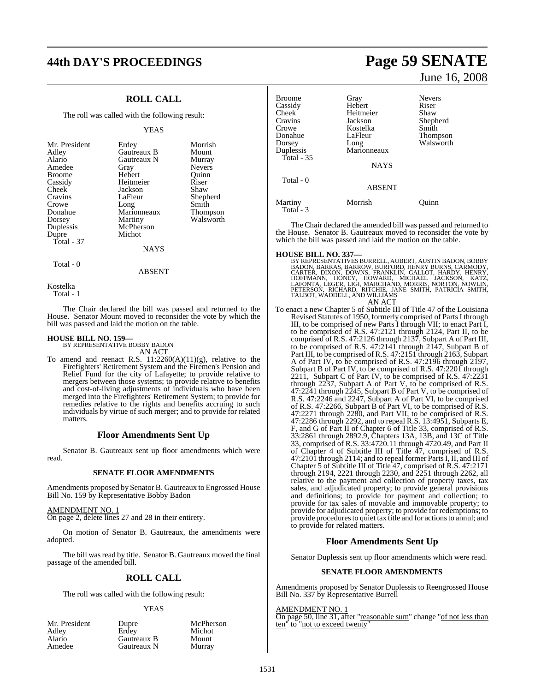# **44th DAY'S PROCEEDINGS Page 59 SENATE**

## **ROLL CALL**

The roll was called with the following result:

#### YEAS

| Mr. President<br>Adley<br>Alario<br>Amedee<br><b>Broome</b><br>Cassidy<br>Cheek<br>Cravins<br>Crowe<br>Donahue<br>Dorsey<br>Duplessis<br>Dupre<br>Total - 37 | Erdey<br>Gautreaux B<br>Gautreaux N<br>Gray<br>Hebert<br>Heitmeier<br>Jackson<br>LaFleur<br>Long<br>Marionneaux<br>Martiny<br>McPherson<br>Michot | Morrish<br>Mount<br>Murray<br><b>Nevers</b><br>Ouinn<br>Riser<br>Shaw<br>Shepherd<br>Smith<br>Thompson<br>Walsworth |
|--------------------------------------------------------------------------------------------------------------------------------------------------------------|---------------------------------------------------------------------------------------------------------------------------------------------------|---------------------------------------------------------------------------------------------------------------------|
|                                                                                                                                                              | <b>NAYS</b>                                                                                                                                       |                                                                                                                     |
|                                                                                                                                                              |                                                                                                                                                   |                                                                                                                     |

Total - 0

Kostelka Total - 1

The Chair declared the bill was passed and returned to the House. Senator Mount moved to reconsider the vote by which the bill was passed and laid the motion on the table.

ABSENT

#### **HOUSE BILL NO. 159—** BY REPRESENTATIVE BOBBY BADON

AN ACT

To amend and reenact R.S.  $11:2260(A)(11)(g)$ , relative to the Firefighters' Retirement System and the Firemen's Pension and Relief Fund for the city of Lafayette; to provide relative to mergers between those systems; to provide relative to benefits and cost-of-living adjustments of individuals who have been merged into the Firefighters' Retirement System; to provide for remedies relative to the rights and benefits accruing to such individuals by virtue of such merger; and to provide for related matters.

#### **Floor Amendments Sent Up**

Senator B. Gautreaux sent up floor amendments which were read.

#### **SENATE FLOOR AMENDMENTS**

Amendments proposed by Senator B. Gautreaux to Engrossed House Bill No. 159 by Representative Bobby Badon

#### AMENDMENT NO. 1

On page 2, delete lines 27 and 28 in their entirety.

On motion of Senator B. Gautreaux, the amendments were adopted.

The bill was read by title. Senator B. Gautreaux moved the final passage of the amended bill.

#### **ROLL CALL**

The roll was called with the following result:

#### YEAS

McPherson Michot Mount Murray

| Dupre       |
|-------------|
| Erdev       |
| Gautreaux B |
| Gautreaux N |
|             |

June 16, 2008

| Broome<br>Cassidy<br>Cheek<br>Cravins<br>Crowe<br>Donahue<br>Dorsey<br>Duplessis<br>Total - 35 | Gray<br>Hebert<br>Heitmeier<br>Jackson<br>Kostelka<br>LaFleur<br>Long<br>Marionneaux<br><b>NAYS</b> | <b>Nevers</b><br>Riser<br>Shaw<br>Shepherd<br>Smith<br><b>Thompson</b><br>Walsworth |
|------------------------------------------------------------------------------------------------|-----------------------------------------------------------------------------------------------------|-------------------------------------------------------------------------------------|
| Total - 0                                                                                      | <b>ABSENT</b>                                                                                       |                                                                                     |
| Martiny<br>Total - 3                                                                           | Morrish                                                                                             | Ouinn                                                                               |

The Chair declared the amended bill was passed and returned to the House. Senator B. Gautreaux moved to reconsider the vote by which the bill was passed and laid the motion on the table.

#### **HOUSE BILL NO. 337—**

BY REPRESENTATIVES BURRELL, AUBERT, AUSTIN BADON, BOBBY<br>BADON, BARRAS, BARROW, BURFORD, HENRY BURNS, CARMODY,<br>CARTER, DIXON, DOWNS, FRANKLIN, GALLOT, HARDY, HENRY,<br>HOFFMANN, HONEY, HOWARD, MICHAEL JACKSON, KATZ,<br>LAFONTA, L

AN ACT

To enact a new Chapter 5 of Subtitle III of Title 47 of the Louisiana Revised Statutes of 1950, formerly comprised of Parts I through III, to be comprised of new Parts I through VII; to enact Part I, to be comprised of R.S. 47:2121 through 2124, Part II, to be comprised of R.S. 47:2126 through 2137, Subpart A of Part III, to be comprised of R.S. 47:2141 through 2147, Subpart B of Part III, to be comprised of R.S. 47:2151 through 2163, Subpart A of Part IV, to be comprised of R.S. 47:2196 through 2197, Subpart B of Part IV, to be comprised of R.S. 47:2201 through 2211, Subpart C of Part IV, to be comprised of R.S. 47:2231 through 2237, Subpart A of Part V, to be comprised of R.S. 47:2241 through 2245, Subpart B of Part V, to be comprised of R.S. 47:2246 and 2247, Subpart A of Part VI, to be comprised of R.S. 47:2266, Subpart B of Part VI, to be comprised of R.S. 47:2271 through 2280, and Part VII, to be comprised of R.S. 47:2286 through 2292, and to repeal R.S. 13:4951, Subparts E, F, and G of Part II of Chapter 6 of Title 33, comprised of R.S. 33:2861 through 2892.9, Chapters 13A, 13B, and 13C of Title 33, comprised of R.S. 33:4720.11 through 4720.49, and Part II of Chapter 4 of Subtitle III of Title 47, comprised of R.S. 47:2101 through 2114; and to repeal former PartsI, II, and III of Chapter 5 of Subtitle III of Title 47, comprised of R.S. 47:2171 through 2194, 2221 through 2230, and 2251 through 2262, all relative to the payment and collection of property taxes, tax sales, and adjudicated property; to provide general provisions and definitions; to provide for payment and collection; to provide for tax sales of movable and immovable property; to provide for adjudicated property; to provide for redemptions; to provide procedures to quiet tax title and for actions to annul; and to provide for related matters.

#### **Floor Amendments Sent Up**

Senator Duplessis sent up floor amendments which were read.

#### **SENATE FLOOR AMENDMENTS**

Amendments proposed by Senator Duplessis to Reengrossed House Bill No. 337 by Representative Burrell

#### AMENDMENT NO. 1

On page 50, line 31, after "reasonable sum" change "of not less than ten" to "not to exceed twenty"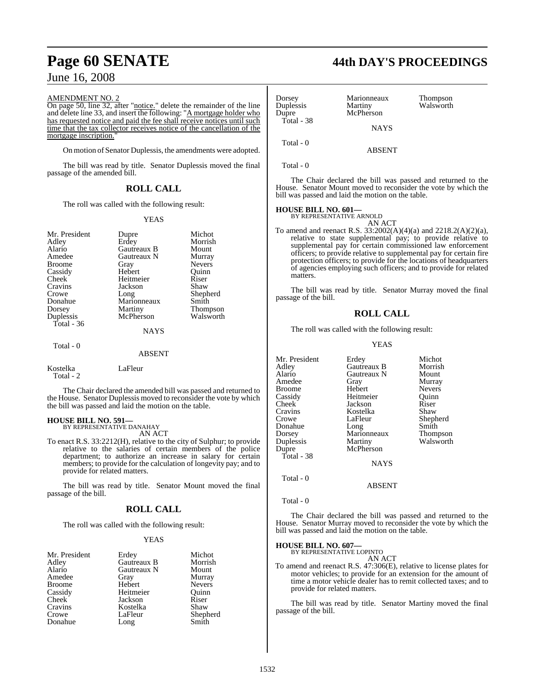#### AMENDMENT NO. 2

On page 50, line 32, after "notice." delete the remainder of the line and delete line 33, and insert the following: "A mortgage holder who has requested notice and paid the fee shall receive notices until such time that the tax collector receives notice of the cancellation of the mortgage inscription.

On motion of Senator Duplessis, the amendments were adopted.

The bill was read by title. Senator Duplessis moved the final passage of the amended bill.

### **ROLL CALL**

The roll was called with the following result:

#### YEAS

| Mr. President         | Dupre         | Michot        |
|-----------------------|---------------|---------------|
| Adley                 | Erdey         | Morrish       |
| Alario                | Gautreaux B   | Mount         |
| Amedee                | Gautreaux N   | Murray        |
| <b>Broome</b>         | Gray          | <b>Nevers</b> |
| Cassidy               | Hebert        | Ouinn         |
| Cheek                 | Heitmeier     | Riser         |
| Cravins               | Jackson       | Shaw          |
| Crowe                 | Long          | Shepherd      |
| Donahue               | Marionneaux   | Smith         |
| Dorsey                | Martiny       | Thompson      |
| Duplessis             | McPherson     | Walsworth     |
| Total - 36            |               |               |
|                       | <b>NAYS</b>   |               |
| Total - 0             |               |               |
|                       | <b>ABSENT</b> |               |
| Kostelka<br>Total - 2 | LaFleur       |               |

The Chair declared the amended bill was passed and returned to the House. Senator Duplessis moved to reconsider the vote by which

**HOUSE BILL NO. 591—** BY REPRESENTATIVE DANAHAY AN ACT

the bill was passed and laid the motion on the table.

To enact R.S. 33:2212(H), relative to the city of Sulphur; to provide relative to the salaries of certain members of the police department; to authorize an increase in salary for certain members; to provide for the calculation of longevity pay; and to provide for related matters.

The bill was read by title. Senator Mount moved the final passage of the bill.

#### **ROLL CALL**

The roll was called with the following result:

#### YEAS

| Mr. President<br>Adley | Erdey<br>Gautreaux B | Michot<br>Morrish |
|------------------------|----------------------|-------------------|
| Alario                 | Gautreaux N          | Mount             |
| Amedee                 | Gray                 | Murray            |
| <b>Broome</b>          | Hebert               | <b>Nevers</b>     |
| Cassidy                | Heitmeier            | Ouinn             |
| <b>Cheek</b>           | Jackson              | Riser             |
| Cravins                | Kostelka             | Shaw              |
| Crowe                  | LaFleur              | Shepherd          |
| Donahue                | Long                 | Smith             |

# **Page 60 SENATE 44th DAY'S PROCEEDINGS**

| Dorsey<br>Duplessis<br>Dupre<br>Total - 38 | Marionneaux<br>Martiny<br>McPherson<br><b>NAYS</b> | Thompson<br>Walsworth |
|--------------------------------------------|----------------------------------------------------|-----------------------|
|                                            |                                                    |                       |
| Total $-0$                                 | <b>ABSENT</b>                                      |                       |
| Total - 0                                  |                                                    |                       |

The Chair declared the bill was passed and returned to the House. Senator Mount moved to reconsider the vote by which the bill was passed and laid the motion on the table.

#### **HOUSE BILL NO. 601—** BY REPRESENTATIVE ARNOLD

AN ACT

To amend and reenact R.S. 33:2002(A)(4)(a) and 2218.2(A)(2)(a), relative to state supplemental pay; to provide relative to supplemental pay for certain commissioned law enforcement officers; to provide relative to supplemental pay for certain fire protection officers; to provide for the locations of headquarters of agencies employing such officers; and to provide for related matters.

The bill was read by title. Senator Murray moved the final passage of the bill.

#### **ROLL CALL**

The roll was called with the following result:

#### YEAS

| Mr. President | Erdey       | Michot        |
|---------------|-------------|---------------|
| Adley         | Gautreaux B | Morrish       |
| Alario        | Gautreaux N | Mount         |
| Amedee        | Gray        | Murray        |
| Broome        | Hebert      | <b>Nevers</b> |
| Cassidy       | Heitmeier   | Ouinn         |
| Cheek         | Jackson     | Riser         |
| Cravins       | Kostelka    | Shaw          |
| Crowe         | LaFleur     | Shepherd      |
| Donahue       | Long        | Smith         |
| Dorsey        | Marionneaux | Thompson      |
| Duplessis     | Martiny     | Walsworth     |
| Dupre         | McPherson   |               |
| Total - 38    |             |               |
|               | <b>NAYS</b> |               |
| Total - 0     |             |               |

Total - 0

The Chair declared the bill was passed and returned to the House. Senator Murray moved to reconsider the vote by which the bill was passed and laid the motion on the table.

ABSENT

## **HOUSE BILL NO. 607—** BY REPRESENTATIVE LOPINTO

AN ACT

To amend and reenact R.S. 47:306(E), relative to license plates for motor vehicles; to provide for an extension for the amount of time a motor vehicle dealer has to remit collected taxes; and to provide for related matters.

The bill was read by title. Senator Martiny moved the final passage of the bill.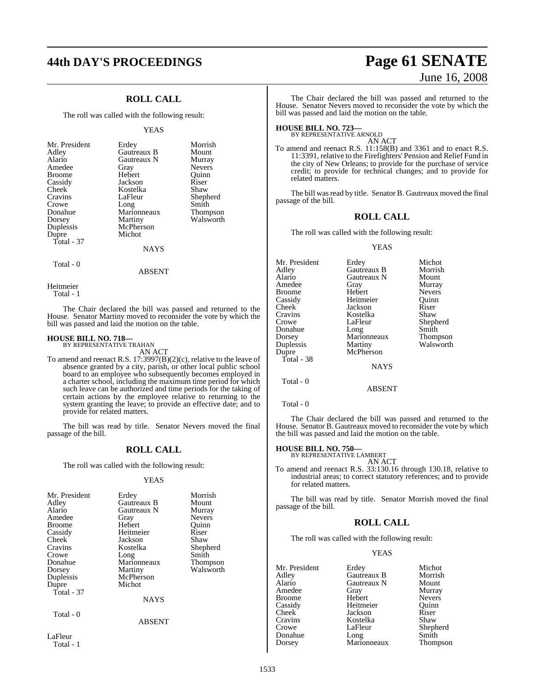## **ROLL CALL**

The roll was called with the following result:

#### YEAS

| Mr. President<br>Adley<br>Alario<br>Amedee<br><b>Broome</b><br>Cassidy<br>Cheek<br>Cravins<br>Crowe<br>Donahue<br>Dorsey | Erdey<br>Gautreaux B<br>Gautreaux N<br>Gray<br>Hebert<br>Jackson<br>Kostelka<br>LaFleur<br>Long<br>Marionneaux<br>Martiny | Morrish<br>Mount<br>Murray<br><b>Nevers</b><br>Ouinn<br>Riser<br>Shaw<br>Shepherd<br>Smith<br>Thompson<br>Walsworth |
|--------------------------------------------------------------------------------------------------------------------------|---------------------------------------------------------------------------------------------------------------------------|---------------------------------------------------------------------------------------------------------------------|
| Duplessis<br>Dupre                                                                                                       | McPherson<br>Michot                                                                                                       |                                                                                                                     |
| Total - 37                                                                                                               | <b>NAYS</b>                                                                                                               |                                                                                                                     |

Total - 0

Heitmeier

Total - 1

The Chair declared the bill was passed and returned to the House. Senator Martiny moved to reconsider the vote by which the bill was passed and laid the motion on the table.

ABSENT

## **HOUSE BILL NO. 718—** BY REPRESENTATIVE TRAHAN

AN ACT

To amend and reenact R.S. 17:3997(B)(2)(c), relative to the leave of absence granted by a city, parish, or other local public school board to an employee who subsequently becomes employed in a charter school, including the maximum time period for which such leave can be authorized and time periods for the taking of certain actions by the employee relative to returning to the system granting the leave; to provide an effective date; and to provide for related matters.

The bill was read by title. Senator Nevers moved the final passage of the bill.

#### **ROLL CALL**

The roll was called with the following result:

#### YEAS

| Mr. President<br>Adley<br>Alario<br>Amedee<br><b>Broome</b><br>Cassidy<br>Cheek<br>Cravins<br>Crowe<br>Donahue<br>Dorsey<br>Duplessis<br>Dupre<br>Total - 37 | Erdey<br>Gautreaux B<br>Gautreaux N<br>Gray<br>Hebert<br>Heitmeier<br>Jackson<br>Kostelka<br>Long<br>Marionneaux<br>Martiny<br>McPherson<br>Michot<br><b>NAYS</b> | Morrish<br>Mount<br>Murray<br><b>Nevers</b><br>Ouinn<br>Riser<br>Shaw<br>Shepherd<br>Smith<br><b>Thompson</b><br>Walsworth |
|--------------------------------------------------------------------------------------------------------------------------------------------------------------|-------------------------------------------------------------------------------------------------------------------------------------------------------------------|----------------------------------------------------------------------------------------------------------------------------|
| Total - 0                                                                                                                                                    | <b>ABSENT</b>                                                                                                                                                     |                                                                                                                            |
| LaFleur                                                                                                                                                      |                                                                                                                                                                   |                                                                                                                            |

Total - 1

# **44th DAY'S PROCEEDINGS Page 61 SENATE** June 16, 2008

The Chair declared the bill was passed and returned to the House. Senator Nevers moved to reconsider the vote by which the bill was passed and laid the motion on the table.

## **HOUSE BILL NO. 723—** BY REPRESENTATIVE ARNOLD

AN ACT

To amend and reenact R.S. 11:158(B) and 3361 and to enact R.S. 11:3391, relative to the Firefighters' Pension and Relief Fund in the city of New Orleans; to provide for the purchase of service credit; to provide for technical changes; and to provide for related matters.

The bill was read by title. Senator B. Gautreaux moved the final passage of the bill.

#### **ROLL CALL**

The roll was called with the following result:

#### YEAS

| Erdey       | Michot        |
|-------------|---------------|
| Gautreaux B | Morrish       |
| Gautreaux N | Mount         |
| Gray        | Murray        |
| Hebert      | <b>Nevers</b> |
| Heitmeier   | Ouinn         |
| Jackson     | Riser         |
| Kostelka    | Shaw          |
| LaFleur     | Shepherd      |
| Long        | Smith         |
| Marionneaux | Thompson      |
| Martiny     | Walsworth     |
| McPherson   |               |
|             |               |
| <b>NAYS</b> |               |
|             |               |
|             |               |

Total - 0

The Chair declared the bill was passed and returned to the House. Senator B. Gautreaux moved to reconsider the vote by which the bill was passed and laid the motion on the table.

ABSENT

## **HOUSE BILL NO. 750—** BY REPRESENTATIVE LAMBERT

AN ACT

To amend and reenact R.S. 33:130.16 through 130.18, relative to industrial areas; to correct statutory references; and to provide for related matters.

The bill was read by title. Senator Morrish moved the final passage of the bill.

#### **ROLL CALL**

The roll was called with the following result:

#### YEAS

Mr. President Erdey Michot<br>Adley Gautreaux B Morrish Adley Gautreaux B Morrish Gautreaux N Mount<br>Gray Murray Amedee Gray Murray Broome Hebert Nevers<br>
Cassidy Heitmeier Quinn Cassidy Heitmeier Quinn Cheek Jackson Riser Cravins Kostelka<br>Crowe LaFleur Shepherd<br>Smith Donahue Long Smith<br>Dorsey Marionneaux Thompson Marionneaux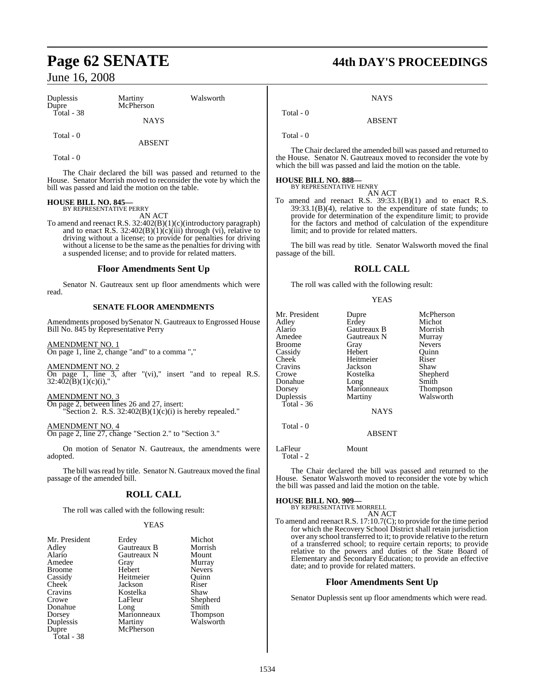| Duplessis<br>Dupre | Martiny<br>McPherson | Walsworth |
|--------------------|----------------------|-----------|
| Total - $38$       | <b>NAYS</b>          |           |
| Total - 0          | ABSENT               |           |

Total - 0

The Chair declared the bill was passed and returned to the House. Senator Morrish moved to reconsider the vote by which the bill was passed and laid the motion on the table.

#### **HOUSE BILL NO. 845—** BY REPRESENTATIVE PERRY

AN ACT

To amend and reenact R.S. 32:402(B)(1)(c)(introductory paragraph) and to enact R.S.  $32:402(B)(1)(c)(iii)$  through (vi), relative to driving without a license; to provide for penalties for driving without a license to be the same as the penalties for driving with a suspended license; and to provide for related matters.

#### **Floor Amendments Sent Up**

Senator N. Gautreaux sent up floor amendments which were read.

#### **SENATE FLOOR AMENDMENTS**

Amendments proposed bySenator N. Gautreaux to Engrossed House Bill No. 845 by Representative Perry

AMENDMENT NO. 1 On page 1, line 2, change "and" to a comma ","

AMENDMENT NO. 2 On page 1, line  $3$ , after "(vi)," insert "and to repeal R.S. 32:402(B)(1)(c)(i),"

AMENDMENT NO. 3 On page 2, between lines 26 and 27, insert:

"Section 2. R.S.  $32:402(B)(1)(c)(i)$  is hereby repealed."

AMENDMENT NO. 4 On page 2, line 27, change "Section 2." to "Section 3."

On motion of Senator N. Gautreaux, the amendments were adopted.

The bill was read by title. Senator N. Gautreaux moved the final passage of the amended bill.

#### **ROLL CALL**

The roll was called with the following result:

#### YEAS

| Mr. President | Erdey       | Michot          |
|---------------|-------------|-----------------|
| Adley         | Gautreaux B | Morrish         |
| Alario        | Gautreaux N | Mount           |
| Amedee        | Gray        | Murray          |
| <b>Broome</b> | Hebert      | <b>Nevers</b>   |
| Cassidy       | Heitmeier   | Ouinn           |
| Cheek         | Jackson     | Riser           |
| Cravins       | Kostelka    | Shaw            |
| Crowe         | LaFleur     | Shepherd        |
| Donahue       | Long        | Smith           |
| Dorsey        | Marionneaux | <b>Thompson</b> |
| Duplessis     | Martiny     | Walsworth       |
| Dupre         | McPherson   |                 |
| Total - 38    |             |                 |

# **Page 62 SENATE 44th DAY'S PROCEEDINGS**

**NAYS** 

ABSENT

Total - 0

Total - 0

The Chair declared the amended bill was passed and returned to the House. Senator N. Gautreaux moved to reconsider the vote by which the bill was passed and laid the motion on the table.

## **HOUSE BILL NO. 888—** BY REPRESENTATIVE HENRY

AN ACT

To amend and reenact R.S. 39:33.1(B)(1) and to enact R.S. 39:33.1(B)(4), relative to the expenditure of state funds; to provide for determination of the expenditure limit; to provide for the factors and method of calculation of the expenditure limit; and to provide for related matters.

The bill was read by title. Senator Walsworth moved the final passage of the bill.

### **ROLL CALL**

The roll was called with the following result:

#### YEAS

| Mr. President | Dupre              | McPherson       |
|---------------|--------------------|-----------------|
| Adley         | Erdey              | Michot          |
| Alario        | <b>Gautreaux B</b> | Morrish         |
| Amedee        | Gautreaux N        | Murray          |
| <b>Broome</b> | Gray               | <b>Nevers</b>   |
| Cassidy       | Hebert             | Ouinn           |
| Cheek         | Heitmeier          | Riser           |
| Cravins       | Jackson            | Shaw            |
| Crowe         | Kostelka           | Shepherd        |
| Donahue       | Long               | Smith           |
| Dorsey        | Marionneaux        | <b>Thompson</b> |
| Duplessis     | Martiny            | Walsworth       |
| Total - 36    |                    |                 |
|               | <b>NAYS</b>        |                 |
| Total - 0     |                    |                 |
|               | ABSENT             |                 |

LaFleur Mount

Total - 2

The Chair declared the bill was passed and returned to the House. Senator Walsworth moved to reconsider the vote by which the bill was passed and laid the motion on the table.

#### **HOUSE BILL NO. 909—**

BY REPRESENTATIVE MORRELL AN ACT

To amend and reenact R.S. 17:10.7(C); to provide for the time period for which the Recovery School District shall retain jurisdiction over any school transferred to it; to provide relative to the return of a transferred school; to require certain reports; to provide relative to the powers and duties of the State Board of Elementary and Secondary Education; to provide an effective date; and to provide for related matters.

#### **Floor Amendments Sent Up**

Senator Duplessis sent up floor amendments which were read.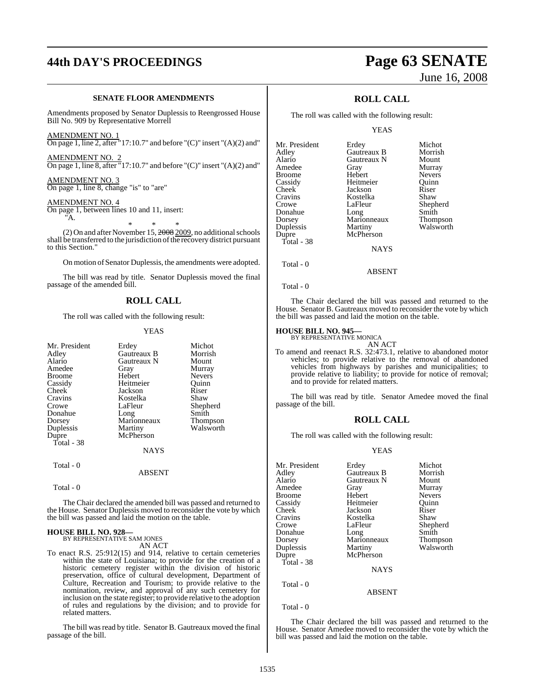# **44th DAY'S PROCEEDINGS Page 63 SENATE**

#### **SENATE FLOOR AMENDMENTS**

Amendments proposed by Senator Duplessis to Reengrossed House Bill No. 909 by Representative Morrell

AMENDMENT NO. 1

On page 1, line 2, after "17:10.7" and before " $(C)$ " insert " $(A)(2)$  and" AMENDMENT NO. 2

On page 1, line 8, after "17:10.7" and before "(C)" insert "(A)(2) and"

AMENDMENT NO. 3 On page 1, line 8, change "is" to "are"

AMENDMENT NO. 4

On page 1, between lines 10 and 11, insert: "A.

\* \* \* (2) On and after November 15, 2008 2009, no additional schools shall be transferred to the jurisdiction of the recovery district pursuant to this Section."

On motion of Senator Duplessis, the amendments were adopted.

The bill was read by title. Senator Duplessis moved the final passage of the amended bill.

#### **ROLL CALL**

The roll was called with the following result:

#### YEAS

| Mr. President<br>Adlev | Erdey<br>Gautreaux B | Michot<br>Morrish |
|------------------------|----------------------|-------------------|
| Alario                 | Gautreaux N          | Mount             |
| Amedee                 | Gray                 | Murray            |
| Broome                 | Hebert               | <b>Nevers</b>     |
| Cassidy                | Heitmeier            | Ouinn             |
| Cheek                  | Jackson              | Riser             |
| Cravins                | Kostelka             | Shaw              |
| Crowe                  | LaFleur              | Shepherd          |
| Donahue                | Long                 | Smith             |
| Dorsey                 | Marionneaux          | Thompson          |
| Duplessis              | Martiny              | Walsworth         |
| Dupre                  | McPherson            |                   |
| Total - 38             |                      |                   |
|                        | <b>NAYS</b>          |                   |
| Total $-0$             |                      |                   |
|                        | <b>ABSENT</b>        |                   |
|                        |                      |                   |

Total - 0

The Chair declared the amended bill was passed and returned to the House. Senator Duplessis moved to reconsider the vote by which the bill was passed and laid the motion on the table.

#### **HOUSE BILL NO. 928—** BY REPRESENTATIVE SAM JONES

AN ACT

To enact R.S. 25:912(15) and 914, relative to certain cemeteries within the state of Louisiana; to provide for the creation of a historic cemetery register within the division of historic preservation, office of cultural development, Department of Culture, Recreation and Tourism; to provide relative to the nomination, review, and approval of any such cemetery for inclusion on the state register; to provide relative to the adoption of rules and regulations by the division; and to provide for related matters.

The bill was read by title. Senator B. Gautreaux moved the final passage of the bill.

# June 16, 2008

## **ROLL CALL**

The roll was called with the following result:

YEAS

| Mr. President | Erdey       | Michot          |
|---------------|-------------|-----------------|
| Adley         | Gautreaux B | Morrish         |
| Alario        | Gautreaux N | Mount           |
| Amedee        | Gray        | Murray          |
| Broome        | Hebert      | <b>Nevers</b>   |
| Cassidy       | Heitmeier   | Ouinn           |
| Cheek         | Jackson     | Riser           |
| Cravins       | Kostelka    | Shaw            |
| Crowe         | LaFleur     | Shepherd        |
| Donahue       | Long        | Smith           |
| Dorsey        | Marionneaux | <b>Thompson</b> |
| Duplessis     | Martiny     | Walsworth       |
| Dupre         | McPherson   |                 |
| Total - 38    |             |                 |
|               | <b>NAYS</b> |                 |
|               |             |                 |

Total - 0

Total - 0

The Chair declared the bill was passed and returned to the House. Senator B. Gautreaux moved to reconsider the vote by which the bill was passed and laid the motion on the table.

ABSENT

#### **HOUSE BILL NO. 945—**

BY REPRESENTATIVE MONICA AN ACT

To amend and reenact R.S. 32:473.1, relative to abandoned motor vehicles; to provide relative to the removal of abandoned vehicles from highways by parishes and municipalities; to provide relative to liability; to provide for notice of removal; and to provide for related matters.

The bill was read by title. Senator Amedee moved the final passage of the bill.

#### **ROLL CALL**

The roll was called with the following result:

#### YEAS

| Mr. President | Erdey         | Michot        |
|---------------|---------------|---------------|
| Adley         | Gautreaux B   | Morrish       |
| Alario        | Gautreaux N   | Mount         |
| Amedee        | Gray          | Murray        |
| <b>Broome</b> | Hebert        | <b>Nevers</b> |
| Cassidy       | Heitmeier     | Ouinn         |
| <b>Cheek</b>  | Jackson       | Riser         |
| Cravins       | Kostelka      | Shaw          |
| Crowe         | LaFleur       | Shepherd      |
| Donahue       | Long          | Smith         |
| Dorsey        | Marionneaux   | Thompson      |
| Duplessis     | Martiny       | Walsworth     |
| Dupre         | McPherson     |               |
| Total - 38    |               |               |
|               | <b>NAYS</b>   |               |
| Total - 0     | <b>ABSENT</b> |               |

Total - 0

The Chair declared the bill was passed and returned to the House. Senator Amedee moved to reconsider the vote by which the bill was passed and laid the motion on the table.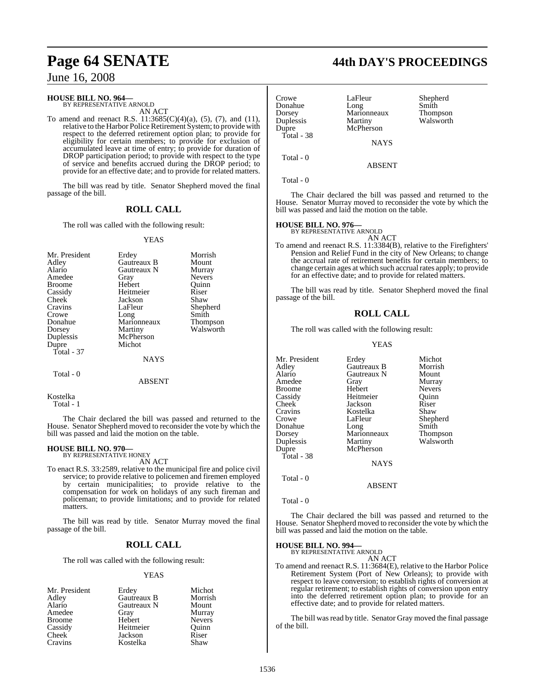#### **HOUSE BILL NO. 964—**

BY REPRESENTATIVE ARNOLD AN ACT

To amend and reenact R.S.  $11:3685(C)(4)(a)$ ,  $(5)$ ,  $(7)$ , and  $(11)$ , relative to the Harbor Police Retirement System; to provide with respect to the deferred retirement option plan; to provide for eligibility for certain members; to provide for exclusion of accumulated leave at time of entry; to provide for duration of DROP participation period; to provide with respect to the type of service and benefits accrued during the DROP period; to provide for an effective date; and to provide for related matters.

The bill was read by title. Senator Shepherd moved the final passage of the bill.

#### **ROLL CALL**

The roll was called with the following result:

#### YEAS

| Mr. President | Erdey       | Morrish         |
|---------------|-------------|-----------------|
| Adley         | Gautreaux B | Mount           |
| Alario        | Gautreaux N | Murray          |
| Amedee        | Gray        | <b>Nevers</b>   |
| <b>Broome</b> | Hebert      | Ouinn           |
| Cassidy       | Heitmeier   | Riser           |
| Cheek         | Jackson     | Shaw            |
| Cravins       | LaFleur     | Shepherd        |
| Crowe         | Long        | Smith           |
| Donahue       | Marionneaux | <b>Thompson</b> |
| Dorsey        | Martiny     | Walsworth       |
| Duplessis     | McPherson   |                 |
| Dupre         | Michot      |                 |
| Total - 37    |             |                 |
|               | <b>NAYS</b> |                 |

#### Total - 0

ABSENT

Kostelka

Total - 1

The Chair declared the bill was passed and returned to the House. Senator Shepherd moved to reconsider the vote by which the bill was passed and laid the motion on the table.

## **HOUSE BILL NO. 970—** BY REPRESENTATIVE HONEY

AN ACT

To enact R.S. 33:2589, relative to the municipal fire and police civil service; to provide relative to policemen and firemen employed by certain municipalities; to provide relative to the compensation for work on holidays of any such fireman and policeman; to provide limitations; and to provide for related matters.

The bill was read by title. Senator Murray moved the final passage of the bill.

#### **ROLL CALL**

The roll was called with the following result:

#### YEAS

| Mr. President | Erdey       | Michot        |
|---------------|-------------|---------------|
| Adley         | Gautreaux B | Morrish       |
| Alario        | Gautreaux N | Mount         |
| Amedee        | Gray        | Murray        |
| <b>Broome</b> | Hebert      | <b>Nevers</b> |
| Cassidy       | Heitmeier   | Quinn         |
| <b>Cheek</b>  | Jackson     | Riser         |
| Cravins       | Kostelka    | Shaw          |

## **Page 64 SENATE 44th DAY'S PROCEEDINGS**

| Crowe<br>Donahue<br>Dorsey<br>Duplessis | LaFleur<br>Long<br>Marionneaux<br>Martiny | Shepherd<br>Smith<br>Thompson<br>Walsworth |
|-----------------------------------------|-------------------------------------------|--------------------------------------------|
| Dupre<br>Total - 38                     | McPherson                                 |                                            |
|                                         | <b>NAYS</b>                               |                                            |
| Total $-0$                              | ABSENT                                    |                                            |

Total - 0

The Chair declared the bill was passed and returned to the House. Senator Murray moved to reconsider the vote by which the bill was passed and laid the motion on the table.

## **HOUSE BILL NO. 976—** BY REPRESENTATIVE ARNOLD

AN ACT To amend and reenact R.S. 11:3384(B), relative to the Firefighters' Pension and Relief Fund in the city of New Orleans; to change the accrual rate of retirement benefits for certain members; to change certain ages at which such accrual rates apply; to provide for an effective date; and to provide for related matters.

The bill was read by title. Senator Shepherd moved the final passage of the bill.

#### **ROLL CALL**

The roll was called with the following result:

#### YEAS

| Mr. President | Erdey       | Michot          |
|---------------|-------------|-----------------|
| Adley         | Gautreaux B | Morrish         |
| Alario        | Gautreaux N | Mount           |
| Amedee        | Gray        | Murray          |
| Broome        | Hebert      | <b>Nevers</b>   |
| Cassidy       | Heitmeier   | Ouinn           |
| Cheek         | Jackson     | Riser           |
| Cravins       | Kostelka    | Shaw            |
| Crowe         | LaFleur     | Shepherd        |
| Donahue       | Long        | Smith           |
| Dorsey        | Marionneaux | <b>Thompson</b> |
| Duplessis     | Martiny     | Walsworth       |
| Dupre         | McPherson   |                 |
| Total - 38    |             |                 |
|               | <b>NAYS</b> |                 |
| Total - 0     |             |                 |

Total - 0

The Chair declared the bill was passed and returned to the House. Senator Shepherd moved to reconsider the vote by which the bill was passed and laid the motion on the table.

ABSENT

## **HOUSE BILL NO. 994—** BY REPRESENTATIVE ARNOLD

AN ACT

To amend and reenact R.S. 11:3684(E), relative to the Harbor Police Retirement System (Port of New Orleans); to provide with respect to leave conversion; to establish rights of conversion at regular retirement; to establish rights of conversion upon entry into the deferred retirement option plan; to provide for an effective date; and to provide for related matters.

The bill was read by title. Senator Gray moved the final passage of the bill.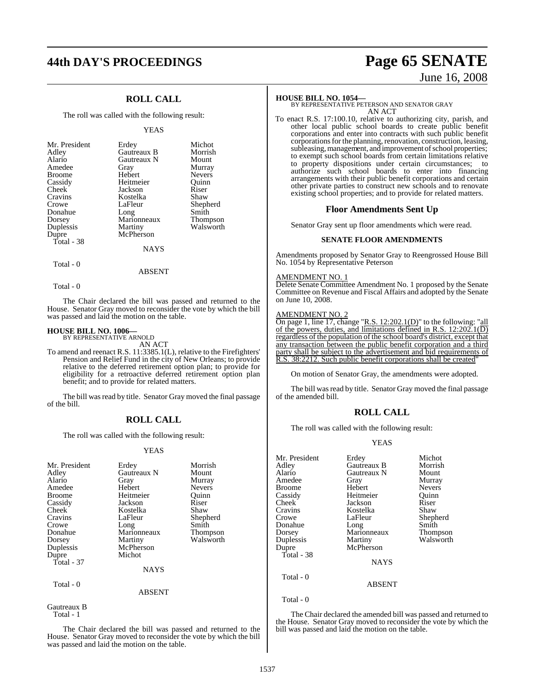# **44th DAY'S PROCEEDINGS Page 65 SENATE**

## **ROLL CALL**

The roll was called with the following result:

#### YEAS

| Erdey<br>Gautreaux B<br>Gautreaux N<br>Gray<br>Hebert<br>Heitmeier<br>Jackson<br>Kostelka<br>LaFleur<br>Long<br>Marionneaux<br>Martiny<br>McPherson | Michot<br>Morrish<br>Mount<br>Murray<br><b>Nevers</b><br>Ouinn<br>Riser<br>Shaw<br>Shepherd<br>Smith<br>Thompson<br>Walsworth |
|-----------------------------------------------------------------------------------------------------------------------------------------------------|-------------------------------------------------------------------------------------------------------------------------------|
| <b>NAYS</b>                                                                                                                                         |                                                                                                                               |
|                                                                                                                                                     |                                                                                                                               |

Total - 0

Total - 0

The Chair declared the bill was passed and returned to the House. Senator Gray moved to reconsider the vote by which the bill was passed and laid the motion on the table.

ABSENT

#### **HOUSE BILL NO. 1006—**

BY REPRESENTATIVE ARNOLD AN ACT

To amend and reenact R.S. 11:3385.1(L), relative to the Firefighters' Pension and Relief Fund in the city of New Orleans; to provide relative to the deferred retirement option plan; to provide for eligibility for a retroactive deferred retirement option plan benefit; and to provide for related matters.

The bill was read by title. Senator Gray moved the final passage of the bill.

#### **ROLL CALL**

The roll was called with the following result:

#### YEAS

| Mr. President<br>Adley<br>Alario<br>Amedee<br><b>Broome</b><br>Cassidy<br>Cheek<br>Cravins<br>Crowe<br>Donahue<br>Dorsey<br>Duplessis<br>Dupre<br>Total $-37$ | Erdey<br>Gautreaux N<br>Gray<br>Hebert<br>Heitmeier<br>Jackson<br>Kostelka<br>LaFleur<br>Long<br>Marionneaux<br>Martiny<br>McPherson<br>Michot<br>NAYS | Morrish<br>Mount<br>Murray<br><b>Nevers</b><br>Ouinn<br>Riser<br>Shaw<br>Shepherd<br>Smith<br>Thompson<br>Walsworth |
|---------------------------------------------------------------------------------------------------------------------------------------------------------------|--------------------------------------------------------------------------------------------------------------------------------------------------------|---------------------------------------------------------------------------------------------------------------------|
| Total - 0                                                                                                                                                     | <b>ABSENT</b>                                                                                                                                          |                                                                                                                     |

Gautreaux B Total - 1

The Chair declared the bill was passed and returned to the House. Senator Gray moved to reconsider the vote by which the bill was passed and laid the motion on the table.

# June 16, 2008

**HOUSE BILL NO. 1054—** BY REPRESENTATIVE PETERSON AND SENATOR GRAY AN ACT

To enact R.S. 17:100.10, relative to authorizing city, parish, and other local public school boards to create public benefit corporations and enter into contracts with such public benefit corporations for the planning, renovation, construction, leasing, subleasing, management, and improvement of school properties; to exempt such school boards from certain limitations relative to property dispositions under certain circumstances; to authorize such school boards to enter into financing arrangements with their public benefit corporations and certain other private parties to construct new schools and to renovate existing school properties; and to provide for related matters.

#### **Floor Amendments Sent Up**

Senator Gray sent up floor amendments which were read.

#### **SENATE FLOOR AMENDMENTS**

Amendments proposed by Senator Gray to Reengrossed House Bill No. 1054 by Representative Peterson

#### AMENDMENT NO. 1

Delete Senate Committee Amendment No. 1 proposed by the Senate Committee on Revenue and Fiscal Affairs and adopted by the Senate on June 10, 2008.

### AMENDMENT NO. 2

On page 1, line 17, change "R.S. 12:202.1(D)" to the following: "all of the powers, duties, and limitations defined in R.S.  $12:202.1(\overline{D})$ regardless of the population of the school board's district, except that any transaction between the public benefit corporation and a third party shall be subject to the advertisement and bid requirements of R.S. 38:2212. Such public benefit corporations shall be created"

On motion of Senator Gray, the amendments were adopted.

The bill was read by title. Senator Gray moved the final passage of the amended bill.

#### **ROLL CALL**

The roll was called with the following result:

#### YEAS

| Mr. President<br>Adley<br>Alario<br>Amedee<br><b>Broome</b><br>Cassidy<br><b>Cheek</b><br>Cravins<br>Crowe<br>Donahue<br>Dorsey<br>Duplessis<br>Dupre<br>Total - 38 | Erdey<br>Gautreaux B<br>Gautreaux N<br>Gray<br>Hebert<br>Heitmeier<br>Jackson<br>Kostelka<br>LaFleur<br>Long<br>Marionneaux<br>Martiny<br>McPherson | Michot<br>Morrish<br>Mount<br>Murray<br><b>Nevers</b><br>Ouinn<br>Riser<br>Shaw<br>Shepherd<br>Smith<br>Thompson |
|---------------------------------------------------------------------------------------------------------------------------------------------------------------------|-----------------------------------------------------------------------------------------------------------------------------------------------------|------------------------------------------------------------------------------------------------------------------|
|                                                                                                                                                                     |                                                                                                                                                     | Walsworth                                                                                                        |
|                                                                                                                                                                     |                                                                                                                                                     |                                                                                                                  |
|                                                                                                                                                                     | <b>NAYS</b>                                                                                                                                         |                                                                                                                  |
| Total - 0                                                                                                                                                           |                                                                                                                                                     |                                                                                                                  |
|                                                                                                                                                                     | <b>ABSENT</b>                                                                                                                                       |                                                                                                                  |
| Total - 0                                                                                                                                                           |                                                                                                                                                     |                                                                                                                  |

The Chair declared the amended bill was passed and returned to the House. Senator Gray moved to reconsider the vote by which the bill was passed and laid the motion on the table.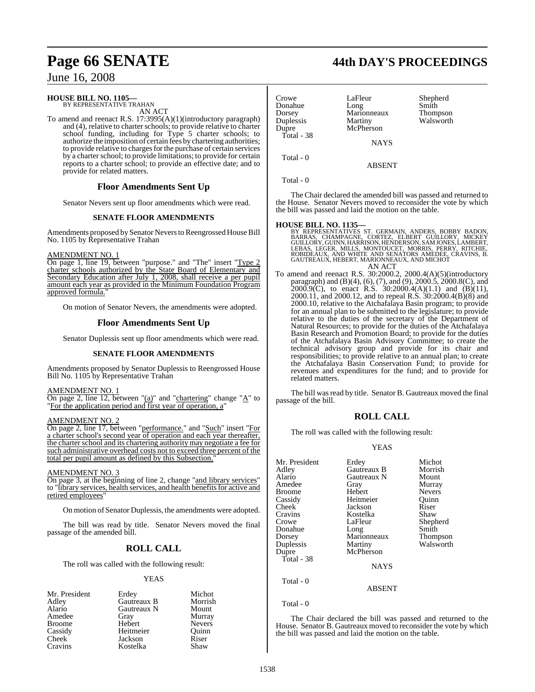#### **HOUSE BILL NO. 1105—**

BY REPRESENTATIVE TRAHAN AN ACT

To amend and reenact R.S. 17:3995(A)(1)(introductory paragraph) and (4), relative to charter schools; to provide relative to charter school funding, including for Type 5 charter schools; to authorize the imposition of certain fees by chartering authorities; to provide relative to charges for the purchase of certain services by a charter school; to provide limitations; to provide for certain reports to a charter school; to provide an effective date; and to provide for related matters.

#### **Floor Amendments Sent Up**

Senator Nevers sent up floor amendments which were read.

#### **SENATE FLOOR AMENDMENTS**

Amendments proposed by Senator Nevers to Reengrossed House Bill No. 1105 by Representative Trahan

#### AMENDMENT NO. 1

On page 1, line 19, between "purpose." and "The" insert "Type 2 charter schools authorized by the State Board of Elementary and Secondary Education after July 1, 2008, shall receive a per pupil amount each year as provided in the Minimum Foundation Program approved formula.

On motion of Senator Nevers, the amendments were adopted.

### **Floor Amendments Sent Up**

Senator Duplessis sent up floor amendments which were read.

#### **SENATE FLOOR AMENDMENTS**

Amendments proposed by Senator Duplessis to Reengrossed House Bill No. 1105 by Representative Trahan

AMENDMENT NO. 1

On page 2, line 12, between "(a)" and "chartering" change "A" to "For the application period and first year of operation, a"

### AMENDMENT NO. 2

On page 2, line 17, between "performance." and "Such" insert "For a charter school's second year of operation and each year thereafter, the charter school and its chartering authority may negotiate a fee for such administrative overhead costs not to exceed three percent of the total per pupil amount as defined by this Subsection."

#### AMENDMENT NO. 3

On page 3, at the beginning of line 2, change "and library services" to "library services, health services, and health benefitsfor active and retired employees"

On motion of Senator Duplessis, the amendments were adopted.

The bill was read by title. Senator Nevers moved the final passage of the amended bill.

## **ROLL CALL**

The roll was called with the following result:

#### YEAS

Mr. President Erdey Michot<br>Adley Gautreaux B Morrish Adley Gautreaux B Morrish Gautreaux N Amedee Gray Murray Broome Hebert Nevers<br>
Cassidy Heitmeier Ouinn Cassidy Heitmeier Quinn Cheek Jackson Riser<br>Cravins Kostelka Shaw Kostelka

Donahue Long Smith Dorsey Marionneaux<br>
Duplessis Martiny Duplessis Martiny Walsworth Total - 38

Crowe LaFleur Shepherd<br>
Donahue Long Smith

**NAYS** 

**McPherson** 

ABSENT

Total - 0

Total - 0

The Chair declared the amended bill was passed and returned to the House. Senator Nevers moved to reconsider the vote by which the bill was passed and laid the motion on the table.

**HOUSE BILL NO. 1135—**<br>BY REPRESENTATIVES ST. GERMAIN, ANDERS, BOBBY BADON,<br>BARRAS, CHAMPAGNE, CORTEZ, ELBERT GUILLORY, MICKEY<br>GUILLORY, GUINN, HARRISON, HENDERSON, SAMJONES, LAMBERT,<br>LEBAS, LEGER, MILLS, MONTOUCET, MORRIS AN ACT

To amend and reenact R.S. 30:2000.2, 2000.4(A)(5)(introductory paragraph) and (B)(4), (6), (7), and (9), 2000.5, 2000.8(C), and 2000.9(C), to enact R.S. 30:2000.4(A)(1.1) and (B)(11), 2000.11, and 2000.12, and to repeal R.S. 30:2000.4(B)(8) and 2000.10, relative to the Atchafalaya Basin program; to provide for an annual plan to be submitted to the legislature; to provide relative to the duties of the secretary of the Department of Natural Resources; to provide for the duties of the Atchafalaya Basin Research and Promotion Board; to provide for the duties of the Atchafalaya Basin Advisory Committee; to create the technical advisory group and provide for its chair and responsibilities; to provide relative to an annual plan; to create the Atchafalaya Basin Conservation Fund; to provide for revenues and expenditures for the fund; and to provide for related matters.

The bill was read by title. Senator B. Gautreaux moved the final passage of the bill.

## **ROLL CALL**

The roll was called with the following result:

#### YEAS

| Mr. President<br>Adley<br>Alario<br>Amedee<br><b>Broome</b><br>Cassidy<br>Cheek<br>Cravins<br>Crowe<br>Donahue<br>Dorsey | Erdey<br>Gautreaux B<br>Gautreaux N<br>Gray<br>Hebert<br>Heitmeier<br>Jackson<br>Kostelka<br>LaFleur<br>Long<br>Marionneaux | Michot<br>Morrish<br>Mount<br>Murray<br><b>Nevers</b><br>Ouinn<br>Riser<br>Shaw<br>Shepherd<br>Smith<br>Thompson |
|--------------------------------------------------------------------------------------------------------------------------|-----------------------------------------------------------------------------------------------------------------------------|------------------------------------------------------------------------------------------------------------------|
| Duplessis                                                                                                                | Martiny                                                                                                                     | Walsworth                                                                                                        |
| Dupre<br>Total - $38$                                                                                                    | McPherson<br><b>NAYS</b>                                                                                                    |                                                                                                                  |
| Total - 0                                                                                                                | <b>ABSENT</b>                                                                                                               |                                                                                                                  |

Total - 0

The Chair declared the bill was passed and returned to the House. Senator B. Gautreaux moved to reconsider the vote by which the bill was passed and laid the motion on the table.

## **Page 66 SENATE 44th DAY'S PROCEEDINGS**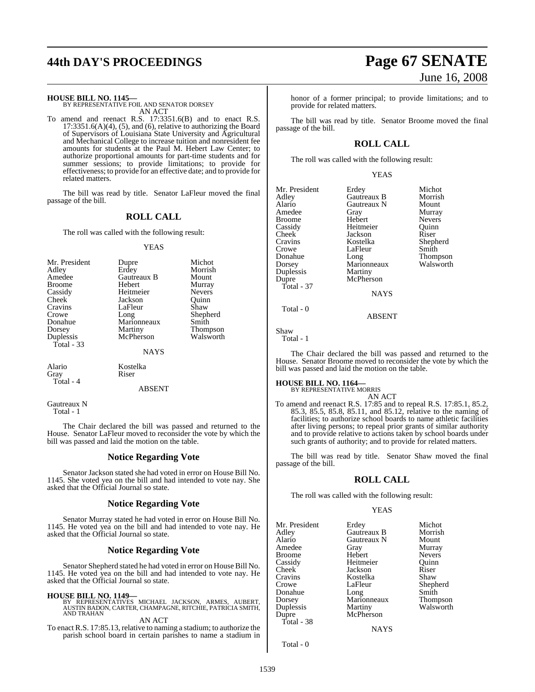# **44th DAY'S PROCEEDINGS Page 67 SENATE**

**HOUSE BILL NO. 1145—**

BY REPRESENTATIVE FOIL AND SENATOR DORSEY AN ACT

To amend and reenact R.S. 17:3351.6(B) and to enact R.S. 17:3351.6(A)(4), (5), and (6), relative to authorizing the Board of Supervisors of Louisiana State University and Agricultural and Mechanical College to increase tuition and nonresident fee amounts for students at the Paul M. Hebert Law Center; to authorize proportional amounts for part-time students and for summer sessions; to provide limitations; to provide for effectiveness; to provide for an effective date; and to provide for related matters.

The bill was read by title. Senator LaFleur moved the final passage of the bill.

### **ROLL CALL**

The roll was called with the following result:

#### YEAS

| Morrish<br>Mount<br>Murray<br><b>Nevers</b><br>Quinn<br>Shaw<br>Shepherd<br>Smith |
|-----------------------------------------------------------------------------------|
| <b>Thompson</b><br>Walsworth                                                      |
|                                                                                   |
|                                                                                   |

ABSENT

Gautreaux N Total - 1

Total - 4

The Chair declared the bill was passed and returned to the House. Senator LaFleur moved to reconsider the vote by which the bill was passed and laid the motion on the table.

#### **Notice Regarding Vote**

Senator Jackson stated she had voted in error on House Bill No. 1145. She voted yea on the bill and had intended to vote nay. She asked that the Official Journal so state.

#### **Notice Regarding Vote**

Senator Murray stated he had voted in error on House Bill No. 1145. He voted yea on the bill and had intended to vote nay. He asked that the Official Journal so state.

### **Notice Regarding Vote**

Senator Shepherd stated he had voted in error on House Bill No. 1145. He voted yea on the bill and had intended to vote nay. He asked that the Official Journal so state.

**HOUSE BILL NO. 1149—** BY REPRESENTATIVES MICHAEL JACKSON, ARMES, AUBERT, AUSTIN BADON, CARTER, CHAMPAGNE, RITCHIE, PATRICIA SMITH, AND TRAHAN AN ACT

To enact R.S. 17:85.13, relative to naming a stadium; to authorize the parish school board in certain parishes to name a stadium in

honor of a former principal; to provide limitations; and to provide for related matters.

The bill was read by title. Senator Broome moved the final passage of the bill.

### **ROLL CALL**

The roll was called with the following result:

|--|--|--|

| Mr. President<br>Adley<br>Alario<br>Amedee<br><b>Broome</b><br>Cassidy<br>Cheek<br>Cravins<br>Crowe<br>Donahue<br>Dorsey<br>Duplessis<br>Dupre<br>Total - $37$ | Erdey<br>Gautreaux B<br>Gautreaux N<br>Gray<br>Hebert<br>Heitmeier<br>Jackson<br>Kostelka<br>LaFleur<br>Long<br>Marionneaux<br>Martiny<br>McPherson<br><b>NAYS</b> | Michot<br>Morrish<br>Mount<br>Murray<br><b>Nevers</b><br>Ouinn<br>Riser<br>Shepher<br>Smith<br><b>Thomps</b><br>Walswo |
|----------------------------------------------------------------------------------------------------------------------------------------------------------------|--------------------------------------------------------------------------------------------------------------------------------------------------------------------|------------------------------------------------------------------------------------------------------------------------|
| Total - 0                                                                                                                                                      |                                                                                                                                                                    |                                                                                                                        |

Gray Murray<br>Hebert Nevers Nevers<br>Quinn Heitmeier Quinn<br>Jackson Riser Shepherd<br>Smith Thompson Marionneaux Walsworth

Shaw Total - 1

The Chair declared the bill was passed and returned to the House. Senator Broome moved to reconsider the vote by which the bill was passed and laid the motion on the table.

ABSENT

**HOUSE BILL NO. 1164—** BY REPRESENTATIVE MORRIS AN ACT

To amend and reenact R.S. 17:85 and to repeal R.S. 17:85.1, 85.2, 85.3, 85.5, 85.8, 85.11, and 85.12, relative to the naming of facilities; to authorize school boards to name athletic facilities after living persons; to repeal prior grants of similar authority and to provide relative to actions taken by school boards under such grants of authority; and to provide for related matters.

The bill was read by title. Senator Shaw moved the final passage of the bill.

#### **ROLL CALL**

The roll was called with the following result:

#### YEAS

|               |             | Michot          |
|---------------|-------------|-----------------|
| Mr. President | Erdey       |                 |
| Adley         | Gautreaux B | Morrish         |
| Alario        | Gautreaux N | Mount           |
| Amedee        | Gray        | Murray          |
| <b>Broome</b> | Hebert      | <b>Nevers</b>   |
| Cassidy       | Heitmeier   | Ouinn           |
| Cheek         | Jackson     | Riser           |
| Cravins       | Kostelka    | Shaw            |
| Crowe         | LaFleur     | Shepherd        |
| Donahue       | Long        | Smith           |
| Dorsey        | Marionneaux | <b>Thompson</b> |
| Duplessis     | Martiny     | Walsworth       |
| Dupre         | McPherson   |                 |
| Total - 38    |             |                 |
|               | NAYS        |                 |

Total - 0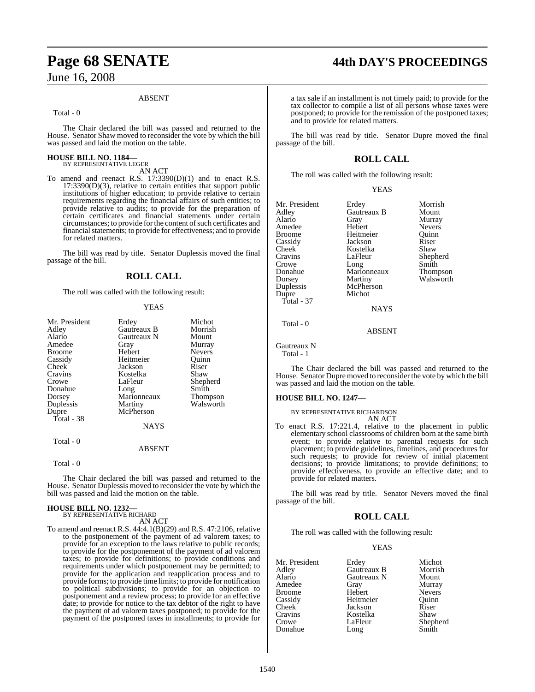#### ABSENT

Total - 0

The Chair declared the bill was passed and returned to the House. Senator Shaw moved to reconsider the vote by which the bill was passed and laid the motion on the table.

# **HOUSE BILL NO. 1184—** BY REPRESENTATIVE LEGER

AN ACT

To amend and reenact R.S. 17:3390(D)(1) and to enact R.S. 17:3390(D)(3), relative to certain entities that support public institutions of higher education; to provide relative to certain requirements regarding the financial affairs of such entities; to provide relative to audits; to provide for the preparation of certain certificates and financial statements under certain circumstances; to provide for the content of such certificates and financial statements; to provide for effectiveness; and to provide for related matters.

The bill was read by title. Senator Duplessis moved the final passage of the bill.

#### **ROLL CALL**

The roll was called with the following result:

#### YEAS

| Mr. President<br>Adley<br>Alario<br>Amedee<br>Broome<br>Cassidy<br>Cheek<br>Cravins<br>Crowe<br>Donahue<br>Dorsey<br>Duplessis<br>Dupre<br>Total - 38 | Erdey<br>Gautreaux B<br>Gautreaux N<br>Gray<br>Hebert<br>Heitmeier<br>Jackson<br>Kostelka<br>LaFleur<br>Long<br>Marionneaux<br>Martiny<br>McPherson | Michot<br>Morrish<br>Mount<br>Murray<br><b>Nevers</b><br>Ouinn<br>Riser<br>Shaw<br>Shepherd<br>Smith<br>Thompson<br>Walsworth |
|-------------------------------------------------------------------------------------------------------------------------------------------------------|-----------------------------------------------------------------------------------------------------------------------------------------------------|-------------------------------------------------------------------------------------------------------------------------------|
|                                                                                                                                                       | NAYS                                                                                                                                                |                                                                                                                               |
| Total - 0                                                                                                                                             |                                                                                                                                                     |                                                                                                                               |
|                                                                                                                                                       | ABSENT                                                                                                                                              |                                                                                                                               |

Total - 0

The Chair declared the bill was passed and returned to the House. Senator Duplessis moved to reconsider the vote by which the bill was passed and laid the motion on the table.

# **HOUSE BILL NO. 1232—** BY REPRESENTATIVE RICHARD

AN ACT

To amend and reenact R.S. 44:4.1(B)(29) and R.S. 47:2106, relative to the postponement of the payment of ad valorem taxes; to provide for an exception to the laws relative to public records; to provide for the postponement of the payment of ad valorem taxes; to provide for definitions; to provide conditions and requirements under which postponement may be permitted; to provide for the application and reapplication process and to provide forms; to provide time limits; to provide for notification to political subdivisions; to provide for an objection to postponement and a review process; to provide for an effective date; to provide for notice to the tax debtor of the right to have the payment of ad valorem taxes postponed; to provide for the payment of the postponed taxes in installments; to provide for

## **Page 68 SENATE 44th DAY'S PROCEEDINGS**

a tax sale if an installment is not timely paid; to provide for the tax collector to compile a list of all persons whose taxes were postponed; to provide for the remission of the postponed taxes; and to provide for related matters.

The bill was read by title. Senator Dupre moved the final passage of the bill.

### **ROLL CALL**

The roll was called with the following result:

| Mr. President | Erdey       | Morrish       |
|---------------|-------------|---------------|
| Adley         | Gautreaux B | Mount         |
| Alario        | Gray        | Murray        |
| Amedee        | Hebert      | <b>Nevers</b> |
| Broome        | Heitmeier   | Ouinn         |
| Cassidy       | Jackson     | Riser         |
| Cheek         | Kostelka    | Shaw          |
| Cravins       | LaFleur     | Shepherd      |
| Crowe         | Long        | Smith         |
| Donahue       | Marionneaux | Thompson      |
| Dorsey        | Martiny     | Walsworth     |
| Duplessis     | McPherson   |               |
| Dupre         | Michot      |               |
| Total - 37    |             |               |
|               | <b>NAYS</b> |               |
|               |             |               |

Total - 0

Gautreaux N Total - 1

The Chair declared the bill was passed and returned to the House. Senator Dupre moved to reconsider the vote by which the bill was passed and laid the motion on the table.

ABSENT

#### **HOUSE BILL NO. 1247—**

BY REPRESENTATIVE RICHARDSON

- AN ACT
- To enact R.S. 17:221.4, relative to the placement in public elementary school classrooms of children born at the same birth event; to provide relative to parental requests for such placement; to provide guidelines, timelines, and procedures for such requests; to provide for review of initial placement decisions; to provide limitations; to provide definitions; to provide effectiveness, to provide an effective date; and to provide for related matters.

The bill was read by title. Senator Nevers moved the final passage of the bill.

#### **ROLL CALL**

The roll was called with the following result:

YEAS

| Mr. President      | Erdey       | Michot        |
|--------------------|-------------|---------------|
| Adley              | Gautreaux B | Morrish       |
| Alario             | Gautreaux N | Mount         |
| Amedee             | Gray        | Murray        |
| Broome             | Hebert      | <b>Nevers</b> |
| Cassidy            | Heitmeier   | Ouinn         |
| Cheek <sup>1</sup> | Jackson     | Riser         |
| Cravins            | Kostelka    | Shaw          |
| Crowe              | LaFleur     | Shepherd      |
| Donahue            | Long        | Smith         |
|                    |             |               |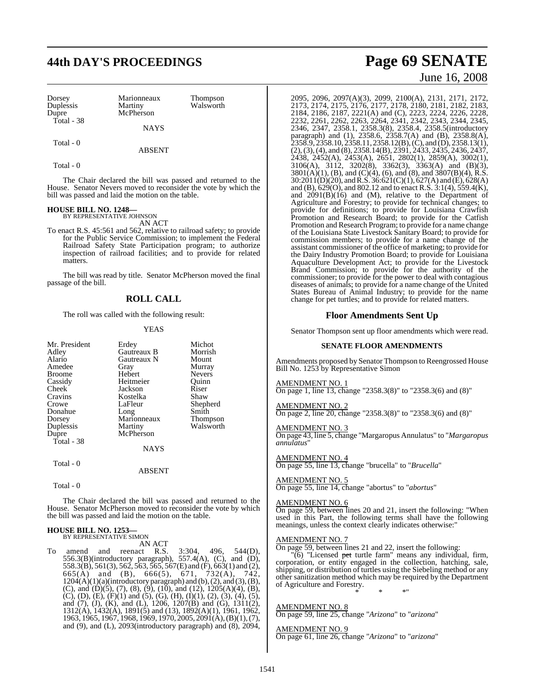# **44th DAY'S PROCEEDINGS Page 69 SENATE**

| Dorsey<br>Duplessis | Marionneaux<br>Martiny | Thompson<br>Walsworth |
|---------------------|------------------------|-----------------------|
| Dupre               | McPherson              |                       |
| Total - 38          | <b>NAYS</b>            |                       |
| Total - 0           |                        |                       |

ABSENT

Total - 0

The Chair declared the bill was passed and returned to the House. Senator Nevers moved to reconsider the vote by which the bill was passed and laid the motion on the table.

## **HOUSE BILL NO. 1248—** BY REPRESENTATIVE JOHNSON

AN ACT

To enact R.S. 45:561 and 562, relative to railroad safety; to provide for the Public Service Commission; to implement the Federal Railroad Safety State Participation program; to authorize inspection of railroad facilities; and to provide for related matters.

The bill was read by title. Senator McPherson moved the final passage of the bill.

#### **ROLL CALL**

The roll was called with the following result:

#### YEAS

| Mr. President<br>Adley<br>Alario<br>Amedee<br>Broome<br>Cassidy<br>Cheek<br>Cravins<br>Crowe<br>Donahue<br>Dorsey<br>Duplessis<br>Dupre<br>Total - 38 | Erdey<br>Gautreaux B<br>Gautreaux N<br>Gray<br>Hebert<br>Heitmeier<br>Jackson<br>Kostelka<br>LaFleur<br>Long<br>Marionneaux<br>Martiny<br>McPherson | Michot<br>Morrish<br>Mount<br>Murray<br><b>Nevers</b><br>Ouinn<br>Riser<br>Shaw<br>Shepherd<br>Smith<br>Thompson<br>Walsworth |
|-------------------------------------------------------------------------------------------------------------------------------------------------------|-----------------------------------------------------------------------------------------------------------------------------------------------------|-------------------------------------------------------------------------------------------------------------------------------|
|                                                                                                                                                       | <b>NAYS</b>                                                                                                                                         |                                                                                                                               |
| Total - 0                                                                                                                                             | <b>ABSENT</b>                                                                                                                                       |                                                                                                                               |

Total - 0

The Chair declared the bill was passed and returned to the House. Senator McPherson moved to reconsider the vote by which the bill was passed and laid the motion on the table.

#### **HOUSE BILL NO. 1253—** BY REPRESENTATIVE SIMON

AN ACT<br>and reenact R.S. To amend and reenact R.S. 3:304, 496, 544(D), 556.3(B)(introductory paragraph), 557.4(A), (C), and (D), 558.3(B), 561(3), 562, 563, 565, 567(E) and (F), 663(1) and (2), 665(A) and (B), 666(5), 671, 732(A), 742,  $1204(A)(1)(a)(introducing paragramh)$  and  $(b), (2), and (3), (B),$ (C), and (D)(5), (7), (8), (9), (10), and (12),  $1205(A)(4)$ , (B), (C), (D), (E), (F)(1) and (5), (G), (H), (I)(1), (2), (3), (4), (5), and (7), (J), (K), and (L), 1206, 1207(B) and (G), 1311(2), 1312(A), 1432(A), 1891(5) and (13), 1892(A)(1), 1961, 1962, 1963, 1965, 1967, 1968, 1969, 1970, 2005, 2091(A), (B)(1), (7), and (9), and (L), 2093(introductory paragraph) and (8), 2094,

## June 16, 2008

2095, 2096, 2097(A)(3), 2099, 2100(A), 2131, 2171, 2172, 2173, 2174, 2175, 2176, 2177, 2178, 2180, 2181, 2182, 2183, 2184, 2186, 2187, 2221(A) and (C), 2223, 2224, 2226, 2228, 2232, 2261, 2262, 2263, 2264, 2341, 2342, 2343, 2344, 2345, 2346, 2347, 2358.1, 2358.3(8), 2358.4, 2358.5(introductory paragraph) and (1), 2358.6, 2358.7(A) and (B), 2358.8(A), 2358.9, 2358.10, 2358.11, 2358.12(B), (C), and (D), 2358.13(1), (2),(3),(4), and (8), 2358.14(B), 2391, 2433, 2435, 2436, 2437, 2438, 2452(A), 2453(A), 2651, 2802(1), 2859(A), 3002(1), 3106(A), 3112, 3202(8), 3362(3), 3363(A) and (B)(3),  $3801(A)(1)$ , (B), and (C)(4), (6), and (8), and  $3807(B)(4)$ , R.S. 30:2011(D)(20), and R.S. 36:621(C)(1), 627(A) and (E), 628(A) and (B), 629(O), and 802.12 and to enact R.S. 3:1(4), 559.4(K), and  $2091(B)(16)$  and (M), relative to the Department of Agriculture and Forestry; to provide for technical changes; to provide for definitions; to provide for Louisiana Crawfish Promotion and Research Board; to provide for the Catfish Promotion and Research Program; to provide for a name change of the Louisiana State Livestock Sanitary Board; to provide for commission members; to provide for a name change of the assistant commissioner of the office of marketing; to provide for the Dairy Industry Promotion Board; to provide for Louisiana Aquaculture Development Act; to provide for the Livestock Brand Commission; to provide for the authority of the commissioner; to provide for the power to deal with contagious diseases of animals; to provide for a name change of the United States Bureau of Animal Industry; to provide for the name change for pet turtles; and to provide for related matters.

#### **Floor Amendments Sent Up**

Senator Thompson sent up floor amendments which were read.

#### **SENATE FLOOR AMENDMENTS**

Amendments proposed by Senator Thompson to Reengrossed House Bill No. 1253 by Representative Simon

#### AMENDMENT NO. 1

On page 1, line 13, change "2358.3(8)" to "2358.3(6) and (8)"

#### AMENDMENT NO. 2 On page 2, line 20, change "2358.3(8)" to "2358.3(6) and (8)"

AMENDMENT NO. 3

On page 43, line 5, change "Margaropus Annulatus" to "*Margaropus annulatus*"

#### AMENDMENT NO. 4

On page 55, line 13, change "brucella" to "*Brucella*"

#### AMENDMENT NO. 5

On page 55, line 14, change "abortus" to "*abortus*"

#### AMENDMENT NO. 6

On page 59, between lines 20 and 21, insert the following: "When used in this Part, the following terms shall have the following meanings, unless the context clearly indicates otherwise:

#### AMENDMENT NO. 7

On page 59, between lines 21 and 22, insert the following:

 $\sigma$ "Licensed pet turtle farm" means any individual, firm, corporation, or entity engaged in the collection, hatching, sale, shipping, or distribution of turtles using the Siebeling method or any other sanitization method which may be required by the Department of Agriculture and Forestry. \* \* \*"

## AMENDMENT NO. 8

On page 59, line 25, change "*Arizona*" to "*arizona*"

#### AMENDMENT NO. 9

On page 61, line 26, change "*Arizona*" to "*arizona*"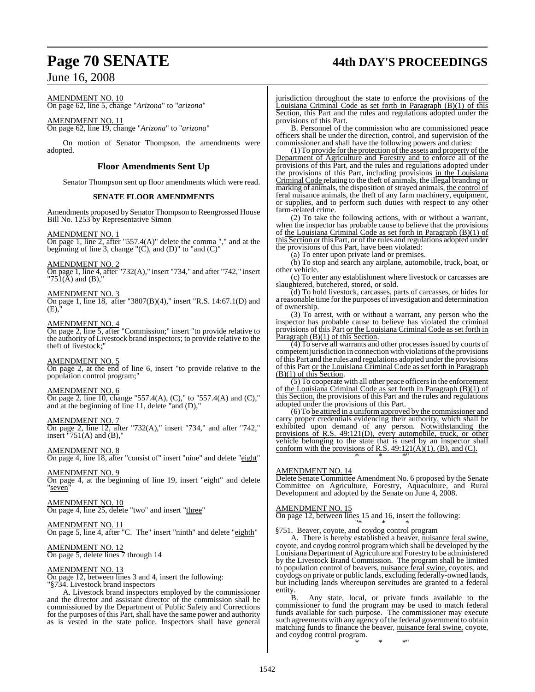# **Page 70 SENATE 44th DAY'S PROCEEDINGS**

## June 16, 2008

AMENDMENT NO. 10

On page 62, line 5, change "*Arizona*" to "*arizona*"

AMENDMENT NO. 11 On page 62, line 19, change "*Arizona*" to "*arizona*"

On motion of Senator Thompson, the amendments were adopted.

### **Floor Amendments Sent Up**

Senator Thompson sent up floor amendments which were read.

#### **SENATE FLOOR AMENDMENTS**

Amendments proposed by Senator Thompson to Reengrossed House Bill No. 1253 by Representative Simon

#### AMENDMENT NO. 1

On page 1, line 2, after "557.4(A)" delete the comma "," and at the beginning of line 3, change  $(C)$ , and  $(D)$ " to "and  $(C)$ "

AMENDMENT NO. 2

On page 1, line 4, after "732(A)," insert "734," and after "742," insert "75 $\hat{1}(\check{A})$  and  $(B)$ ,"

#### AMENDMENT NO. 3

On page 1, line 18, after "3807(B)(4)," insert "R.S. 14:67.1(D) and  $(E)$ 

#### AMENDMENT NO. 4

On page 2, line 5, after "Commission;" insert "to provide relative to the authority of Livestock brand inspectors; to provide relative to the theft of livestock;'

AMENDMENT NO. 5

On page 2, at the end of line 6, insert "to provide relative to the population control program;"

#### AMENDMENT NO. 6

On page 2, line 10, change "557.4(A), (C)," to "557.4(A) and (C)," and at the beginning of line 11, delete "and (D),"

## AMENDMENT NO. 7

On page 2, line 12, after "732(A)," insert "734," and after "742," insert  $"751(A)$  and (B),"

AMENDMENT NO. 8

On page 4, line 18, after "consist of" insert "nine" and delete "eight"

AMENDMENT NO. 9 On page 4, at the beginning of line 19, insert "eight" and delete "seven"

AMENDMENT NO. 10 On page 4, line 25, delete "two" and insert "three"

#### AMENDMENT NO. 11

On page 5, line 4, after "C. The" insert "ninth" and delete "eighth"

#### AMENDMENT NO. 12

On page 5, delete lines 7 through 14

#### AMENDMENT NO. 13

On page 12, between lines 3 and 4, insert the following: "§734. Livestock brand inspectors

A. Livestock brand inspectors employed by the commissioner and the director and assistant director of the commission shall be commissioned by the Department of Public Safety and Corrections for the purposes of this Part, shall have the same power and authority as is vested in the state police. Inspectors shall have general

jurisdiction throughout the state to enforce the provisions of the Louisiana Criminal Code as set forth in Paragraph (B)(1) of this Section, this Part and the rules and regulations adopted under the provisions of this Part.

B. Personnel of the commission who are commissioned peace officers shall be under the direction, control, and supervision of the commissioner and shall have the following powers and duties:

(1) To provide for the protection of the assets and property of the Department of Agriculture and Forestry and to enforce all of the provisions of this Part, and the rules and regulations adopted under the provisions of this Part, including provisions in the Louisiana Criminal Code relating to the theft of animals, the illegal branding or marking of animals, the disposition of strayed animals, the control of feral nuisance animals, the theft of any farm machinery, equipment, or supplies, and to perform such duties with respect to any other farm-related crime.

(2) To take the following actions, with or without a warrant, when the inspector has probable cause to believe that the provisions of the Louisiana Criminal Code as set forth in Paragraph (B)(1) of this Section or this Part, or of the rules and regulations adopted under the provisions of this Part, have been violated:

(a) To enter upon private land or premises.

(b) To stop and search any airplane, automobile, truck, boat, or other vehicle.

(c) To enter any establishment where livestock or carcasses are slaughtered, butchered, stored, or sold.

(d) To hold livestock, carcasses, parts of carcasses, or hides for a reasonable time for the purposes of investigation and determination of ownership.

(3) To arrest, with or without a warrant, any person who the inspector has probable cause to believe has violated the criminal provisions of this Part or the Louisiana Criminal Code as set forth in Paragraph (B)(1) of this Section.

(4) To serve all warrants and other processes issued by courts of competent jurisdiction in connection with violations of the provisions ofthis Part and the rules and regulations adopted underthe provisions of this Part or the Louisiana Criminal Code as set forth in Paragraph (B)(1) of this Section.

 $(5)$  To cooperate with all other peace officers in the enforcement of the Louisiana Criminal Code as set forth in Paragraph (B)(1) of this Section, the provisions of this Part and the rules and regulations adopted under the provisions of this Part.

(6) To be attired in a uniformapproved by the commissioner and carry proper credentials evidencing their authority, which shall be exhibited upon demand of any person. Notwithstanding the provisions of R.S. 49:121(D), every automobile, truck, or other vehicle belonging to the state that is used by an inspector shall conform with the provisions of R.S.  $49:121(A)(1)$ , (B), and (C). \* \* \*"

#### AMENDMENT NO. 14

Delete Senate Committee Amendment No. 6 proposed by the Senate Committee on Agriculture, Forestry, Aquaculture, and Rural Development and adopted by the Senate on June 4, 2008.

#### AMENDMENT NO. 15

On page 12, between lines 15 and 16, insert the following: "\* \* \*

#### §751. Beaver, coyote, and coydog control program

A. There is hereby established a beaver, nuisance feral swine, coyote, and coydog control program which shall be developed by the LouisianaDepartment of Agriculture and Forestry to be administered by the Livestock Brand Commission. The program shall be limited to population control of beavers, nuisance feral swine, coyotes, and coydogs on private or public lands, excluding federally-owned lands, but including lands whereupon servitudes are granted to a federal entity.<br>B.

Any state, local, or private funds available to the commissioner to fund the program may be used to match federal funds available for such purpose. The commissioner may execute such agreements with any agency of the federal government to obtain matching funds to finance the beaver, nuisance feral swine, coyote, and coydog control program.

\* \* \*"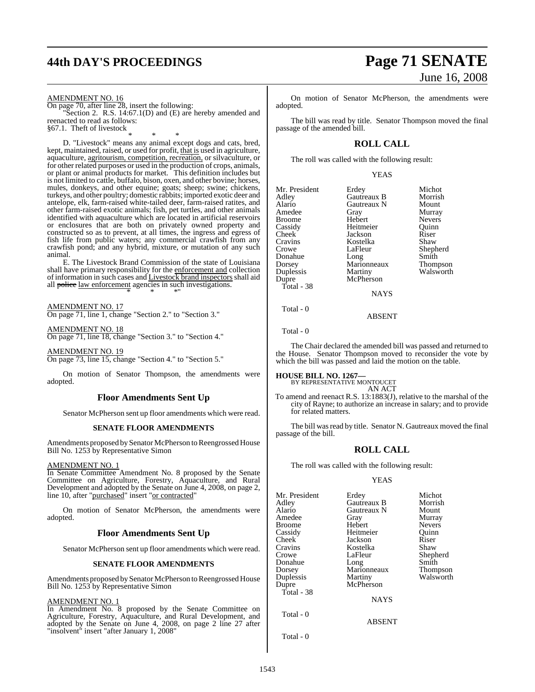# **44th DAY'S PROCEEDINGS Page 71 SENATE**

AMENDMENT NO. 16

On page 70, after line 28, insert the following: "Section 2. R.S. 14:67.1(D) and (E) are hereby amended and reenacted to read as follows: §67.1. Theft of livestock

\* \* \* D. "Livestock" means any animal except dogs and cats, bred, kept, maintained, raised, or used for profit, that is used in agriculture, aquaculture, agritourism, competition, recreation, or silvaculture, or for other related purposes or used in the production of crops, animals, or plant or animal products for market. This definition includes but is not limited to cattle, buffalo, bison, oxen, and other bovine; horses, mules, donkeys, and other equine; goats; sheep; swine; chickens, turkeys, and other poultry; domestic rabbits; imported exotic deer and antelope, elk, farm-raised white-tailed deer, farm-raised ratites, and other farm-raised exotic animals; fish, pet turtles, and other animals identified with aquaculture which are located in artificial reservoirs or enclosures that are both on privately owned property and constructed so as to prevent, at all times, the ingress and egress of fish life from public waters; any commercial crawfish from any crawfish pond; and any hybrid, mixture, or mutation of any such animal.

E. The Livestock Brand Commission of the state of Louisiana shall have primary responsibility for the enforcement and collection of information in such cases and Livestock brand inspectors shall aid all police law enforcement agencies in such investigations. \* \* \*"

AMENDMENT NO. 17 On page 71, line 1, change "Section 2." to "Section 3."

AMENDMENT NO. 18 On page 71, line 18, change "Section 3." to "Section 4."

AMENDMENT NO. 19 On page 73, line 15, change "Section 4." to "Section 5."

On motion of Senator Thompson, the amendments were adopted.

## **Floor Amendments Sent Up**

Senator McPherson sent up floor amendments which were read.

#### **SENATE FLOOR AMENDMENTS**

Amendments proposed by Senator McPherson to Reengrossed House Bill No. 1253 by Representative Simon

#### AMENDMENT NO. 1

In Senate Committee Amendment No. 8 proposed by the Senate Committee on Agriculture, Forestry, Aquaculture, and Rural Development and adopted by the Senate on June 4, 2008, on page 2, line 10, after "purchased" insert "or contracted"

On motion of Senator McPherson, the amendments were adopted.

#### **Floor Amendments Sent Up**

Senator McPherson sent up floor amendments which were read.

#### **SENATE FLOOR AMENDMENTS**

Amendments proposed by Senator McPherson to Reengrossed House Bill No. 1253 by Representative Simon

#### AMENDMENT NO. 1

In Amendment No. 8 proposed by the Senate Committee on Agriculture, Forestry, Aquaculture, and Rural Development, and adopted by the Senate on June 4, 2008, on page 2 line 27 after "insolvent" insert "after January 1, 2008"

# June 16, 2008

On motion of Senator McPherson, the amendments were adopted.

The bill was read by title. Senator Thompson moved the final passage of the amended bill.

#### **ROLL CALL**

The roll was called with the following result:

YEAS

| Mr. President | Erdey       | Michot        |
|---------------|-------------|---------------|
| Adley         | Gautreaux B | Morrish       |
| Alario        | Gautreaux N | Mount         |
| Amedee        | Gray        | Murray        |
| <b>Broome</b> | Hebert      | <b>Nevers</b> |
| Cassidy       | Heitmeier   | Ouinn         |
| Cheek         | Jackson     | Riser         |
| Cravins       | Kostelka    | Shaw          |
| Crowe         | LaFleur     | Shepherd      |
| Donahue       | Long        | Smith         |
| Dorsey        | Marionneaux | Thompson      |
| Duplessis     | Martiny     | Walsworth     |
| Dupre         | McPherson   |               |
| Total - 38    |             |               |
|               | <b>NAYS</b> |               |

Total - 0

Total - 0

The Chair declared the amended bill was passed and returned to the House. Senator Thompson moved to reconsider the vote by which the bill was passed and laid the motion on the table.

ABSENT

#### **HOUSE BILL NO. 1267—**

BY REPRESENTATIVE MONTOUCET AN ACT

To amend and reenact R.S. 13:1883(J), relative to the marshal of the city of Rayne; to authorize an increase in salary; and to provide for related matters.

The bill was read by title. Senator N. Gautreaux moved the final passage of the bill.

#### **ROLL CALL**

The roll was called with the following result:

#### YEAS

ABSENT

| Mr. President | Erdey       | Michot        |
|---------------|-------------|---------------|
| Adley         | Gautreaux B | Morrish       |
| Alario        | Gautreaux N | Mount         |
| Amedee        | Gray        | Murray        |
| Broome        | Hebert      | <b>Nevers</b> |
| Cassidy       | Heitmeier   | Ouinn         |
| Cheek         | Jackson     | Riser         |
| Cravins       | Kostelka    | Shaw          |
| Crowe         | LaFleur     | Shepherd      |
| Donahue       | Long        | Smith         |
| Dorsey        | Marionneaux | Thompson      |
| Duplessis     | Martiny     | Walsworth     |
| Dupre         | McPherson   |               |
| Total - 38    |             |               |
|               | <b>NAYS</b> |               |
| $Total - 0$   |             |               |

Total - 0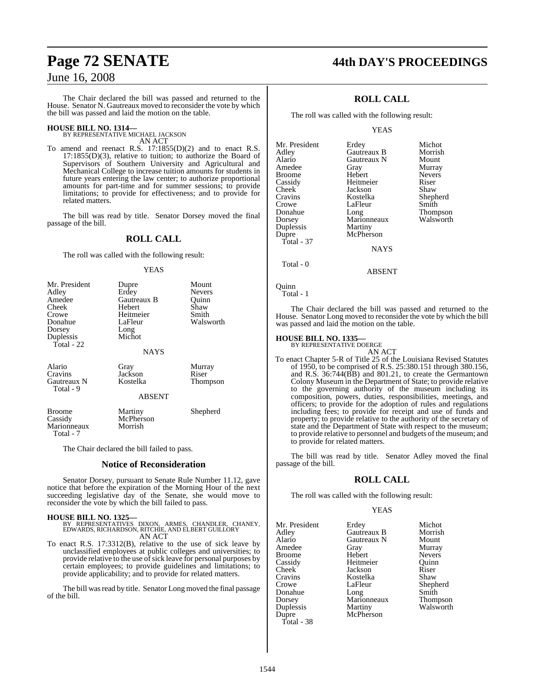The Chair declared the bill was passed and returned to the House. Senator N. Gautreaux moved to reconsider the vote by which the bill was passed and laid the motion on the table.

## **HOUSE BILL NO. 1314—** BY REPRESENTATIVE MICHAEL JACKSON

AN ACT

To amend and reenact R.S. 17:1855(D)(2) and to enact R.S. 17:1855(D)(3), relative to tuition; to authorize the Board of Supervisors of Southern University and Agricultural and Mechanical College to increase tuition amounts for students in future years entering the law center; to authorize proportional amounts for part-time and for summer sessions; to provide limitations; to provide for effectiveness; and to provide for related matters.

The bill was read by title. Senator Dorsey moved the final passage of the bill.

## **ROLL CALL**

The roll was called with the following result:

#### **YEAS**

| Mr. President<br>Adley<br>Amedee<br>Cheek<br>Crowe<br>Donahue<br>Dorsey<br>Duplessis<br>Total - 22 | Dupre<br>Erdey<br>Gautreaux B<br>Hebert<br>Heitmeier<br>LaFleur<br>Long<br>Michot | Mount<br><b>Nevers</b><br>Quinn<br>Shaw<br>Smith<br>Walsworth |
|----------------------------------------------------------------------------------------------------|-----------------------------------------------------------------------------------|---------------------------------------------------------------|
|                                                                                                    | <b>NAYS</b>                                                                       |                                                               |
| Alario<br>Cravins<br>Gautreaux N<br>Total - 9                                                      | Gray<br>Jackson<br>Kostelka<br><b>ABSENT</b>                                      | Murray<br>Riser<br>Thompson                                   |
| <b>Broome</b><br>Cassidy<br>Marionneaux<br>Total - 7                                               | Martiny<br>McPherson<br>Morrish                                                   | Shepherd                                                      |

The Chair declared the bill failed to pass.

#### **Notice of Reconsideration**

Senator Dorsey, pursuant to Senate Rule Number 11.12, gave notice that before the expiration of the Morning Hour of the next succeeding legislative day of the Senate, she would move to reconsider the vote by which the bill failed to pass.

**HOUSE BILL NO. 1325—** BY REPRESENTATIVES DIXON, ARMES, CHANDLER, CHANEY, EDWARDS, RICHARDSON, RITCHIE, AND ELBERT GUILLORY AN ACT

To enact R.S. 17:3312(B), relative to the use of sick leave by unclassified employees at public colleges and universities; to provide relative to the use of sick leave for personal purposes by certain employees; to provide guidelines and limitations; to provide applicability; and to provide for related matters.

The bill was read by title. Senator Long moved the final passage of the bill.

# **Page 72 SENATE 44th DAY'S PROCEEDINGS**

## **ROLL CALL**

The roll was called with the following result:

YEAS

| Mr. President | Erdey       | Michot          |
|---------------|-------------|-----------------|
| Adlev         | Gautreaux B | Morrish         |
| Alario        | Gautreaux N | Mount           |
| Amedee        | Gray        | Murray          |
| Broome        | Hebert      | <b>Nevers</b>   |
| Cassidy       | Heitmeier   | Riser           |
| Cheek         | Jackson     | Shaw            |
| Cravins       | Kostelka    | Shepherd        |
| Crowe         | LaFleur     | Smith           |
| Donahue       | Long        | <b>Thompson</b> |
| Dorsey        | Marionneaux | Walsworth       |
| Duplessis     | Martiny     |                 |
| Dupre         | McPherson   |                 |
| Total - 37    |             |                 |
|               | <b>NAYS</b> |                 |
|               |             |                 |

Total - 0

Quinn Total - 1

The Chair declared the bill was passed and returned to the House. Senator Long moved to reconsider the vote by which the bill was passed and laid the motion on the table.

ABSENT

#### **HOUSE BILL NO. 1335—** BY REPRESENTATIVE DOERGE

AN ACT To enact Chapter 5-R of Title 25 of the Louisiana Revised Statutes of 1950, to be comprised of R.S. 25:380.151 through 380.156, and R.S. 36:744(BB) and 801.21, to create the Germantown Colony Museum in the Department of State; to provide relative to the governing authority of the museum including its composition, powers, duties, responsibilities, meetings, and officers; to provide for the adoption of rules and regulations including fees; to provide for receipt and use of funds and property; to provide relative to the authority of the secretary of state and the Department of State with respect to the museum; to provide relative to personnel and budgets of the museum; and to provide for related matters.

The bill was read by title. Senator Adley moved the final passage of the bill.

#### **ROLL CALL**

The roll was called with the following result:

#### YEAS

| Mr. President | Erdey       | Michot        |
|---------------|-------------|---------------|
| Adley         | Gautreaux B | Morrish       |
| Alario        | Gautreaux N | Mount         |
| Amedee        | Gray        | Murray        |
| <b>Broome</b> | Hebert      | <b>Nevers</b> |
| Cassidy       | Heitmeier   | Ouinn         |
| Cheek         | Jackson     | Riser         |
| Cravins       | Kostelka    | Shaw          |
| Crowe         | LaFleur     | Shepherd      |
| Donahue       | Long        | Smith         |
| Dorsey        | Marionneaux | Thompson      |
| Duplessis     | Martiny     | Walsworth     |
| Dupre         | McPherson   |               |
| Total - 38    |             |               |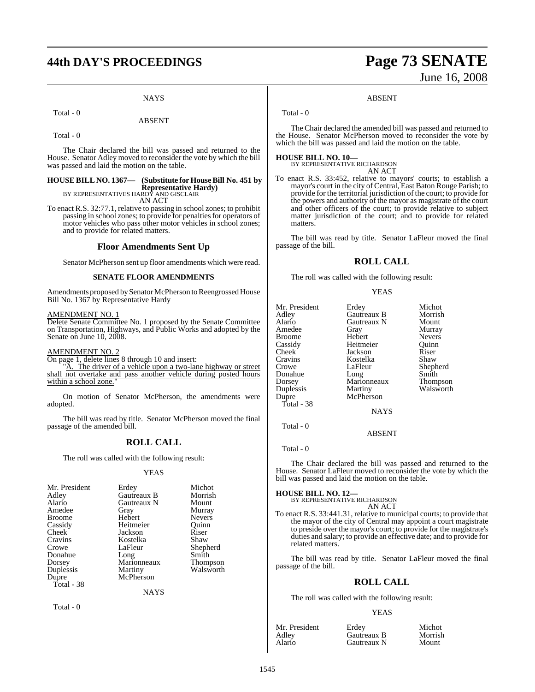# **44th DAY'S PROCEEDINGS Page 73 SENATE**

#### **NAYS**

#### Total - 0

#### ABSENT

Total - 0

The Chair declared the bill was passed and returned to the House. Senator Adley moved to reconsider the vote by which the bill was passed and laid the motion on the table.

### **HOUSE BILL NO. 1367— (Substitute for HouseBill No. 451 by Representative Hardy)** BY REPRESENTATIVES HARDY AND GISCLAIR

AN ACT

To enact R.S. 32:77.1, relative to passing in school zones; to prohibit passing in school zones; to provide for penalties for operators of motor vehicles who pass other motor vehicles in school zones; and to provide for related matters.

#### **Floor Amendments Sent Up**

Senator McPherson sent up floor amendments which were read.

#### **SENATE FLOOR AMENDMENTS**

Amendments proposed bySenator McPherson to Reengrossed House Bill No. 1367 by Representative Hardy

#### AMENDMENT NO. 1

Delete Senate Committee No. 1 proposed by the Senate Committee on Transportation, Highways, and Public Works and adopted by the Senate on June 10, 2008.

#### AMENDMENT NO. 2

On page 1, delete lines 8 through 10 and insert:

A. The driver of a vehicle upon a two-lane highway or street shall not overtake and pass another vehicle during posted hours within a school zone.

On motion of Senator McPherson, the amendments were adopted.

The bill was read by title. Senator McPherson moved the final passage of the amended bill.

#### **ROLL CALL**

The roll was called with the following result:

#### YEAS

| Mr. President | Erdey       | Michot          |
|---------------|-------------|-----------------|
| Adley         | Gautreaux B | Morrish         |
| Alario        | Gautreaux N | Mount           |
| Amedee        | Gray        | Murray          |
| <b>Broome</b> | Hebert      | <b>Nevers</b>   |
| Cassidy       | Heitmeier   | Ouinn           |
| Cheek         | Jackson     | Riser           |
| Cravins       | Kostelka    | Shaw            |
| Crowe         | LaFleur     | Shepherd        |
| Donahue       | Long        | Smith           |
| Dorsey        | Marionneaux | <b>Thompson</b> |
| Duplessis     | Martiny     | Walsworth       |
| Dupre         | McPherson   |                 |
| Total - 38    |             |                 |

NAYS

Total - 0

# June 16, 2008

#### ABSENT

Total - 0

The Chair declared the amended bill was passed and returned to the House. Senator McPherson moved to reconsider the vote by which the bill was passed and laid the motion on the table.

**HOUSE BILL NO. 10—** BY REPRESENTATIVE RICHARDSON AN ACT

To enact R.S. 33:452, relative to mayors' courts; to establish a mayor's court in the city of Central, East Baton Rouge Parish; to provide for the territorial jurisdiction of the court; to provide for the powers and authority of the mayor as magistrate of the court and other officers of the court; to provide relative to subject matter jurisdiction of the court; and to provide for related matters.

The bill was read by title. Senator LaFleur moved the final passage of the bill.

#### **ROLL CALL**

The roll was called with the following result:

#### YEAS

| Mr. President | Erdey       | Michot        |
|---------------|-------------|---------------|
|               |             |               |
| Adley         | Gautreaux B | Morrish       |
| Alario        | Gautreaux N | Mount         |
| Amedee        | Gray        | Murray        |
| Broome        | Hebert      | <b>Nevers</b> |
| Cassidy       | Heitmeier   | Ouinn         |
| Cheek         | Jackson     | Riser         |
| Cravins       | Kostelka    | Shaw          |
| Crowe         | LaFleur     | Shepherd      |
| Donahue       | Long        | Smith         |
| Dorsey        | Marionneaux | Thompson      |
| Duplessis     | Martiny     | Walsworth     |
| Dupre         | McPherson   |               |
| Total - 38    |             |               |
|               | <b>NAYS</b> |               |
|               |             |               |

ABSENT

#### Total - 0

Total - 0

The Chair declared the bill was passed and returned to the House. Senator LaFleur moved to reconsider the vote by which the bill was passed and laid the motion on the table.

**HOUSE BILL NO. 12—** BY REPRESENTATIVE RICHARDSON

### AN ACT

To enact R.S. 33:441.31, relative to municipal courts; to provide that the mayor of the city of Central may appoint a court magistrate to preside over the mayor's court; to provide for the magistrate's duties and salary; to provide an effective date; and to provide for related matters.

The bill was read by title. Senator LaFleur moved the final passage of the bill.

### **ROLL CALL**

The roll was called with the following result:

#### YEAS

| Mr. President | Erdev       | Michot  |
|---------------|-------------|---------|
| Adley         | Gautreaux B | Morrish |
| Alario        | Gautreaux N | Mount   |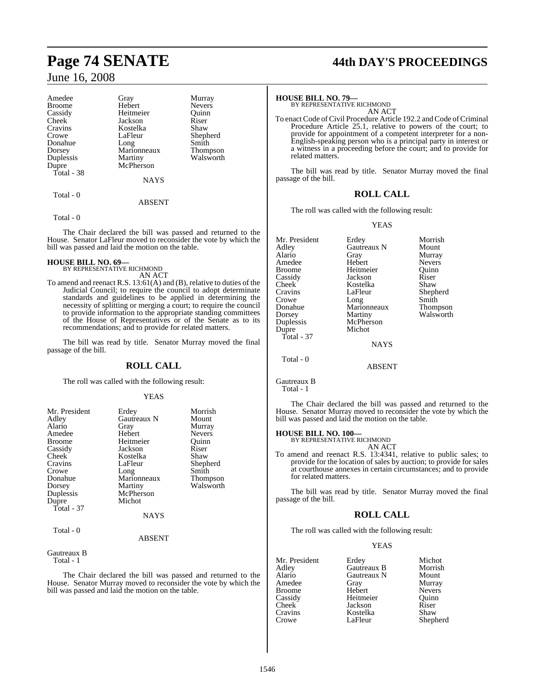| Amedee        | Gray        | Murray        |
|---------------|-------------|---------------|
| <b>Broome</b> | Hebert      | <b>Nevers</b> |
| Cassidy       | Heitmeier   | Ouinn         |
| Cheek         | Jackson     | Riser         |
| Cravins       | Kostelka    | Shaw          |
| Crowe         | LaFleur     | Shepherd      |
| Donahue       | Long        | Smith         |
| Dorsey        | Marionneaux | Thompson      |
| Duplessis     | Martiny     | Walsworth     |
| Dupre         | McPherson   |               |
| Total - 38    |             |               |
|               | <b>NAYS</b> |               |
| Total - 0     |             |               |
|               | ABSENT      |               |

Total - 0

The Chair declared the bill was passed and returned to the House. Senator LaFleur moved to reconsider the vote by which the bill was passed and laid the motion on the table.

## **HOUSE BILL NO. 69—** BY REPRESENTATIVE RICHMOND

- AN ACT
- To amend and reenact R.S. 13:61(A) and (B), relative to duties of the Judicial Council; to require the council to adopt determinate standards and guidelines to be applied in determining the necessity of splitting or merging a court; to require the council to provide information to the appropriate standing committees of the House of Representatives or of the Senate as to its recommendations; and to provide for related matters.

The bill was read by title. Senator Murray moved the final passage of the bill.

#### **ROLL CALL**

The roll was called with the following result:

#### YEAS

| Mr. President | Erdey       | Morrish         |
|---------------|-------------|-----------------|
| Adley         | Gautreaux N | Mount           |
| Alario        | Gray        | Murray          |
| Amedee        | Hebert      | <b>Nevers</b>   |
| <b>Broome</b> | Heitmeier   | Ouinn           |
| Cassidy       | Jackson     | Riser           |
| Cheek         | Kostelka    | Shaw            |
| Cravins       | LaFleur     | Shepherd        |
| Crowe         | Long        | Smith           |
| Donahue       | Marionneaux | <b>Thompson</b> |
| Dorsey        | Martiny     | Walsworth       |
| Duplessis     | McPherson   |                 |
| Dupre         | Michot      |                 |
| Total - 37    |             |                 |
|               | <b>NAYS</b> |                 |
| Total - 0     |             |                 |
|               | ABSENT      |                 |

Gautreaux B Total - 1

The Chair declared the bill was passed and returned to the House. Senator Murray moved to reconsider the vote by which the bill was passed and laid the motion on the table.

# **Page 74 SENATE 44th DAY'S PROCEEDINGS**

#### **HOUSE BILL NO. 79—**

BY REPRESENTATIVE RICHMOND AN ACT

To enact Code of Civil Procedure Article 192.2 and Code of Criminal Procedure Article 25.1, relative to powers of the court; to provide for appointment of a competent interpreter for a non-English-speaking person who is a principal party in interest or a witness in a proceeding before the court; and to provide for related matters.

The bill was read by title. Senator Murray moved the final passage of the bill.

#### **ROLL CALL**

The roll was called with the following result:

YEAS

| Mr. President<br>Adley<br>Alario<br>Amedee<br>Broome<br>Cassidy<br>Cheek<br>Cravins<br>Crowe<br>Donahue<br>Dorsey<br>Duplessis<br>Dupre<br>Total - 37 | Erdey<br>Gautreaux N<br>Gray<br>Hebert<br>Heitmeier<br>Jackson<br>Kostelka<br>LaFleur<br>Long<br>Marionneaux<br>Martiny<br>McPherson<br>Michot<br><b>NAYS</b> | Morrish<br>Mount<br>Murray<br><b>Nevers</b><br>Ouinn<br>Riser<br>Shaw<br>Shepherd<br>Smith<br>Thompson<br>Walsworth |
|-------------------------------------------------------------------------------------------------------------------------------------------------------|---------------------------------------------------------------------------------------------------------------------------------------------------------------|---------------------------------------------------------------------------------------------------------------------|
|                                                                                                                                                       |                                                                                                                                                               |                                                                                                                     |
|                                                                                                                                                       |                                                                                                                                                               |                                                                                                                     |

Total - 0

Gautreaux B Total - 1

The Chair declared the bill was passed and returned to the House. Senator Murray moved to reconsider the vote by which the bill was passed and laid the motion on the table.

ABSENT

#### **HOUSE BILL NO. 100—**

| BY REPRESENTATIVE RICHMOND |  |
|----------------------------|--|
| AN ACT                     |  |

To amend and reenact R.S. 13:4341, relative to public sales; to provide for the location of sales by auction; to provide for sales at courthouse annexes in certain circumstances; and to provide for related matters.

The bill was read by title. Senator Murray moved the final passage of the bill.

#### **ROLL CALL**

The roll was called with the following result:

#### YEAS

|             | Michot               |
|-------------|----------------------|
|             |                      |
|             | Morrish              |
| Gautreaux N | Mount                |
| Gray        | Murray               |
| Hebert      | <b>Nevers</b>        |
| Heitmeier   | Ouinn                |
| Jackson     | Riser                |
| Kostelka    | Shaw                 |
| LaFleur     | Shepherd             |
|             | Erdey<br>Gautreaux B |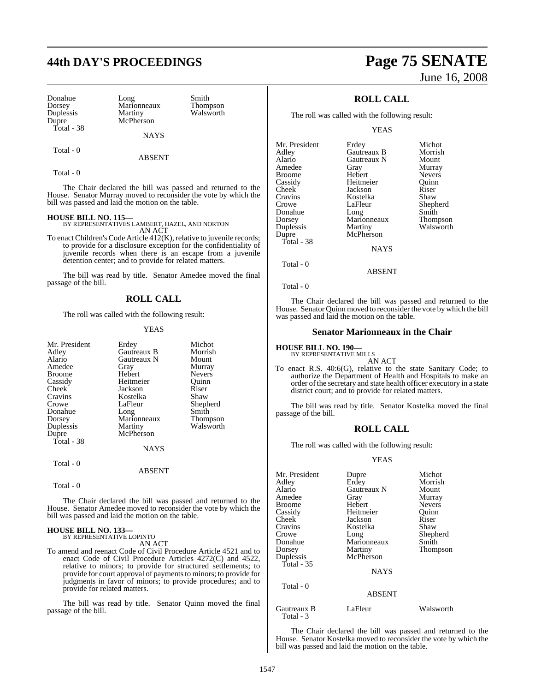## **44th DAY'S PROCEEDINGS Page 75 SENATE**

Donahue Long Smith<br>Dorsey Marionneaux Thompson Dorsey Marionneaux<br>
Duplessis Martiny Duplessis Martiny Walsworth<br>
Dupre McPherson Total - 38

McPherson

NAYS

Total - 0

ABSENT

Total - 0

The Chair declared the bill was passed and returned to the House. Senator Murray moved to reconsider the vote by which the bill was passed and laid the motion on the table.

**HOUSE BILL NO. 115—** BY REPRESENTATIVES LAMBERT, HAZEL, AND NORTON AN ACT

To enact Children's Code Article 412(K), relative to juvenile records; to provide for a disclosure exception for the confidentiality of juvenile records when there is an escape from a juvenile detention center; and to provide for related matters.

The bill was read by title. Senator Amedee moved the final passage of the bill.

#### **ROLL CALL**

The roll was called with the following result:

#### YEAS

| Mr. President<br>Adley<br>Alario<br>Amedee<br>Broome | Erdey<br>Gautreaux B<br>Gautreaux N<br>Gray<br>Hebert | Michot<br>Morrish<br>Mount<br>Murray<br><b>Nevers</b> |
|------------------------------------------------------|-------------------------------------------------------|-------------------------------------------------------|
| Cassidy                                              | Heitmeier                                             | Ouinn                                                 |
| Cheek                                                | Jackson                                               | Riser                                                 |
| Cravins                                              | Kostelka                                              | Shaw                                                  |
| Crowe                                                | LaFleur                                               | Shepherd                                              |
| Donahue                                              | Long                                                  | Smith                                                 |
| Dorsey                                               | Marionneaux                                           | <b>Thompson</b>                                       |
| Duplessis                                            | Martiny                                               | Walsworth                                             |
| Dupre                                                | McPherson                                             |                                                       |
| Total - 38                                           |                                                       |                                                       |
|                                                      | <b>NAYS</b>                                           |                                                       |
| Total - 0                                            |                                                       |                                                       |
|                                                      | <b>ABSENT</b>                                         |                                                       |

Total - 0

The Chair declared the bill was passed and returned to the House. Senator Amedee moved to reconsider the vote by which the bill was passed and laid the motion on the table.

#### **HOUSE BILL NO. 133—** BY REPRESENTATIVE LOPINTO

AN ACT

To amend and reenact Code of Civil Procedure Article 4521 and to enact Code of Civil Procedure Articles 4272(C) and 4522, relative to minors; to provide for structured settlements; to provide for court approval of payments to minors; to provide for judgments in favor of minors; to provide procedures; and to provide for related matters.

The bill was read by title. Senator Quinn moved the final passage of the bill.

# June 16, 2008

### **ROLL CALL**

The roll was called with the following result:

YEAS

| Mr. President | Erdey       | Michot          |
|---------------|-------------|-----------------|
| Adlev         | Gautreaux B | Morrish         |
| Alario        | Gautreaux N | Mount           |
| Amedee        | Gray        | Murray          |
| Broome        | Hebert      | <b>Nevers</b>   |
| Cassidy       | Heitmeier   | Ouinn           |
| Cheek         | Jackson     | Riser           |
| Cravins       | Kostelka    | Shaw            |
| Crowe         | LaFleur     | Shepherd        |
| Donahue       | Long        | Smith           |
| Dorsey        | Marionneaux | <b>Thompson</b> |
| Duplessis     | Martiny     | Walsworth       |
| Dupre         | McPherson   |                 |
| Total - 38    |             |                 |
|               | <b>NAYS</b> |                 |
|               |             |                 |

Total - 0

Total - 0

The Chair declared the bill was passed and returned to the House. Senator Quinn moved to reconsider the vote by which the bill was passed and laid the motion on the table.

ABSENT

#### **Senator Marionneaux in the Chair**

### **HOUSE BILL NO. 190—**

BY REPRESENTATIVE MILLS

AN ACT To enact R.S. 40:6(G), relative to the state Sanitary Code; to authorize the Department of Health and Hospitals to make an order of the secretary and state health officer executory in a state district court; and to provide for related matters.

The bill was read by title. Senator Kostelka moved the final passage of the bill.

### **ROLL CALL**

The roll was called with the following result:

#### YEAS

| Mr. President<br>Adley<br>Alario<br>Amedee<br><b>Broome</b><br>Cassidy<br>Cheek<br>Cravins<br>Crowe<br>Donahue<br>Dorsey | Dupre<br>Erdey<br>Gautreaux N<br>Gray<br>Hebert<br>Heitmeier<br>Jackson<br>Kostelka<br>Long<br>Marionneaux<br>Martiny | Michot<br>Morrish<br>Mount<br>Murray<br><b>Nevers</b><br>Quinn<br>Riser<br>Shaw<br>Shepherd<br>Smith<br>Thompson |
|--------------------------------------------------------------------------------------------------------------------------|-----------------------------------------------------------------------------------------------------------------------|------------------------------------------------------------------------------------------------------------------|
| Duplessis<br>Total - $35$<br>Total - 0                                                                                   | McPherson<br><b>NAYS</b>                                                                                              |                                                                                                                  |
| Gautreaux B                                                                                                              | <b>ABSENT</b><br>LaFleur                                                                                              | Walsworth                                                                                                        |

Total - 3

The Chair declared the bill was passed and returned to the House. Senator Kostelka moved to reconsider the vote by which the bill was passed and laid the motion on the table.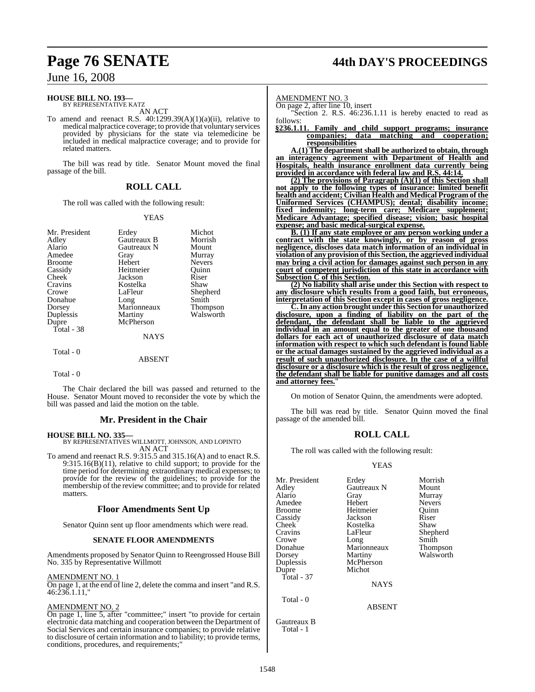#### **HOUSE BILL NO. 193—** BY REPRESENTATIVE KATZ

AN ACT

To amend and reenact R.S. 40:1299.39(A)(1)(a)(ii), relative to medicalmalpractice coverage; to provide that voluntary services provided by physicians for the state via telemedicine be included in medical malpractice coverage; and to provide for related matters.

The bill was read by title. Senator Mount moved the final passage of the bill.

#### **ROLL CALL**

The roll was called with the following result:

#### YEAS

| Mr. President | Erdey       | Michot          |
|---------------|-------------|-----------------|
| Adley         | Gautreaux B | Morrish         |
| Alario        | Gautreaux N | Mount           |
| Amedee        | Gray        | Murray          |
| <b>Broome</b> | Hebert      | <b>Nevers</b>   |
| Cassidy       | Heitmeier   | Ouinn           |
| Cheek         | Jackson     | Riser           |
| Cravins       | Kostelka    | Shaw            |
| Crowe         | LaFleur     | Shepherd        |
| Donahue       |             | Smith           |
|               | Long        |                 |
| Dorsey        | Marionneaux | <b>Thompson</b> |
| Duplessis     | Martiny     | Walsworth       |
| Dupre         | McPherson   |                 |
| Total - $38$  |             |                 |
|               | <b>NAYS</b> |                 |
| Total - 0     |             |                 |
|               | ABSENT      |                 |

Total - 0

The Chair declared the bill was passed and returned to the House. Senator Mount moved to reconsider the vote by which the bill was passed and laid the motion on the table.

#### **Mr. President in the Chair**

#### **HOUSE BILL NO. 335—**

BY REPRESENTATIVES WILLMOTT, JOHNSON, AND LOPINTO AN ACT

To amend and reenact R.S. 9:315.5 and 315.16(A) and to enact R.S. 9:315.16(B)(11), relative to child support; to provide for the time period for determining extraordinary medical expenses; to provide for the review of the guidelines; to provide for the membership of the review committee; and to provide for related matters.

#### **Floor Amendments Sent Up**

Senator Quinn sent up floor amendments which were read.

#### **SENATE FLOOR AMENDMENTS**

Amendments proposed by Senator Quinn to Reengrossed House Bill No. 335 by Representative Willmott

#### AMENDMENT NO. 1

On page 1, at the end of line 2, delete the comma and insert "and R.S.  $46:236.1.11$ 

#### AMENDMENT NO. 2

On page 1, line 5, after "committee;" insert "to provide for certain electronic data matching and cooperation between the Department of Social Services and certain insurance companies; to provide relative to disclosure of certain information and to liability; to provide terms, conditions, procedures, and requirements;"

## **Page 76 SENATE 44th DAY'S PROCEEDINGS**

AMENDMENT NO. 3

On page 2, after line 10, insert

"Section 2. R.S. 46:236.1.11 is hereby enacted to read as

#### follows:<br>§236.1.11. **§236.1.11. Family and child support programs; insurance companies; data matching and cooperation; responsibilities**

**A.(1) The department shall be authorized to obtain, through an interagency agreement with Department of Health and Hospitals, health insurance enrollment data currently being provided in accordance with federal law and R.S. 44:14.**

**(2) The provisions of Paragraph (A)(1) of this Section shall not apply to the following types of insurance: limited benefit health and accident; Civilian Health and Medical Program of the Uniformed Services (CHAMPUS); dental; disability income; fixed indemnity; long-term care; Medicare supplement; Medicare Advantage; specified disease; vision; basic hospital expense; and basic medical-surgical expense.**

**B. (1) If any state employee or any person working under a contract with the state knowingly, or by reason of gross negligence, discloses data match information of an individual in violation of any provision ofthis Section,the aggrieved individual may bring a civil action for damages against such person in any court of competent jurisdiction of this state in accordance with Subsection C of this Section.**

**(2) No liability shall arise under this Section with respect to any disclosure which results from a good faith, but erroneous, interpretation of this Section except in cases of gross negligence.**

**C.In any action brought under this Section for unauthorized disclosure, upon a finding of liability on the part of the defendant, the defendant shall be liable to the aggrieved individual in an amount equal to the greater of one thousand dollars for each act of unauthorized disclosure of data match information with respect to which such defendant is found liable or the actual damages sustained by the aggrieved individual as a result of such unauthorized disclosure. In the case of a willful disclosure or a disclosure which is the result of gross negligence, the defendant shall be liable for punitive damages and all costs** and attorney fees.

On motion of Senator Quinn, the amendments were adopted.

The bill was read by title. Senator Quinn moved the final passage of the amended bill.

### **ROLL CALL**

The roll was called with the following result:

#### YEAS

| Erdey<br>Gautreaux N<br>Gray<br>Hebert<br>Heitmeier<br>Jackson<br>Kostelka<br>LaFleur<br>Long<br>Marionneaux<br>Martiny<br>McPherson<br>Michot<br><b>NAYS</b> | Morrish<br>Mount<br>Murray<br><b>Nevers</b><br>Quinn<br>Riser<br>Shaw<br>Shepherd<br>Smith<br>Thompson<br>Walsworth |
|---------------------------------------------------------------------------------------------------------------------------------------------------------------|---------------------------------------------------------------------------------------------------------------------|
| <b>ABSENT</b>                                                                                                                                                 |                                                                                                                     |
|                                                                                                                                                               |                                                                                                                     |

Gautreaux B Total - 1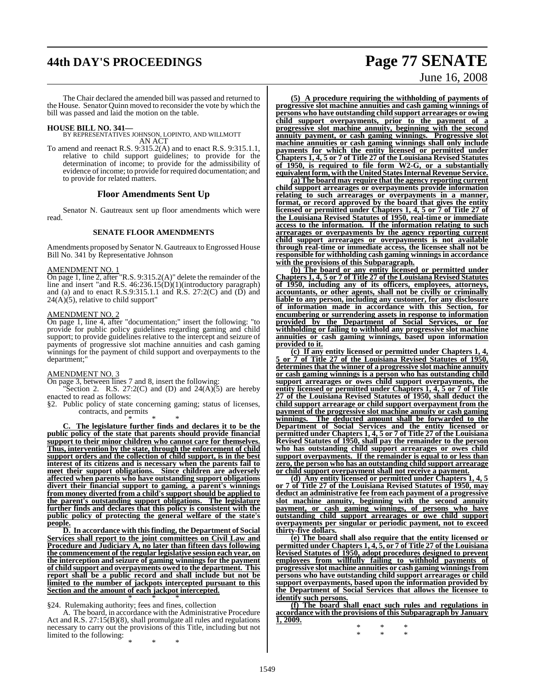# **44th DAY'S PROCEEDINGS Page 77 SENATE**

The Chair declared the amended bill was passed and returned to the House. Senator Quinn moved to reconsider the vote by which the bill was passed and laid the motion on the table.

**HOUSE BILL NO. 341—** BY REPRESENTATIVES JOHNSON, LOPINTO, AND WILLMOTT AN ACT

To amend and reenact R.S. 9:315.2(A) and to enact R.S. 9:315.1.1, relative to child support guidelines; to provide for the determination of income; to provide for the admissibility of evidence of income; to provide for required documentation; and to provide for related matters.

#### **Floor Amendments Sent Up**

Senator N. Gautreaux sent up floor amendments which were read.

#### **SENATE FLOOR AMENDMENTS**

Amendments proposed by Senator N. Gautreaux to Engrossed House Bill No. 341 by Representative Johnson

#### AMENDMENT NO. 1

On page 1, line 2, after "R.S. 9:315.2(A)" delete the remainder of the line and insert "and R.S. 46:236.15(D)(1)(introductory paragraph) and (a) and to enact R.S.9:315.1.1 and R.S. 27:2(C) and  $(D)$  and  $24(A)(5)$ , relative to child support"

### AMENDMENT NO. 2

On page 1, line 4, after "documentation;" insert the following: "to provide for public policy guidelines regarding gaming and child support; to provide guidelines relative to the intercept and seizure of payments of progressive slot machine annuities and cash gaming winnings for the payment of child support and overpayments to the department;"

### AMENDMENT NO. 3

On page 3, between lines 7 and 8, insert the following:

Section 2. R.S. 27:2(C) and (D) and  $24(A)(5)$  are hereby enacted to read as follows:

§2. Public policy of state concerning gaming; status of licenses, contracts, and permits

\* \* \*

**C. The legislature further finds and declares it to be the public policy of the state that parents should provide financial support to their minor children who cannot care for themselves. Thus, intervention by the state, through the enforcement of child support orders and the collection of child support, is in the best interest of its citizens and is necessary when the parents fail to meet their support obligations. Since children are adversely affected when parents who have outstanding support obligations divert their financial support to gaming, a parent's winnings from money diverted from a child's support should be applied to the parent's outstanding support obligations. The legislature further finds and declares that this policy is consistent with the public policy of protecting the general welfare of the state's people.**

**D. In accordance with this finding, the Department of Social Services shall report to the joint committees on Civil Law and Procedure and Judiciary A, no later than fifteen days following the commencement of the regular legislative session each year, on the interception and seizure of gaming winnings for the payment of child support and overpayments owed to the department. This report shall be a public record and shall include but not be limited to the number of jackpots intercepted pursuant to this Section and the amount of each jackpot intercepted.** \* \* \*

#### §24. Rulemaking authority; fees and fines, collection

A. The board, in accordance with the Administrative Procedure Act and R.S. 27:15(B)(8), shall promulgate all rules and regulations necessary to carry out the provisions of this Title, including but not limited to the following:

\* \* \*

# June 16, 2008

**(5) A procedure requiring the withholding of payments of progressive slot machine annuities and cash gaming winnings of persons who have outstanding child support arrearages or owing child support overpayments, prior to the payment of a progressive slot machine annuity, beginning with the second annuity payment, or cash gaming winnings. Progressive slot machine annuities or cash gaming winnings shall only include payments for which the entity licensed or permitted under Chapters 1, 4, 5 or 7 of Title 27 of the Louisiana Revised Statutes of 1950, is required to file form W2-G, or a substantially equivalentform, withtheUnitedStatesInternal Revenue Service.**

**(a) The board may require that the agency reporting current child support arrearages or overpayments provide information relating to such arrearages or overpayments in a manner, format, or record approved by the board that gives the entity licensed or permitted under Chapters 1, 4, 5 or 7 of Title 27 of the Louisiana Revised Statutes of 1950, real-time or immediate access to the information. If the information relating to such arrearages or overpayments by the agency reporting current child support arrearages or overpayments is not available through real-time or immediate access, the licensee shall not be responsible for withholding cash gaming winnings in accordance with the provisions of this Subparagraph.**

**(b) The board or any entity licensed or permitted under Chapters 1, 4, 5 or 7 of Title 27 of the Louisiana Revised Statutes of 1950, including any of its officers, employees, attorneys, accountants, or other agents, shall not be civilly or criminally liable to any person, including any customer, for any disclosure of information made in accordance with this Section, for encumbering or surrendering assets in response to information provided by the Department of Social Services, or for withholding or failing to withhold any progressive slot machine annuities or cash gaming winnings, based upon information provided to it.**

**(c) If any entity licensed or permitted under Chapters 1, 4, 5 or 7 of Title 27 of the Louisiana Revised Statutes of 1950, determines that the winner of a progressive slot machine annuity or cash gaming winnings is a person who has outstanding child support arrearages or owes child support overpayments, the entity licensed or permitted under Chapters 1, 4, 5 or 7 of Title 27 of the Louisiana Revised Statutes of 1950, shall deduct the child support arrearage or child support overpayment from the payment of the progressive slot machine annuity or cash gaming winnings. The deducted amount shall be forwarded to the Department of Social Services and the entity licensed or permitted under Chapters 1, 4, 5 or 7 of Title 27 of the Louisiana Revised Statutes of 1950, shall pay the remainder to the person who has outstanding child support arrearages or owes child support overpayments. If the remainder is equal to or less than zero, the person who has an outstanding child support arrearage or child support overpayment shall not receive a payment.**

**(d) Any entity licensed or permitted under Chapters 1, 4, 5 or 7 of Title 27 of the Louisiana Revised Statutes of 1950, may deduct an administrative fee from each payment of a progressive slot machine annuity, beginning with the second annuity payment, or cash gaming winnings, of persons who have outstanding child support arrearages or owe child support overpayments per singular or periodic payment, not to exceed thirty-five dollars.**

**(e) The board shall also require that the entity licensed or permitted under Chapters 1, 4, 5, or 7 of Title 27 of the Louisiana Revised Statutes of 1950, adopt procedures designed to prevent employees from willfully failing to withhold payments of progressive slot machine annuities or cash gaming winningsfrom persons who have outstanding child support arrearages or child support overpayments, based upon the information provided by the Department of Social Services that allows the licensee to identify such persons.**

**(f) The board shall enact such rules and regulations in accordance with the provisions of this Subparagraph by January 1, 2009.**

\* \* \* \* \* \*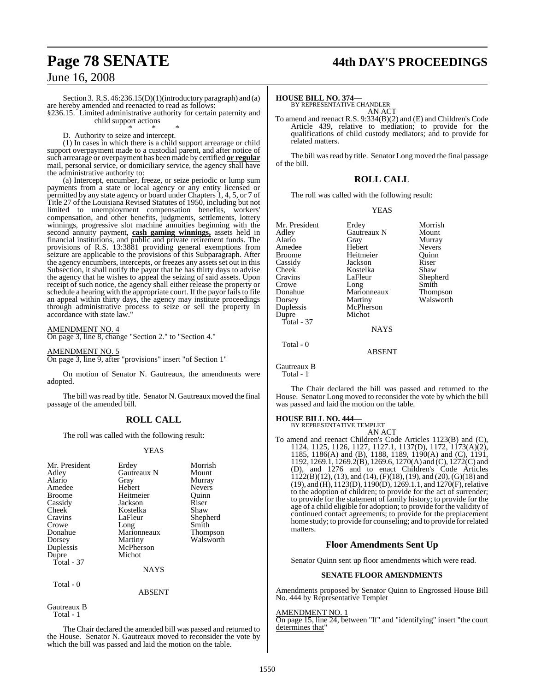# **Page 78 SENATE 44th DAY'S PROCEEDINGS**

### June 16, 2008

Section 3. R.S. 46:236.15(D)(1)(introductory paragraph) and (a) are hereby amended and reenacted to read as follows: §236.15. Limited administrative authority for certain paternity and

child support actions

\* \* \* D. Authority to seize and intercept.

(1) In cases in which there is a child support arrearage or child support overpayment made to a custodial parent, and after notice of such arrearage or overpayment has been made by certified **or regular** mail, personal service, or domiciliary service, the agency shall have the administrative authority to:

(a) Intercept, encumber, freeze, or seize periodic or lump sum payments from a state or local agency or any entity licensed or permitted by any state agency or board under Chapters 1, 4, 5, or 7 of Title 27 of the Louisiana Revised Statutes of 1950, including but not limited to unemployment compensation benefits, workers' compensation, and other benefits, judgments, settlements, lottery winnings, progressive slot machine annuities beginning with the second annuity payment, **cash gaming winnings,** assets held in financial institutions, and public and private retirement funds. The provisions of R.S. 13:3881 providing general exemptions from seizure are applicable to the provisions of this Subparagraph. After the agency encumbers, intercepts, or freezes any assets set out in this Subsection, it shall notify the payor that he has thirty days to advise the agency that he wishes to appeal the seizing of said assets. Upon receipt of such notice, the agency shall either release the property or schedule a hearing with the appropriate court. If the payor fails to file an appeal within thirty days, the agency may institute proceedings through administrative process to seize or sell the property in accordance with state law."

#### AMENDMENT NO. 4

On page 3, line 8, change "Section 2." to "Section 4."

AMENDMENT NO. 5 On page 3, line 9, after "provisions" insert "of Section 1"

On motion of Senator N. Gautreaux, the amendments were adopted.

The bill was read by title. Senator N. Gautreaux moved the final passage of the amended bill.

#### **ROLL CALL**

The roll was called with the following result:

#### YEAS

| Mr. President<br>Adley<br>Alario<br>Amedee<br><b>Broome</b><br>Cassidy<br>Cheek<br>Cravins<br>Crowe<br>Donahue<br>Dorsey<br>Duplessis<br>Dupre<br>Total - 37 | Erdey<br>Gautreaux N<br>Gray<br>Hebert<br>Heitmeier<br>Jackson<br>Kostelka<br>LaFleur<br>Long<br>Marionneaux<br>Martiny<br>McPherson<br>Michot | Morrish<br>Mount<br>Murray<br><b>Nevers</b><br>Ouinn<br>Riser<br>Shaw<br>Shepherd<br>Smith<br><b>Thompson</b><br>Walsworth |
|--------------------------------------------------------------------------------------------------------------------------------------------------------------|------------------------------------------------------------------------------------------------------------------------------------------------|----------------------------------------------------------------------------------------------------------------------------|
|                                                                                                                                                              | <b>NAYS</b>                                                                                                                                    |                                                                                                                            |
| Total - 0                                                                                                                                                    |                                                                                                                                                |                                                                                                                            |

#### ABSENT

Gautreaux B Total - 1

The Chair declared the amended bill was passed and returned to the House. Senator N. Gautreaux moved to reconsider the vote by which the bill was passed and laid the motion on the table.

#### **HOUSE BILL NO. 374—**

BY REPRESENTATIVE CHANDLER AN ACT

To amend and reenact R.S. 9:334(B)(2) and (E) and Children's Code Article 439, relative to mediation; to provide for the qualifications of child custody mediators; and to provide for related matters.

The bill was read by title. Senator Long moved the final passage of the bill.

#### **ROLL CALL**

The roll was called with the following result:

#### YEAS

| Mr. President      | Erdey       | Morrish       |
|--------------------|-------------|---------------|
| Adlev              | Gautreaux N | Mount         |
| Alario             | Gray        | Murray        |
| Amedee             | Hebert      | <b>Nevers</b> |
| Broome             | Heitmeier   | Ouinn         |
| Cassidy            | Jackson     | Riser         |
| Cheek <sup>-</sup> | Kostelka    | Shaw          |
| Cravins            | LaFleur     | Shepherd      |
| Crowe              | Long        | Smith         |
| Donahue            | Marionneaux | Thompson      |
| Dorsey             | Martiny     | Walsworth     |
| Duplessis          | McPherson   |               |
| Dupre              | Michot      |               |
| <b>Total</b> - 37  |             |               |
|                    | <b>NAYS</b> |               |
| Total - 0          |             |               |
|                    | ABSENT      |               |

Gautreaux B

Total - 1

The Chair declared the bill was passed and returned to the House. Senator Long moved to reconsider the vote by which the bill was passed and laid the motion on the table.

### **HOUSE BILL NO. 444—** BY REPRESENTATIVE TEMPLET

AN ACT To amend and reenact Children's Code Articles 1123(B) and (C), 1124, 1125, 1126, 1127, 1127.1, 1137(D), 1172, 1173(A)(2), 1185, 1186(A) and (B), 1188, 1189, 1190(A) and (C), 1191, 1192, 1269.1, 1269.2(B), 1269.6, 1270(A) and (C), 1272(C) and (D), and 1276 and to enact Children's Code Articles  $1122(B)(12)$ , (13), and (14), (F)(18), (19), and (20), (G)(18) and (19), and (H), 1123(D), 1190(D), 1269.1.1, and 1270(F), relative to the adoption of children; to provide for the act of surrender; to provide for the statement of family history; to provide for the age of a child eligible for adoption; to provide for the validity of continued contact agreements; to provide for the preplacement home study; to provide for counseling; and to provide forrelated matters.

#### **Floor Amendments Sent Up**

Senator Quinn sent up floor amendments which were read.

#### **SENATE FLOOR AMENDMENTS**

Amendments proposed by Senator Quinn to Engrossed House Bill No. 444 by Representative Templet

#### AMENDMENT NO. 1

On page 15, line 24, between "If" and "identifying" insert "the court determines that"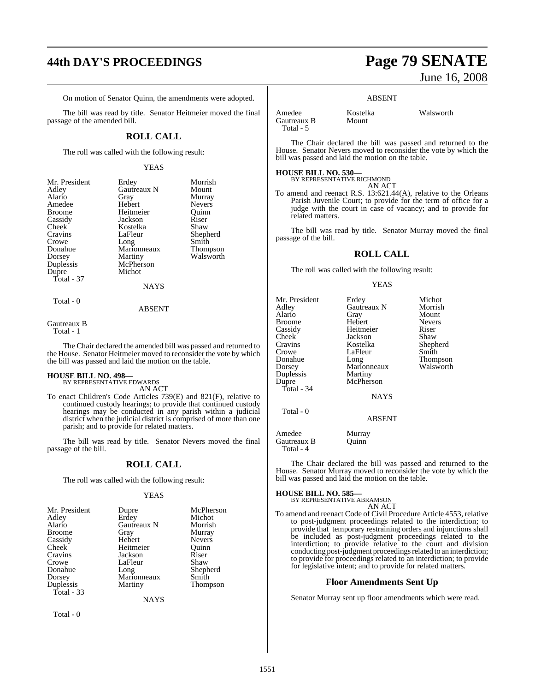# **44th DAY'S PROCEEDINGS Page 79 SENATE**

On motion of Senator Quinn, the amendments were adopted.

The bill was read by title. Senator Heitmeier moved the final passage of the amended bill.

#### **ROLL CALL**

The roll was called with the following result:

#### YEAS

| Mr. President | Erdey       | Morrish         |
|---------------|-------------|-----------------|
| Adley         | Gautreaux N | Mount           |
| Alario        | Gray        | Murray          |
| Amedee        | Hebert      | <b>Nevers</b>   |
| <b>Broome</b> | Heitmeier   | Ouinn           |
| Cassidy       | Jackson     | Riser           |
| Cheek         | Kostelka    | Shaw            |
| Cravins       | LaFleur     | Shepherd        |
| Crowe         | Long        | Smith           |
| Donahue       | Marionneaux | <b>Thompson</b> |
| Dorsey        | Martiny     | Walsworth       |
| Duplessis     | McPherson   |                 |
| Dupre         | Michot      |                 |
| Total - 37    |             |                 |
|               | <b>NAYS</b> |                 |
|               |             |                 |

#### Total - 0

#### ABSENT

Gautreaux B Total - 1

The Chair declared the amended bill was passed and returned to the House. Senator Heitmeier moved to reconsider the vote by which the bill was passed and laid the motion on the table.

### **HOUSE BILL NO. 498—** BY REPRESENTATIVE EDWARDS

AN ACT

To enact Children's Code Articles 739(E) and 821(F), relative to continued custody hearings; to provide that continued custody hearings may be conducted in any parish within a judicial district when the judicial district is comprised of more than one parish; and to provide for related matters.

The bill was read by title. Senator Nevers moved the final passage of the bill.

#### **ROLL CALL**

The roll was called with the following result:

#### YEAS

| Dupre       | McPherson       |
|-------------|-----------------|
| Erdey       | Michot          |
| Gautreaux N | Morrish         |
| Gray        | Murray          |
| Hebert      | <b>Nevers</b>   |
| Heitmeier   | Ouinn           |
| Jackson     | Riser           |
| LaFleur     | Shaw            |
|             | Shepherd        |
| Marionneaux | Smith           |
| Martiny     | <b>Thompson</b> |
|             |                 |
|             | Long            |

**NAYS** 

Total - 0

# June 16, 2008

#### ABSENT

Amedee Kostelka Walsworth<br>Gautreaux B Mount Gautreaux B Total - 5

Michot Morrish Mount Nevers<br>Riser

Shepherd<br>Smith

Thompson Walsworth

The Chair declared the bill was passed and returned to the House. Senator Nevers moved to reconsider the vote by which the bill was passed and laid the motion on the table.

#### **HOUSE BILL NO. 530—**

BY REPRESENTATIVE RICHMOND AN ACT

To amend and reenact R.S. 13:621.44(A), relative to the Orleans Parish Juvenile Court; to provide for the term of office for a judge with the court in case of vacancy; and to provide for related matters.

The bill was read by title. Senator Murray moved the final passage of the bill.

#### **ROLL CALL**

The roll was called with the following result:

#### YEAS

| Mr. President | Erdey         | Micho |
|---------------|---------------|-------|
| Adley         | Gautreaux N   | Morri |
| Alario        | Gray          | Moun  |
| Broome        | Hebert        | Never |
| Cassidy       | Heitmeier     | Riser |
| Cheek         | Jackson       | Shaw  |
| Cravins       | Kostelka      | Sheph |
| Crowe         | LaFleur       | Smith |
| Donahue       | Long          | Thom  |
| Dorsey        | Marionneaux   | Walsy |
| Duplessis     | Martiny       |       |
| Dupre         | McPherson     |       |
| Total - 34    |               |       |
|               | <b>NAYS</b>   |       |
| Total - 0     |               |       |
|               | <b>ABSENT</b> |       |
| Amedee        | Murray        |       |
| Gautreaux B   | Ouinn         |       |
| Total - 4     |               |       |

The Chair declared the bill was passed and returned to the House. Senator Murray moved to reconsider the vote by which the bill was passed and laid the motion on the table.

**HOUSE BILL NO. 585—** BY REPRESENTATIVE ABRAMSON AN ACT

To amend and reenact Code of Civil Procedure Article 4553, relative to post-judgment proceedings related to the interdiction; to provide that temporary restraining orders and injunctions shall be included as post-judgment proceedings related to the interdiction; to provide relative to the court and division conducting post-judgment proceedings related to an interdiction; to provide for proceedings related to an interdiction; to provide for legislative intent; and to provide for related matters.

#### **Floor Amendments Sent Up**

Senator Murray sent up floor amendments which were read.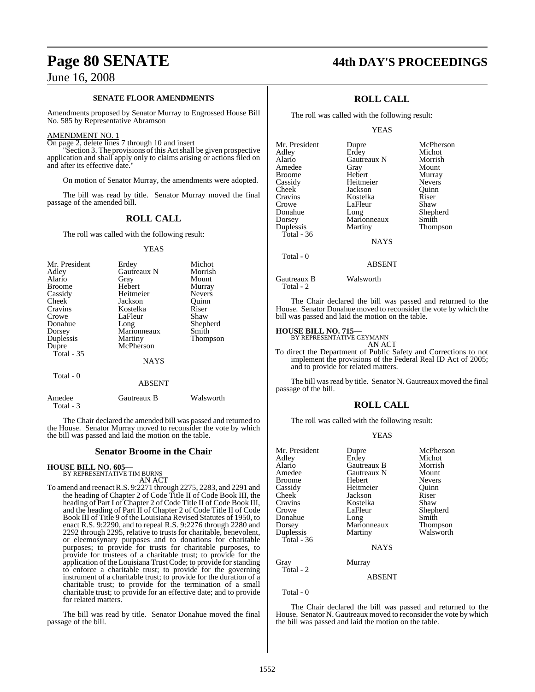#### **SENATE FLOOR AMENDMENTS**

Amendments proposed by Senator Murray to Engrossed House Bill No. 585 by Representative Abramson

#### AMENDMENT NO. 1

On page 2, delete lines 7 through 10 and insert

"Section 3. The provisions of this Act shall be given prospective application and shall apply only to claims arising or actions filed on and after its effective date.

On motion of Senator Murray, the amendments were adopted.

The bill was read by title. Senator Murray moved the final passage of the amended bill.

#### **ROLL CALL**

The roll was called with the following result:

#### YEAS

| Mr. President<br>Adley<br>Alario<br><b>Broome</b><br>Cassidy<br><b>Cheek</b><br>Cravins<br>Crowe<br>Donahue<br>Dorsey | Erdey<br>Gautreaux N<br>Gray<br>Hebert<br>Heitmeier<br>Jackson<br>Kostelka<br>LaFleur<br>Long<br>Marionneaux | Michot<br>Morrish<br>Mount<br>Murray<br><b>Nevers</b><br>Ouinn<br>Riser<br>Shaw<br>Shepherd<br>Smith |
|-----------------------------------------------------------------------------------------------------------------------|--------------------------------------------------------------------------------------------------------------|------------------------------------------------------------------------------------------------------|
| Duplessis<br>Dupre                                                                                                    | Martiny<br>McPherson                                                                                         | Thompson                                                                                             |
| Total $-35$                                                                                                           |                                                                                                              |                                                                                                      |
|                                                                                                                       | <b>NAYS</b>                                                                                                  |                                                                                                      |
| Total - 0                                                                                                             | <b>ABSENT</b>                                                                                                |                                                                                                      |

Amedee Gautreaux B Walsworth

The Chair declared the amended bill was passed and returned to the House. Senator Murray moved to reconsider the vote by which the bill was passed and laid the motion on the table.

#### **Senator Broome in the Chair**

**HOUSE BILL NO. 605—** BY REPRESENTATIVE TIM BURNS

Total - 3

AN ACT

To amend and reenactR.S. 9:2271 through 2275, 2283, and 2291 and the heading of Chapter 2 of Code Title II of Code Book III, the heading of Part I of Chapter 2 of Code Title II of Code Book III, and the heading of Part II of Chapter 2 of Code Title II of Code Book III of Title 9 of the Louisiana Revised Statutes of 1950, to enact R.S. 9:2290, and to repeal R.S. 9:2276 through 2280 and 2292 through 2295, relative to trusts for charitable, benevolent, or eleemosynary purposes and to donations for charitable purposes; to provide for trusts for charitable purposes, to provide for trustees of a charitable trust; to provide for the application of the Louisiana Trust Code; to provide for standing to enforce a charitable trust; to provide for the governing instrument of a charitable trust; to provide for the duration of a charitable trust; to provide for the termination of a small charitable trust; to provide for an effective date; and to provide for related matters.

The bill was read by title. Senator Donahue moved the final passage of the bill.

### **Page 80 SENATE 44th DAY'S PROCEEDINGS**

### **ROLL CALL**

The roll was called with the following result:

#### YEAS

| Mr. President | Dupre       | McPherson     |
|---------------|-------------|---------------|
| Adley         | Erdey       | Michot        |
| Alario        | Gautreaux N | Morrish       |
| Amedee        | Gray        | Mount         |
| <b>Broome</b> | Hebert      | Murray        |
| Cassidy       | Heitmeier   | <b>Nevers</b> |
| Cheek         | Jackson     | Ouinn         |
| Cravins       | Kostelka    | Riser         |
| Crowe         | LaFleur     | Shaw          |
| Donahue       | Long        | Shepherd      |
| Dorsey        | Marionneaux | Smith         |
| Duplessis     | Martiny     | Thompson      |
| Total - $36$  |             |               |
|               | <b>NAYS</b> |               |

ABSENT

Gautreaux B Walsworth

Total - 2

Total - 0

The Chair declared the bill was passed and returned to the House. Senator Donahue moved to reconsider the vote by which the bill was passed and laid the motion on the table.

## **HOUSE BILL NO. 715—** BY REPRESENTATIVE GEYMANN

AN ACT

To direct the Department of Public Safety and Corrections to not implement the provisions of the Federal Real ID Act of 2005; and to provide for related matters.

The bill was read by title. Senator N. Gautreaux moved the final passage of the bill.

#### **ROLL CALL**

The roll was called with the following result:

#### YEAS

| Mr. President | Dupre       | McPherson     |
|---------------|-------------|---------------|
| Adley         | Erdey       | Michot        |
| Alario        | Gautreaux B | Morrish       |
| Amedee        | Gautreaux N | Mount         |
| <b>Broome</b> | Hebert      | <b>Nevers</b> |
| Cassidy       | Heitmeier   | Ouinn         |
| Cheek         | Jackson     | Riser         |
| Cravins       | Kostelka    | Shaw          |
| Crowe         | LaFleur     | Shepherd      |
| Donahue       | Long        | Smith         |
| Dorsey        | Marionneaux | Thompson      |
| Duplessis     | Martiny     | Walsworth     |
| Total - 36    |             |               |
|               | <b>NAYS</b> |               |
| Gray          | Murray      |               |
| Total - 2     |             |               |
|               | ABSENT      |               |

Total - 0

The Chair declared the bill was passed and returned to the House. Senator N. Gautreaux moved to reconsider the vote by which the bill was passed and laid the motion on the table.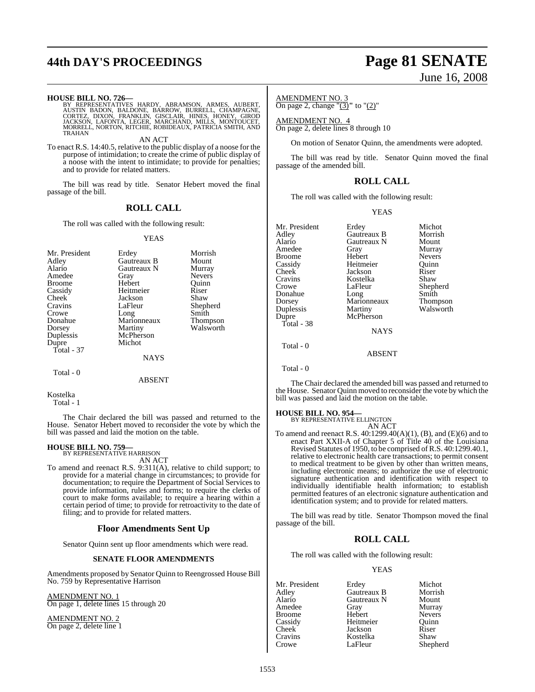# **44th DAY'S PROCEEDINGS Page 81 SENATE**

**HOUSE BILL NO. 726**<br>BY REPRESENTATIVES HARDY, ABRAMSON, ARMES, AUBERT,<br>AUSTIN BADON, BALDONE, BARROW, BURRELL, CHAMPAGNE,<br>CORTEZ, DIXON, FRANKLIN, GISCLAIR, HINES, HONEY, GIROD<br>JACKSON, LAFONTA, LEGER, MARCHAND, MILLS, MO **TRAHAN** 

AN ACT

To enact R.S. 14:40.5, relative to the public display of a noose for the purpose of intimidation; to create the crime of public display of a noose with the intent to intimidate; to provide for penalties; and to provide for related matters.

The bill was read by title. Senator Hebert moved the final passage of the bill.

#### **ROLL CALL**

The roll was called with the following result:

#### YEAS

| Mr. President      | Erdey               | Morrish         |
|--------------------|---------------------|-----------------|
| Adley              | Gautreaux B         | Mount           |
| Alario             | Gautreaux N         | Murray          |
| Amedee             | Gray                | <b>Nevers</b>   |
| <b>Broome</b>      | Hebert              | Ouinn           |
| Cassidy            | Heitmeier           | Riser           |
| Cheek              | Jackson             | Shaw            |
| Cravins            | LaFleur             | Shepherd        |
| Donahue            | Marionneaux         | <b>Thompson</b> |
| Dorsey             | Martiny             | Walsworth       |
| Duplessis<br>Dupre | McPherson<br>Michot |                 |
| Total - 37         | <b>NAYS</b>         |                 |

Total - 0

ABSENT

#### Kostelka

Total - 1

The Chair declared the bill was passed and returned to the House. Senator Hebert moved to reconsider the vote by which the bill was passed and laid the motion on the table.

# **HOUSE BILL NO. 759—** BY REPRESENTATIVE HARRISON

AN ACT

To amend and reenact R.S. 9:311(A), relative to child support; to provide for a material change in circumstances; to provide for documentation; to require the Department of Social Services to provide information, rules and forms; to require the clerks of court to make forms available; to require a hearing within a certain period of time; to provide for retroactivity to the date of filing; and to provide for related matters.

#### **Floor Amendments Sent Up**

Senator Quinn sent up floor amendments which were read.

#### **SENATE FLOOR AMENDMENTS**

Amendments proposed by Senator Quinn to Reengrossed House Bill No. 759 by Representative Harrison

AMENDMENT NO. 1 On page 1, delete lines 15 through 20

AMENDMENT NO. 2 On page 2, delete line 1

# June 16, 2008

#### AMENDMENT NO. 3 On page 2, change "(3)**"** to "(2)"

AMENDMENT NO. 4

On page 2, delete lines 8 through 10

On motion of Senator Quinn, the amendments were adopted.

The bill was read by title. Senator Quinn moved the final passage of the amended bill.

#### **ROLL CALL**

The roll was called with the following result:

#### YEAS

| Mr. President | Erdey         | Michot        |
|---------------|---------------|---------------|
| Adley         | Gautreaux B   | Morrish       |
|               |               |               |
| Alario        | Gautreaux N   | Mount         |
| Amedee        | Gray          | Murray        |
| Broome        | Hebert        | <b>Nevers</b> |
| Cassidy       | Heitmeier     | Ouinn         |
| Cheek         | Jackson       | Riser         |
| Cravins       | Kostelka      | Shaw          |
| Crowe         | LaFleur       | Shepherd      |
| Donahue       | Long          | Smith         |
| Dorsey        | Marionneaux   | Thompson      |
| Duplessis     | Martiny       | Walsworth     |
| Dupre         | McPherson     |               |
| Total - 38    |               |               |
|               | <b>NAYS</b>   |               |
| Total - 0     |               |               |
|               | <b>ABSENT</b> |               |

Total - 0

The Chair declared the amended bill was passed and returned to the House. Senator Quinn moved to reconsider the vote by which the bill was passed and laid the motion on the table.

#### **HOUSE BILL NO. 954—**

BY REPRESENTATIVE ELLINGTON AN ACT

To amend and reenact R.S. 40:1299.40(A)(1), (B), and (E)(6) and to enact Part XXII-A of Chapter 5 of Title 40 of the Louisiana Revised Statutes of 1950, to be comprised of R.S. 40:1299.40.1, relative to electronic health care transactions; to permit consent to medical treatment to be given by other than written means, including electronic means; to authorize the use of electronic signature authentication and identification with respect to individually identifiable health information; to establish permitted features of an electronic signature authentication and identification system; and to provide for related matters.

The bill was read by title. Senator Thompson moved the final passage of the bill.

#### **ROLL CALL**

The roll was called with the following result:

#### YEAS

| Mr. President | Erdey       | Michot        |
|---------------|-------------|---------------|
| Adley         | Gautreaux B | Morrish       |
| Alario        | Gautreaux N | Mount         |
| Amedee        | Gray        | Murray        |
| <b>Broome</b> | Hebert      | <b>Nevers</b> |
| Cassidy       | Heitmeier   | Ouinn         |
| Cheek         | Jackson     | Riser         |
| Cravins       | Kostelka    | Shaw          |
| Crowe         | LaFleur     | Shepherd      |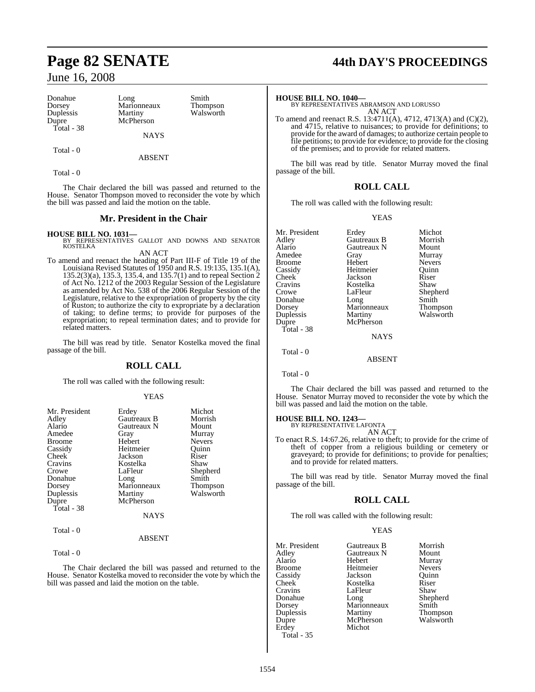| Donahue    | Long        | Smith     |
|------------|-------------|-----------|
| Dorsey     | Marionneaux | Thompson  |
| Duplessis  | Martiny     | Walsworth |
| Dupre      | McPherson   |           |
| Total - 38 |             |           |
|            | <b>NAYS</b> |           |
|            |             |           |

Total - 0

Total - 0

The Chair declared the bill was passed and returned to the House. Senator Thompson moved to reconsider the vote by which the bill was passed and laid the motion on the table.

ABSENT

#### **Mr. President in the Chair**

#### **HOUSE BILL NO. 1031—**

BY REPRESENTATIVES GALLOT AND DOWNS AND SENATOR KOSTELKA AN ACT

To amend and reenact the heading of Part III-F of Title 19 of the Louisiana Revised Statutes of 1950 and R.S. 19:135, 135.1(A), 135.2(3)(a), 135.3, 135.4, and 135.7(1) and to repeal Section 2 of Act No. 1212 of the 2003 Regular Session of the Legislature as amended by Act No. 538 of the 2006 Regular Session of the Legislature, relative to the expropriation of property by the city of Ruston; to authorize the city to expropriate by a declaration of taking; to define terms; to provide for purposes of the expropriation; to repeal termination dates; and to provide for related matters.

The bill was read by title. Senator Kostelka moved the final passage of the bill.

### **ROLL CALL**

The roll was called with the following result:

#### YEAS

| Mr. President<br>Adley<br>Alario<br>Amedee<br><b>Broome</b><br>Cassidy<br>Cheek<br>Cravins<br>Crowe<br>Donahue | Erdey<br>Gautreaux B<br>Gautreaux N<br>Gray<br>Hebert<br>Heitmeier<br>Jackson<br>Kostelka<br>LaFleur<br>Long | Michot<br>Morrish<br>Mount<br>Murray<br><b>Nevers</b><br>Ouinn<br>Riser<br>Shaw<br>Shepherd<br>Smith |
|----------------------------------------------------------------------------------------------------------------|--------------------------------------------------------------------------------------------------------------|------------------------------------------------------------------------------------------------------|
| Dorsey<br>Duplessis                                                                                            | Marionneaux<br>Martiny                                                                                       | Thompson<br>Walsworth                                                                                |
| Dupre                                                                                                          | McPherson                                                                                                    |                                                                                                      |
| Total - 38                                                                                                     |                                                                                                              |                                                                                                      |
|                                                                                                                | <b>NAYS</b>                                                                                                  |                                                                                                      |
| Total - 0                                                                                                      | <b>ARSENT</b>                                                                                                |                                                                                                      |

Total - 0

The Chair declared the bill was passed and returned to the House. Senator Kostelka moved to reconsider the vote by which the bill was passed and laid the motion on the table.

# **Page 82 SENATE 44th DAY'S PROCEEDINGS**

**HOUSE BILL NO. 1040—** BY REPRESENTATIVES ABRAMSON AND LORUSSO AN ACT

To amend and reenact R.S. 13:4711(A), 4712, 4713(A) and (C)(2), and 4715, relative to nuisances; to provide for definitions; to provide for the award of damages; to authorize certain people to file petitions; to provide for evidence; to provide for the closing of the premises; and to provide for related matters.

The bill was read by title. Senator Murray moved the final passage of the bill.

#### **ROLL CALL**

The roll was called with the following result:

#### YEAS

| Mr. President<br>Adley<br>Alario<br>Amedee<br>Broome<br>Cassidy<br>Cheek <sup>-</sup><br>Cravins<br>Crowe<br>Donahue<br>Dorsey<br>Duplessis<br>Dupre<br>Total - 38 | Erdey<br>Gautreaux B<br>Gautreaux N<br>Gray<br>Hebert<br>Heitmeier<br>Jackson<br>Kostelka<br>LaFleur<br>Long<br>Marionneaux<br>Martiny<br>McPherson<br><b>NAYS</b> | Michot<br>Morrish<br>Mount<br>Murray<br><b>Nevers</b><br>Ouinn<br>Riser<br>Shaw<br>Shepherd<br>Smith<br>Thompson<br>Walsworth |
|--------------------------------------------------------------------------------------------------------------------------------------------------------------------|--------------------------------------------------------------------------------------------------------------------------------------------------------------------|-------------------------------------------------------------------------------------------------------------------------------|
|                                                                                                                                                                    |                                                                                                                                                                    |                                                                                                                               |
| Total - 0                                                                                                                                                          | ABSENT                                                                                                                                                             |                                                                                                                               |

Total - 0

The Chair declared the bill was passed and returned to the House. Senator Murray moved to reconsider the vote by which the bill was passed and laid the motion on the table.

### **HOUSE BILL NO. 1243—** BY REPRESENTATIVE LAFONTA

AN ACT

To enact R.S. 14:67.26, relative to theft; to provide for the crime of theft of copper from a religious building or cemetery or graveyard; to provide for definitions; to provide for penalties; and to provide for related matters.

The bill was read by title. Senator Murray moved the final passage of the bill.

#### **ROLL CALL**

The roll was called with the following result:

#### YEAS

| Mr. President | Gautreaux B |
|---------------|-------------|
| Adley         | Gautreaux N |
| Alario        | Hebert      |
| <b>Broome</b> | Heitmeier   |
| Cassidy       | Jackson     |
| Cheek         | Kostelka    |
| Cravins       | LaFleur     |
| Donahue       | Long        |
| Dorsey        | Marionneaux |
| Duplessis     | Martiny     |
| Dupre         | McPherson   |
| Erdey         | Michot      |
| $Total - 35$  |             |

Mr. President Gautreaux B Morrish Murray<br>Nevers Quinn<br>Riser Xostelka Riser<br>AFleur Shaw Donahue Long Shepherd Aarionneaux Smith<br>Aartiny Thom Aartiny Thompson<br>AcPherson Walsworth Walsworth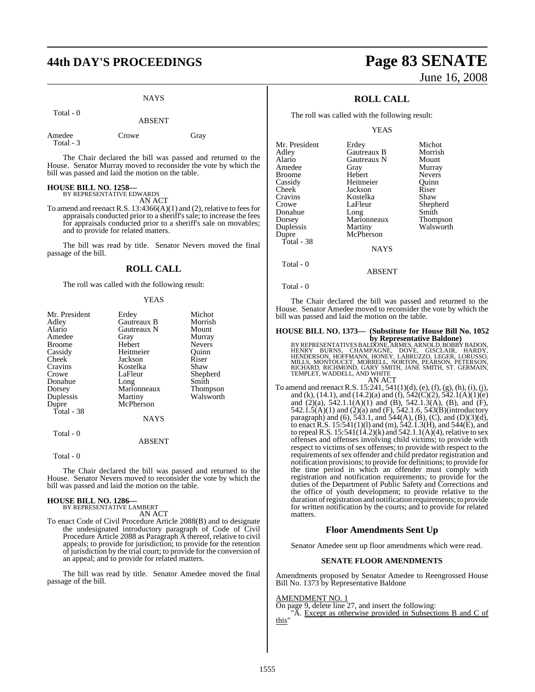### **44th DAY'S PROCEEDINGS Page 83 SENATE**

#### **NAYS**

Total - 0

ABSENT

| Amedee    | Crowe | Gray |
|-----------|-------|------|
| Total - 3 |       |      |

The Chair declared the bill was passed and returned to the House. Senator Murray moved to reconsider the vote by which the bill was passed and laid the motion on the table.

# **HOUSE BILL NO. 1258—** BY REPRESENTATIVE EDWARDS

AN ACT

To amend and reenact R.S. 13:4366(A)(1) and (2), relative to feesfor appraisals conducted prior to a sheriff's sale; to increase the fees for appraisals conducted prior to a sheriff's sale on movables; and to provide for related matters.

The bill was read by title. Senator Nevers moved the final passage of the bill.

#### **ROLL CALL**

The roll was called with the following result:

#### YEAS

| Mr. President | Erdey       | Michot          |
|---------------|-------------|-----------------|
| Adley         | Gautreaux B | Morrish         |
| Alario        | Gautreaux N | Mount           |
| Amedee        | Gray        | Murray          |
| <b>Broome</b> | Hebert      | <b>Nevers</b>   |
| Cassidy       | Heitmeier   | Ouinn           |
| Cheek         | Jackson     | Riser           |
| Cravins       | Kostelka    | Shaw            |
| Crowe         | LaFleur     | Shepherd        |
| Donahue       | Long        | Smith           |
| Dorsey        | Marionneaux | <b>Thompson</b> |
| Duplessis     | Martiny     | Walsworth       |
| Dupre         | McPherson   |                 |
| Total - 38    |             |                 |
|               | <b>NAYS</b> |                 |
| Total - 0     |             |                 |

#### ABSENT

Total - 0

The Chair declared the bill was passed and returned to the House. Senator Nevers moved to reconsider the vote by which the bill was passed and laid the motion on the table.

### **HOUSE BILL NO. 1286—** BY REPRESENTATIVE LAMBERT

AN ACT

To enact Code of Civil Procedure Article 2088(B) and to designate the undesignated introductory paragraph of Code of Civil Procedure Article 2088 as Paragraph A thereof, relative to civil appeals; to provide for jurisdiction; to provide for the retention of jurisdiction by the trial court; to provide for the conversion of an appeal; and to provide for related matters.

The bill was read by title. Senator Amedee moved the final passage of the bill.

# June 16, 2008

### **ROLL CALL**

The roll was called with the following result:

YEAS

| Mr. President | Erdey       | Michot          |
|---------------|-------------|-----------------|
|               |             |                 |
| Adley         | Gautreaux B | Morrish         |
| Alario        | Gautreaux N | Mount           |
| Amedee        | Gray        | Murray          |
| Broome        | Hebert      | <b>Nevers</b>   |
| Cassidy       | Heitmeier   | Ouinn           |
| Cheek         | Jackson     | Riser           |
| Cravins       | Kostelka    | Shaw            |
| Crowe         | LaFleur     | Shepherd        |
| Donahue       | Long        | Smith           |
| Dorsey        | Marionneaux | <b>Thompson</b> |
| Duplessis     | Martiny     | Walsworth       |
| Dupre         | McPherson   |                 |
| Total - 38    |             |                 |
|               | <b>NAYS</b> |                 |
|               |             |                 |

Total - 0

Total - 0

The Chair declared the bill was passed and returned to the House. Senator Amedee moved to reconsider the vote by which the bill was passed and laid the motion on the table.

ABSENT

### **HOUSE BILL NO. 1373— (Substitute for House Bill No. 1052**

by Representative Baldone)<br>BY REPRESENTATIVES BALDONE, ARMES, ARNOLD, BOBBY BADON,<br>HENRY BURNS, CHAMPAGNE, DOVE, GISCLAIR, HARDY,<br>HENDERSON, HOFFMANN, HONEY, LABRUZZO, LEGER, LORUSSO,<br>MILLS, MONTOUCET, MORRELL, NORTON, PEA

To amend and reenact R.S.  $15:241, 541(1)(d)$ , (e), (f), (g), (h), (i), (j), and (k), (14.1), and (14.2)(a) and (f),  $542(C)(2)$ ,  $542.1(A)(1)(e)$ and (2)(a), 542.1.1(A)(1) and (B), 542.1.3(A), (B), and (F), 542.1.5(A)(1) and (2)(a) and (F), 542.1.6, 543(B)(introductory paragraph) and (6), 543.1, and 544(A), (B), (C), and (D)(3)(d), to enact R.S. 15:541(1)(1) and (m), 542.1.3(H), and 544(E), and to repeal R.S.  $15:541(14.2)$ (k) and  $542.1.1$ (A)(4), relative to sex offenses and offenses involving child victims; to provide with respect to victims of sex offenses; to provide with respect to the requirements of sex offender and child predator registration and notification provisions; to provide for definitions; to provide for the time period in which an offender must comply with registration and notification requirements; to provide for the duties of the Department of Public Safety and Corrections and the office of youth development; to provide relative to the duration ofregistration and notification requirements; to provide for written notification by the courts; and to provide for related matters.

#### **Floor Amendments Sent Up**

Senator Amedee sent up floor amendments which were read.

#### **SENATE FLOOR AMENDMENTS**

Amendments proposed by Senator Amedee to Reengrossed House Bill No. 1373 by Representative Baldone

#### AMENDMENT NO. 1

On page 9, delete line 27, and insert the following:

"A. Except as otherwise provided in Subsections B and C of this"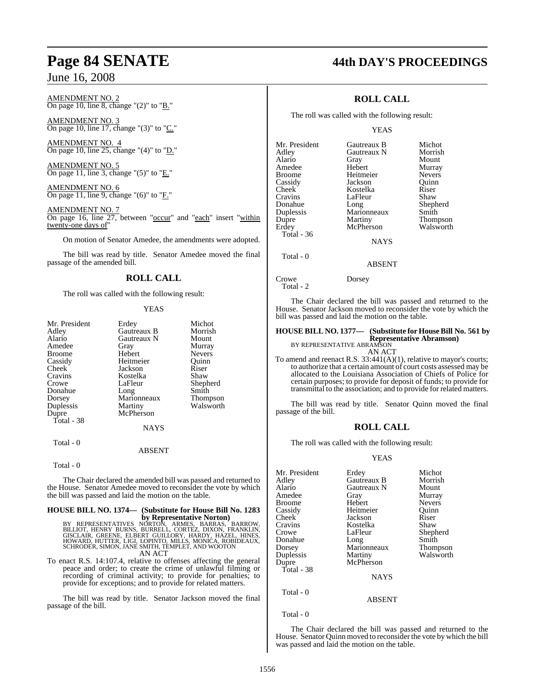#### AMENDMENT NO. 2 On page 10, line 8, change " $(2)$ " to " $\underline{B}$ ."

AMENDMENT NO. 3 On page 10, line 17, change "(3)" to "C."

AMENDMENT NO. 4 On page 10, line 25, change " $(4)$ " to "D."

AMENDMENT NO. 5 On page 11, line 3, change "(5)" to "E."

AMENDMENT NO. 6 On page 11, line 9, change "(6)" to "*F*."

AMENDMENT NO. 7 On page 16, line 27, between "occur" and "each" insert "within twenty-one days of"

On motion of Senator Amedee, the amendments were adopted.

The bill was read by title. Senator Amedee moved the final passage of the amended bill.

### **ROLL CALL**

The roll was called with the following result:

#### YEAS

| Mr. President      | Erdey       | Michot        |
|--------------------|-------------|---------------|
| Adley              | Gautreaux B | Morrish       |
| Alario             | Gautreaux N | Mount         |
| Amedee             | Gray        | Murray        |
| Broome             | Hebert      | <b>Nevers</b> |
| Cassidy            | Heitmeier   | Ouinn         |
| Cheek <sup>-</sup> | Jackson     | Riser         |
| Cravins            | Kostelka    | Shaw          |
| Crowe              | LaFleur     | Shepherd      |
| Donahue            | Long        | Smith         |
| Dorsey             | Marionneaux | Thompson      |
| Duplessis          | Martiny     | Walsworth     |
| Dupre              | McPherson   |               |
| Total - 38         |             |               |
|                    | <b>NAYS</b> |               |
| Total - 0          |             |               |

#### ABSENT

#### Total - 0

The Chair declared the amended bill was passed and returned to the House. Senator Amedee moved to reconsider the vote by which the bill was passed and laid the motion on the table.

### **HOUSE BILL NO. 1374— (Substitute for House Bill No. 1283**

**by Representative Norton)**<br>BILLIOT, HENRY BURNS, BURTON, ARMES, BARROW,<br>GISCLAIR, GREENE, ELBERT GUILLORY, HARDY, HAZEL, HINES,<br>HOWARD, HUTTER, LIGI, LOPINTO, MILLS, MONICA, ROBIDEAUX,<br>SCHRODER, SIMON, JANE SMITH, TEMPLET AN ACT

To enact R.S. 14:107.4, relative to offenses affecting the general peace and order; to create the crime of unlawful filming or recording of criminal activity; to provide for penalties; to provide for exceptions; and to provide for related matters.

The bill was read by title. Senator Jackson moved the final passage of the bill.

### **Page 84 SENATE 44th DAY'S PROCEEDINGS**

### **ROLL CALL**

The roll was called with the following result:

#### YEAS

| Mr. President | Gautreaux B | Michot          |
|---------------|-------------|-----------------|
| Adley         | Gautreaux N | Morrish         |
| Alario        | Gray        | Mount           |
| Amedee        | Hebert      | Murray          |
| <b>Broome</b> | Heitmeier   | <b>Nevers</b>   |
| Cassidy       | Jackson     | Ouinn           |
| Cheek         | Kostelka    | Riser           |
| Cravins       | LaFleur     | Shaw            |
| Donahue       | Long        | Shepherd        |
| Duplessis     | Marionneaux | Smith           |
| Dupre         | Martiny     | <b>Thompson</b> |
| Erdey         | McPherson   | Walswort        |
| Total - 36    |             |                 |
|               |             |                 |

Thompson<br>Walsworth

**NAYS** 

#### ABSENT

Crowe Dorsey

Total - 2

Total - 0

The Chair declared the bill was passed and returned to the House. Senator Jackson moved to reconsider the vote by which the bill was passed and laid the motion on the table.

### **HOUSE BILL NO. 1377— (Substitute for HouseBill No. 561 by Representative Abramson)** BY REPRESENTATIVE ABRAMSON

AN ACT

To amend and reenact R.S. 33:441(A)(1), relative to mayor's courts; to authorize that a certain amount of court costs assessed may be allocated to the Louisiana Association of Chiefs of Police for certain purposes; to provide for deposit of funds; to provide for transmittal to the association; and to provide for related matters.

The bill was read by title. Senator Quinn moved the final passage of the bill.

#### **ROLL CALL**

The roll was called with the following result:

#### YEAS

| Mr. President<br>Adley<br>Alario<br>Amedee<br><b>Broome</b><br>Cassidy<br>Cheek<br>Cravins<br>Crowe<br>Donahue<br>Dorsey<br>Duplessis<br>Dupre<br>Total - 38 | Erdey<br>Gautreaux B<br>Gautreaux N<br>Gray<br>Hebert<br>Heitmeier<br>Jackson<br>Kostelka<br>LaFleur<br>Long<br>Marionneaux<br>Martiny<br>McPherson<br><b>NAYS</b> | Michot<br>Morrish<br>Mount<br>Murray<br><b>Nevers</b><br>Ouinn<br>Riser<br>Shaw<br>Shepherd<br>Smith<br>Thompson<br>Walsworth |
|--------------------------------------------------------------------------------------------------------------------------------------------------------------|--------------------------------------------------------------------------------------------------------------------------------------------------------------------|-------------------------------------------------------------------------------------------------------------------------------|
| Total - 0                                                                                                                                                    |                                                                                                                                                                    |                                                                                                                               |

Total - 0

The Chair declared the bill was passed and returned to the House. Senator Quinn moved to reconsider the vote by which the bill was passed and laid the motion on the table.

ABSENT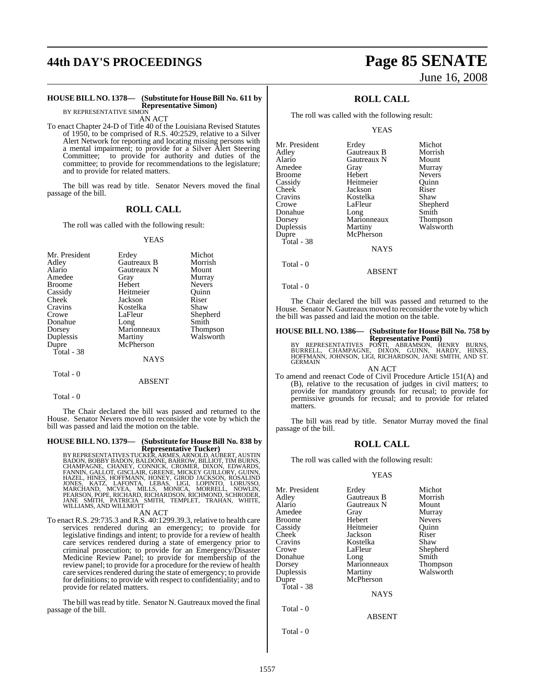# **44th DAY'S PROCEEDINGS Page 85 SENATE**

#### **HOUSE BILL NO. 1378— (Substitute for HouseBill No. 611 by Representative Simon)**

BY REPRESENTATIVE SIMON AN ACT

To enact Chapter 24-D of Title 40 of the Louisiana Revised Statutes of 1950, to be comprised of R.S. 40:2529, relative to a Silver Alert Network for reporting and locating missing persons with a mental impairment; to provide for a Silver Alert Steering Committee; to provide for authority and duties of the committee; to provide for recommendations to the legislature; and to provide for related matters.

The bill was read by title. Senator Nevers moved the final passage of the bill.

#### **ROLL CALL**

The roll was called with the following result:

#### YEAS

| Mr. President | Erdey               | Michot          |
|---------------|---------------------|-----------------|
| Adley         | Gautreaux B         | Morrish         |
| Alario        | Gautreaux N         | Mount           |
| Amedee        | Gray                | Murray          |
| <b>Broome</b> | Hebert              | <b>Nevers</b>   |
| Cassidy       | Heitmeier           | Ouinn           |
| Cheek         | Jackson             | Riser           |
| Cravins       | Kostelka            | Shaw            |
| Crowe         | LaFleur             | Shepherd        |
| Donahue       |                     | Smith           |
| Dorsey        | Long<br>Marionneaux | <b>Thompson</b> |
| Duplessis     | Martiny             | Walsworth       |
| Dupre         | McPherson           |                 |
| Total - 38    |                     |                 |
|               | NAYS                |                 |

Total - 0

 $Total - 0$ 

The Chair declared the bill was passed and returned to the House. Senator Nevers moved to reconsider the vote by which the bill was passed and laid the motion on the table.

ABSENT

### **HOUSE BILL NO. 1379— (Substitute for HouseBill No. 838 by**

**Representative Tucker)**<br>BY REPRESENTATIVES TUCKER, ARMES, ARNOLD, AUBERT, AUSTIN<br>BADON, BOBBY BADON, BALDONE, BARROW, BILLIOT, TIM BURNS,<br>FANNIN, GALLOT, GISCLAIR, GREENE, MICKEY GUILLORY, GUINN,<br>HAZEL, HINES, HOFFMANN, H

#### AN ACT

To enact R.S. 29:735.3 and R.S. 40:1299.39.3, relative to health care services rendered during an emergency; to provide for legislative findings and intent; to provide for a review of health care services rendered during a state of emergency prior to criminal prosecution; to provide for an Emergency/Disaster Medicine Review Panel; to provide for membership of the review panel; to provide for a procedure for the review of health care services rendered during the state of emergency; to provide for definitions; to provide with respect to confidentiality; and to provide for related matters.

The bill was read by title. Senator N. Gautreaux moved the final passage of the bill.

# June 16, 2008

### **ROLL CALL**

The roll was called with the following result:

YEAS

| Mr. President | Erdey       | Michot          |
|---------------|-------------|-----------------|
| Adley         | Gautreaux B | Morrish         |
| Alario        | Gautreaux N | Mount           |
| Amedee        | Gray        | Murray          |
| Broome        | Hebert      | <b>Nevers</b>   |
| Cassidy       | Heitmeier   | Ouinn           |
| Cheek         | Jackson     | Riser           |
| Cravins       | Kostelka    | Shaw            |
| Crowe         | LaFleur     | Shepherd        |
| Donahue       | Long        | Smith           |
| Dorsey        | Marionneaux | <b>Thompson</b> |
| Duplessis     | Martiny     | Walsworth       |
| Dupre         | McPherson   |                 |
| Total - 38    |             |                 |
|               | <b>NAYS</b> |                 |
|               |             |                 |

Total - 0

Total - 0

The Chair declared the bill was passed and returned to the House. Senator N. Gautreaux moved to reconsider the vote by which the bill was passed and laid the motion on the table.

ABSENT

### **HOUSE BILL NO. 1386— (Substitute for HouseBill No. 758 by**

**REPRESENTATIVES PONTI, ABRAMSON, HENRY BURNS, BURNELL, CHAMPAGNE, DIXON, GUINN, HARDY, HINES, PONTI, ABRAMSON, HENRY BURNS, HENRY BURNS, HENRY BURNS, HENRY BURNS, HENRY BURNS, HENRY BURNS, HENRY BURNS, HINES, PONTI, AND S** 

AN ACT

To amend and reenact Code of Civil Procedure Article 151(A) and (B), relative to the recusation of judges in civil matters; to provide for mandatory grounds for recusal; to provide for permissive grounds for recusal; and to provide for related matters.

The bill was read by title. Senator Murray moved the final passage of the bill.

#### **ROLL CALL**

The roll was called with the following result:

#### YEAS

| Mr. President | Erdey         | Michot        |
|---------------|---------------|---------------|
| Adlev         | Gautreaux B   | Morrish       |
| Alario        | Gautreaux N   | Mount         |
| Amedee        | Gray          | Murray        |
| Broome        | Hebert        | <b>Nevers</b> |
| Cassidy       | Heitmeier     | Quinn         |
| Cheek         | Jackson       | Riser         |
| Cravins       | Kostelka      | Shaw          |
| Crowe         | LaFleur       | Shepherd      |
| Donahue       | Long          | Smith         |
| Dorsey        | Marionneaux   | Thompson      |
| Duplessis     | Martiny       | Walsworth     |
| Dupre         | McPherson     |               |
| Total - 38    |               |               |
|               | <b>NAYS</b>   |               |
| Total - 0     |               |               |
|               | <b>ABSENT</b> |               |
| Total - 0     |               |               |
|               |               |               |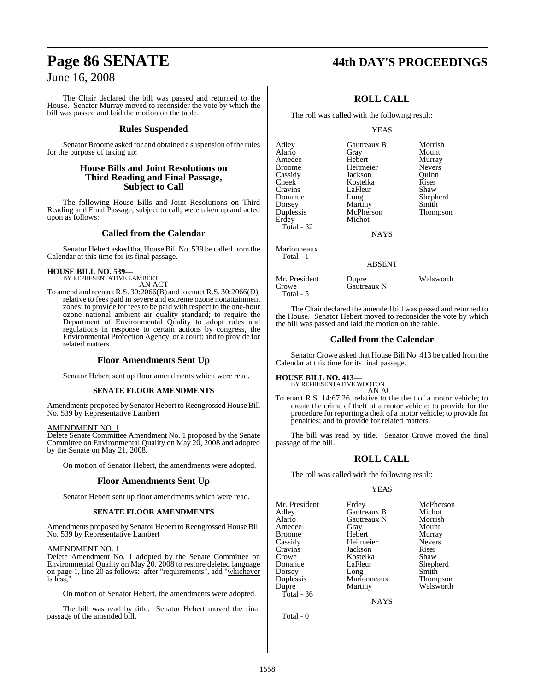# **Page 86 SENATE 44th DAY'S PROCEEDINGS**

### June 16, 2008

The Chair declared the bill was passed and returned to the House. Senator Murray moved to reconsider the vote by which the bill was passed and laid the motion on the table.

#### **Rules Suspended**

Senator Broome asked for and obtained a suspension of the rules for the purpose of taking up:

#### **House Bills and Joint Resolutions on Third Reading and Final Passage, Subject to Call**

The following House Bills and Joint Resolutions on Third Reading and Final Passage, subject to call, were taken up and acted upon as follows:

#### **Called from the Calendar**

Senator Hebert asked that House Bill No. 539 be called from the Calendar at this time for its final passage.

# **HOUSE BILL NO. 539—** BY REPRESENTATIVE LAMBERT

AN ACT

To amend and reenact R.S. 30:2066(B) and to enact R.S. 30:2066(D), relative to fees paid in severe and extreme ozone nonattainment zones; to provide for feesto be paid with respect to the one-hour ozone national ambient air quality standard; to require the Department of Environmental Quality to adopt rules and regulations in response to certain actions by congress, the Environmental Protection Agency, or a court; and to provide for related matters.

#### **Floor Amendments Sent Up**

Senator Hebert sent up floor amendments which were read.

#### **SENATE FLOOR AMENDMENTS**

Amendments proposed by Senator Hebert to Reengrossed House Bill No. 539 by Representative Lambert

#### AMENDMENT NO. 1

Delete Senate Committee Amendment No. 1 proposed by the Senate Committee on Environmental Quality on May 20, 2008 and adopted by the Senate on May 21, 2008.

On motion of Senator Hebert, the amendments were adopted.

#### **Floor Amendments Sent Up**

Senator Hebert sent up floor amendments which were read.

#### **SENATE FLOOR AMENDMENTS**

Amendments proposed by Senator Hebert to Reengrossed House Bill No. 539 by Representative Lambert

#### AMENDMENT NO. 1

Delete Amendment No. 1 adopted by the Senate Committee on Environmental Quality on May 20, 2008 to restore deleted language on page 1, line 20 as follows: after "requirements", add "whichever is less,"

On motion of Senator Hebert, the amendments were adopted.

The bill was read by title. Senator Hebert moved the final passage of the amended bill.

### **ROLL CALL**

The roll was called with the following result:

#### YEAS

| Adley<br>Alario   | Gautreaux B<br>Gray | Morrish<br>Mount |
|-------------------|---------------------|------------------|
| Amedee            | Hebert              | Murray           |
| Broome            | Heitmeier           | <b>Nevers</b>    |
| Cassidy           | Jackson             | Ouinn            |
| Cheek             | Kostelka            | Riser            |
| Cravins           | LaFleur             | Shaw             |
| Donahue           | Long                | Shepherd         |
| Dorsey            | Martiny             | Smith            |
| Duplessis         | McPherson           | Thompson         |
| Erdey             | Michot              |                  |
| <b>Total - 32</b> |                     |                  |
|                   | <b>NAYS</b>         |                  |
| Marionneaux       |                     |                  |
| Total - 1         | <b>ABSENT</b>       |                  |
|                   |                     |                  |

Mr. President Dupre Walsworth<br>Crowe Gautreaux N Gautreaux N Total - 5

The Chair declared the amended bill was passed and returned to the House. Senator Hebert moved to reconsider the vote by which the bill was passed and laid the motion on the table.

#### **Called from the Calendar**

Senator Crowe asked that House Bill No. 413 be called from the Calendar at this time for its final passage.

**HOUSE BILL NO. 413—**

BY REPRESENTATIVE WOOTON

AN ACT To enact R.S. 14:67.26, relative to the theft of a motor vehicle; to create the crime of theft of a motor vehicle; to provide for the procedure for reporting a theft of a motor vehicle; to provide for penalties; and to provide for related matters.

The bill was read by title. Senator Crowe moved the final passage of the bill.

### **ROLL CALL**

The roll was called with the following result:

#### YEAS

Mr. President Erdey McPherson<br>Adley Gautreaux B Michot Adley Gautreaux B Michot Amedee Gray Mount Broome Hebert Murray Cassidy Heitmeier Nevers Cravins Jackson Riser Crowe Kostelka<br>Donahue LaFleur Dorsey Long Smith Duplessis Marionneaux<br>
Dupre Martiny Total - 36

Gautreaux N

LaFleur Shepherd<br>Long Smith Walsworth

NAYS

Total - 0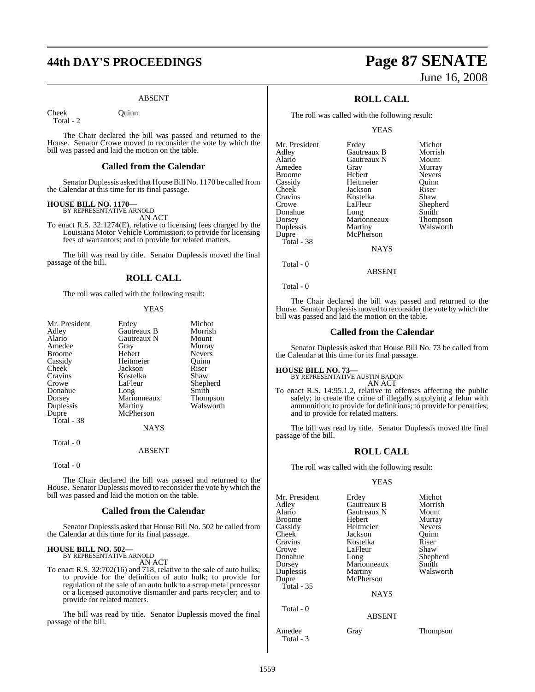# **44th DAY'S PROCEEDINGS Page 87 SENATE**

#### ABSENT

Cheek Ouinn

Total - 2

The Chair declared the bill was passed and returned to the House. Senator Crowe moved to reconsider the vote by which the bill was passed and laid the motion on the table.

#### **Called from the Calendar**

Senator Duplessis asked that House Bill No. 1170 be called from the Calendar at this time for its final passage.

### **HOUSE BILL NO. 1170—** BY REPRESENTATIVE ARNOLD

AN ACT

To enact R.S. 32:1274(E), relative to licensing fees charged by the Louisiana Motor Vehicle Commission; to provide for licensing fees of warrantors; and to provide for related matters.

The bill was read by title. Senator Duplessis moved the final passage of the bill.

#### **ROLL CALL**

The roll was called with the following result:

#### YEAS

| Mr. President | Erdey       | Michot        |
|---------------|-------------|---------------|
| Adley         | Gautreaux B | Morrish       |
| Alario        | Gautreaux N | Mount         |
| Amedee        | Gray        | Murray        |
| Broome        | Hebert      | <b>Nevers</b> |
| Cassidy       | Heitmeier   | Ouinn         |
| Cheek         | Jackson     | Riser         |
| Cravins       | Kostelka    | Shaw          |
| Crowe         | LaFleur     | Shepherd      |
| Donahue       | Long        | Smith         |
| Dorsey        | Marionneaux | Thompson      |
| Duplessis     | Martiny     | Walsworth     |
| Dupre         | McPherson   |               |
| Total - 38    |             |               |
|               | <b>NAYS</b> |               |
| Total - 0     |             |               |

#### ABSENT

Total - 0

The Chair declared the bill was passed and returned to the House. Senator Duplessis moved to reconsider the vote by which the bill was passed and laid the motion on the table.

#### **Called from the Calendar**

Senator Duplessis asked that House Bill No. 502 be called from the Calendar at this time for its final passage.

### **HOUSE BILL NO. 502—** BY REPRESENTATIVE ARNOLD

AN ACT

To enact R.S. 32:702(16) and 718, relative to the sale of auto hulks; to provide for the definition of auto hulk; to provide for regulation of the sale of an auto hulk to a scrap metal processor or a licensed automotive dismantler and parts recycler; and to provide for related matters.

The bill was read by title. Senator Duplessis moved the final passage of the bill.

# June 16, 2008

### **ROLL CALL**

The roll was called with the following result:

YEAS

| Mr. President | Erdey       | Michot          |
|---------------|-------------|-----------------|
| Adley         | Gautreaux B | Morrish         |
| Alario        | Gautreaux N | Mount           |
| Amedee        | Gray        | Murray          |
| Broome        | Hebert      | <b>Nevers</b>   |
| Cassidy       | Heitmeier   | Ouinn           |
| Cheek         | Jackson     | Riser           |
| Cravins       | Kostelka    | Shaw            |
| Crowe         | LaFleur     | Shepherd        |
| Donahue       | Long        | Smith           |
| Dorsey        | Marionneaux | <b>Thompson</b> |
| Duplessis     | Martiny     | Walsworth       |
| Dupre         | McPherson   |                 |
| Total - 38    |             |                 |
|               | <b>NAYS</b> |                 |
|               |             |                 |

Total - 0

Total - 0

The Chair declared the bill was passed and returned to the House. Senator Duplessis moved to reconsider the vote by which the bill was passed and laid the motion on the table.

ABSENT

#### **Called from the Calendar**

Senator Duplessis asked that House Bill No. 73 be called from the Calendar at this time for its final passage.

#### **HOUSE BILL NO. 73—**

BY REPRESENTATIVE AUSTIN BADON AN ACT

To enact R.S. 14:95.1.2, relative to offenses affecting the public safety; to create the crime of illegally supplying a felon with ammunition; to provide for definitions; to provide for penalties; and to provide for related matters.

The bill was read by title. Senator Duplessis moved the final passage of the bill.

#### **ROLL CALL**

The roll was called with the following result:

#### YEAS

| Mr. President<br>Adley<br>Alario<br>Broome<br>Cassidy<br>Cheek <sup>-</sup><br>Cravins<br>Crowe<br>Donahue<br>Dorsey<br>Duplessis<br>Dupre<br>Total - 35<br>Total - 0 | Erdey<br>Gautreaux B<br>Gautreaux N<br>Hebert<br>Heitmeier<br>Jackson<br>Kostelka<br>LaFleur<br>Long<br>Marionneaux<br>Martiny<br>McPherson<br><b>NAYS</b><br><b>ABSENT</b> | Michot<br>Morrish<br>Mount<br>Murray<br><b>Nevers</b><br>Ouinn<br>Riser<br>Shaw<br>Shepherd<br>Smith<br>Walsworth |
|-----------------------------------------------------------------------------------------------------------------------------------------------------------------------|-----------------------------------------------------------------------------------------------------------------------------------------------------------------------------|-------------------------------------------------------------------------------------------------------------------|
| Amedee                                                                                                                                                                | Gray                                                                                                                                                                        | Thompson                                                                                                          |
| Total - 3                                                                                                                                                             |                                                                                                                                                                             |                                                                                                                   |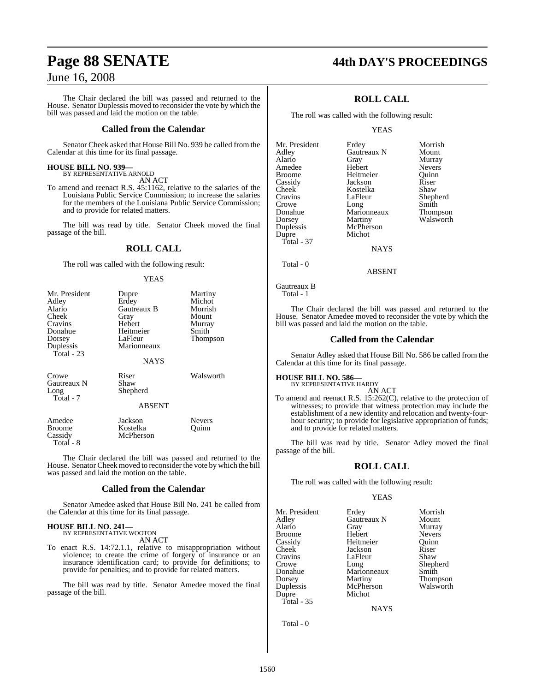The Chair declared the bill was passed and returned to the House. Senator Duplessis moved to reconsider the vote by which the bill was passed and laid the motion on the table.

#### **Called from the Calendar**

Senator Cheek asked that House Bill No. 939 be called from the Calendar at this time for its final passage.

### **HOUSE BILL NO. 939—** BY REPRESENTATIVE ARNOLD

AN ACT

To amend and reenact R.S. 45:1162, relative to the salaries of the Louisiana Public Service Commission; to increase the salaries for the members of the Louisiana Public Service Commission; and to provide for related matters.

The bill was read by title. Senator Cheek moved the final passage of the bill.

### **ROLL CALL**

The roll was called with the following result:

#### YEAS

| Mr. President<br>Adley<br>Alario<br>Cheek<br>Cravins<br>Donahue<br>Dorsey<br>Duplessis<br>Total - $23$ | Dupre<br>Erdey<br>Gautreaux B<br>Gray<br>Hebert<br>Heitmeier<br>LaFleur<br>Marionneaux<br><b>NAYS</b> | Martiny<br>Michot<br>Morrish<br>Mount<br>Murray<br>Smith<br>Thompson |
|--------------------------------------------------------------------------------------------------------|-------------------------------------------------------------------------------------------------------|----------------------------------------------------------------------|
| Crowe<br>Gautreaux N<br>Long<br>Total - 7                                                              | Riser<br>Shaw<br>Shepherd<br><b>ABSENT</b>                                                            | Walsworth                                                            |
| Amedee<br><b>Broome</b><br>Cassidy<br>Total - 8                                                        | Jackson<br>Kostelka<br>McPherson                                                                      | <b>Nevers</b><br>Ouinn                                               |

The Chair declared the bill was passed and returned to the House. Senator Cheek moved to reconsider the vote by which the bill was passed and laid the motion on the table.

#### **Called from the Calendar**

Senator Amedee asked that House Bill No. 241 be called from the Calendar at this time for its final passage.

### **HOUSE BILL NO. 241—** BY REPRESENTATIVE WOOTON

AN ACT

To enact R.S. 14:72.1.1, relative to misappropriation without violence; to create the crime of forgery of insurance or an insurance identification card; to provide for definitions; to provide for penalties; and to provide for related matters.

The bill was read by title. Senator Amedee moved the final passage of the bill.

# **Page 88 SENATE 44th DAY'S PROCEEDINGS**

### **ROLL CALL**

The roll was called with the following result:

#### YEAS

| Mr. President | Erdey       | Morrish         |
|---------------|-------------|-----------------|
| Adley         | Gautreaux N | Mount           |
| Alario        | Gray        | Murray          |
| Amedee        | Hebert      | <b>Nevers</b>   |
| Broome        | Heitmeier   | Ouinn           |
| Cassidy       | Jackson     | Riser           |
| Cheek         | Kostelka    | Shaw            |
| Cravins       | LaFleur     | Shepherd        |
| Crowe         | Long        | Smith           |
| Donahue       | Marionneaux | <b>Thompson</b> |
| Dorsey        | Martiny     | Walsworth       |
| Duplessis     | McPherson   |                 |
| Dupre         | Michot      |                 |
| Total - 37    |             |                 |
|               | <b>NAYS</b> |                 |
|               |             |                 |

Total - 0

```
Gautreaux B
   Total - 1
```
The Chair declared the bill was passed and returned to the House. Senator Amedee moved to reconsider the vote by which the bill was passed and laid the motion on the table.

ABSENT

#### **Called from the Calendar**

Senator Adley asked that House Bill No. 586 be called from the Calendar at this time for its final passage.

### **HOUSE BILL NO. 586—**

BY REPRESENTATIVE HARDY

AN ACT To amend and reenact R.S. 15:262(C), relative to the protection of witnesses; to provide that witness protection may include the establishment of a new identity and relocation and twenty-fourhour security; to provide for legislative appropriation of funds; and to provide for related matters.

The bill was read by title. Senator Adley moved the final passage of the bill.

#### **ROLL CALL**

The roll was called with the following result:

#### YEAS

Mr. President Erdey Morrish<br>Adley Gautreaux N Mount Adley Gautreaux N<br>Alario Gray Broome Hebert Nevers<br>
Cassidy Heitmeier Quinn Cassidy Heitmeier Quinn Cheek Jackson Riser<br>Cravins LaFleur Shaw Cravins LaFleur<br>Crowe Long Crowe Long Shepherd Dorsey Martiny Thompson Duplessis Dupre Michot Total - 35

Gray Murray<br>Hebert Nevers

NAYS

Marionneaux<br>Martiny

Total - 0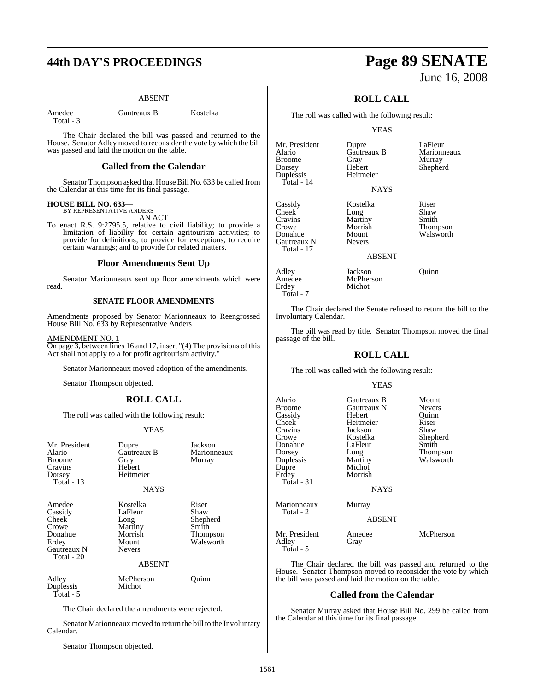# **44th DAY'S PROCEEDINGS Page 89 SENATE**

#### ABSENT

Total - 3

Amedee Gautreaux B Kostelka

The Chair declared the bill was passed and returned to the House. Senator Adley moved to reconsider the vote by which the bill was passed and laid the motion on the table.

#### **Called from the Calendar**

Senator Thompson asked that House Bill No. 633 be called from the Calendar at this time for its final passage.

#### **HOUSE BILL NO. 633—**

BY REPRESENTATIVE ANDERS AN ACT

To enact R.S. 9:2795.5, relative to civil liability; to provide a limitation of liability for certain agritourism activities; to provide for definitions; to provide for exceptions; to require certain warnings; and to provide for related matters.

#### **Floor Amendments Sent Up**

Senator Marionneaux sent up floor amendments which were read.

#### **SENATE FLOOR AMENDMENTS**

Amendments proposed by Senator Marionneaux to Reengrossed House Bill No. 633 by Representative Anders

#### AMENDMENT NO. 1

On page 3, between lines 16 and 17, insert "(4) The provisions of this Act shall not apply to a for profit agritourism activity."

Senator Marionneaux moved adoption of the amendments.

Senator Thompson objected.

#### **ROLL CALL**

The roll was called with the following result:

#### YEAS

| Mr. President<br>Alario<br><b>Broome</b><br>Cravins<br>Dorsey<br>Total - $13$        | Dupre<br>Gautreaux B<br>Gray<br>Hebert<br>Heitmeier<br><b>NAYS</b>                           | Jackson<br>Marionneaux<br>Murray                                   |
|--------------------------------------------------------------------------------------|----------------------------------------------------------------------------------------------|--------------------------------------------------------------------|
| Amedee<br>Cassidy<br>Cheek<br>Crowe<br>Donahue<br>Erdey<br>Gautreaux N<br>Total - 20 | Kostelka<br>LaFleur<br>Long<br>Martiny<br>Morrish<br>Mount<br><b>Nevers</b><br><b>ABSENT</b> | Riser<br>Shaw<br>Shepherd<br>Smith<br><b>Thompson</b><br>Walsworth |

Adley McPherson Quinn<br>
Duplessis Michot Duplessis Total - 5

The Chair declared the amendments were rejected.

Senator Marionneaux moved to return the bill to the Involuntary Calendar.

Senator Thompson objected.

# June 16, 2008

### **ROLL CALL**

The roll was called with the following result:

YEAS

**NAYS** 

Mr. President Dupre LaFleur<br>Alario Gautreaux B Marion Broome Gray Murray<br>
Broome Gray Hebert Shepher Duplessis Total - 14

Cassidy Kostelka Riser Cheek Long Shaw<br>Cravins Martiny Smith Cravins Martiny<br>Crowe Morrish Crowe Morrish Thompson Gautreaux N Total - 17

Adley Jackson Quinn Erdey Total - 7

Gautreaux B Marionneaux<br>Gray Murray Hebert Shepherd<br>Heitmeier

Mount Walsworth<br>Nevers

ABSENT

The Chair declared the Senate refused to return the bill to the Involuntary Calendar.

The bill was read by title. Senator Thompson moved the final passage of the bill.

#### **ROLL CALL**

The roll was called with the following result:

McPherson<br>Michot

#### YEAS

| Alario<br>Broome<br>Cassidy<br>Cheek <sup>-</sup><br>Cravins<br>Crowe<br>Donahue<br>Dorsey<br>Duplessis<br>Dupre<br>Erdey<br>Total - 31 | Gautreaux B<br>Gautreaux N<br>Hebert<br>Heitmeier<br>Jackson<br>Kostelka<br>LaFleur<br>Long<br>Martiny<br>Michot<br>Morrish | Mount<br><b>Nevers</b><br>Quinn<br>Riser<br>Shaw<br>Shepherd<br>Smith<br>Thompson<br>Walsworth |
|-----------------------------------------------------------------------------------------------------------------------------------------|-----------------------------------------------------------------------------------------------------------------------------|------------------------------------------------------------------------------------------------|
|                                                                                                                                         | <b>NAYS</b>                                                                                                                 |                                                                                                |
| Marionneaux<br>Total - 2                                                                                                                | Murray<br><b>ABSENT</b>                                                                                                     |                                                                                                |
| Mr. President<br>Adley<br>Total - 5                                                                                                     | Amedee<br>Gray                                                                                                              | McPherson                                                                                      |

The Chair declared the bill was passed and returned to the House. Senator Thompson moved to reconsider the vote by which the bill was passed and laid the motion on the table.

#### **Called from the Calendar**

Senator Murray asked that House Bill No. 299 be called from the Calendar at this time for its final passage.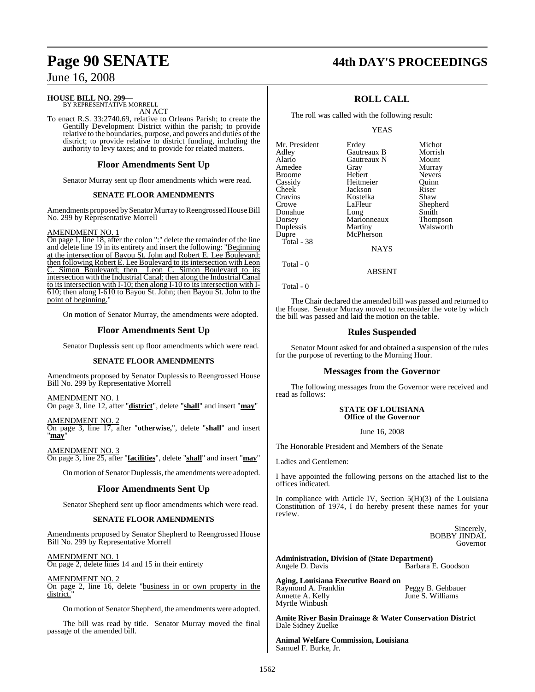#### **HOUSE BILL NO. 299—**

BY REPRESENTATIVE MORRELL AN ACT

To enact R.S. 33:2740.69, relative to Orleans Parish; to create the Gentilly Development District within the parish; to provide relative to the boundaries, purpose, and powers and duties of the district; to provide relative to district funding, including the authority to levy taxes; and to provide for related matters.

#### **Floor Amendments Sent Up**

Senator Murray sent up floor amendments which were read.

#### **SENATE FLOOR AMENDMENTS**

Amendments proposed bySenator Murray to Reengrossed House Bill No. 299 by Representative Morrell

#### AMENDMENT NO. 1

On page 1, line 18, after the colon ":" delete the remainder of the line and delete line 19 in its entirety and insert the following: "Beginning at the intersection of Bayou St. John and Robert E. Lee Boulevard; then following Robert E. Lee Boulevard to its intersection with Leon C. Simon Boulevard; then Leon C. Simon Boulevard to its intersection with the Industrial Canal; then along the Industrial Canal to its intersection with I-10; then along I-10 to its intersection with I-610; then along I-610 to Bayou St. John; then Bayou St. John to the point of beginning.

On motion of Senator Murray, the amendments were adopted.

#### **Floor Amendments Sent Up**

Senator Duplessis sent up floor amendments which were read.

#### **SENATE FLOOR AMENDMENTS**

Amendments proposed by Senator Duplessis to Reengrossed House Bill No. 299 by Representative Morrell

#### AMENDMENT NO. 1

On page 3, line 12, after "**district**", delete "**shall**" and insert "**may**"

AMENDMENT NO. 2

On page 3, line 17, after "**otherwise,**", delete "**shall**" and insert "**may**"

AMENDMENT NO. 3 On page 3, line 25, after "**facilities**", delete "**shall**" and insert "**may**"

On motion of Senator Duplessis, the amendments were adopted.

#### **Floor Amendments Sent Up**

Senator Shepherd sent up floor amendments which were read.

#### **SENATE FLOOR AMENDMENTS**

Amendments proposed by Senator Shepherd to Reengrossed House Bill No. 299 by Representative Morrell

AMENDMENT NO. 1

On page 2, delete lines 14 and 15 in their entirety

AMENDMENT NO. 2

On page 2, line 16, delete "business in or own property in the district.

On motion of Senator Shepherd, the amendments were adopted.

The bill was read by title. Senator Murray moved the final passage of the amended bill.

### **Page 90 SENATE 44th DAY'S PROCEEDINGS**

### **ROLL CALL**

The roll was called with the following result:

YEAS

| Mr. President | Erdey       | Michot          |
|---------------|-------------|-----------------|
| Adley         | Gautreaux B | Morrish         |
| Alario        | Gautreaux N | Mount           |
| Amedee        | Gray        | Murray          |
| Broome        | Hebert      | <b>Nevers</b>   |
| Cassidy       | Heitmeier   | Ouinn           |
| Cheek         | Jackson     | Riser           |
| Cravins       | Kostelka    | Shaw            |
| Crowe         | LaFleur     | Shepherd        |
| Donahue       | Long        | Smith           |
| Dorsey        | Marionneaux | <b>Thompson</b> |
| Duplessis     | Martiny     | Walsworth       |
| Dupre         | McPherson   |                 |
| Total - 38    |             |                 |
|               | <b>NAYS</b> |                 |

Total - 0

Total - 0

The Chair declared the amended bill was passed and returned to the House. Senator Murray moved to reconsider the vote by which the bill was passed and laid the motion on the table.

ABSENT

#### **Rules Suspended**

Senator Mount asked for and obtained a suspension of the rules for the purpose of reverting to the Morning Hour.

#### **Messages from the Governor**

The following messages from the Governor were received and read as follows:

#### **STATE OF LOUISIANA Office of the Governor**

June 16, 2008

The Honorable President and Members of the Senate

Ladies and Gentlemen:

I have appointed the following persons on the attached list to the offices indicated.

In compliance with Article IV, Section 5(H)(3) of the Louisiana Constitution of 1974, I do hereby present these names for your review.

> Sincerely, BOBBY JINDAL Governor

**Administration, Division of (State Department)**  Barbara E. Goodson

**Aging, Louisiana Executive Board on** Raymond A. Franklin **Peggy B. Gehbauer**<br> **Annette A. Kelly Properties** Frankling S. Williams Myrtle Winbush

June S. Williams

**Amite River Basin Drainage & Water Conservation District** Dale Sidney Zuelke

**Animal Welfare Commission, Louisiana**  Samuel F. Burke, Jr.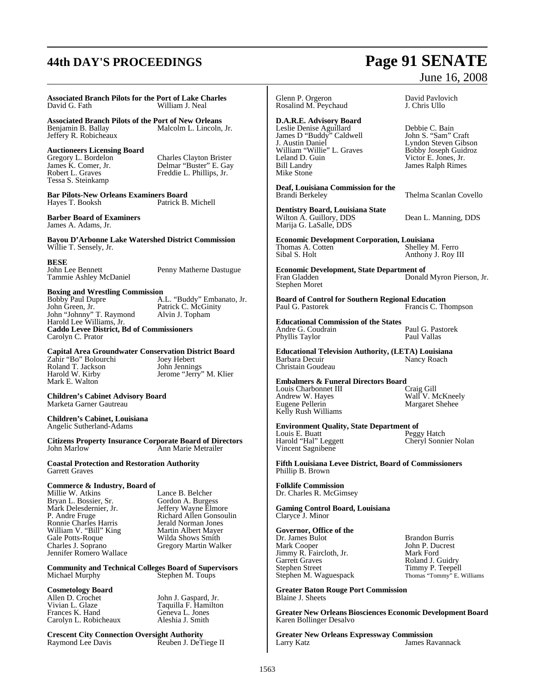# **44th DAY'S PROCEEDINGS Page 91 SENATE**

#### **Associated Branch Pilots for the Port of Lake Charles** William J. Neal

**Associated Branch Pilots of the Port of New Orleans** Malcolm L. Lincoln, Jr. Jeffery R. Robicheaux

**Auctioneers Licensing Board**  Tessa S. Steinkamp

Gregory L. Bordelon Charles Clayton Brister James K. Comer, Jr. Delmar "Buster" E. Gay Freddie L. Graves Freddie L. Phillips, Jr.<br>Robert L. Graves Freddie L. Phillips, Jr.

**Bar Pilots-New Orleans Examiners Board**  Hayes T. Booksh

**Barber Board of Examiners** James A. Adams, Jr.

**Bayou D'Arbonne Lake Watershed District Commission** Willie T. Sensely, Jr.

**BESE**

Tammie Ashley McDaniel

Penny Matherne Dastugue

**Boxing and Wrestling Commission**  Bobby Paul Dupre A.L. "Buddy" Embanato, Jr.<br>John Green. Jr. Patrick C. McGinity Patrick C. McGinity<br>Alvin J. Topham John "Johnny" T. Raymond Alvin J. Topham Harold Lee Williams, Jr. **Caddo Levee District, Bd of Commissioners**  Carolyn C. Prator

#### **Capital Area Groundwater Conservation District Board**

Zahir "Bo" Bolourchi Joey Hebert Roland T. Jackson<br>
Harold W. Kirby<br>
Harold W. Kirby<br>
1990 Jerome 'Jerry' Mark E. Walton

Jerome "Jerry" M. Klier

**Children's Cabinet Advisory Board**  Marketa Garner Gautreau

**Children's Cabinet, Louisiana**  Angelic Sutherland-Adams

**Citizens Property Insurance Corporate Board of Directors**  Ann Marie Metrailer

**Coastal Protection and Restoration Authority**  Garrett Graves

# **Commerce & Industry, Board of**

Bryan L. Bossier, Sr.<br>Mark Delesdernier. Jr. Mark Delesdernier, Jr. Jeffery Wayne Elmore Ronnie Charles Harris *Jerald Norman Jones*<br>William V. "Bill" King **Martin Albert Mayer** William V. "Bill" King Martin Albert Mayer Gale Potts-Roque Wilda Shows Smith Charles J. Soprano Gregory Martin Walker Jennifer Romero Wallace

Lance B. Belcher<br>Gordon A. Burgess Richard Allen Gonsoulin<br>Jerald Norman Jones

**Community and Technical Colleges Board of Supervisors** Stephen M. Toups

# **Cosmetology Board**

Allen D. Crochet John J. Gaspard, Jr.<br>Vivian L. Glaze Taquilla F. Hamilto Frances K. Hand Geneva L. Jones<br>Carolyn L. Robicheaux Aleshia J. Smith Carolyn L. Robicheaux

Taquilla F. Hamilton<br>Geneva L. Jones

**Crescent City Connection Oversight Authority**  Reuben J. DeTiege II Glenn P. Orgeron **David Pavlovich**<br>
Rosalind M. Peychaud **D. David Pavlovich** Rosalind M. Peychaud

**D.A.R.E. Advisory Board** 

Leslie Denise Aguillard Debbie C. Bain<br>
James D "Buddy" Caldwell John S. "Sam" Craft James D "Buddy" Caldwell<br>J. Austin Daniel William "Willie" L. Graves<br>Leland D. Guin Leland D. Guin Victor E. Jones, Jr. Mike Stone

**Deaf, Louisiana Commission for the** 

**Dentistry Board, Louisiana State**  Wilton A. Guillory, DDS Dean L. Manning, DDS Marija G. LaSalle, DDS

**Economic Development Corporation, Louisiana** Thomas A. Cotten Shelley M. Ferro Shelley M. Ferro Sibal S. Holt Anthony J. Roy III

**Economic Development, State Department of**  Donald Myron Pierson, Jr. Stephen Moret

**Board of Control for Southern Regional Education** Francis C. Thompson

**Educational Commission of the States** Andre G. Coudrain Paul G. Pastorek<br>Phyllis Taylor Paul Vallas Phyllis Taylor

**Educational Television Authority, (LETA) Louisiana** Barbara Decuir

Christain Goudeau

**Embalmers & Funeral Directors Board**  Louis Charbonnet III<br>Andrew W. Haves Louis Charbonnet III<br>
Andrew W. Hayes<br>
Eugene Pellerin<br>
Eugene Pellerin<br>
Margaret Shehee Kelly Rush Williams

Margaret Shehee

**Environment Quality, State Department of**  Louis E. Buatt Peggy Hatch Harold "Hal" Leggett Cheryl Sonnier Nolan

**Fifth Louisiana Levee District, Board of Commissioners** Phillip B. Brown

**Folklife Commission** Dr. Charles R. McGimsey

Vincent Sagnibene

**Gaming Control Board, Louisiana**  Claryce J. Minor

**Governor, Office of the** Dr. James Bulot<br>
Dr. James Bulot<br>
Mark Cooper
Brandon Burris<br>
Mark Cooper
Brandon Brandon Burris Mark Cooper John P. Ducrest Jimmy R. Faircloth, Jr. Mark Ford Jimmy R. Faircloth, Jr.<br>
Garrett Graves Roland J. Guidry<br>
Stephen Street Timmy P. Teepel Stephen M. Waguespack

Timmy P. Teepell<br>Thomas "Tommy" E. Williams

**Greater Baton Rouge Port Commission**  Blaine J. Sheets

**Greater New Orleans Biosciences Economic Development Board** Karen Bollinger Desalvo

**Greater New Orleans Expressway Commission** James Ravannack

# June 16, 2008

Lyndon Steven Gibson<br>Bobby Joseph Guidroz James Ralph Rimes

Thelma Scanlan Covello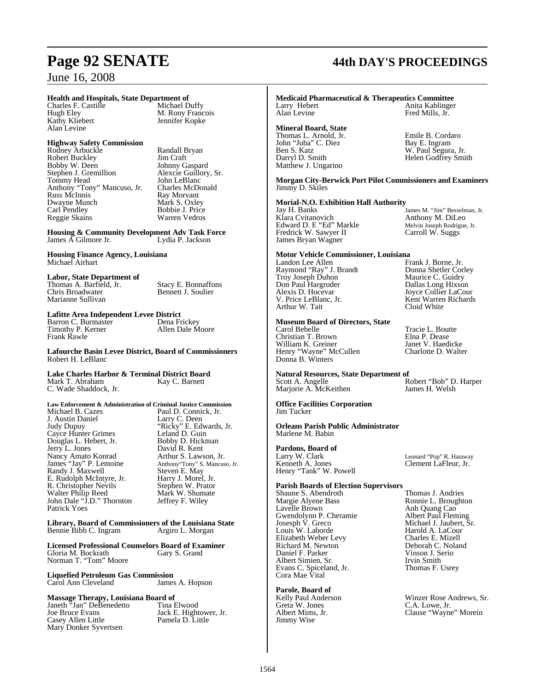# **Health and Hospitals, State Department of**

Charles F. Castille<br>Hugh Elev Kathy Kliebert Alan Levine

#### **Highway Safety Commission**

Rodney Arbuckle Randall Bryan<br>Robert Buckley Jim Craft Robert Buckley Jim Craft<br>
Bobby W. Deen Johnny Gaspard Bobby W. Deen Johnny Gaspard Stephen J. Gremillion Alexcie Guillory, Sr. Tommy Head John LeBlanc<br>Anthony "Tony" Mancuso, Jr. Charles McDonald Anthony "Tony" Mancuso, Jr.<br>Russ McInnis Dwayne Munch<br>Carl Pendley Reggie Skains

M. Rony Francois<br>Jennifer Kopke

Ray Morvant<br>Mark S. Oxley Bobbie J. Price<br>Warren Vedros

**Housing & Community Development Adv Task Force** James  $\breve{\!}$  Gilmore Jr.

**Housing Finance Agency, Louisiana** Michael Airhart

#### **Labor, State Department of**

Thomas A. Barfield, Jr. Stacy E. Bonnaffons<br>
Chris Broadwater Bennett J. Soulier Marianne Sullivan

Bennett J. Soulier

#### **Lafitte Area Independent Levee District**

Barron C. Burmaster Dena Frickey Timothy P. Kerner Allen Dale Moore Frank Rawle

#### **Lafourche Basin Levee District, Board of Commissioners** Robert H. LeBlanc

#### **Lake Charles Harbor & Terminal District Board**  Kay C. Barnett

C. Wade Shaddock, Jr.

Douglas L. Hebert, Jr.<br>Jerry L. Jones

R. Christopher Nevils

Randy J. Maxwell

Patrick Yoes

Nancy Amato Konrad<br>James "Jay" P. Lemoine

### **Law Enforcement & Administration of Criminal Justice Commission** Michael B. Cazes Paul D. Connick, Jr. J. Austin Daniel Larry C. Deen Judy Dupuy "Ricky" E. Edwards, Jr. Cayce Hunter Grimes<br>
Douglas L. Hebert. Jr. Bobby D. Hickman David R. Kent<br>Arthur S. Lawson, Jr. Anthony"Tony" S. Mancuso, Jr.<br>Steven E. May<br>Harry J. Morel, Jr. E. Rudolph McIntyre, Jr. Harry J. Morel, Jr. Walter Philip Reed Mark W. Shumate John Dale "J.D." Thornton Jeffrey F. Wiley

**Library, Board of Commissioners of the Louisiana State**  Bennie Bibb C. Ingram

**Licensed Professional Counselors Board of Examiner** Gloria M. Bockrath Norman T. "Tom" Moore

**Liquefied Petroleum Gas Commission** Carol Ann Cleveland

# **Massage Therapy, Louisiana Board of**

Janeth "Jan" DeBenedetto<br>Joe Bruce Evans Casey Allen Little Mary Donker Syvertsen

Jack E. Hightower, Jr.<br>Pamela D. Little

# **Page 92 SENATE 44th DAY'S PROCEEDINGS**

#### **Medicaid Pharmaceutical & Therapeutics Committee**  Larry Hebert **Anita Kablinger**<br>Alan Levine **Anita Kablinger**<br>Fred Mills. Jr. Fred Mills, Jr.

### **Mineral Board, State**

John "Juba" C. Diez Bay E. Ingram Ben S. Katz W. Paul Segura, Jr. Darryl D. Smith Helen Godfrey Smith Matthew J. Ungarino

Thomas L. Arnold, Jr.<br>
John "Juba" C. Diez<br>
Bay E. Ingram

**Morgan City-Berwick Port Pilot Commissioners and Examiners** Jimmy D. Skiles

# **Morial-N.O. Exhibition Hall Authority**

Klara Cvitanovich Anthony M. DiLeo Edward D. E "Ed" Markle Melvin Joseph Rodrigue, Jr. Fredrick W. Sawyer II Carroll W. Suggs James Bryan Wagner

# **Motor Vehicle Commissioner, Louisiana**

Raymond "Ray" J. Brandt Donna Shetler Corl<br>Troy Joseph Duhon Maurice C. Guidry Troy Joseph Duhon<br>Don Paul Hargroder Don Paul Hargroder Dallas Long Hixson Alexis D. Hocevar Joyce Collier LaCour<br>
V. Price LeBlanc, Jr. Kent Warren Richards Arthur W. Tait

# **Museum Board of Directors, State**

Christian T. Brown Elna P. Dease William K. Greiner **Janet V. Haedicke**<br>Henry "Wayne" McCullen **Charlotte D. Walter** Henry "Wayne" McCullen Charlotte D. Walter Donna B. Winters

# **Natural Resources, State Department of**

Marjorie A. McKeithen

**Office Facilities Corporation**  Jim Tucker

**Orleans Parish Public Administrator** Marlene M. Babin

**Pardons, Board of**  Larry W. Clark Leonard "Pop" R. Hataway<br>
Kenneth A. Jones Clement LaFleur, Jr. Henry "Tank" W. Powell

# **Parish Boards of Election Supervisors**

Shaune S. Abendroth<br>Margie Alvene Bass Margie Alyene Bass **Ronnie L. Broughton**<br>
Lavelle Brown **Anh Quang Cao** Gwendolynn P. Cheramie<br>Josesph V. Greco Josesph V. Greco Michael J. Jaubert, Sr.<br>
Louis W. Laborde Harold A. LaCour Elizabeth Weber Levy<br>Richard M. Newton Daniel F. Parker Vinson J. S<br>Albert Simien, Sr. New York Hrvin Smith Albert Simien, Sr. Irvin Smith<br>Evans C. Spiceland, Jr. Thomas F. Usrey Evans C. Spiceland, Jr. Thomas F. Usrey Cora Mae Vital

**Parole, Board of**  Greta W. Jones<br>Albert Mims, Jr. Jimmy Wise

James M. "Jim" Besselman, Jr.<br>Anthony M. DiLeo

Frank J. Borne, Jr.<br>Donna Shetler Corley Kent Warren Richards<br>Cloid White

Tracie L. Boutte<br>Elna P. Dease

Robert "Bob" D. Harper<br>James H. Welsh

Clement LaFleur, Jr.

Anh Quang Cao<br>Albert Paul Fleming Harold A. LaCour<br>Charles E. Mizell Deborah C. Noland<br>Vinson J. Serio

Winzer Rose Andrews, Sr.<br>C.A. Lowe, Jr. Clause "Wayne" Morein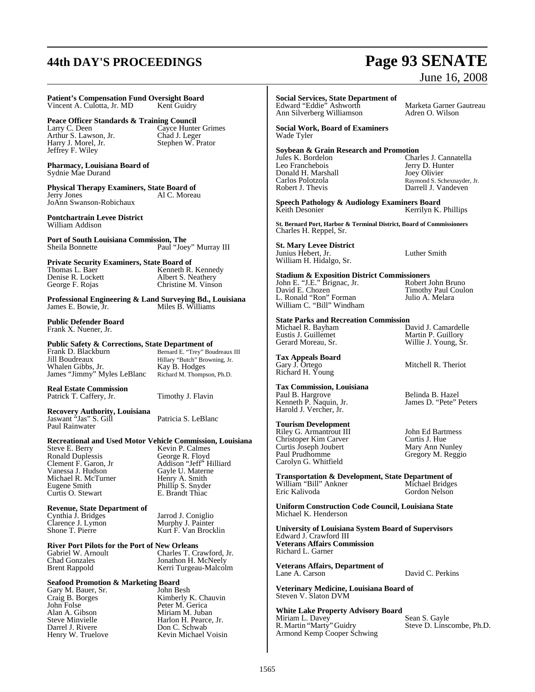# **44th DAY'S PROCEEDINGS Page 93 SENATE**

**Patient's Compensation Fund Oversight Board**  Vincent A. Culotta, Jr. MD

**Peace Officer Standards & Training Council**<br>Larry C. Deen Cayce Hunter Arthur S. Lawson, Jr.<br>Harry J. Morel, Jr. Jeffrey F. Wiley

Cayce Hunter Grimes Chad J. Leger<br>Stephen W. Prator

**Pharmacy, Louisiana Board of** Sydnie Mae Durand

**Physical Therapy Examiners, State Board of**  Al C. Moreau JoAnn Swanson-Robichaux

**Pontchartrain Levee District** William Addison

**Port of South Louisiana Commission, The**  Paul "Joey" Murray III

**Private Security Examiners, State Board of Thomas L. Baer Kenneth R.** Denise R. Lockett<br>George F. Rojas

Kenneth R. Kennedy<br>Albert S. Neathery Christine M. Vinson

**Professional Engineering & Land Surveying Bd., Louisiana**  James E. Bowie, Jr.

**Public Defender Board** Frank X. Nuener, Jr.

**Real Estate Commission** 

**Public Safety & Corrections, State Department of**<br>Frank D. Blackburn Bernard E. "Trev" Bou

Frank D. Blackburn Bernard E. "Trey" Boudreaux III<br>
Jill Boudreaux Hillary "Butch" Browning Ir Whalen Gibbs, Jr. Kay B. Hodges<br>James "Jimmy" Myles LeBlanc Richard M. Thompson, Ph.D. James "Jimmy" Myles LeBlanc

Patrick T. Caffery, Jr. Timothy J. Flavin

Hillary "Butch" Browning, Jr.<br>Kay B. Hodges

**Recovery Authority, Louisiana**  Jaswant "Jas" S. Gill Patricia S. LeBlanc Paul Rainwater

# **Recreational and Used Motor Vehicle Commission, Louisiana**

Ronald Duplessis<br>Clement F. Garon, Jr. Vanessa J. Hudson Gayle U. Materne Michael R. McTurner Henry A. Smith Eugene Smith Phillip S. Snyder<br>
Curtis O. Stewart E. Brandt Thiac Curtis O. Stewart

Kevin P. Calmes<br>George R. Floyd Addison "Jeff" Hilliard<br>Gayle U. Materne

**Revenue, State Department of**  Cynthia J. Bridges<br>
Clarence J. Lymon<br>
Murphy J. Painter Clarence J. Lymon Murphy J. Painter<br>
Shone T. Pierre Kurt F. Van Brock

**River Port Pilots for the Port of New Orleans**<br>Gabriel W. Arnoult Charles T. Cr. Gabriel W. Arnoult Charles T. Crawford, Jr.<br>Chad Gonzales Charles Jonathon H. McNeelv Chad Gonzales Jonathon H. McNeely

Kerri Turgeau-Malcolm

Kurt F. Van Brocklin

# **Seafood Promotion & Marketing Board**

Gary M. Bauer, Sr.<br>Craig B. Borges John Folse **Peter M. Gerica**<br>Alan A. Gibson **Miriam M. Juban** Alan A. Gibson<br>Steve Minvielle Miriam M. Juban<br>Harlon H. Pearce. Darrel J. Rivere Don C. Schwab Henry W. Truelove Kevin Michael Voisin

Craig B. Borges Kimberly K. Chauvin<br>
John Folse Peter M. Gerica Steve Minvielle Harlon H. Pearce, Jr.<br>
Den C. Schwab<br>
Don C. Schwab

# June 16, 2008

**Social Services, State Department of**  Edward "Eddie" Ashworth Marketa Garner Gautreau

Ann Silverberg Williamson Adren O. Wilson

**Social Work, Board of Examiners** Wade Tyler

# **Soybean & Grain Research and Promotion**

Donald H. Marshall<br>Carlos Polotzola Robert J. Thevis Darrell J. Vandeven

Jules K. Bordelon Charles J. Cannatella Jerry D. Hunter<br>Joey Olivier Carlos Polotzola Raymond S. Schexnayder, Jr.

**Speech Pathology & Audiology Examiners Board**  Kerrilyn K. Phillips

**St. Bernard Port, Harbor & Terminal District, Board of Commissioners**  Charles H. Reppel, Sr.

**St. Mary Levee District**  Junius Hebert, Jr. Luther Smith William H. Hidalgo, Sr.

**Stadium & Exposition District Commissioners** 

John E. "J.E." Brignac, Jr. Robert John Bruno David E. Chozen Timothy Paul Coulon L. Ronald "Ron" Forman Julio A. Melara William C. "Bill" Windham

# **State Parks and Recreation Commission**

Michael R. Bayham **David J. Camardelle**<br>
Eustis J. Guillemet **David Martin P. Guillorv** Eustis J. Guillemet Martin P. Guillory

**Tax Appeals Board**  Gary J. Ortego Mitchell R. Theriot Richard H. Young

**Tax Commission, Louisiana**  Paul B. Hargrove Belinda B. Hazel Kenneth P. Naquin, Jr. James D. "Pete" Peters Harold J. Vercher, Jr.

**Tourism Development** 

Riley G. Armantrout III John Ed Bartmess<br>
Christoper Kim Carver Curtis J. Hue Christoper Kim Carver Curtis J. Hue<br>
Curtis Joseph Joubert Mary Ann Nunley Curtis Joseph Joubert<br>Paul Prudhomme Carolyn G. Whitfield

**Transportation & Development, State Department of**  William "Bill" Ankner<br>Eric Kalivoda Gordon Nelson

**Uniform Construction Code Council, Louisiana State**  Michael K. Henderson

**University of Louisiana System Board of Supervisors** Edward J. Crawford III **Veterans Affairs Commission**  Richard L. Garner

**Veterans Affairs, Department of**  Lane A. Carson David C. Perkins

**Veterinary Medicine, Louisiana Board of**  Steven V. Slaton DVM

**White Lake Property Advisory Board** 

Miriam L. Davey Sean S. Gayle R. Martin "Marty" Guidry Steve D. Linscombe, Ph.D. Armond Kemp Cooper Schwing

Gerard Moreau, Sr. Willie J. Young, Sr.

Gregory M. Reggio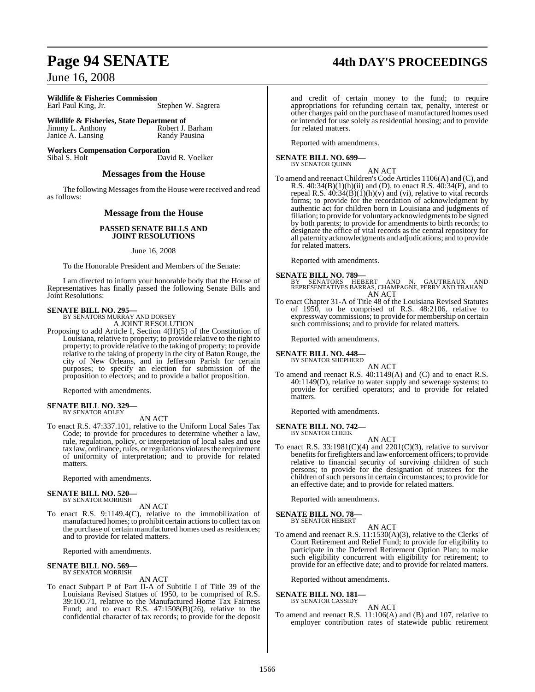**Wildlife & Fisheries Commission**  Stephen W. Sagrera

**Wildlife & Fisheries, State Department of**<br>Jimmy L. Anthony Robert J. Barham Jimmy L. Anthony<br>
Janice A. Lansing<br>
Randy Pausina Janice A. Lansing

**Workers Compensation Corporation** Sibal S. Holt David R. Voelker

#### **Messages from the House**

The following Messages from the House were received and read as follows:

### **Message from the House**

#### **PASSED SENATE BILLS AND JOINT RESOLUTIONS**

#### June 16, 2008

To the Honorable President and Members of the Senate:

I am directed to inform your honorable body that the House of Representatives has finally passed the following Senate Bills and Joint Resolutions:

# **SENATE BILL NO. 295—** BY SENATORS MURRAY AND DORSEY

A JOINT RESOLUTION Proposing to add Article I, Section 4(H)(5) of the Constitution of Louisiana, relative to property; to provide relative to the right to property; to provide relative to the taking of property; to provide relative to the taking of property in the city of Baton Rouge, the city of New Orleans, and in Jefferson Parish for certain purposes; to specify an election for submission of the proposition to electors; and to provide a ballot proposition.

Reported with amendments.

#### **SENATE BILL NO. 329** BY SENATOR ADLEY

AN ACT

To enact R.S. 47:337.101, relative to the Uniform Local Sales Tax Code; to provide for procedures to determine whether a law, rule, regulation, policy, or interpretation of local sales and use tax law, ordinance, rules, or regulations violates the requirement of uniformity of interpretation; and to provide for related matters.

Reported with amendments.

#### **SENATE BILL NO. 520—** BY SENATOR MORRISH

AN ACT

To enact R.S. 9:1149.4(C), relative to the immobilization of manufactured homes; to prohibit certain actionsto collect tax on the purchase of certain manufactured homes used as residences; and to provide for related matters.

Reported with amendments.

### **SENATE BILL NO. 569—** BY SENATOR MORRISH

#### AN ACT

To enact Subpart P of Part II-A of Subtitle I of Title 39 of the Louisiana Revised Statues of 1950, to be comprised of R.S. 39:100.71, relative to the Manufactured Home Tax Fairness Fund; and to enact R.S. 47:1508(B)(26), relative to the confidential character of tax records; to provide for the deposit

# **Page 94 SENATE 44th DAY'S PROCEEDINGS**

and credit of certain money to the fund; to require appropriations for refunding certain tax, penalty, interest or other charges paid on the purchase of manufactured homes used or intended for use solely as residential housing; and to provide for related matters.

Reported with amendments.

**SENATE BILL NO. 699—** BY SENATOR QUINN

AN ACT

To amend and reenact Children's Code Articles 1106(A) and (C), and R.S. 40:34(B)(1)(h)(ii) and (D), to enact R.S. 40:34(F), and to repeal R.S.  $40:34(B)(1)(h)(v)$  and (vi), relative to vital records forms; to provide for the recordation of acknowledgment by authentic act for children born in Louisiana and judgments of filiation; to provide for voluntary acknowledgments to be signed by both parents; to provide for amendments to birth records; to designate the office of vital records as the central repository for all paternity acknowledgments and adjudications; and to provide for related matters.

Reported with amendments.

**SENATE BILL NO. 789—**<br>BY SENATORS HEBERT AND N. GAUTREAUX AND<br>REPRESENTATIVES BARRAS, CHAMPAGNE, PERRY AND TRAHAN<br>AN ACT

To enact Chapter 31-A of Title 48 of the Louisiana Revised Statutes of 1950, to be comprised of R.S. 48:2106, relative to expressway commissions; to provide for membership on certain such commissions; and to provide for related matters.

Reported with amendments.

#### **SENATE BILL NO. 448—** BY SENATOR SHEPHERD

AN ACT

To amend and reenact R.S. 40:1149(A) and (C) and to enact R.S. 40:1149(D), relative to water supply and sewerage systems; to provide for certified operators; and to provide for related matters.

Reported with amendments.

#### **SENATE BILL NO. 742—** BY SENATOR CHEEK

AN ACT

To enact R.S.  $33:1981(C)(4)$  and  $2201(C)(3)$ , relative to survivor benefits for firefighters and law enforcement officers; to provide relative to financial security of surviving children of such persons; to provide for the designation of trustees for the children of such persons in certain circumstances; to provide for an effective date; and to provide for related matters.

Reported with amendments.

#### **SENATE BILL NO. 78—** BY SENATOR HEBERT

AN ACT

To amend and reenact R.S. 11:1530(A)(3), relative to the Clerks' of Court Retirement and Relief Fund; to provide for eligibility to participate in the Deferred Retirement Option Plan; to make such eligibility concurrent with eligibility for retirement; to provide for an effective date; and to provide for related matters.

Reported without amendments.

#### **SENATE BILL NO. 181—** BY SENATOR CASSIDY

AN ACT

To amend and reenact R.S. 11:106(A) and (B) and 107, relative to employer contribution rates of statewide public retirement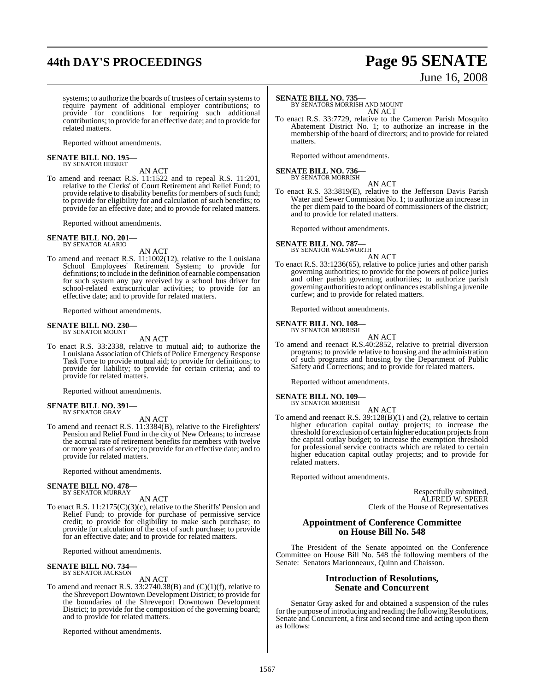# **44th DAY'S PROCEEDINGS Page 95 SENATE**

# June 16, 2008

systems; to authorize the boards of trustees of certain systems to require payment of additional employer contributions; to provide for conditions for requiring such additional contributions; to provide for an effective date; and to provide for related matters.

Reported without amendments.

# **SENATE BILL NO. 195—** BY SENATOR HEBERT

AN ACT To amend and reenact R.S. 11:1522 and to repeal R.S. 11:201, relative to the Clerks' of Court Retirement and Relief Fund; to provide relative to disability benefits for members of such fund; to provide for eligibility for and calculation of such benefits; to provide for an effective date; and to provide for related matters.

Reported without amendments.

#### **SENATE BILL NO. 201—** BY SENATOR ALARIO

AN ACT

To amend and reenact R.S. 11:1002(12), relative to the Louisiana School Employees' Retirement System; to provide for definitions; to include in the definition of earnable compensation for such system any pay received by a school bus driver for school-related extracurricular activities; to provide for an effective date; and to provide for related matters.

Reported without amendments.

#### **SENATE BILL NO. 230—** BY SENATOR MOUNT

AN ACT

To enact R.S. 33:2338, relative to mutual aid; to authorize the Louisiana Association of Chiefs of Police Emergency Response Task Force to provide mutual aid; to provide for definitions; to provide for liability; to provide for certain criteria; and to provide for related matters.

Reported without amendments.

#### **SENATE BILL NO. 391—** BY SENATOR GRAY

AN ACT

To amend and reenact R.S. 11:3384(B), relative to the Firefighters' Pension and Relief Fund in the city of New Orleans; to increase the accrual rate of retirement benefits for members with twelve or more years of service; to provide for an effective date; and to provide for related matters.

Reported without amendments.

#### **SENATE BILL NO. 478—** BY SENATOR MURRAY

AN ACT

To enact R.S. 11:2175(C)(3)(c), relative to the Sheriffs' Pension and Relief Fund; to provide for purchase of permissive service credit; to provide for eligibility to make such purchase; to provide for calculation of the cost of such purchase; to provide for an effective date; and to provide for related matters.

Reported without amendments.

#### **SENATE BILL NO. 734—** BY SENATOR JACKSON

AN ACT

To amend and reenact R.S.  $33:2740.38(B)$  and  $(C)(1)(f)$ , relative to the Shreveport Downtown Development District; to provide for the boundaries of the Shreveport Downtown Development District; to provide for the composition of the governing board; and to provide for related matters.

Reported without amendments.

#### **SENATE BILL NO. 735—**

BY SENATORS MORRISH AND MOUNT AN ACT

To enact R.S. 33:7729, relative to the Cameron Parish Mosquito Abatement District No. 1; to authorize an increase in the membership of the board of directors; and to provide for related matters.

Reported without amendments.

### **SENATE BILL NO. 736—** BY SENATOR MORRISH

AN ACT

To enact R.S. 33:3819(E), relative to the Jefferson Davis Parish Water and Sewer Commission No. 1; to authorize an increase in the per diem paid to the board of commissioners of the district; and to provide for related matters.

Reported without amendments.

### **SENATE BILL NO. 787—** BY SENATOR WALSWORTH

AN ACT

To enact R.S. 33:1236(65), relative to police juries and other parish governing authorities; to provide for the powers of police juries and other parish governing authorities; to authorize parish governing authorities to adopt ordinances establishing a juvenile curfew; and to provide for related matters.

Reported without amendments.

### **SENATE BILL NO. 108—** BY SENATOR MORRISH

AN ACT

To amend and reenact R.S.40:2852, relative to pretrial diversion programs; to provide relative to housing and the administration of such programs and housing by the Department of Public Safety and Corrections; and to provide for related matters.

Reported without amendments.

#### **SENATE BILL NO. 109—** BY SENATOR MORRISH

- AN ACT
- To amend and reenact R.S. 39:128(B)(1) and (2), relative to certain higher education capital outlay projects; to increase the threshold for exclusion of certain higher education projects from the capital outlay budget; to increase the exemption threshold for professional service contracts which are related to certain higher education capital outlay projects; and to provide for related matters.

Reported without amendments.

Respectfully submitted, ALFRED W. SPEER Clerk of the House of Representatives

#### **Appointment of Conference Committee on House Bill No. 548**

The President of the Senate appointed on the Conference Committee on House Bill No. 548 the following members of the Senate: Senators Marionneaux, Quinn and Chaisson.

#### **Introduction of Resolutions, Senate and Concurrent**

Senator Gray asked for and obtained a suspension of the rules for the purpose of introducing and reading the following Resolutions, Senate and Concurrent, a first and second time and acting upon them as follows: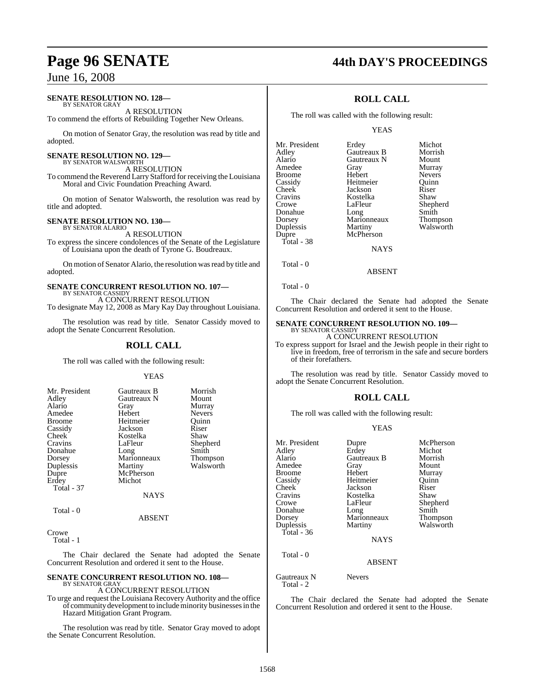#### **SENATE RESOLUTION NO. 128—**

BY SENATOR GRAY A RESOLUTION

To commend the efforts of Rebuilding Together New Orleans.

On motion of Senator Gray, the resolution was read by title and adopted.

### **SENATE RESOLUTION NO. 129—**

BY SENATOR WALSWORTH A RESOLUTION

To commend the Reverend Larry Stafford for receiving the Louisiana Moral and Civic Foundation Preaching Award.

On motion of Senator Walsworth, the resolution was read by title and adopted.

#### **SENATE RESOLUTION NO. 130—**

BY SENATOR ALARIO A RESOLUTION

To express the sincere condolences of the Senate of the Legislature of Louisiana upon the death of Tyrone G. Boudreaux.

On motion of Senator Alario, the resolution was read by title and adopted.

# **SENATE CONCURRENT RESOLUTION NO. 107—** BY SENATOR CASSIDY

A CONCURRENT RESOLUTION To designate May 12, 2008 as Mary Kay Day throughout Louisiana.

The resolution was read by title. Senator Cassidy moved to adopt the Senate Concurrent Resolution.

#### **ROLL CALL**

The roll was called with the following result:

#### YEAS

| Mr. President<br>Adley<br>Alario<br>Amedee<br><b>Broome</b><br>Cassidy<br>Cheek<br>Cravins<br>Donahue<br>Dorsey<br>Duplessis<br>Dupre<br>Erdey<br><b>Total - 37</b> | Gautreaux B<br>Gautreaux N<br>Gray<br>Hebert<br>Heitmeier<br>Jackson<br>Kostelka<br>LaFleur<br>Long<br>Marionneaux<br>Martiny<br>McPherson<br>Michot<br><b>NAYS</b> | Morrish<br>Mount<br>Murray<br><b>Nevers</b><br>Ouinn<br>Riser<br>Shaw<br>Shepherd<br>Smith<br><b>Thompson</b><br>Walsworth |
|---------------------------------------------------------------------------------------------------------------------------------------------------------------------|---------------------------------------------------------------------------------------------------------------------------------------------------------------------|----------------------------------------------------------------------------------------------------------------------------|
| Total - 0                                                                                                                                                           |                                                                                                                                                                     |                                                                                                                            |

ABSENT

Crowe

Total - 1

The Chair declared the Senate had adopted the Senate Concurrent Resolution and ordered it sent to the House.

#### **SENATE CONCURRENT RESOLUTION NO. 108—** BY SENATOR GRAY

#### A CONCURRENT RESOLUTION

To urge and request the Louisiana Recovery Authority and the office of community development to include minority businesses in the Hazard Mitigation Grant Program.

The resolution was read by title. Senator Gray moved to adopt the Senate Concurrent Resolution.

# **Page 96 SENATE 44th DAY'S PROCEEDINGS**

### **ROLL CALL**

The roll was called with the following result:

#### YEAS

| Mr. President | Erdey       | Michot          |
|---------------|-------------|-----------------|
| Adley         | Gautreaux B | Morrish         |
| Alario        | Gautreaux N | Mount           |
| Amedee        | Gray        | Murray          |
| Broome        | Hebert      | <b>Nevers</b>   |
| Cassidy       | Heitmeier   | Ouinn           |
| Cheek         | Jackson     | Riser           |
| Cravins       | Kostelka    | Shaw            |
| Crowe         | LaFleur     | Shepherd        |
| Donahue       | Long        | Smith           |
| Dorsey        | Marionneaux | <b>Thompson</b> |
| Duplessis     | Martiny     | Walsworth       |
| Dupre         | McPherson   |                 |
| Total - 38    |             |                 |
|               | <b>NAYS</b> |                 |
|               |             |                 |

Total - 0

The Chair declared the Senate had adopted the Senate Concurrent Resolution and ordered it sent to the House.

ABSENT

### **SENATE CONCURRENT RESOLUTION NO. 109—** BY SENATOR CASSIDY

A CONCURRENT RESOLUTION

To express support for Israel and the Jewish people in their right to live in freedom, free of terrorism in the safe and secure borders of their forefathers.

The resolution was read by title. Senator Cassidy moved to adopt the Senate Concurrent Resolution.

### **ROLL CALL**

The roll was called with the following result:

#### YEAS

| Mr. President<br>Adley<br>Alario<br>Amedee<br><b>Broome</b><br>Cassidy<br><b>Cheek</b><br>Cravins<br>Crowe<br>Donahue<br>Dorsey<br>Duplessis<br>Total - 36 | Dupre<br>Erdey<br>Gautreaux B<br>Gray<br>Hebert<br>Heitmeier<br>Jackson<br>Kostelka<br>LaFleur<br>Long<br>Marionneaux<br>Martiny<br><b>NAYS</b> | McPherson<br>Michot<br>Morrish<br>Mount<br>Murray<br>Ouinn<br>Riser<br>Shaw<br>Shepherd<br>Smith<br>Thompson<br>Walsworth |
|------------------------------------------------------------------------------------------------------------------------------------------------------------|-------------------------------------------------------------------------------------------------------------------------------------------------|---------------------------------------------------------------------------------------------------------------------------|
| Total - 0                                                                                                                                                  | <b>ABSENT</b>                                                                                                                                   |                                                                                                                           |

Gautreaux N Nevers Total  $-2$ 

The Chair declared the Senate had adopted the Senate Concurrent Resolution and ordered it sent to the House.

Total - 0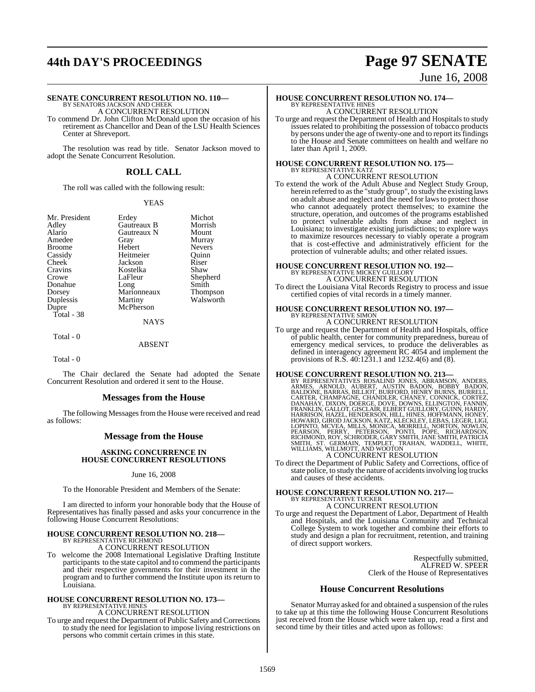# **44th DAY'S PROCEEDINGS Page 97 SENATE**

### June 16, 2008

**SENATE CONCURRENT RESOLUTION NO. 110—**<br>BY SENATORS JACKSON AND CHEEK<br>A CONCURRENT RESOLUTION

To commend Dr. John Clifton McDonald upon the occasion of his retirement as Chancellor and Dean of the LSU Health Sciences Center at Shreveport.

The resolution was read by title. Senator Jackson moved to adopt the Senate Concurrent Resolution.

### **ROLL CALL**

The roll was called with the following result:

#### YEAS

| Mr. President | Erdey       |
|---------------|-------------|
| Adley         | Gautreaux I |
| Alario        | Gautreaux N |
| Amedee        | Gray        |
| Broome        | Hebert      |
| Cassidy       | Heitmeier   |
| Cheek         | Jackson     |
| Cravins       | Kostelka    |
| Crowe         | LaFleur     |
| Donahue       | Long        |
| Dorsey        | Marionneau  |
| Duplessis     | Martiny     |
| Dupre         | McPherson   |
| Total - 38    |             |
|               | NA.         |

Erdey Michot<br>
Gautreaux B Morrish Gautreaux B Morrish<br>Gautreaux N Mount Gautreaux N<br>Gray Heitmeier Quinn<br>
Jackson Riser Jackson Riser<br>Kostelka Shaw Long Smith<br>Marionneaux Thompson Marionneaux<br>Martiny

Murray<br>Nevers

Shepherd<br>Smith

Walsworth

#### NAYS

Total - 0

ABSENT

Total - 0

The Chair declared the Senate had adopted the Senate Concurrent Resolution and ordered it sent to the House.

#### **Messages from the House**

The following Messages from the House were received and read as follows:

### **Message from the House**

#### **ASKING CONCURRENCE IN HOUSE CONCURRENT RESOLUTIONS**

#### June 16, 2008

To the Honorable President and Members of the Senate:

I am directed to inform your honorable body that the House of Representatives has finally passed and asks your concurrence in the following House Concurrent Resolutions:

# **HOUSE CONCURRENT RESOLUTION NO. 218—** BY REPRESENTATIVE RICHMOND A CONCURRENT RESOLUTION

To welcome the 2008 International Legislative Drafting Institute participants to the state capitol and to commend the participants and their respective governments for their investment in the program and to further commend the Institute upon its return to Louisiana.

#### **HOUSE CONCURRENT RESOLUTION NO. 173—** BY REPRESENTATIVE HINES

A CONCURRENT RESOLUTION

To urge and request the Department of Public Safety and Corrections to study the need for legislation to impose living restrictions on persons who commit certain crimes in this state.

### **HOUSE CONCURRENT RESOLUTION NO. 174—** BY REPRESENTATIVE HINES A CONCURRENT RESOLUTION

To urge and request the Department of Health and Hospitals to study issues related to prohibiting the possession of tobacco products by persons under the age of twenty-one and to report its findings to the House and Senate committees on health and welfare no later than April 1, 2009.

### **HOUSE CONCURRENT RESOLUTION NO. 175—** BY REPRESENTATIVE KATZ A CONCURRENT RESOLUTION

To extend the work of the Adult Abuse and Neglect Study Group, herein referred to asthe "study group", to study the existing laws on adult abuse and neglect and the need for lawsto protect those who cannot adequately protect themselves; to examine the structure, operation, and outcomes of the programs established to protect vulnerable adults from abuse and neglect in Louisiana; to investigate existing jurisdictions; to explore ways to maximize resources necessary to viably operate a program that is cost-effective and administratively efficient for the protection of vulnerable adults; and other related issues.

# **HOUSE CONCURRENT RESOLUTION NO. 192—** BY REPRESENTATIVE MICKEY GUILLORY

A CONCURRENT RESOLUTION To direct the Louisiana Vital Records Registry to process and issue certified copies of vital records in a timely manner.

# **HOUSE CONCURRENT RESOLUTION NO. 197—** BY REPRESENTATIVE SIMON

A CONCURRENT RESOLUTION

To urge and request the Department of Health and Hospitals, office of public health, center for community preparedness, bureau of emergency medical services, to produce the deliverables as defined in interagency agreement RC 4054 and implement the provisions of R.S. 40:1231.1 and 1232.4(6) and (8).

**HOUSE CONCURRENT RESOLUTION NO. 213—**<br>BY REPRESENTATIVES ROSALIND JONES, ABRAMSON, ANDERS,<br>ARMES, ARNOLD, AUBERT, AUSTIN BADON, BOBBY BADON,<br>BALDONE, BARRAS, BILLIOT, BURFORD, HENRY BURNS, BURRELL, CARTER, CHAMPAGNE, CHANDLER, CHANEY, CONNICK, CORTEZ, DANAHAY, DIXON, DOERGE, DOVE, DOWNS, ELLINGTON, FANNIN,<br>FRANKLIN, GALLOT, GISCLAIR, ELBERT GUILLORY, GUINN, HARDY,<br>HARRISON, HAZZEL, HENDERSON, HILL, HINES, HOFFMANN, H

To direct the Department of Public Safety and Corrections, office of state police, to study the nature of accidentsinvolving log trucks and causes of these accidents.

# **HOUSE CONCURRENT RESOLUTION NO. 217—** BY REPRESENTATIVE TUCKER

A CONCURRENT RESOLUTION

To urge and request the Department of Labor, Department of Health and Hospitals, and the Louisiana Community and Technical College System to work together and combine their efforts to study and design a plan for recruitment, retention, and training of direct support workers.

> Respectfully submitted, ALFRED W. SPEER Clerk of the House of Representatives

#### **House Concurrent Resolutions**

Senator Murray asked for and obtained a suspension of the rules to take up at this time the following House Concurrent Resolutions just received from the House which were taken up, read a first and second time by their titles and acted upon as follows: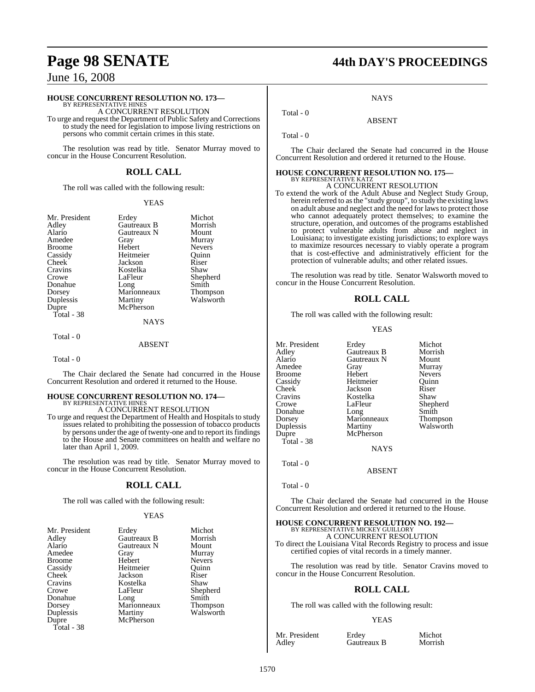#### **HOUSE CONCURRENT RESOLUTION NO. 173—**

BY REPRESENTATIVE HINES A CONCURRENT RESOLUTION

To urge and request the Department of Public Safety and Corrections to study the need for legislation to impose living restrictions on persons who commit certain crimes in this state.

The resolution was read by title. Senator Murray moved to concur in the House Concurrent Resolution.

### **ROLL CALL**

The roll was called with the following result:

#### YEAS

| Mr. President |
|---------------|
| Adley         |
| Alario        |
| Amedee        |
| Broome        |
| Cassidy       |
| Cheek         |
| Cravins       |
| Crowe         |
| Donahue       |
| Dorsey        |
| Duplessis     |
| Dupre         |
| Total - 38    |
|               |

Erdey Michot<br>Gautreaux B Morrish Gautreaux B Morrish<br>Gautreaux N Mount Gautreaux N<br>Gray Hebert Heitmeier Quinn<br>Jackson Riser Jackson Riser<br>Kostelka Shaw Kostelka<br>LaFleur Long Smith<br>Marionneaux Thompson Marionneaux<br>Martiny

Murray<br>Nevers

Shepherd<br>Smith

Walsworth

### McPherson NAYS

Total - 0

ABSENT

Total - 0

The Chair declared the Senate had concurred in the House Concurrent Resolution and ordered it returned to the House.

### **HOUSE CONCURRENT RESOLUTION NO. 174—**

BY REPRESENTATIVE HINES A CONCURRENT RESOLUTION

To urge and request the Department of Health and Hospitals to study issues related to prohibiting the possession of tobacco products by persons under the age of twenty-one and to report its findings to the House and Senate committees on health and welfare no later than April 1, 2009.

The resolution was read by title. Senator Murray moved to concur in the House Concurrent Resolution.

### **ROLL CALL**

The roll was called with the following result:

#### **YEAS**

| Mr. President | Erdey       | Michot          |
|---------------|-------------|-----------------|
| Adley         | Gautreaux B | Morrish         |
| Alario        | Gautreaux N | Mount           |
| Amedee        | Gray        | Murray          |
| <b>Broome</b> | Hebert      | <b>Nevers</b>   |
| Cassidy       | Heitmeier   | Ouinn           |
| Cheek         | Jackson     | Riser           |
| Cravins       | Kostelka    | Shaw            |
| Crowe         | LaFleur     | Shepherd        |
| Donahue       | Long        | Smith           |
| Dorsey        | Marionneaux | <b>Thompson</b> |
| Duplessis     | Martiny     | Walsworth       |
| Dupre         | McPherson   |                 |
| Total - 38    |             |                 |

### **Page 98 SENATE 44th DAY'S PROCEEDINGS**

**NAYS** 

ABSENT

Total - 0

Total - 0

The Chair declared the Senate had concurred in the House Concurrent Resolution and ordered it returned to the House.

### **HOUSE CONCURRENT RESOLUTION NO. 175—** BY REPRESENTATIVE KATZ A CONCURRENT RESOLUTION

To extend the work of the Adult Abuse and Neglect Study Group, herein referred to asthe "study group", to study the existing laws on adult abuse and neglect and the need for lawsto protect those who cannot adequately protect themselves; to examine the structure, operation, and outcomes of the programs established to protect vulnerable adults from abuse and neglect in Louisiana; to investigate existing jurisdictions; to explore ways to maximize resources necessary to viably operate a program that is cost-effective and administratively efficient for the protection of vulnerable adults; and other related issues.

The resolution was read by title. Senator Walsworth moved to concur in the House Concurrent Resolution.

### **ROLL CALL**

The roll was called with the following result:

#### YEAS

| Mr. President<br>Adley<br>Alario<br>Amedee<br><b>Broome</b><br>Cassidy<br>Cheek<br>Cravins<br>Crowe | Erdey<br>Gautreaux B<br>Gautreaux N<br>Gray<br>Hebert<br>Heitmeier<br>Jackson<br>Kostelka<br>LaFleur | Michot<br>Morrish<br>Mount<br>Murray<br><b>Nevers</b><br>Ouinn<br>Riser<br>Shaw<br>Shepherd |
|-----------------------------------------------------------------------------------------------------|------------------------------------------------------------------------------------------------------|---------------------------------------------------------------------------------------------|
| Donahue                                                                                             | Long                                                                                                 | Smith                                                                                       |
| Dorsey<br>Duplessis                                                                                 | Marionneaux<br>Martiny                                                                               | Thompson<br>Walsworth                                                                       |
| Dupre<br>Total - 38                                                                                 | McPherson                                                                                            |                                                                                             |
|                                                                                                     | <b>NAYS</b>                                                                                          |                                                                                             |

Total - 0

Total - 0

The Chair declared the Senate had concurred in the House Concurrent Resolution and ordered it returned to the House.

ABSENT

**HOUSE CONCURRENT RESOLUTION NO. 192—** BY REPRESENTATIVE MICKEY GUILLORY A CONCURRENT RESOLUTION To direct the Louisiana Vital Records Registry to process and issue

certified copies of vital records in a timely manner.

The resolution was read by title. Senator Cravins moved to concur in the House Concurrent Resolution.

#### **ROLL CALL**

The roll was called with the following result:

#### YEAS

Mr. President Erdey Michot<br>Adley Gautreaux B Morrish

Gautreaux B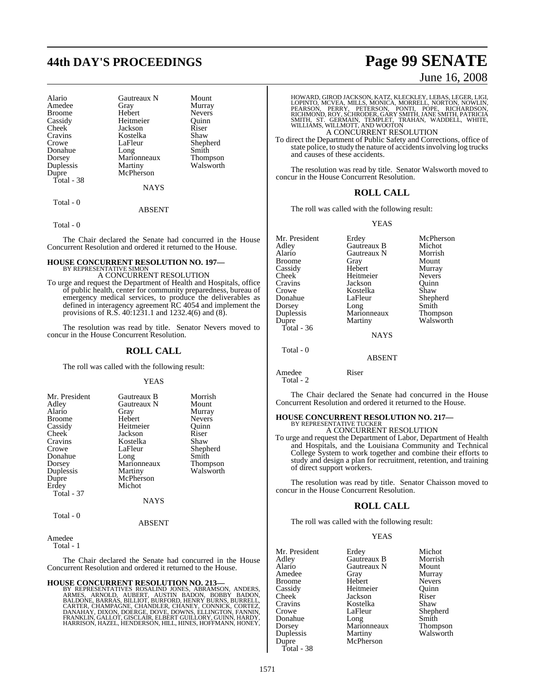# **44th DAY'S PROCEEDINGS Page 99 SENATE**

| Gautreaux N | Mount                          |
|-------------|--------------------------------|
| Gray        | Murray                         |
| Hebert      | <b>Nevers</b>                  |
| Heitmeier   | Ouinn                          |
| Jackson     | Riser                          |
| Kostelka    | Shaw                           |
| LaFleur     | Shepherd                       |
|             | Smith                          |
|             | Thompson                       |
|             | Walsworth                      |
| McPherson   |                                |
|             |                                |
| <b>NAYS</b> |                                |
|             | Long<br>Marionneaux<br>Martiny |

Total - 0

Total - 0

The Chair declared the Senate had concurred in the House Concurrent Resolution and ordered it returned to the House.

ABSENT

#### **HOUSE CONCURRENT RESOLUTION NO. 197—** BY REPRESENTATIVE SIMON A CONCURRENT RESOLUTION

To urge and request the Department of Health and Hospitals, office of public health, center for community preparedness, bureau of emergency medical services, to produce the deliverables as defined in interagency agreement RC 4054 and implement the provisions of R.S. 40:1231.1 and 1232.4(6) and (8).

The resolution was read by title. Senator Nevers moved to concur in the House Concurrent Resolution.

#### **ROLL CALL**

The roll was called with the following result:

#### YEAS

| Mr. President     | Gautreaux B | Morrish         |
|-------------------|-------------|-----------------|
| Adley             | Gautreaux N | Mount           |
| Alario            | Gray        | Murray          |
| Broome            | Hebert      | <b>Nevers</b>   |
| Cassidy           | Heitmeier   | Ouinn           |
| Cheek             | Jackson     | Riser           |
| Cravins           | Kostelka    | Shaw            |
| Crowe             | LaFleur     | Shepherd        |
| Donahue           | Long        | Smith           |
| Dorsey            | Marionneaux | <b>Thompson</b> |
| Duplessis         | Martiny     | Walsworth       |
| Dupre             | McPherson   |                 |
| Erdey             | Michot      |                 |
| <b>Total - 37</b> |             |                 |
|                   | <b>NAYS</b> |                 |
|                   |             |                 |

Total - 0

#### ABSENT

Amedee Total - 1

The Chair declared the Senate had concurred in the House Concurrent Resolution and ordered it returned to the House.

#### **HOUSE CONCURRENT RESOLUTION NO. 213—**

BY REPRESENTATIVES ROSALIND JONES, ABRAMSON, ANDERS,<br>ARMES, ARNOLD, AUBERT, AUSTIN BADON, BOBBY BADON,<br>BALDONE, BARRAS,BILLIOT,BURFORD,HENRY BURNS,BURRELL, CARTER, CHAMPAGNE, CHANDLER, CHANEY, CONNICK, CORTEZ,<br>DANAHAY, DIXON, DOERGE, DOVE, DOWNS, ELLINGTON, FANNIN,<br>FRANKLIN, GALLOT, GISCLAIR, ELBERT GUILLORY, GUINN, HARDY,<br>HARRISON, HAZEL, HENDERSON, HILL, HINES, HOFFMANN, HO

### June 16, 2008

HOWARD, GIROD JACKSON, KATZ, KLECKLEY, LEBAS, LEGER, LIGI,<br>LOPINTO, MCVEA, MILLS, MONICA, MORRELL, NORTON, NOWLIN,<br>PEARSON, PERRY, PETERSON, PONTI, POPE, RICHARDSON,<br>RICHMOND, ROY, SCHRODER, GARY SMITH, JANE SMITH, PATRICI

### A CONCURRENT RESOLUTION

To direct the Department of Public Safety and Corrections, office of state police, to study the nature of accidents involving log trucks and causes of these accidents.

The resolution was read by title. Senator Walsworth moved to concur in the House Concurrent Resolution.

#### **ROLL CALL**

The roll was called with the following result:

#### YEAS

Mr. President Erdey McPherson<br>Adley Gautreaux B Michot Adley Gautreaux B Michot Gautreaux N Morrish<br>Gray Mount Broome Gray Mount<br>Cassidy Hebert Murray Exassidy Hebert Murray<br>Cheek Heitmeier Nevers Cheek Heitmeier Nevers<br>Cravins Jackson Quinn Cravins Jackson Quinn Crowe Kostelka<br>Donahue LaFleur LaFleur Shepherd<br>Long Smith Dorsey Long Smith<br>
Duplessis Marionneaux Thompson Duplessis Marionneaux<br>
Dupre Martiny Walsworth Total - 36 **NAYS** 

Total - 0

Amedee Riser Total - 2

The Chair declared the Senate had concurred in the House Concurrent Resolution and ordered it returned to the House.

ABSENT

#### **HOUSE CONCURRENT RESOLUTION NO. 217—** BY REPRESENTATIVE TUCKER

A CONCURRENT RESOLUTION

To urge and request the Department of Labor, Department of Health and Hospitals, and the Louisiana Community and Technical College System to work together and combine their efforts to study and design a plan for recruitment, retention, and training of direct support workers.

The resolution was read by title. Senator Chaisson moved to concur in the House Concurrent Resolution.

#### **ROLL CALL**

The roll was called with the following result:

#### YEAS

| Mr. President | Erdey       | Michot        |
|---------------|-------------|---------------|
| Adley         | Gautreaux B | Morrish       |
| Alario        | Gautreaux N | Mount         |
| Amedee        | Gray        | Murray        |
| <b>Broome</b> | Hebert      | <b>Nevers</b> |
| Cassidy       | Heitmeier   | Quinn         |
| Cheek         | Jackson     | Riser         |
| Cravins       | Kostelka    | Shaw          |
| Crowe         | LaFleur     | Shepherd      |
| Donahue       | Long        | Smith         |
| Dorsey        | Marionneaux | Thompson      |
| Duplessis     | Martiny     | Walsworth     |
| Dupre         | McPherson   |               |
| Total - 38    |             |               |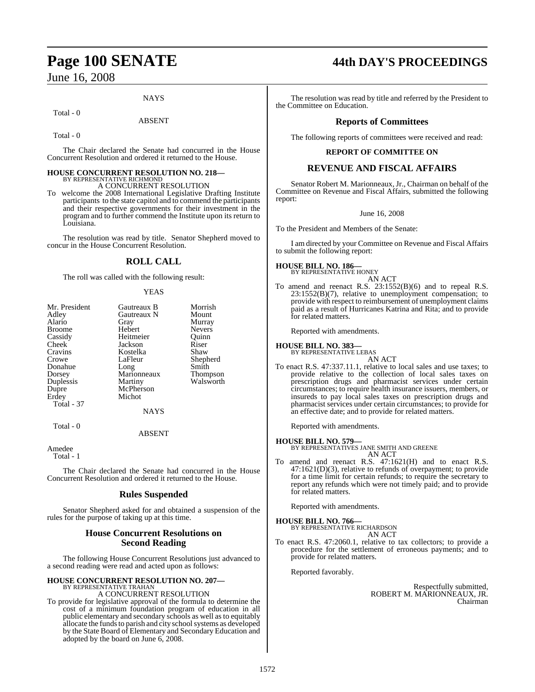#### **NAYS**

Total - 0

ABSENT

Total - 0

The Chair declared the Senate had concurred in the House Concurrent Resolution and ordered it returned to the House.

### **HOUSE CONCURRENT RESOLUTION NO. 218—** BY REPRESENTATIVE RICHMOND A CONCURRENT RESOLUTION

To welcome the 2008 International Legislative Drafting Institute participants to the state capitol and to commend the participants and their respective governments for their investment in the program and to further commend the Institute upon its return to Louisiana.

The resolution was read by title. Senator Shepherd moved to concur in the House Concurrent Resolution.

### **ROLL CALL**

The roll was called with the following result:

#### YEAS

| Mr. President<br>Adley<br>Alario<br><b>Broome</b><br>Cassidy<br>Cheek<br>Cravins<br>Crowe<br>Donahue<br>Dorsey<br>Duplessis<br>Dupre | Gautreaux B<br>Gautreaux N<br>Gray<br>Hebert<br>Heitmeier<br>Jackson<br>Kostelka<br>LaFleur<br>Long<br>Marionneaux<br>Martiny<br>McPherson<br>Michot | Morrish<br>Mount<br>Murray<br><b>Nevers</b><br>Ouinn<br>Riser<br>Shaw<br>Shepherd<br>Smith<br><b>Thompson</b><br>Walsworth |
|--------------------------------------------------------------------------------------------------------------------------------------|------------------------------------------------------------------------------------------------------------------------------------------------------|----------------------------------------------------------------------------------------------------------------------------|
| Erdey<br>Total - 37<br>Total - 0                                                                                                     | <b>NAYS</b>                                                                                                                                          |                                                                                                                            |

ABSENT

Amedee Total - 1

The Chair declared the Senate had concurred in the House Concurrent Resolution and ordered it returned to the House.

#### **Rules Suspended**

Senator Shepherd asked for and obtained a suspension of the rules for the purpose of taking up at this time.

### **House Concurrent Resolutions on Second Reading**

The following House Concurrent Resolutions just advanced to a second reading were read and acted upon as follows:

### **HOUSE CONCURRENT RESOLUTION NO. 207—** BY REPRESENTATIVE TRAHAN A CONCURRENT RESOLUTION

To provide for legislative approval of the formula to determine the cost of a minimum foundation program of education in all public elementary and secondary schools as well as to equitably allocate the funds to parish and city school systems as developed by the State Board of Elementary and Secondary Education and adopted by the board on June 6, 2008.

# **Page 100 SENATE 44th DAY'S PROCEEDINGS**

The resolution was read by title and referred by the President to the Committee on Education.

### **Reports of Committees**

The following reports of committees were received and read:

#### **REPORT OF COMMITTEE ON**

#### **REVENUE AND FISCAL AFFAIRS**

Senator Robert M. Marionneaux, Jr., Chairman on behalf of the Committee on Revenue and Fiscal Affairs, submitted the following report:

June 16, 2008

To the President and Members of the Senate:

I am directed by your Committee on Revenue and Fiscal Affairs to submit the following report:

#### **HOUSE BILL NO. 186—**

BY REPRESENTATIVE HONEY AN ACT

To amend and reenact R.S. 23:1552(B)(6) and to repeal R.S. 23:1552(B)(7), relative to unemployment compensation; to provide with respect to reimbursement of unemployment claims paid as a result of Hurricanes Katrina and Rita; and to provide for related matters.

Reported with amendments.

### **HOUSE BILL NO. 383—**

BY REPRESENTATIVE LEBAS AN ACT

To enact R.S. 47:337.11.1, relative to local sales and use taxes; to provide relative to the collection of local sales taxes on prescription drugs and pharmacist services under certain circumstances; to require health insurance issuers, members, or insureds to pay local sales taxes on prescription drugs and pharmacist services under certain circumstances; to provide for an effective date; and to provide for related matters.

Reported with amendments.

#### **HOUSE BILL NO. 579—**

BY REPRESENTATIVES JANE SMITH AND GREENE AN ACT

To amend and reenact R.S. 47:1621(H) and to enact R.S. 47:1621(D)(3), relative to refunds of overpayment; to provide for a time limit for certain refunds; to require the secretary to report any refunds which were not timely paid; and to provide for related matters.

Reported with amendments.

**HOUSE BILL NO. 766—** BY REPRESENTATIVE RICHARDSON

- AN ACT
- To enact R.S. 47:2060.1, relative to tax collectors; to provide a procedure for the settlement of erroneous payments; and to provide for related matters.

Reported favorably.

Respectfully submitted, ROBERT M. MARIONNEAUX, JR. Chairman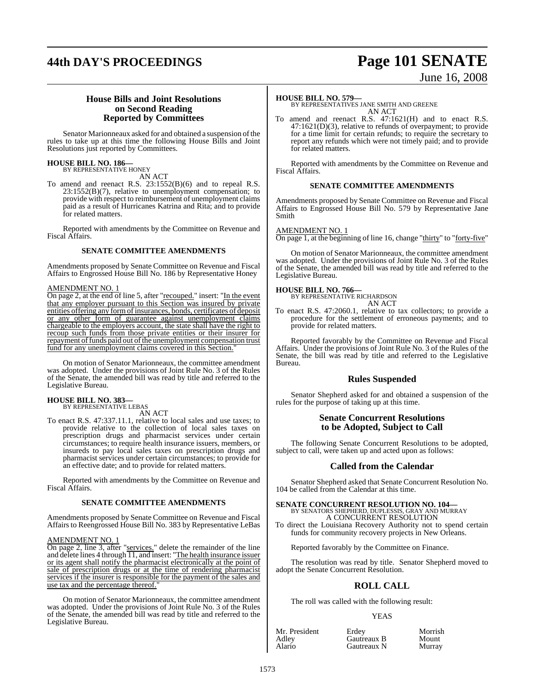# **44th DAY'S PROCEEDINGS Page 101 SENATE**

# June 16, 2008

#### **House Bills and Joint Resolutions on Second Reading Reported by Committees**

Senator Marionneaux asked for and obtained a suspension of the rules to take up at this time the following House Bills and Joint Resolutions just reported by Committees.

### **HOUSE BILL NO. 186—** BY REPRESENTATIVE HONEY

AN ACT

To amend and reenact R.S. 23:1552(B)(6) and to repeal R.S. 23:1552(B)(7), relative to unemployment compensation; to provide with respect to reimbursement of unemployment claims paid as a result of Hurricanes Katrina and Rita; and to provide for related matters.

Reported with amendments by the Committee on Revenue and Fiscal Affairs.

#### **SENATE COMMITTEE AMENDMENTS**

Amendments proposed by Senate Committee on Revenue and Fiscal Affairs to Engrossed House Bill No. 186 by Representative Honey

#### AMENDMENT NO. 1

On page 2, at the end of line 5, after "recouped." insert: "In the event that any employer pursuant to this Section was insured by private entities offering any formofinsurances, bonds, certificates of deposit or any other form of guarantee against unemployment claims chargeable to the employers account, the state shall have the right to recoup such funds from those private entities or their insurer for repayment of funds paid out of the unemployment compensation trust fund for any unemployment claims covered in this Section.'

On motion of Senator Marionneaux, the committee amendment was adopted. Under the provisions of Joint Rule No. 3 of the Rules of the Senate, the amended bill was read by title and referred to the Legislative Bureau.

## **HOUSE BILL NO. 383—** BY REPRESENTATIVE LEBAS

AN ACT

To enact R.S. 47:337.11.1, relative to local sales and use taxes; to provide relative to the collection of local sales taxes on prescription drugs and pharmacist services under certain circumstances; to require health insurance issuers, members, or insureds to pay local sales taxes on prescription drugs and pharmacist services under certain circumstances; to provide for an effective date; and to provide for related matters.

Reported with amendments by the Committee on Revenue and Fiscal Affairs.

#### **SENATE COMMITTEE AMENDMENTS**

Amendments proposed by Senate Committee on Revenue and Fiscal Affairs to Reengrossed House Bill No. 383 by Representative LeBas

#### AMENDMENT NO. 1

On page 2, line 3, after "services." delete the remainder of the line and delete lines 4 through 11, and insert: "The health insurance issuer or its agent shall notify the pharmacist electronically at the point of sale of prescription drugs or at the time of rendering pharmacist services if the insurer is responsible for the payment of the sales and use tax and the percentage thereof."

On motion of Senator Marionneaux, the committee amendment was adopted. Under the provisions of Joint Rule No. 3 of the Rules of the Senate, the amended bill was read by title and referred to the Legislative Bureau.

#### **HOUSE BILL NO. 579—**

BY REPRESENTATIVES JANE SMITH AND GREENE AN ACT

To amend and reenact R.S. 47:1621(H) and to enact R.S. 47:1621(D)(3), relative to refunds of overpayment; to provide for a time limit for certain refunds; to require the secretary to report any refunds which were not timely paid; and to provide for related matters.

Reported with amendments by the Committee on Revenue and Fiscal Affairs.

#### **SENATE COMMITTEE AMENDMENTS**

Amendments proposed by Senate Committee on Revenue and Fiscal Affairs to Engrossed House Bill No. 579 by Representative Jane Smith

#### AMENDMENT NO. 1

On page 1, at the beginning of line 16, change "thirty" to "forty-five"

On motion of Senator Marionneaux, the committee amendment was adopted. Under the provisions of Joint Rule No. 3 of the Rules of the Senate, the amended bill was read by title and referred to the Legislative Bureau.

**HOUSE BILL NO. 766—** BY REPRESENTATIVE RICHARDSON AN ACT

To enact R.S. 47:2060.1, relative to tax collectors; to provide a procedure for the settlement of erroneous payments; and to provide for related matters.

Reported favorably by the Committee on Revenue and Fiscal Affairs. Under the provisions of Joint Rule No. 3 of the Rules of the Senate, the bill was read by title and referred to the Legislative **Bureau** 

#### **Rules Suspended**

Senator Shepherd asked for and obtained a suspension of the rules for the purpose of taking up at this time.

#### **Senate Concurrent Resolutions to be Adopted, Subject to Call**

The following Senate Concurrent Resolutions to be adopted, subject to call, were taken up and acted upon as follows:

#### **Called from the Calendar**

Senator Shepherd asked that Senate Concurrent Resolution No. 104 be called from the Calendar at this time.

# **SENATE CONCURRENT RESOLUTION NO. 104—**<br>BY SENATORS SHEPHERD, DUPLESSIS, GRAY AND MURRAY<br>A CONCURRENT RESOLUTION

To direct the Louisiana Recovery Authority not to spend certain funds for community recovery projects in New Orleans.

Reported favorably by the Committee on Finance.

The resolution was read by title. Senator Shepherd moved to adopt the Senate Concurrent Resolution.

### **ROLL CALL**

The roll was called with the following result:

#### YEAS

| Mr. President | Erdev       | Morrish |
|---------------|-------------|---------|
| Adley         | Gautreaux B | Mount   |
| Alario        | Gautreaux N | Murray  |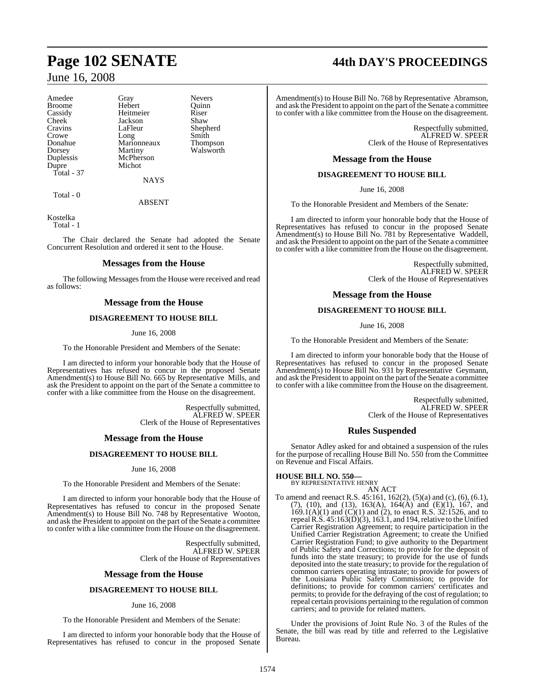Amedee Gray Nevers<br>Broome Hebert Quinn Cheek Jackson<br>Cravins LaFleur Dupre Total - 37

Broome Hebert Quinn<br>
Cassidy Heitmeier Riser Cassidy Heitmeier Riser<br>Cheek Jackson Shaw Crowe Long Smith Donahue Marionneaux Thompson Dorsey Martiny Walsworth<br>
Duplessis McPherson McPherson<br>Michot

Shepherd

**NAYS** 

Total - 0

ABSENT

Kostelka Total - 1

The Chair declared the Senate had adopted the Senate Concurrent Resolution and ordered it sent to the House.

### **Messages from the House**

The following Messages from the House were received and read as follows:

#### **Message from the House**

#### **DISAGREEMENT TO HOUSE BILL**

#### June 16, 2008

To the Honorable President and Members of the Senate:

I am directed to inform your honorable body that the House of Representatives has refused to concur in the proposed Senate Amendment(s) to House Bill No. 665 by Representative Mills, and ask the President to appoint on the part of the Senate a committee to confer with a like committee from the House on the disagreement.

> Respectfully submitted, ALFRED W. SPEER Clerk of the House of Representatives

#### **Message from the House**

#### **DISAGREEMENT TO HOUSE BILL**

June 16, 2008

To the Honorable President and Members of the Senate:

I am directed to inform your honorable body that the House of Representatives has refused to concur in the proposed Senate Amendment(s) to House Bill No. 748 by Representative Wooton, and ask the President to appoint on the part of the Senate a committee to confer with a like committee from the House on the disagreement.

> Respectfully submitted, ALFRED W. SPEER Clerk of the House of Representatives

#### **Message from the House**

#### **DISAGREEMENT TO HOUSE BILL**

#### June 16, 2008

To the Honorable President and Members of the Senate:

I am directed to inform your honorable body that the House of Representatives has refused to concur in the proposed Senate

# **Page 102 SENATE 44th DAY'S PROCEEDINGS**

Amendment(s) to House Bill No. 768 by Representative Abramson, and ask the President to appoint on the part of the Senate a committee to confer with a like committee from the House on the disagreement.

> Respectfully submitted, ALFRED W. SPEER Clerk of the House of Representatives

#### **Message from the House**

#### **DISAGREEMENT TO HOUSE BILL**

June 16, 2008

To the Honorable President and Members of the Senate:

I am directed to inform your honorable body that the House of Representatives has refused to concur in the proposed Senate Amendment(s) to House Bill No. 781 by Representative Waddell, and ask the President to appoint on the part of the Senate a committee to confer with a like committee from the House on the disagreement.

> Respectfully submitted, ALFRED W. SPEER Clerk of the House of Representatives

#### **Message from the House**

#### **DISAGREEMENT TO HOUSE BILL**

June 16, 2008

To the Honorable President and Members of the Senate:

I am directed to inform your honorable body that the House of Representatives has refused to concur in the proposed Senate Amendment(s) to House Bill No. 931 by Representative Geymann, and ask the President to appoint on the part of the Senate a committee to confer with a like committee from the House on the disagreement.

> Respectfully submitted, ALFRED W. SPEER Clerk of the House of Representatives

#### **Rules Suspended**

Senator Adley asked for and obtained a suspension of the rules for the purpose of recalling House Bill No. 550 from the Committee on Revenue and Fiscal Affairs.

#### **HOUSE BILL NO. 550—**

BY REPRESENTATIVE HENRY AN ACT

To amend and reenact R.S. 45:161, 162(2), (5)(a) and (c), (6), (6.1), (7), (10), and (13), 163(A),  $164(\text{\AA})$  and (E)(1), 167, and 169.1(A)(1) and (C)(1) and (2), to enact R.S. 32:1526, and to repeal R.S.  $45:163(D)(3)$ , 163.1, and 194, relative to the Unified Carrier Registration Agreement; to require participation in the Unified Carrier Registration Agreement; to create the Unified Carrier Registration Fund; to give authority to the Department of Public Safety and Corrections; to provide for the deposit of funds into the state treasury; to provide for the use of funds deposited into the state treasury; to provide for the regulation of common carriers operating intrastate; to provide for powers of the Louisiana Public Safety Commission; to provide for definitions; to provide for common carriers' certificates and permits; to provide for the defraying of the cost of regulation; to repeal certain provisions pertaining to the regulation of common carriers; and to provide for related matters.

Under the provisions of Joint Rule No. 3 of the Rules of the Senate, the bill was read by title and referred to the Legislative Bureau.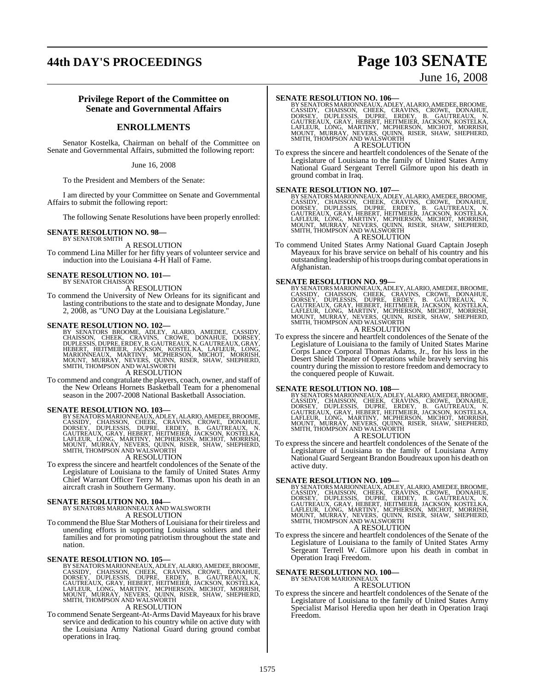### **44th DAY'S PROCEEDINGS Page 103 SENATE**

### June 16, 2008

#### **Privilege Report of the Committee on Senate and Governmental Affairs**

#### **ENROLLMENTS**

Senator Kostelka, Chairman on behalf of the Committee on Senate and Governmental Affairs, submitted the following report:

June 16, 2008

To the President and Members of the Senate:

I am directed by your Committee on Senate and Governmental Affairs to submit the following report:

The following Senate Resolutions have been properly enrolled:

#### **SENATE RESOLUTION NO. 98—**

BY SENATOR SMITH A RESOLUTION

To commend Lina Miller for her fifty years of volunteer service and induction into the Louisiana 4-H Hall of Fame.

#### **SENATE RESOLUTION NO. 101—** BY SENATOR CHAISSON

A RESOLUTION

To commend the University of New Orleans for its significant and lasting contributions to the state and to designate Monday, June 2, 2008, as "UNO Day at the Louisiana Legislature."

#### **SENATE RESOLUTION NO. 102—**

BY SENATORS BROOME, ADLEY, ALARIO, AMEDEE, CASSIDY,<br>CHAISSON, CHEEK, CRAVINS, CROWE, DONAHUE, DORSEY,<br>DUPLESSIS,DUPRE,ERDEY,B.GAUTREAUX,N.GAUTREAUX,GRAY,<br>HEBERT, HEITMEIER, JACKSON, KOSTELKA, LAFLEUR, LONG,<br>MARIONNEAUX, MA

A RESOLUTION

To commend and congratulate the players, coach, owner, and staff of the New Orleans Hornets Basketball Team for a phenomenal season in the 2007-2008 National Basketball Association.

SENATE RESOLUTION NO. 103—<br>BY SENATORS MARIONNEAUX, ADLEY, ALARIO, AMEDEE, BROOME, CASSIDY, CHAISSON, CHEEK, CRAVINS, CROWE, DONAHUE,<br>DORSEY, DUPLESSIS, DUPRE, ERDEY, B. GAUTREAUX, N.<br>GAUTREAUX, GRAY, HEBERT, HEITMEIER, JA

A RESOLUTION

To express the sincere and heartfelt condolences of the Senate of the Legislature of Louisiana to the family of United States Army Chief Warrant Officer Terry M. Thomas upon his death in an aircraft crash in Southern Germany.

### **SENATE RESOLUTION NO. 104—** BY SENATORS MARIONNEAUX AND WALSWORTH

A RESOLUTION

To commend the Blue Star Mothers of Louisiana for their tireless and unending efforts in supporting Louisiana soldiers and their families and for promoting patriotism throughout the state and nation.

SENATE RESOLUTION NO. 105—<br>BY SENATORS MARIONNEAUX, ADLEY, ALARIO, AMEDEE, BROOME, CASSIDY, CHAISSON, CHEEK, CRAVINS, CROWE, DONAHUE,<br>CASSIDY, CHAISSON, CHEEK, ERDEY, B. GAUTREAUX, N.<br>GAUTREAUX, GRAY, HEBERT, HEITMEIER, JA

#### A RESOLUTION

To commend Senate Sergeant-At-Arms David Mayeaux for his brave service and dedication to his country while on active duty with the Louisiana Army National Guard during ground combat operations in Iraq.

SENATE RESOLUTION NO. 106—<br>BY SENATORS MARIONNEAUX, ADLEY, ALARIO, AMEDEE, BROOME, CASSIDY, CHAISSON, CHEEK, CRAVINS, CROWE, DONAHUE, DORSEY, DUPLESSIS, DUPRE, ERDEY, B. GAUTREAUX, N.<br>GAUTREAUX, GRAY, HEBERT, HEITMEIER, JA A RESOLUTION

To express the sincere and heartfelt condolences of the Senate of the Legislature of Louisiana to the family of United States Army National Guard Sergeant Terrell Gilmore upon his death in ground combat in Iraq.

SENATE RESOLUTION NO. 107—<br>BY SENATORS MARIONNEAUX, ADLEY, ALARIO, AMEDEE, BROOME, CASSIDY, CHAISSON, CHEEK, CRAVINS, CROWE, DONAHUE, DORSEY, DUPLESSIS, DUPRE, ERDEY, B. GAUTREAUX, N.<br>GAUTREAUX, GRAY, HEBERT, HEITMEIER, JA A RESOLUTION

To commend United States Army National Guard Captain Joseph Mayeaux for his brave service on behalf of his country and his outstanding leadership of histroops during combat operationsin Afghanistan.

SENATE RESOLUTION NO. 99—<br>BY SENATORS MARIONNEAUX, ADLEY, ALARIO, AMEDEE, BROOME, CASSIDY, CHAISSON, CHEEK, CRAVINS, CROWE, DONAHUE,<br>DORSEY, DUPLESSIS, DUPRE, ERDEY, B. GAUTREAUX, N.<br>GAUTREAUX, GRAY, HEBERT, HEITMEIER, JAC A RESOLUTION

To express the sincere and heartfelt condolences of the Senate of the Legislature of Louisiana to the family of United States Marine Corps Lance Corporal Thomas Adams, Jr., for his loss in the Desert Shield Theater of Operations while bravely serving his country during the mission to restore freedom and democracy to the conquered people of Kuwait.

SENATE RESOLUTION NO. 108—<br>BY SENATORS MARIONNEAUX, ADLEY, ALARIO, AMEDEE, BROOME, CASSIDY, CHAISSON, CHEEK, CRAVINS, CROWE, DONAHUE, DORSEY, DUPLESSIS, DUPRE, ERDEY, B. GAUTREAUX, N.<br>GAUTREAUX, GRAY, HEBERT, HEITMEIER, JA A RESOLUTION

To express the sincere and heartfelt condolences of the Senate of the Legislature of Louisiana to the family of Louisiana Army National Guard Sergeant Brandon Boudreaux upon his death on active duty.

SENATE RESOLUTION NO. 109—<br>BY SENATORS MARIONNEAUX, ADLEY, ALARIO, AMEDEE, BROOME, CASSIDY, CHAISSON, CHEEK, CRAVINS, CROWE, DONAHUE,<br>DORSEY, DUPLESSIS, DUPRE, ERDEY, B. GAUTREAUX, N.<br>GAUTREAUX, GRAY, HEBERT, HEITMEIER, JA A RESOLUTION

To express the sincere and heartfelt condolences of the Senate of the Legislature of Louisiana to the family of United States Army Sergeant Terrell W. Gilmore upon his death in combat in Operation Iraqi Freedom.

#### **SENATE RESOLUTION NO. 100—** BY SENATOR MARIONNEAUX

A RESOLUTION

To express the sincere and heartfelt condolences of the Senate of the Legislature of Louisiana to the family of United States Army Specialist Marisol Heredia upon her death in Operation Iraqi Freedom.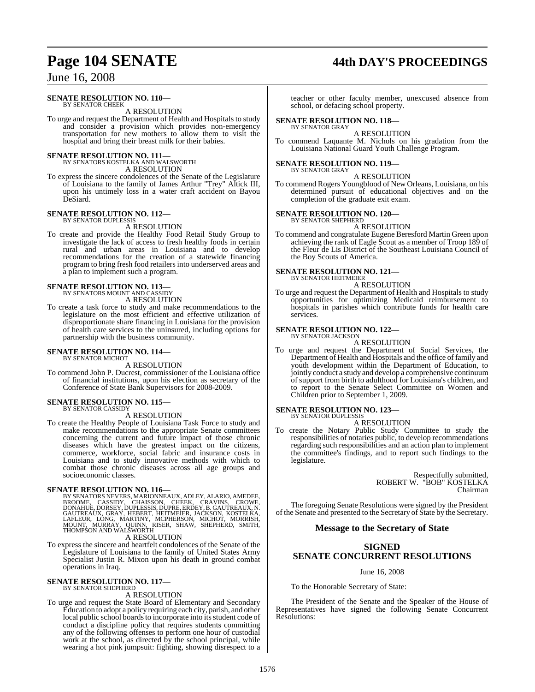# **Page 104 SENATE 44th DAY'S PROCEEDINGS**

### June 16, 2008

#### **SENATE RESOLUTION NO. 110—**

BY SENATOR CHEEK A RESOLUTION

To urge and request the Department of Health and Hospitals to study and consider a provision which provides non-emergency transportation for new mothers to allow them to visit the hospital and bring their breast milk for their babies.

**SENATE RESOLUTION NO. 111—**<br>BY SENATORS KOSTELKA AND WALSWORTH A RESOLUTION

To express the sincere condolences of the Senate of the Legislature of Louisiana to the family of James Arthur "Trey" Altick III, upon his untimely loss in a water craft accident on Bayou DeSiard.

#### **SENATE RESOLUTION NO. 112—** BY SENATOR DUPLESSIS

A RESOLUTION

To create and provide the Healthy Food Retail Study Group to investigate the lack of access to fresh healthy foods in certain rural and urban areas in Louisiana and to develop recommendations for the creation of a statewide financing program to bring fresh food retailers into underserved areas and a plan to implement such a program.

# **SENATE RESOLUTION NO. 113—** BY SENATORS MOUNT AND CASSIDY

A RESOLUTION

To create a task force to study and make recommendations to the legislature on the most efficient and effective utilization of disproportionate share financing in Louisiana for the provision of health care services to the uninsured, including options for partnership with the business community.

#### **SENATE RESOLUTION NO. 114—** BY SENATOR MICHOT

A RESOLUTION

To commend John P. Ducrest, commissioner of the Louisiana office of financial institutions, upon his election as secretary of the Conference of State Bank Supervisors for 2008-2009.

#### **SENATE RESOLUTION NO. 115—** BY SENATOR CASSIDY

A RESOLUTION

To create the Healthy People of Louisiana Task Force to study and make recommendations to the appropriate Senate committees concerning the current and future impact of those chronic diseases which have the greatest impact on the citizens, commerce, workforce, social fabric and insurance costs in Louisiana and to study innovative methods with which to combat those chronic diseases across all age groups and socioeconomic classes.

SENATE RESOLUTION NO. 116—<br>BY SENATORS NEVERS, MARIONNEAUX, ADLEY, ALARIO, AMEDEE, BROOME, CASSIDY, CHAISSON, CHEEK, CRAVINS, CROWE, DONAHUE, DORSEY, DUPLESSIS, DUPRE, ERDEY, B. GAUTREAUX, N.<br>GAUTREAUX, GRAY, HEBERT, HEITM

#### A RESOLUTION

To express the sincere and heartfelt condolences of the Senate of the Legislature of Louisiana to the family of United States Army Specialist Justin R. Mixon upon his death in ground combat operations in Iraq.

# **SENATE RESOLUTION NO. 117—** BY SENATOR SHEPHERD

#### A RESOLUTION

To urge and request the State Board of Elementary and Secondary Education to adopt a policy requiring each city, parish, and other local public school boards to incorporate into its student code of conduct a discipline policy that requires students committing any of the following offenses to perform one hour of custodial work at the school, as directed by the school principal, while wearing a hot pink jumpsuit: fighting, showing disrespect to a teacher or other faculty member, unexcused absence from school, or defacing school property.

#### **SENATE RESOLUTION NO. 118—** BY SENATOR GRAY

A RESOLUTION

To commend Laquante M. Nichols on his gradation from the Louisiana National Guard Youth Challenge Program.

#### **SENATE RESOLUTION NO. 119—** BY SENATOR GRAY

A RESOLUTION

To commend Rogers Youngblood of New Orleans, Louisiana, on his determined pursuit of educational objectives and on the completion of the graduate exit exam.

# **SENATE RESOLUTION NO. 120—** BY SENATOR SHEPHERD

A RESOLUTION

To commend and congratulate Eugene Beresford Martin Green upon achieving the rank of Eagle Scout as a member of Troop 189 of the Fleur de Lis District of the Southeast Louisiana Council of the Boy Scouts of America.

#### **SENATE RESOLUTION NO. 121—**

BY SENATOR HEITMEIER A RESOLUTION

To urge and request the Department of Health and Hospitals to study opportunities for optimizing Medicaid reimbursement to hospitals in parishes which contribute funds for health care services.

#### **SENATE RESOLUTION NO. 122—**

BY SENATOR JACKSON A RESOLUTION

To urge and request the Department of Social Services, the Department of Health and Hospitals and the office of family and youth development within the Department of Education, to jointly conduct a study and develop a comprehensive continuum of support from birth to adulthood for Louisiana's children, and to report to the Senate Select Committee on Women and Children prior to September 1, 2009.

#### **SENATE RESOLUTION NO. 123—**

BY SENATOR DUPLESSIS A RESOLUTION

To create the Notary Public Study Committee to study the responsibilities of notaries public, to develop recommendations regarding such responsibilities and an action plan to implement the committee's findings, and to report such findings to the legislature.

> Respectfully submitted, ROBERT W. "BOB" KOSTELKA Chairman

The foregoing Senate Resolutions were signed by the President of the Senate and presented to the Secretary of State by the Secretary.

#### **Message to the Secretary of State**

### **SIGNED SENATE CONCURRENT RESOLUTIONS**

#### June 16, 2008

To the Honorable Secretary of State:

The President of the Senate and the Speaker of the House of Representatives have signed the following Senate Concurrent Resolutions: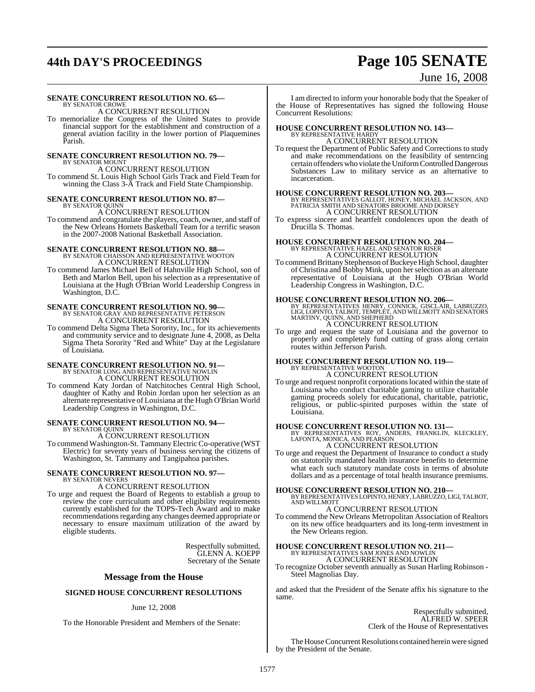# **44th DAY'S PROCEEDINGS Page 105 SENATE**

### June 16, 2008

#### **SENATE CONCURRENT RESOLUTION NO. 65—**

BY SENATOR CROWE A CONCURRENT RESOLUTION

To memorialize the Congress of the United States to provide financial support for the establishment and construction of a general aviation facility in the lower portion of Plaquemines Parish.

#### **SENATE CONCURRENT RESOLUTION NO. 79—**

BY SENATOR MOUNT A CONCURRENT RESOLUTION To commend St. Louis High School Girls Track and Field Team for winning the Class 3-A Track and Field State Championship.

### **SENATE CONCURRENT RESOLUTION NO. 87—** BY SENATOR QUINN A CONCURRENT RESOLUTION

To commend and congratulate the players, coach, owner, and staff of the New Orleans Hornets Basketball Team for a terrific season in the 2007-2008 National Basketball Association.

#### **SENATE CONCURRENT RESOLUTION NO. 88—** BY SENATOR CHAISSON AND REPRESENTATIVE WOOTON A CONCURRENT RESOLUTION

To commend James Michael Bell of Hahnville High School, son of Beth and Marlon Bell, upon his selection as a representative of Louisiana at the Hugh O'Brian World Leadership Congress in Washington, D.C.

# **SENATE CONCURRENT RESOLUTION NO. 90—**<br>BY SENATOR GRAY AND REPRESENTATIVE PETERSON A CONCURRENT RESOLUTION

To commend Delta Sigma Theta Sorority, Inc., for its achievements and community service and to designate June 4, 2008, as Delta Sigma Theta Sorority "Red and White" Day at the Legislature of Louisiana.

### **SENATE CONCURRENT RESOLUTION NO. 91—** BY SENATOR LONG AND REPRESENTATIVE NOWLIN A CONCURRENT RESOLUTION

To commend Katy Jordan of Natchitoches Central High School, daughter of Kathy and Robin Jordan upon her selection as an alternate representative of Louisiana at the Hugh O'Brian World Leadership Congress in Washington, D.C.

#### **SENATE CONCURRENT RESOLUTION NO. 94—** BY SENATOR QUINN

A CONCURRENT RESOLUTION

To commend Washington-St. TammanyElectric Co-operative (WST Electric) for seventy years of business serving the citizens of Washington, St. Tammany and Tangipahoa parishes.

# **SENATE CONCURRENT RESOLUTION NO. 97—** BY SENATOR NEVERS

A CONCURRENT RESOLUTION

To urge and request the Board of Regents to establish a group to review the core curriculum and other eligibility requirements currently established for the TOPS-Tech Award and to make recommendations regarding any changes deemed appropriate or necessary to ensure maximum utilization of the award by eligible students.

> Respectfully submitted, GLENN A. KOEPP Secretary of the Senate

#### **Message from the House**

#### **SIGNED HOUSE CONCURRENT RESOLUTIONS**

#### June 12, 2008

To the Honorable President and Members of the Senate:

I am directed to inform your honorable body that the Speaker of the House of Representatives has signed the following House Concurrent Resolutions:

# **HOUSE CONCURRENT RESOLUTION NO. 143—** BY REPRESENTATIVE HARDY

A CONCURRENT RESOLUTION

To request the Department of Public Safety and Corrections to study and make recommendations on the feasibility of sentencing certain offenderswho violate the Uniform Controlled Dangerous Substances Law to military service as an alternative to incarceration.

**HOUSE CONCURRENT RESOLUTION NO. 203—** BY REPRESENTATIVES GALLOT, HONEY, MICHAEL JACKSON, AND PATRICIA SMITH AND SENATORS BROOME AND DORSEY A CONCURRENT RESOLUTION

To express sincere and heartfelt condolences upon the death of Drucilla S. Thomas.

### **HOUSE CONCURRENT RESOLUTION NO. 204—** BY REPRESENTATIVE HAZEL AND SENATOR RISER A CONCURRENT RESOLUTION

To commend Brittany Stephenson of Buckeye High School, daughter of Christina and Bobby Mink, upon herselection as an alternate representative of Louisiana at the Hugh O'Brian World Leadership Congress in Washington, D.C.

**HOUSE CONCURRENT RESOLUTION NO. 206—**<br>BY REPRESENTATIVES HENRY, CONNICK, GISCLAIR, LABRUZZO,<br>LIGI, LOPINTO, TALBOT, TEMPLET, AND WILLMOTT AND SENATORS<br>MARTINY, QUINN, AND SHEPHERD<br>A CONCURRENT RESOLUTION

To urge and request the state of Louisiana and the governor to properly and completely fund cutting of grass along certain routes within Jefferson Parish.

# **HOUSE CONCURRENT RESOLUTION NO. 119—** BY REPRESENTATIVE WOOTON

A CONCURRENT RESOLUTION

To urge and request nonprofit corporations located within the state of Louisiana who conduct charitable gaming to utilize charitable gaming proceeds solely for educational, charitable, patriotic, religious, or public-spirited purposes within the state of Louisiana.

**HOUSE CONCURRENT RESOLUTION NO. 131—**<br>BY REPRESENTATIVES ROY, ANDERS, FRANKLIN, KLECKLEY,<br>LAFONTA, MONICA, AND PEARSON<br>A CONCURRENT RESOLUTION

To urge and request the Department of Insurance to conduct a study on statutorily mandated health insurance benefits to determine what each such statutory mandate costs in terms of absolute dollars and as a percentage of total health insurance premiums.

**HOUSE CONCURRENT RESOLUTION NO. 210—** BY REPRESENTATIVES LOPINTO, HENRY, LABRUZZO, LIGI, TALBOT, AND WILLMOTT

### A CONCURRENT RESOLUTION

To commend the New Orleans Metropolitan Association of Realtors on its new office headquarters and its long-term investment in the New Orleans region.

# **HOUSE CONCURRENT RESOLUTION NO. 211—** BY REPRESENTATIVES SAM JONES AND NOWLIN A CONCURRENT RESOLUTION

To recognize October seventh annually as Susan Harling Robinson - Steel Magnolias Day.

and asked that the President of the Senate affix his signature to the same.

> Respectfully submitted, ALFRED W. SPEER Clerk of the House of Representatives

The House Concurrent Resolutions contained herein were signed by the President of the Senate.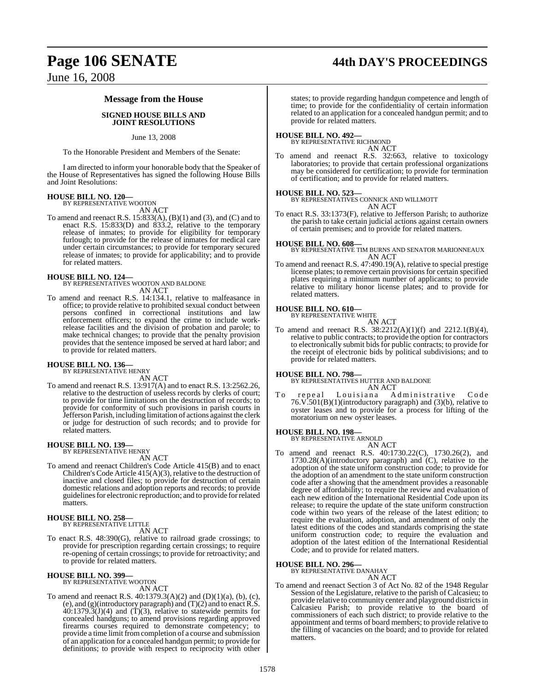# **Page 106 SENATE 44th DAY'S PROCEEDINGS**

June 16, 2008

#### **Message from the House**

#### **SIGNED HOUSE BILLS AND JOINT RESOLUTIONS**

#### June 13, 2008

To the Honorable President and Members of the Senate:

I am directed to inform your honorable body that the Speaker of the House of Representatives has signed the following House Bills and Joint Resolutions:

## **HOUSE BILL NO. 120—** BY REPRESENTATIVE WOOTON

AN ACT

To amend and reenact R.S. 15:833(A), (B)(1) and (3), and (C) and to enact R.S. 15:833(D) and 833.2, relative to the temporary release of inmates; to provide for eligibility for temporary furlough; to provide for the release of inmates for medical care under certain circumstances; to provide for temporary secured release of inmates; to provide for applicability; and to provide for related matters.

**HOUSE BILL NO. 124—** BY REPRESENTATIVES WOOTON AND BALDONE AN ACT

To amend and reenact R.S. 14:134.1, relative to malfeasance in office; to provide relative to prohibited sexual conduct between persons confined in correctional institutions and law enforcement officers; to expand the crime to include workrelease facilities and the division of probation and parole; to make technical changes; to provide that the penalty provision provides that the sentence imposed be served at hard labor; and to provide for related matters.

### **HOUSE BILL NO. 136—** BY REPRESENTATIVE HENRY

AN ACT

To amend and reenact R.S. 13:917(A) and to enact R.S. 13:2562.26, relative to the destruction of useless records by clerks of court; to provide for time limitations on the destruction of records; to provide for conformity of such provisions in parish courts in Jefferson Parish, including limitation of actions against the clerk or judge for destruction of such records; and to provide for related matters.

#### **HOUSE BILL NO. 139—**

BY REPRESENTATIVE HENRY

AN ACT To amend and reenact Children's Code Article 415(B) and to enact Children's Code Article 415(A)(3), relative to the destruction of inactive and closed files; to provide for destruction of certain domestic relations and adoption reports and records; to provide guidelines for electronic reproduction; and to provide for related matters.

#### **HOUSE BILL NO. 258—** BY REPRESENTATIVE LITTLE

AN ACT

To enact R.S. 48:390(G), relative to railroad grade crossings; to provide for prescription regarding certain crossings; to require re-opening of certain crossings; to provide for retroactivity; and to provide for related matters.

### **HOUSE BILL NO. 399—** BY REPRESENTATIVE WOOTON

AN ACT

To amend and reenact R.S. 40:1379.3(A)(2) and (D)(1)(a), (b), (c), (e), and  $(g)$ (introductory paragraph) and  $(T)(2)$  and to enact R.S.  $40:1379.3(J)(4)$  and  $(T)(3)$ , relative to statewide permits for concealed handguns; to amend provisions regarding approved firearms courses required to demonstrate competency; to provide a time limit fromcompletion of a course and submission of an application for a concealed handgun permit; to provide for definitions; to provide with respect to reciprocity with other

states; to provide regarding handgun competence and length of time; to provide for the confidentiality of certain information related to an application for a concealed handgun permit; and to provide for related matters.

#### **HOUSE BILL NO. 492—** BY REPRESENTATIVE RICHMOND

AN ACT

To amend and reenact R.S. 32:663, relative to toxicology laboratories; to provide that certain professional organizations may be considered for certification; to provide for termination of certification; and to provide for related matters.

#### **HOUSE BILL NO. 523—**

BY REPRESENTATIVES CONNICK AND WILLMOTT AN ACT

To enact R.S. 33:1373(F), relative to Jefferson Parish; to authorize the parish to take certain judicial actions against certain owners of certain premises; and to provide for related matters.

**HOUSE BILL NO. 608—** BY REPRESENTATIVE TIM BURNS AND SENATOR MARIONNEAUX AN ACT

To amend and reenact R.S. 47:490.19(A), relative to special prestige license plates; to remove certain provisions for certain specified plates requiring a minimum number of applicants; to provide relative to military honor license plates; and to provide for related matters.

### **HOUSE BILL NO. 610—** BY REPRESENTATIVE WHITE

AN ACT

To amend and reenact R.S. 38:2212(A)(1)(f) and 2212.1(B)(4), relative to public contracts; to provide the option for contractors to electronically submit bids for public contracts; to provide for the receipt of electronic bids by political subdivisions; and to provide for related matters.

**HOUSE BILL NO. 798—** BY REPRESENTATIVES HUTTER AND BALDONE

AN ACT<br>Louisiana A To repeal Louisiana Administrative Code 76.V.501(B)(1)(introductory paragraph) and (3)(b), relative to oyster leases and to provide for a process for lifting of the moratorium on new oyster leases.

### **HOUSE BILL NO. 198—** BY REPRESENTATIVE ARNOLD

AN ACT

To amend and reenact R.S. 40:1730.22(C), 1730.26(2), and 1730.28(A)(introductory paragraph) and (C), relative to the adoption of the state uniform construction code; to provide for the adoption of an amendment to the state uniform construction code after a showing that the amendment provides a reasonable degree of affordability; to require the review and evaluation of each new edition of the International Residential Code upon its release; to require the update of the state uniform construction code within two years of the release of the latest edition; to require the evaluation, adoption, and amendment of only the latest editions of the codes and standards comprising the state uniform construction code; to require the evaluation and adoption of the latest edition of the International Residential Code; and to provide for related matters.

#### **HOUSE BILL NO. 296—**

BY REPRESENTATIVE DANAHAY AN ACT

To amend and reenact Section 3 of Act No. 82 of the 1948 Regular Session of the Legislature, relative to the parish of Calcasieu; to provide relative to community center and playground districts in Calcasieu Parish; to provide relative to the board of commissioners of each such district; to provide relative to the appointment and terms of board members; to provide relative to the filling of vacancies on the board; and to provide for related matters.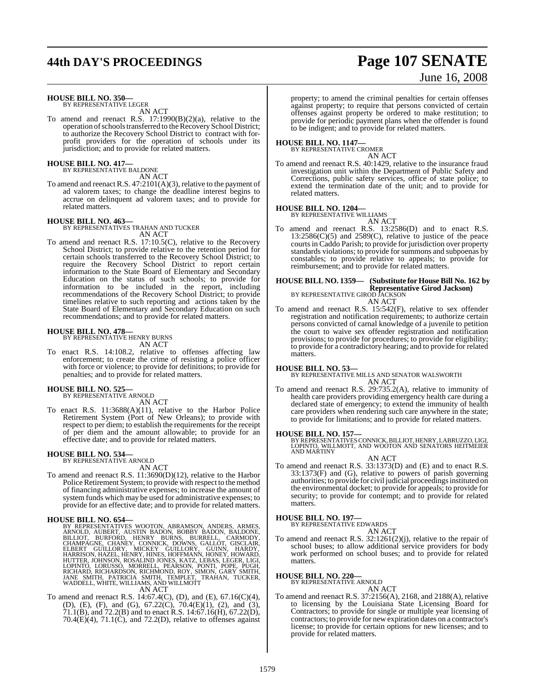# **44th DAY'S PROCEEDINGS Page 107 SENATE**

# June 16, 2008

#### **HOUSE BILL NO. 350—** BY REPRESENTATIVE LEGER

AN ACT

To amend and reenact R.S. 17:1990(B)(2)(a), relative to the operation of schools transferred to the Recovery School District; to authorize the Recovery School District to contract with forprofit providers for the operation of schools under its jurisdiction; and to provide for related matters.

#### **HOUSE BILL NO. 417—**

BY REPRESENTATIVE BALDONE AN ACT

To amend and reenact R.S. 47:2101(A)(3), relative to the payment of ad valorem taxes; to change the deadline interest begins to accrue on delinquent ad valorem taxes; and to provide for related matters.

#### **HOUSE BILL NO. 463—**

BY REPRESENTATIVES TRAHAN AND TUCKER AN ACT

To amend and reenact R.S. 17:10.5(C), relative to the Recovery School District; to provide relative to the retention period for certain schools transferred to the Recovery School District; to require the Recovery School District to report certain information to the State Board of Elementary and Secondary Education on the status of such schools; to provide for information to be included in the report, including recommendations of the Recovery School District; to provide timelines relative to such reporting and actions taken by the State Board of Elementary and Secondary Education on such recommendations; and to provide for related matters.

#### **HOUSE BILL NO. 478—**

BY REPRESENTATIVE HENRY BURNS AN ACT

To enact R.S. 14:108.2, relative to offenses affecting law enforcement; to create the crime of resisting a police officer with force or violence; to provide for definitions; to provide for penalties; and to provide for related matters.

#### **HOUSE BILL NO. 525—**

BY REPRESENTATIVE ARNOLD AN ACT

To enact R.S. 11:3688(A)(11), relative to the Harbor Police Retirement System (Port of New Orleans); to provide with respect to per diem; to establish the requirements for the receipt of per diem and the amount allowable; to provide for an effective date; and to provide for related matters.

#### **HOUSE BILL NO. 534—** BY REPRESENTATIVE ARNOLD

AN ACT

To amend and reenact R.S. 11:3690(D)(12), relative to the Harbor Police Retirement System; to provide with respect to the method of financing administrative expenses; to increase the amount of system funds which may be used for administrative expenses; to provide for an effective date; and to provide for related matters.

**HOUSE BILL NO. 654—**<br>BY REPRESENTATIVES WOOTON, ABRAMSON, ANDERS, ARMES, ARNOLD, AUBERT, AUSTIN BADON, BOBBY BADON, BALDONE, BILLIOT, BURFORD, HENRY BURNS, BURRELL, CARMODY, CHANPAGNE, CHANEY, CONNICK, DOWNS, GALLOT, GISC

To amend and reenact R.S. 14:67.4(C), (D), and (E), 67.16(C)(4), (D), (E), (F), and (G), 67.22(C), 70.4(E)(1), (2), and (3), 71.1(B), and 72.2(B) and to enact R.S. 14:67.16(H), 67.22(D),  $70.4(E)(4)$ ,  $71.1(C)$ , and  $72.2(D)$ , relative to offenses against property; to amend the criminal penalties for certain offenses against property; to require that persons convicted of certain offenses against property be ordered to make restitution; to provide for periodic payment plans when the offender is found to be indigent; and to provide for related matters.

## **HOUSE BILL NO. 1147—** BY REPRESENTATIVE CROMER

AN ACT

To amend and reenact R.S. 40:1429, relative to the insurance fraud investigation unit within the Department of Public Safety and Corrections, public safety services, office of state police; to extend the termination date of the unit; and to provide for related matters.

#### **HOUSE BILL NO. 1204—**

BY REPRESENTATIVE WILLIAMS

AN ACT To amend and reenact R.S. 13:2586(D) and to enact R.S.  $13:2586(C)(5)$  and  $2589(C)$ , relative to justice of the peace courts in Caddo Parish; to provide for jurisdiction over property standards violations; to provide for summons and subpoenas by constables; to provide relative to appeals; to provide for reimbursement; and to provide for related matters.

### **HOUSE BILL NO. 1359— (Substitute for House Bill No. 162 by Representative Girod Jackson)** BY REPRESENTATIVE GIROD JACKSON

AN ACT

To amend and reenact R.S. 15:542(F), relative to sex offender registration and notification requirements; to authorize certain persons convicted of carnal knowledge of a juvenile to petition the court to waive sex offender registration and notification provisions; to provide for procedures; to provide for eligibility; to provide for a contradictory hearing; and to provide for related matters.

#### **HOUSE BILL NO. 53—**

BY REPRESENTATIVE MILLS AND SENATOR WALSWORTH AN ACT

To amend and reenact R.S. 29:735.2(A), relative to immunity of health care providers providing emergency health care during a declared state of emergency; to extend the immunity of health care providers when rendering such care anywhere in the state; to provide for limitations; and to provide for related matters.

**HOUSE BILL NO. 157—** BY REPRESENTATIVES CONNICK, BILLIOT, HENRY, LABRUZZO, LIGI, LOPINTO, WILLMOTT, AND WOOTON AND SENATORS HEITMEIER AND MARTINY

- AN ACT
- To amend and reenact R.S. 33:1373(D) and (E) and to enact R.S. 33:1373(F) and (G), relative to powers of parish governing authorities; to provide for civil judicial proceedings instituted on the environmental docket; to provide for appeals; to provide for security; to provide for contempt; and to provide for related matters.

#### **HOUSE BILL NO. 197—**

BY REPRESENTATIVE EDWARDS

AN ACT To amend and reenact R.S. 32:1261(2)(j), relative to the repair of school buses; to allow additional service providers for body work performed on school buses; and to provide for related matters.

**HOUSE BILL NO. 220—** BY REPRESENTATIVE ARNOLD

- AN ACT To amend and reenact R.S. 37:2156(A), 2168, and 2188(A), relative to licensing by the Louisiana State Licensing Board for
- Contractors; to provide for single or multiple year licensing of contractors; to provide for new expiration dates on a contractor's license; to provide for certain options for new licenses; and to provide for related matters.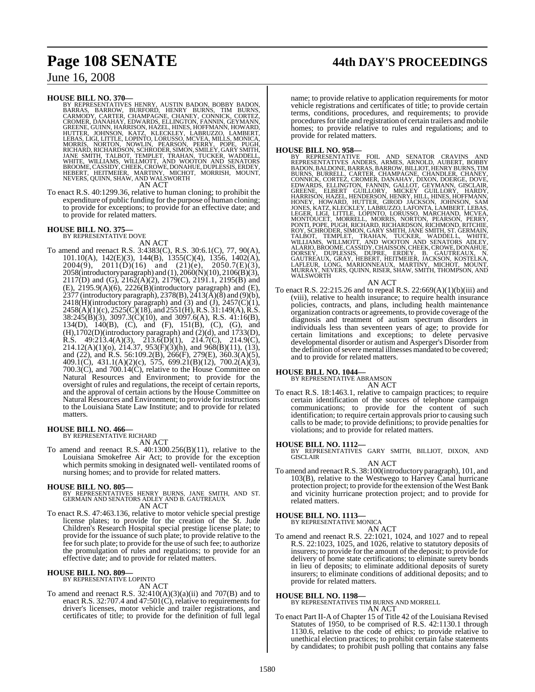#### **HOUSE BILL NO. 370—**

BY REPRESENTATIVES HENRY, AUSTIN BADON, BOBBY BADON, BARRAS, BARROW, BURFORD, HENRY BURNS, CARNODY, CARNEOR, CHAMPAGNE, CHANEY, CONNICK, CORTEZ, GROMER, DANAHAY, EDWARDS, ELLINGTON, FANNIN, GEYMANN, GEYMANN, GEYMANN, GEYMA

AN ACT

To enact R.S. 40:1299.36, relative to human cloning; to prohibit the expenditure of public funding for the purpose of human cloning; to provide for exceptions; to provide for an effective date; and to provide for related matters.

# **HOUSE BILL NO. 375—** BY REPRESENTATIVE DOVE

AN ACT

To amend and reenact R.S. 3:4383(C), R.S. 30:6.1(C), 77, 90(A), 101.10(A), 142(E)(3), 144(B), 1355(C)(4), 1356, 1402(A),  $2004(9)$ ,  $2011(D)(16)$  and  $(21)(e)$ ,  $2050.7(E)(3)$ , 2058(introductory paragraph) and (1), 2060(N)(10), 2106(B)(3), 2117(D) and (G),  $216\overline{2}$ (A)(2), 2179(C), 2191.1, 2195(B) and  $(E)$ ,  $2195.9(A)(6)$ ,  $2226(B)(introductory paragraph)$  and  $(E)$ , 2377 (introductory paragraph), 2378(B), 2413( $\tilde{A}$ )( $\tilde{B}$ ) and (9)(b),  $2418(H)$ (introductory paragraph) and (3) and (J),  $2457(C)(1)$ ,  $2458(A)(1)(c), 2525(\overline{C})(18), \text{ and } 2551(\overline{H}), R.S. 31:149(\overline{A}), R.S.$ 38:245(B)(3), 3097.3(C)(10), and 3097.6(A), R.S. 41:16(B), 134(D), 140(B), (C), and (F), 151(B), (C), (G), and (H),1702(D)(introductory paragraph) and (2)(d), and 1733(D), R.S.  $49:213.4(A)(3)$ ,  $213.6(D)(1)$ ,  $214.7(C)$ ,  $214.9(C)$ , 214.12(A)(1)(o), 214.37, 953(F)(3)(h), and 968(B)(11), (13), and (22), and R.S. 56:109.2(B), 266(F), 279(E), 360.3(A)(5), 409.1(C), 431.1(A)(2)(c), 575, 699.21(B)(12), 700.2(A)(3), 700.3(C), and 700.14(C), relative to the House Committee on Natural Resources and Environment; to provide for the oversight of rules and regulations, the receipt of certain reports, and the approval of certain actions by the House Committee on Natural Resources and Environment; to provide for instructions to the Louisiana State Law Institute; and to provide for related matters.

#### **HOUSE BILL NO. 466—**

BY REPRESENTATIVE RICHARD AN ACT

To amend and reenact R.S. 40:1300.256(B)(11), relative to the Louisiana Smokefree Air Act; to provide for the exception which permits smoking in designated well- ventilated rooms of nursing homes; and to provide for related matters.

- **HOUSE BILL NO. 805—** BY REPRESENTATIVES HENRY BURNS, JANE SMITH, AND ST. GERMAIN AND SENATORS ADLEY AND B. GAUTREAUX AN ACT
- To enact R.S. 47:463.136, relative to motor vehicle special prestige license plates; to provide for the creation of the St. Jude Children's Research Hospital special prestige license plate; to provide for the issuance of such plate; to provide relative to the fee for such plate; to provide for the use of such fee; to authorize the promulgation of rules and regulations; to provide for an effective date; and to provide for related matters.

### **HOUSE BILL NO. 809—** BY REPRESENTATIVE LOPINTO

AN ACT

To amend and reenact R.S.  $32:410(A)(3)(a)(ii)$  and  $707(B)$  and to enact R.S. 32:707.4 and 47:501(C), relative to requirements for driver's licenses, motor vehicle and trailer registrations, and certificates of title; to provide for the definition of full legal

# **Page 108 SENATE 44th DAY'S PROCEEDINGS**

name; to provide relative to application requirements for motor vehicle registrations and certificates of title; to provide certain terms, conditions, procedures, and requirements; to provide procedures for title and registration of certain trailers and mobile homes; to provide relative to rules and regulations; and to provide for related matters.

HOUSE BILL NO. 958—<br>
BY REPRESENTATIVES ANDERS, ARMES, ARNOLD, AUBERT, BOBBY<br>
REPRESENTATIVES ANDERS, ARMES, ARNOLD, AUBERT, BOBBY<br>
BADON, BALDONE, BARRAS, BARROW, BILLIOT, HENRY BURNS, TIM<br>
BURNS, BURRELL, CARTER, CHAMPAG

#### AN ACT

To enact R.S. 22:215.26 and to repeal R.S. 22:669(A)(1)(b)(iii) and (viii), relative to health insurance; to require health insurance policies, contracts, and plans, including health maintenance organization contracts or agreements, to provide coverage ofthe diagnosis and treatment of autism spectrum disorders in individuals less than seventeen years of age; to provide for certain limitations and exceptions; to delete pervasive developmental disorder or autism and Asperger's Disorder from the definition of severe mental illnesses mandated to be covered; and to provide for related matters.

### **HOUSE BILL NO. 1044—** BY REPRESENTATIVE ABRAMSON

AN ACT

To enact R.S. 18:1463.1, relative to campaign practices; to require certain identification of the sources of telephone campaign communications; to provide for the content of such identification; to require certain approvals prior to causing such calls to be made; to provide definitions; to provide penalties for violations; and to provide for related matters.

**HOUSE BILL NO. 1112—** BY REPRESENTATIVES GARY SMITH, BILLIOT, DIXON, AND GISCLAIR

AN ACT To amend and reenactR.S. 38:100(introductory paragraph), 101, and 103(B), relative to the Westwego to Harvey Canal hurricane protection project; to provide for the extension of the West Bank and vicinity hurricane protection project; and to provide for related matters.

#### **HOUSE BILL NO. 1113—** BY REPRESENTATIVE MONICA

AN ACT

To amend and reenact R.S. 22:1021, 1024, and 1027 and to repeal R.S. 22:1023, 1025, and 1026, relative to statutory deposits of insurers; to provide for the amount of the deposit; to provide for delivery of home state certifications; to eliminate surety bonds in lieu of deposits; to eliminate additional deposits of surety insurers; to eliminate conditions of additional deposits; and to provide for related matters.

**HOUSE BILL NO. 1198—** BY REPRESENTATIVES TIM BURNS AND MORRELL AN ACT

To enact Part II-A of Chapter 15 of Title 42 of the Louisiana Revised Statutes of 1950, to be comprised of R.S. 42:1130.1 through 1130.6, relative to the code of ethics; to provide relative to unethical election practices; to prohibit certain false statements by candidates; to prohibit push polling that contains any false